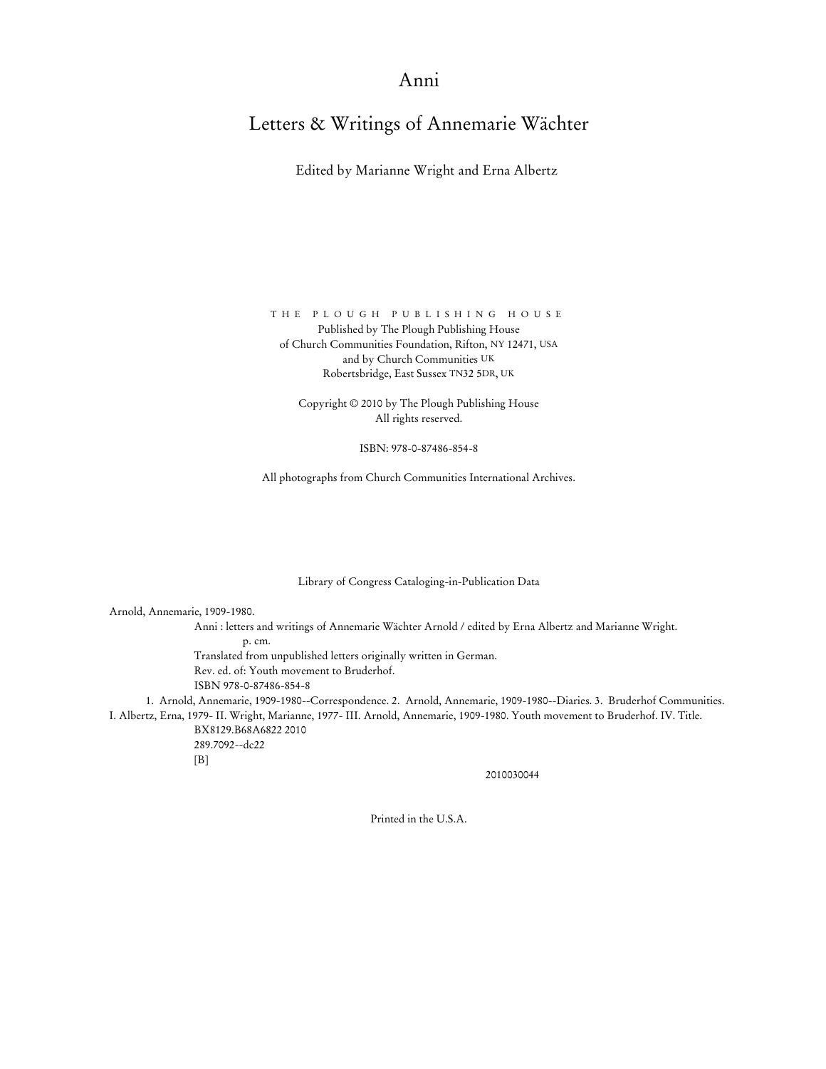### Anni

## Letters & Writings of Annemarie Wächter

Edited by Marianne Wright and Erna Albertz

THE PLOUGH PUBLISHIN G HOUSE Published by The Plough Publishing House of Church Communities Foundation, Rifton, NY 12471, USA and by Church Communities UK Robertsbridge, East Sussex TN32 5DR, UK

> Copyright © 2010 by The Plough Publishing House All rights reserved.

> > ISBN: 978-0-87486-854-8

All photographs from Church Communities International Archives.

Library of Congress Cataloging-in-Publication Data

Arnold, Annemarie, 1909-1980. Anni : letters and writings of Annemarie Wächter Arnold / edited by Erna Albertz and Marianne Wright. p. cm. Translated from unpublished letters originally written in German. Rev. ed. of: Youth movement to Bruderhof. ISBN 978-0-87486-854-8 1. Arnold, Annemarie, 1909-1980--Correspondence. 2. Arnold, Annemarie, 1909-1980--Diaries. 3. Bruderhof Communities. I. Albertz, Erna, 1979- II. Wright, Marianne, 1977- III. Arnold, Annemarie, 1909-1980. Youth movement to Bruderhof. IV. Title. BX8129.B68A6822 2010 289.7092--dc22

 $[B]$ 

2010030044

Printed in the U.S.A.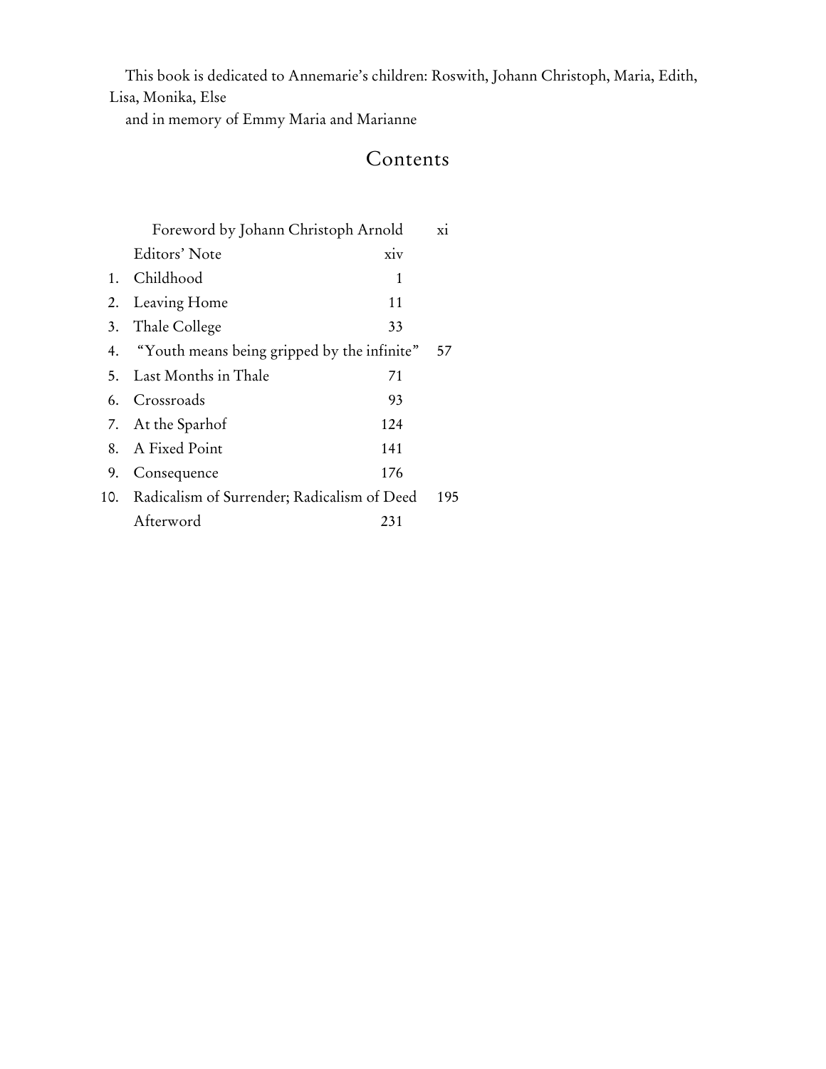This book is dedicated to Annemarie's children: Roswith, Johann Christoph, Maria, Edith, Lisa, Monika, Else

and in memory of Emmy Maria and Marianne

## Contents

|    | Foreword by Johann Christoph Arnold             |           | X1  |
|----|-------------------------------------------------|-----------|-----|
|    | Editors' Note                                   | $\dot{x}$ |     |
|    | 1. Childhood                                    | 1         |     |
|    | 2. Leaving Home                                 | 11        |     |
|    | 3. Thale College                                | 33        |     |
|    | 4. "Youth means being gripped by the infinite"  |           | 57  |
|    | 5. Last Months in Thale                         | 71        |     |
|    | 6. Crossroads                                   | 93        |     |
|    | 7. At the Sparhof                               | 124       |     |
|    | 8. A Fixed Point                                | 141       |     |
| 9. | Consequence                                     | 176       |     |
|    | 10. Radicalism of Surrender; Radicalism of Deed |           | 195 |
|    | Afterword                                       | 231       |     |
|    |                                                 |           |     |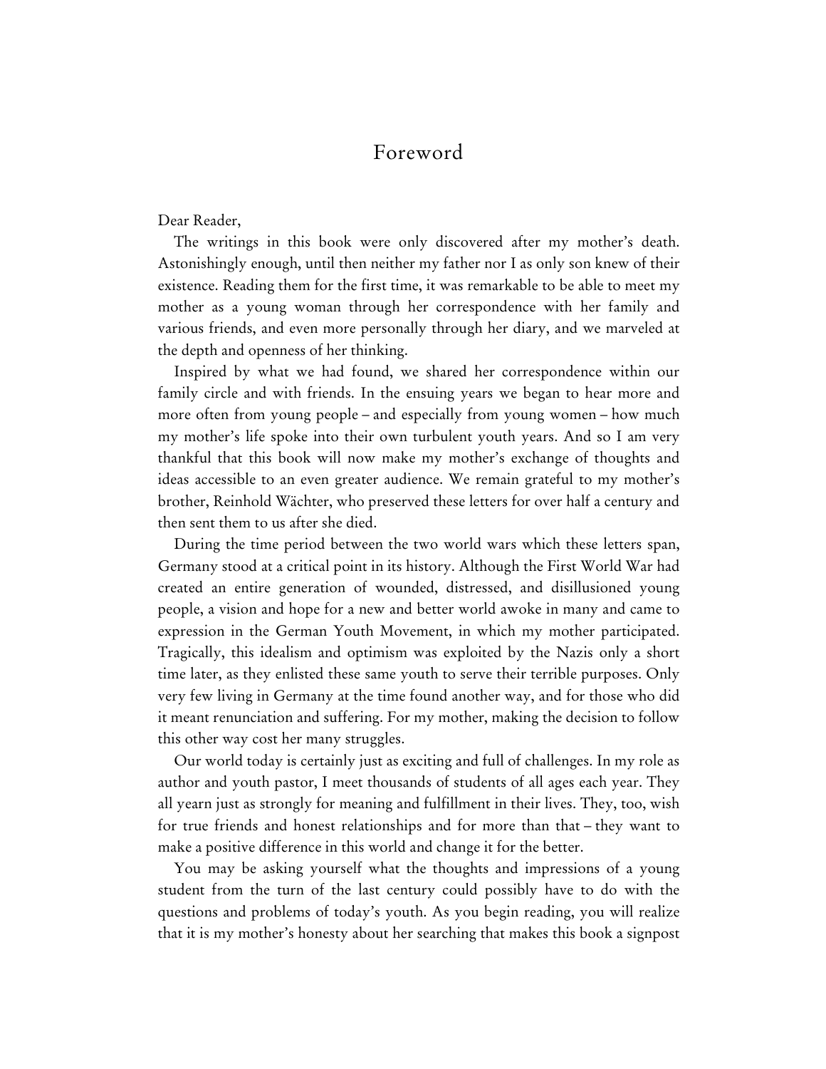## Foreword

Dear Reader,

The writings in this book were only discovered after my mother's death. Astonishingly enough, until then neither my father nor I as only son knew of their existence. Reading them for the first time, it was remarkable to be able to meet my mother as a young woman through her correspondence with her family and various friends, and even more personally through her diary, and we marveled at the depth and openness of her thinking.

Inspired by what we had found, we shared her correspondence within our family circle and with friends. In the ensuing years we began to hear more and more often from young people – and especially from young women – how much my mother's life spoke into their own turbulent youth years. And so I am very thankful that this book will now make my mother's exchange of thoughts and ideas accessible to an even greater audience. We remain grateful to my mother's brother, Reinhold Wächter, who preserved these letters for over half a century and then sent them to us after she died.

During the time period between the two world wars which these letters span, Germany stood at a critical point in its history. Although the First World War had created an entire generation of wounded, distressed, and disillusioned young people, a vision and hope for a new and better world awoke in many and came to expression in the German Youth Movement, in which my mother participated. Tragically, this idealism and optimism was exploited by the Nazis only a short time later, as they enlisted these same youth to serve their terrible purposes. Only very few living in Germany at the time found another way, and for those who did it meant renunciation and suffering. For my mother, making the decision to follow this other way cost her many struggles.

Our world today is certainly just as exciting and full of challenges. In my role as author and youth pastor, I meet thousands of students of all ages each year. They all yearn just as strongly for meaning and fulfillment in their lives. They, too, wish for true friends and honest relationships and for more than that – they want to make a positive difference in this world and change it for the better.

You may be asking yourself what the thoughts and impressions of a young student from the turn of the last century could possibly have to do with the questions and problems of today's youth. As you begin reading, you will realize that it is my mother's honesty about her searching that makes this book a signpost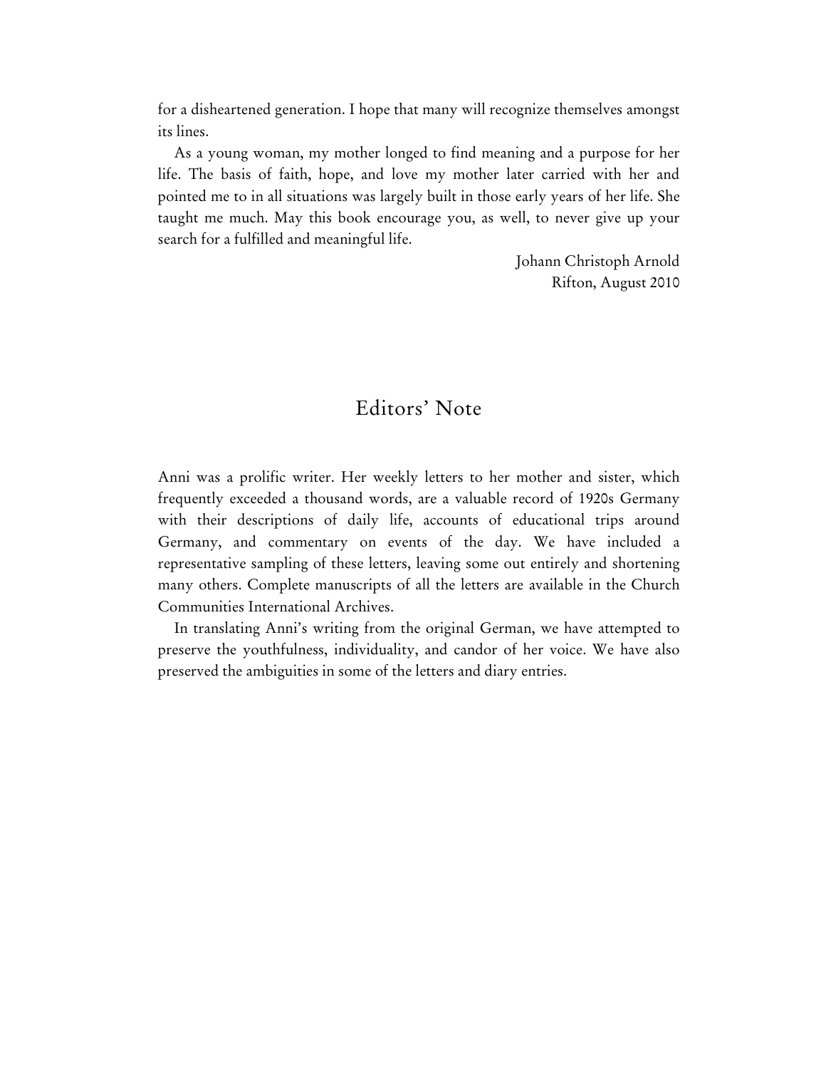for a disheartened generation. I hope that many will recognize themselves amongst its lines.

As a young woman, my mother longed to find meaning and a purpose for her life. The basis of faith, hope, and love my mother later carried with her and pointed me to in all situations was largely built in those early years of her life. She taught me much. May this book encourage you, as well, to never give up your search for a fulfilled and meaningful life.

> Johann Christoph Arnold Rifton, August 2010

## Editors' Note

Anni was a prolific writer. Her weekly letters to her mother and sister, which frequently exceeded a thousand words, are a valuable record of 1920s Germany with their descriptions of daily life, accounts of educational trips around Germany, and commentary on events of the day. We have included a representative sampling of these letters, leaving some out entirely and shortening many others. Complete manuscripts of all the letters are available in the Church Communities International Archives.

In translating Anni's writing from the original German, we have attempted to preserve the youthfulness, individuality, and candor of her voice. We have also preserved the ambiguities in some of the letters and diary entries.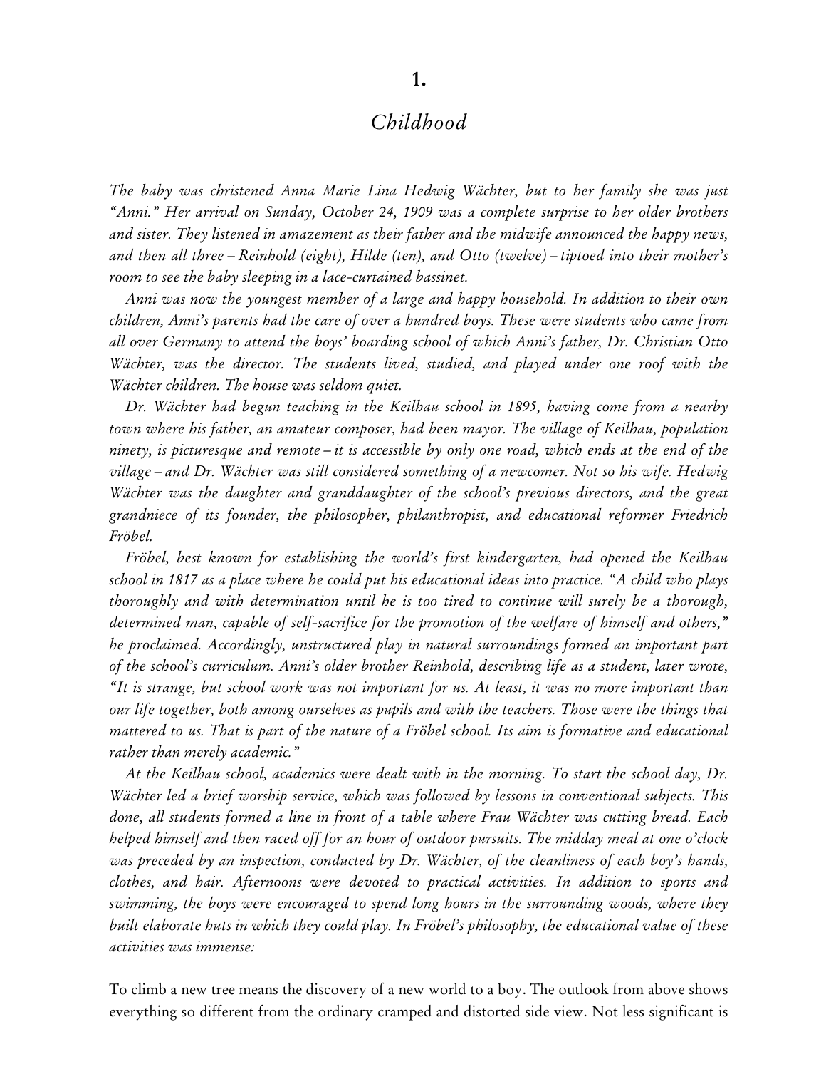## *Childhood*

*The baby was christened Anna Marie Lina Hedwig Wächter, but to her family she was just "Anni." Her arrival on Sunday, October 24, 1909 was a complete surprise to her older brothers and sister. They listened in amazement as their father and the midwife announced the happy news, and then all three – Reinhold (eight), Hilde (ten), and Otto (twelve) – tiptoed into their mother's room to see the baby sleeping in a lace-curtained bassinet.*

*Anni was now the youngest member of a large and happy household. In addition to their own children, Anni's parents had the care of over a hundred boys. These were students who came from all over Germany to attend the boys' boarding school of which Anni's father, Dr. Christian Otto Wächter, was the director. The students lived, studied, and played under one roof with the Wächter children. The house was seldom quiet.*

*Dr. Wächter had begun teaching in the Keilhau school in 1895, having come from a nearby town where his father, an amateur composer, had been mayor. The village of Keilhau, population ninety, is picturesque and remote – it is accessible by only one road, which ends at the end of the village – and Dr. Wächter was still considered something of a newcomer. Not so his wife. Hedwig Wächter was the daughter and granddaughter of the school's previous directors, and the great grandniece of its founder, the philosopher, philanthropist, and educational reformer Friedrich Fröbel.*

*Fröbel, best known for establishing the world's first kindergarten, had opened the Keilhau school in 1817 as a place where he could put his educational ideas into practice. "A child who plays thoroughly and with determination until he is too tired to continue will surely be a thorough, determined man, capable of self-sacrifice for the promotion of the welfare of himself and others," he proclaimed. Accordingly, unstructured play in natural surroundings formed an important part of the school's curriculum. Anni's older brother Reinhold, describing life as a student, later wrote, "It is strange, but school work was not important for us. At least, it was no more important than our life together, both among ourselves as pupils and with the teachers. Those were the things that mattered to us. That is part of the nature of a Fröbel school. Its aim is formative and educational rather than merely academic."*

*At the Keilhau school, academics were dealt with in the morning. To start the school day, Dr. Wächter led a brief worship service, which was followed by lessons in conventional subjects. This done, all students formed a line in front of a table where Frau Wächter was cutting bread. Each helped himself and then raced off for an hour of outdoor pursuits. The midday meal at one o'clock was preceded by an inspection, conducted by Dr. Wächter, of the cleanliness of each boy's hands, clothes, and hair. Afternoons were devoted to practical activities. In addition to sports and swimming, the boys were encouraged to spend long hours in the surrounding woods, where they built elaborate huts in which they could play. In Fröbel's philosophy, the educational value of these activities was immense:*

To climb a new tree means the discovery of a new world to a boy. The outlook from above shows everything so different from the ordinary cramped and distorted side view. Not less significant is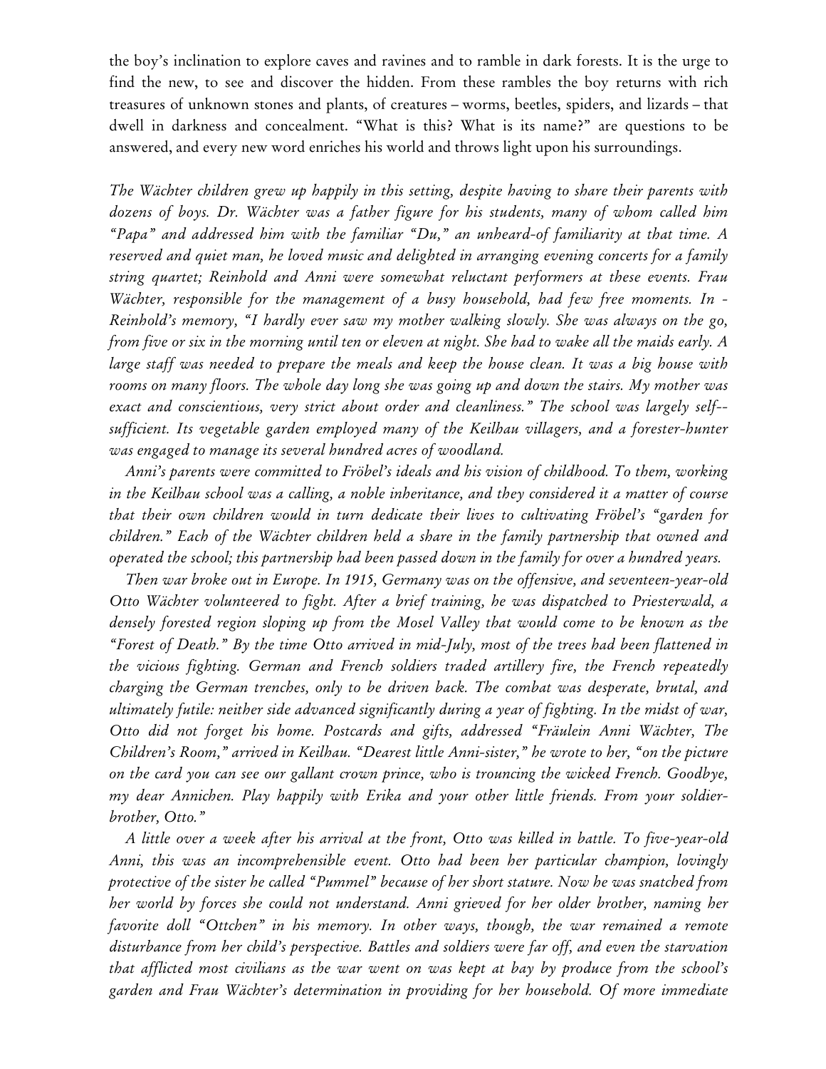the boy's inclination to explore caves and ravines and to ramble in dark forests. It is the urge to find the new, to see and discover the hidden. From these rambles the boy returns with rich treasures of unknown stones and plants, of creatures – worms, beetles, spiders, and lizards – that dwell in darkness and concealment. "What is this? What is its name?" are questions to be answered, and every new word enriches his world and throws light upon his surroundings.

*The Wächter children grew up happily in this setting, despite having to share their parents with dozens of boys. Dr. Wächter was a father figure for his students, many of whom called him "Papa" and addressed him with the familiar "Du," an unheard-of familiarity at that time. A reserved and quiet man, he loved music and delighted in arranging evening concerts for a family string quartet; Reinhold and Anni were somewhat reluctant performers at these events. Frau Wächter, responsible for the management of a busy household, had few free moments. In - Reinhold's memory, "I hardly ever saw my mother walking slowly. She was always on the go, from five or six in the morning until ten or eleven at night. She had to wake all the maids early. A large staff was needed to prepare the meals and keep the house clean. It was a big house with rooms on many floors. The whole day long she was going up and down the stairs. My mother was exact and conscientious, very strict about order and cleanliness." The school was largely self- sufficient. Its vegetable garden employed many of the Keilhau villagers, and a forester-hunter was engaged to manage its several hundred acres of woodland.*

*Anni's parents were committed to Fröbel's ideals and his vision of childhood. To them, working in the Keilhau school was a calling, a noble inheritance, and they considered it a matter of course that their own children would in turn dedicate their lives to cultivating Fröbel's "garden for children." Each of the Wächter children held a share in the family partnership that owned and operated the school; this partnership had been passed down in the family for over a hundred years.*

*Then war broke out in Europe. In 1915, Germany was on the offensive, and seventeen-year-old Otto Wächter volunteered to fight. After a brief training, he was dispatched to Priesterwald, a densely forested region sloping up from the Mosel Valley that would come to be known as the "Forest of Death." By the time Otto arrived in mid-July, most of the trees had been flattened in the vicious fighting. German and French soldiers traded artillery fire, the French repeatedly charging the German trenches, only to be driven back. The combat was desperate, brutal, and ultimately futile: neither side advanced significantly during a year of fighting. In the midst of war, Otto did not forget his home. Postcards and gifts, addressed "Fräulein Anni Wächter, The Children's Room," arrived in Keilhau. "Dearest little Anni-sister," he wrote to her, "on the picture on the card you can see our gallant crown prince, who is trouncing the wicked French. Goodbye, my dear Annichen. Play happily with Erika and your other little friends. From your soldierbrother, Otto."*

*A little over a week after his arrival at the front, Otto was killed in battle. To five-year-old Anni, this was an incomprehensible event. Otto had been her particular champion, lovingly protective of the sister he called "Pummel" because of her short stature. Now he was snatched from her world by forces she could not understand. Anni grieved for her older brother, naming her favorite doll "Ottchen" in his memory. In other ways, though, the war remained a remote disturbance from her child's perspective. Battles and soldiers were far off, and even the starvation that afflicted most civilians as the war went on was kept at bay by produce from the school's garden and Frau Wächter's determination in providing for her household. Of more immediate*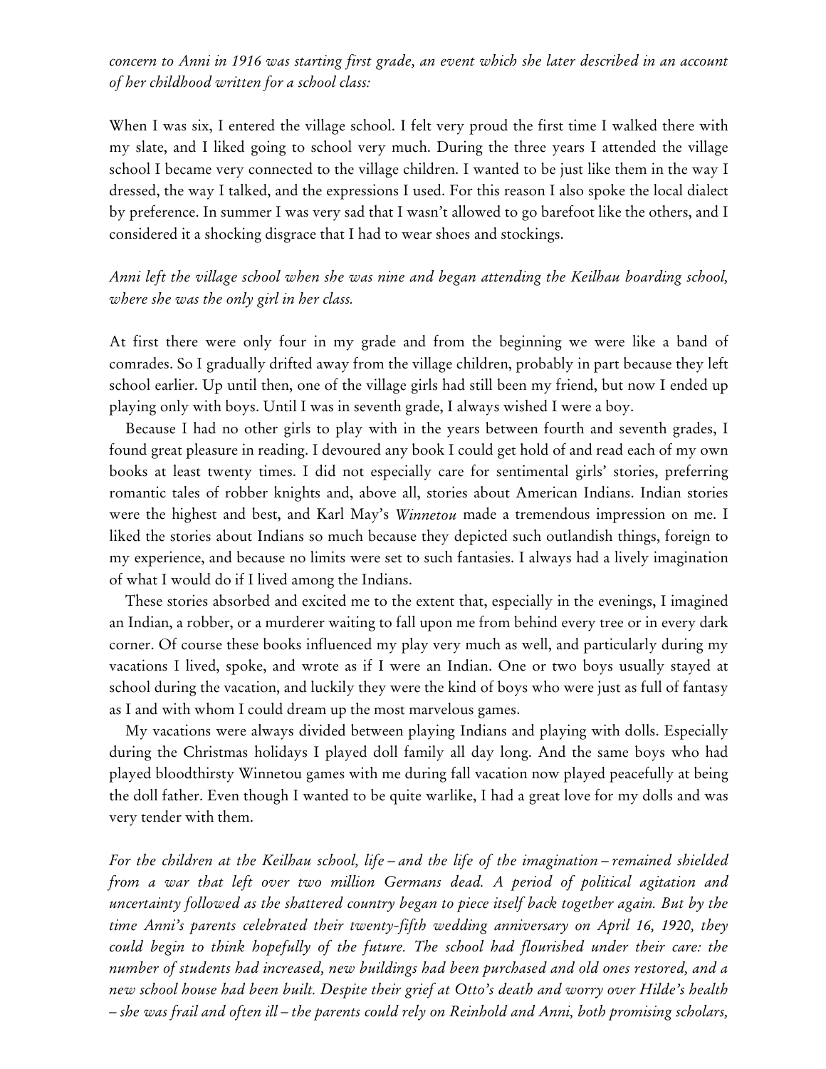*concern to Anni in 1916 was starting first grade, an event which she later described in an account of her childhood written for a school class:*

When I was six, I entered the village school. I felt very proud the first time I walked there with my slate, and I liked going to school very much. During the three years I attended the village school I became very connected to the village children. I wanted to be just like them in the way I dressed, the way I talked, and the expressions I used. For this reason I also spoke the local dialect by preference. In summer I was very sad that I wasn't allowed to go barefoot like the others, and I considered it a shocking disgrace that I had to wear shoes and stockings.

*Anni left the village school when she was nine and began attending the Keilhau boarding school, where she was the only girl in her class.*

At first there were only four in my grade and from the beginning we were like a band of comrades. So I gradually drifted away from the village children, probably in part because they left school earlier. Up until then, one of the village girls had still been my friend, but now I ended up playing only with boys. Until I was in seventh grade, I always wished I were a boy.

Because I had no other girls to play with in the years between fourth and seventh grades, I found great pleasure in reading. I devoured any book I could get hold of and read each of my own books at least twenty times. I did not especially care for sentimental girls' stories, preferring romantic tales of robber knights and, above all, stories about American Indians. Indian stories were the highest and best, and Karl May's *Winnetou* made a tremendous impression on me. I liked the stories about Indians so much because they depicted such outlandish things, foreign to my experience, and because no limits were set to such fantasies. I always had a lively imagination of what I would do if I lived among the Indians.

These stories absorbed and excited me to the extent that, especially in the evenings, I imagined an Indian, a robber, or a murderer waiting to fall upon me from behind every tree or in every dark corner. Of course these books influenced my play very much as well, and particularly during my vacations I lived, spoke, and wrote as if I were an Indian. One or two boys usually stayed at school during the vacation, and luckily they were the kind of boys who were just as full of fantasy as I and with whom I could dream up the most marvelous games.

My vacations were always divided between playing Indians and playing with dolls. Especially during the Christmas holidays I played doll family all day long. And the same boys who had played bloodthirsty Winnetou games with me during fall vacation now played peacefully at being the doll father. Even though I wanted to be quite warlike, I had a great love for my dolls and was very tender with them.

*For the children at the Keilhau school, life – and the life of the imagination – remained shielded from a war that left over two million Germans dead. A period of political agitation and uncertainty followed as the shattered country began to piece itself back together again. But by the time Anni's parents celebrated their twenty-fifth wedding anniversary on April 16, 1920, they could begin to think hopefully of the future. The school had flourished under their care: the number of students had increased, new buildings had been purchased and old ones restored, and a new school house had been built. Despite their grief at Otto's death and worry over Hilde's health – she was frail and often ill – the parents could rely on Reinhold and Anni, both promising scholars,*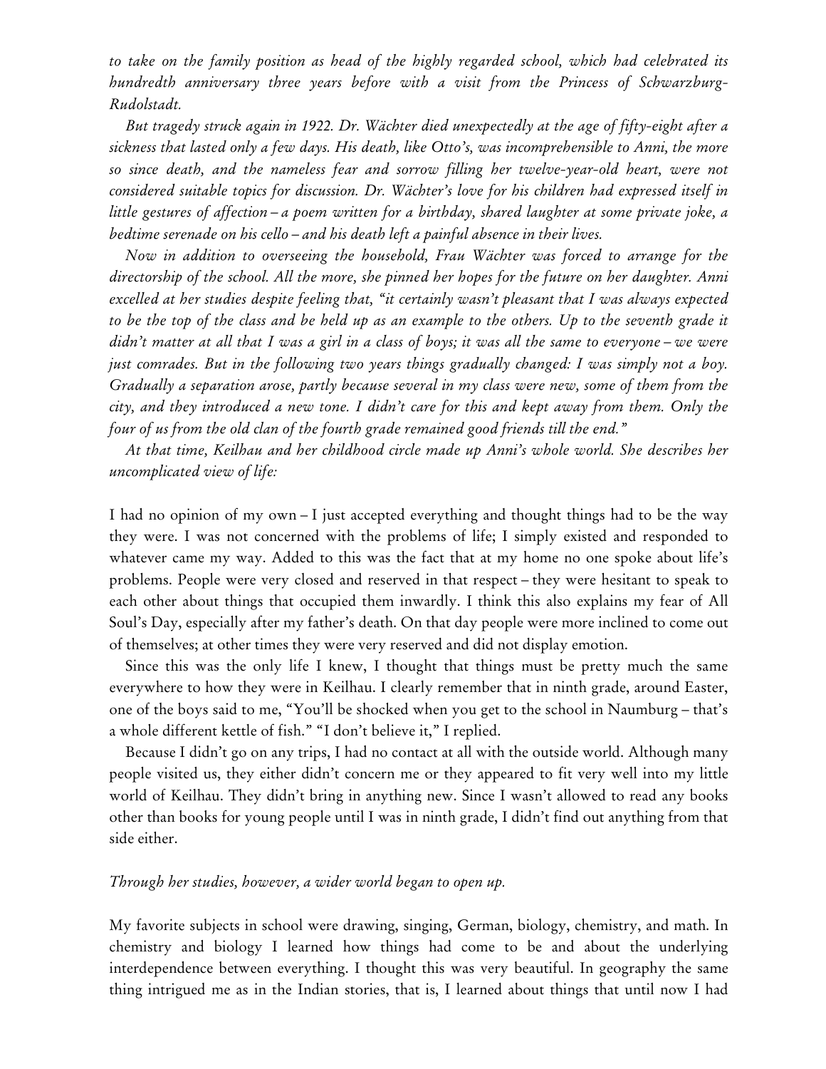*to take on the family position as head of the highly regarded school, which had celebrated its hundredth anniversary three years before with a visit from the Princess of Schwarzburg-Rudolstadt.*

*But tragedy struck again in 1922. Dr. Wächter died unexpectedly at the age of fifty-eight after a sickness that lasted only a few days. His death, like Otto's, was incomprehensible to Anni, the more so since death, and the nameless fear and sorrow filling her twelve-year-old heart, were not considered suitable topics for discussion. Dr. Wächter's love for his children had expressed itself in little gestures of affection – a poem written for a birthday, shared laughter at some private joke, a bedtime serenade on his cello – and his death left a painful absence in their lives.*

*Now in addition to overseeing the household, Frau Wächter was forced to arrange for the directorship of the school. All the more, she pinned her hopes for the future on her daughter. Anni excelled at her studies despite feeling that, "it certainly wasn't pleasant that I was always expected to be the top of the class and be held up as an example to the others. Up to the seventh grade it didn't matter at all that I was a girl in a class of boys; it was all the same to everyone – we were just comrades. But in the following two years things gradually changed: I was simply not a boy. Gradually a separation arose, partly because several in my class were new, some of them from the city, and they introduced a new tone. I didn't care for this and kept away from them. Only the four of us from the old clan of the fourth grade remained good friends till the end."*

*At that time, Keilhau and her childhood circle made up Anni's whole world. She describes her uncomplicated view of life:*

I had no opinion of my own – I just accepted everything and thought things had to be the way they were. I was not concerned with the problems of life; I simply existed and responded to whatever came my way. Added to this was the fact that at my home no one spoke about life's problems. People were very closed and reserved in that respect – they were hesitant to speak to each other about things that occupied them inwardly. I think this also explains my fear of All Soul's Day, especially after my father's death. On that day people were more inclined to come out of themselves; at other times they were very reserved and did not display emotion.

Since this was the only life I knew, I thought that things must be pretty much the same everywhere to how they were in Keilhau. I clearly remember that in ninth grade, around Easter, one of the boys said to me, "You'll be shocked when you get to the school in Naumburg – that's a whole different kettle of fish." "I don't believe it," I replied.

Because I didn't go on any trips, I had no contact at all with the outside world. Although many people visited us, they either didn't concern me or they appeared to fit very well into my little world of Keilhau. They didn't bring in anything new. Since I wasn't allowed to read any books other than books for young people until I was in ninth grade, I didn't find out anything from that side either.

#### *Through her studies, however, a wider world began to open up.*

My favorite subjects in school were drawing, singing, German, biology, chemistry, and math. In chemistry and biology I learned how things had come to be and about the underlying interdependence between everything. I thought this was very beautiful. In geography the same thing intrigued me as in the Indian stories, that is, I learned about things that until now I had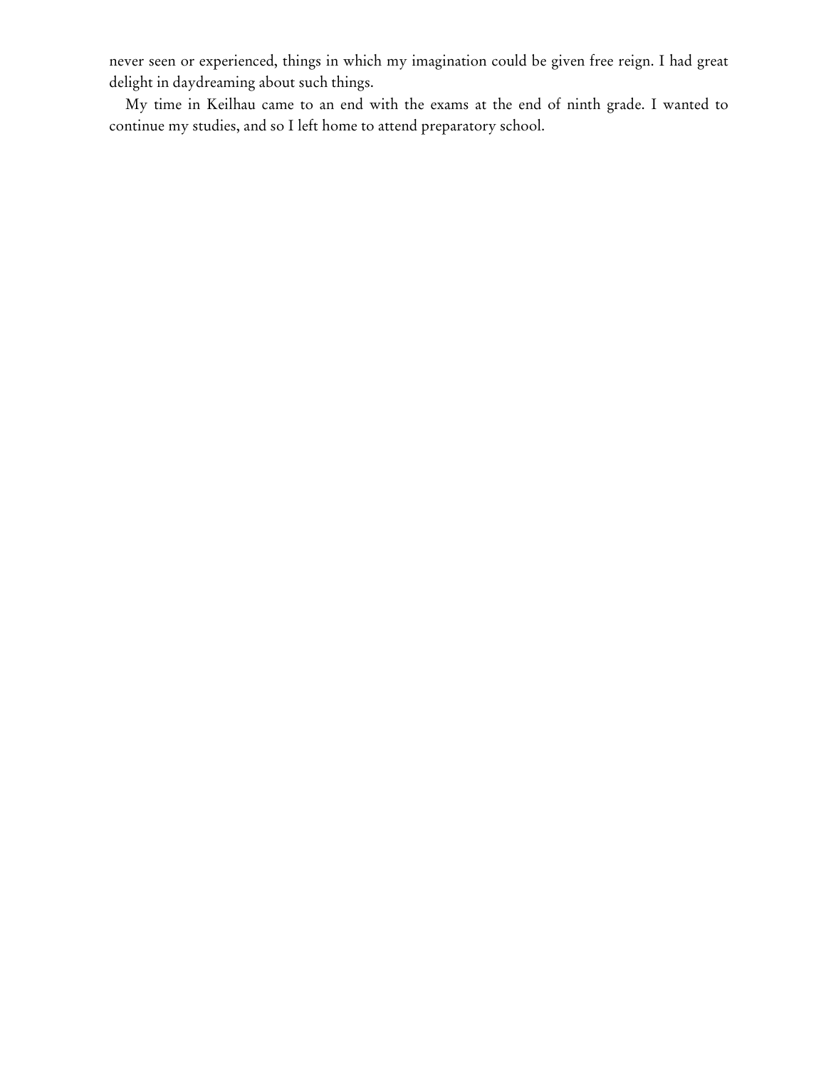never seen or experienced, things in which my imagination could be given free reign. I had great delight in daydreaming about such things.

My time in Keilhau came to an end with the exams at the end of ninth grade. I wanted to continue my studies, and so I left home to attend preparatory school.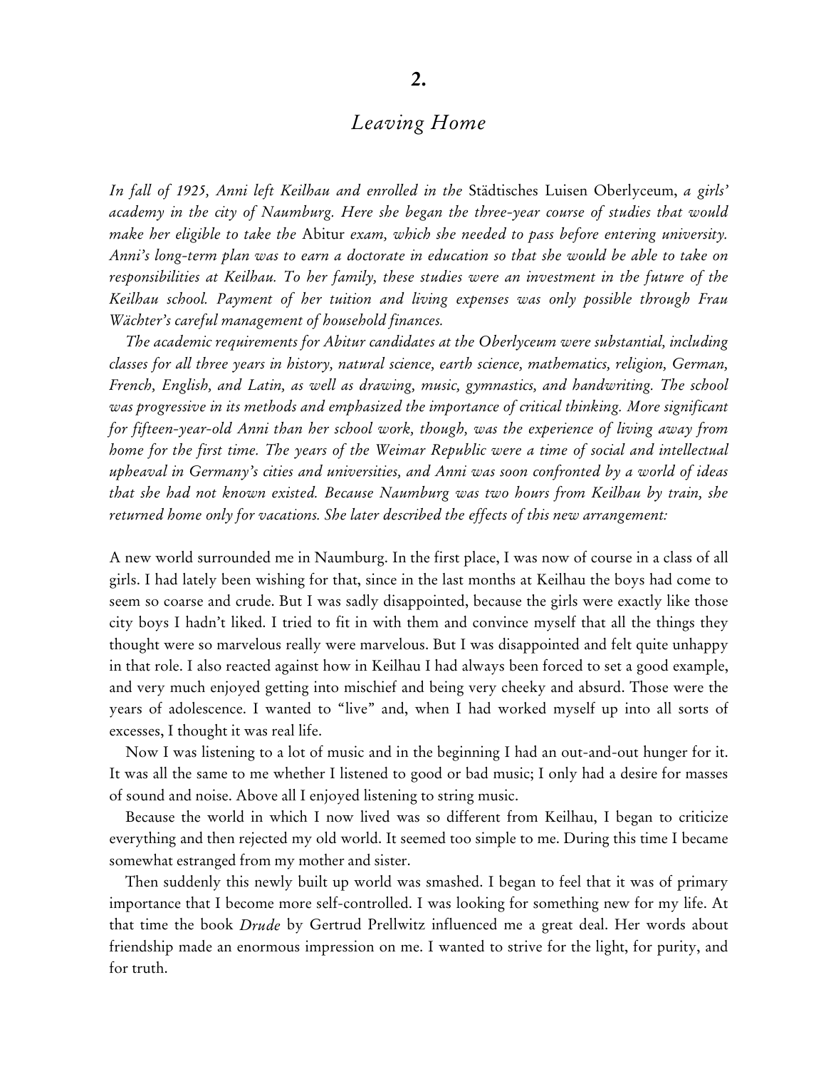## *Leaving Home*

*In fall of 1925, Anni left Keilhau and enrolled in the* Städtisches Luisen Oberlyceum, *a girls' academy in the city of Naumburg. Here she began the three-year course of studies that would make her eligible to take the* Abitur *exam, which she needed to pass before entering university. Anni's long-term plan was to earn a doctorate in education so that she would be able to take on responsibilities at Keilhau. To her family, these studies were an investment in the future of the Keilhau school. Payment of her tuition and living expenses was only possible through Frau Wächter's careful management of household finances.*

*The academic requirements for Abitur candidates at the Oberlyceum were substantial, including classes for all three years in history, natural science, earth science, mathematics, religion, German, French, English, and Latin, as well as drawing, music, gymnastics, and handwriting. The school was progressive in its methods and emphasized the importance of critical thinking. More significant for fifteen-year-old Anni than her school work, though, was the experience of living away from home for the first time. The years of the Weimar Republic were a time of social and intellectual upheaval in Germany's cities and universities, and Anni was soon confronted by a world of ideas that she had not known existed. Because Naumburg was two hours from Keilhau by train, she returned home only for vacations. She later described the effects of this new arrangement:*

A new world surrounded me in Naumburg. In the first place, I was now of course in a class of all girls. I had lately been wishing for that, since in the last months at Keilhau the boys had come to seem so coarse and crude. But I was sadly disappointed, because the girls were exactly like those city boys I hadn't liked. I tried to fit in with them and convince myself that all the things they thought were so marvelous really were marvelous. But I was disappointed and felt quite unhappy in that role. I also reacted against how in Keilhau I had always been forced to set a good example, and very much enjoyed getting into mischief and being very cheeky and absurd. Those were the years of adolescence. I wanted to "live" and, when I had worked myself up into all sorts of excesses, I thought it was real life.

Now I was listening to a lot of music and in the beginning I had an out-and-out hunger for it. It was all the same to me whether I listened to good or bad music; I only had a desire for masses of sound and noise. Above all I enjoyed listening to string music.

Because the world in which I now lived was so different from Keilhau, I began to criticize everything and then rejected my old world. It seemed too simple to me. During this time I became somewhat estranged from my mother and sister.

Then suddenly this newly built up world was smashed. I began to feel that it was of primary importance that I become more self-controlled. I was looking for something new for my life. At that time the book *Drude* by Gertrud Prellwitz influenced me a great deal. Her words about friendship made an enormous impression on me. I wanted to strive for the light, for purity, and for truth.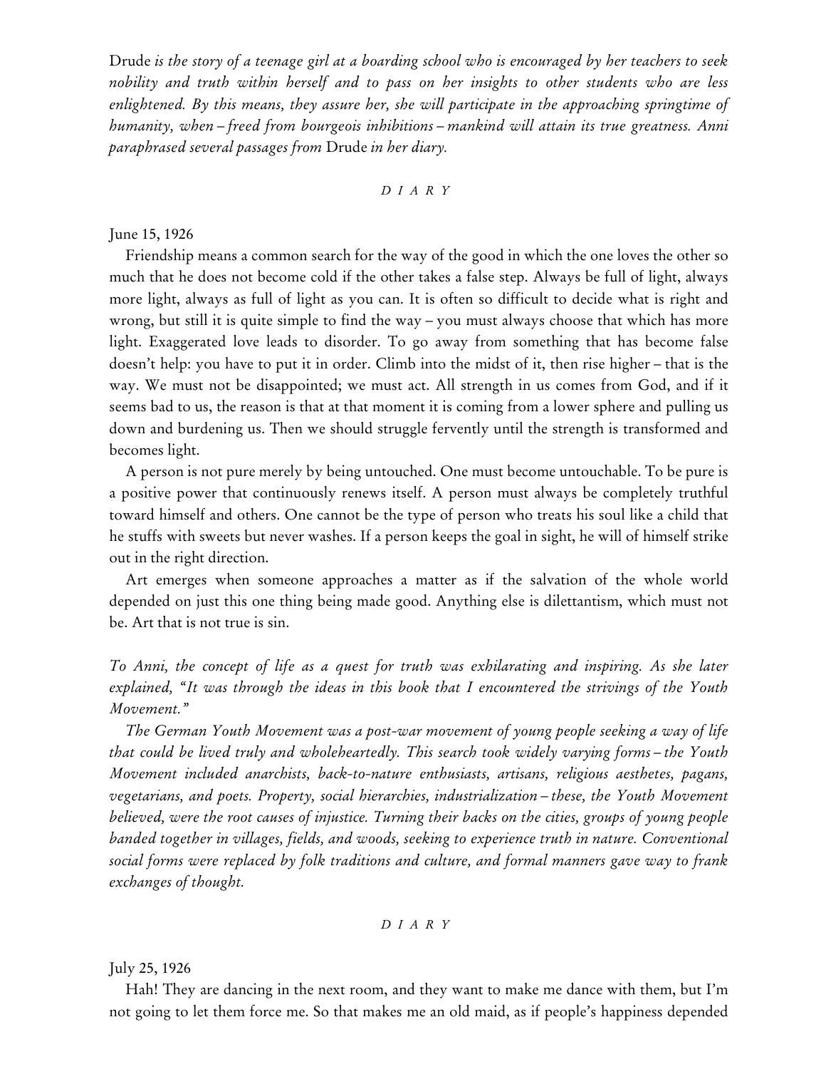Drude *is the story of a teenage girl at a boarding school who is encouraged by her teachers to seek nobility and truth within herself and to pass on her insights to other students who are less enlightened. By this means, they assure her, she will participate in the approaching springtime of humanity, when – freed from bourgeois inhibitions – mankind will attain its true greatness. Anni paraphrased several passages from* Drude *in her diary.*

#### *DIARY*

#### June 15, 1926

Friendship means a common search for the way of the good in which the one loves the other so much that he does not become cold if the other takes a false step. Always be full of light, always more light, always as full of light as you can. It is often so difficult to decide what is right and wrong, but still it is quite simple to find the way – you must always choose that which has more light. Exaggerated love leads to disorder. To go away from something that has become false doesn't help: you have to put it in order. Climb into the midst of it, then rise higher – that is the way. We must not be disappointed; we must act. All strength in us comes from God, and if it seems bad to us, the reason is that at that moment it is coming from a lower sphere and pulling us down and burdening us. Then we should struggle fervently until the strength is transformed and becomes light.

A person is not pure merely by being untouched. One must become untouchable. To be pure is a positive power that continuously renews itself. A person must always be completely truthful toward himself and others. One cannot be the type of person who treats his soul like a child that he stuffs with sweets but never washes. If a person keeps the goal in sight, he will of himself strike out in the right direction.

Art emerges when someone approaches a matter as if the salvation of the whole world depended on just this one thing being made good. Anything else is dilettantism, which must not be. Art that is not true is sin.

*To Anni, the concept of life as a quest for truth was exhilarating and inspiring. As she later explained, "It was through the ideas in this book that I encountered the strivings of the Youth Movement."*

*The German Youth Movement was a post-war movement of young people seeking a way of life that could be lived truly and wholeheartedly. This search took widely varying forms – the Youth Movement included anarchists, back-to-nature enthusiasts, artisans, religious aesthetes, pagans, vegetarians, and poets. Property, social hierarchies, industrialization – these, the Youth Movement believed, were the root causes of injustice. Turning their backs on the cities, groups of young people banded together in villages, fields, and woods, seeking to experience truth in nature. Conventional social forms were replaced by folk traditions and culture, and formal manners gave way to frank exchanges of thought.*

#### *DIARY*

#### July 25, 1926

Hah! They are dancing in the next room, and they want to make me dance with them, but I'm not going to let them force me. So that makes me an old maid, as if people's happiness depended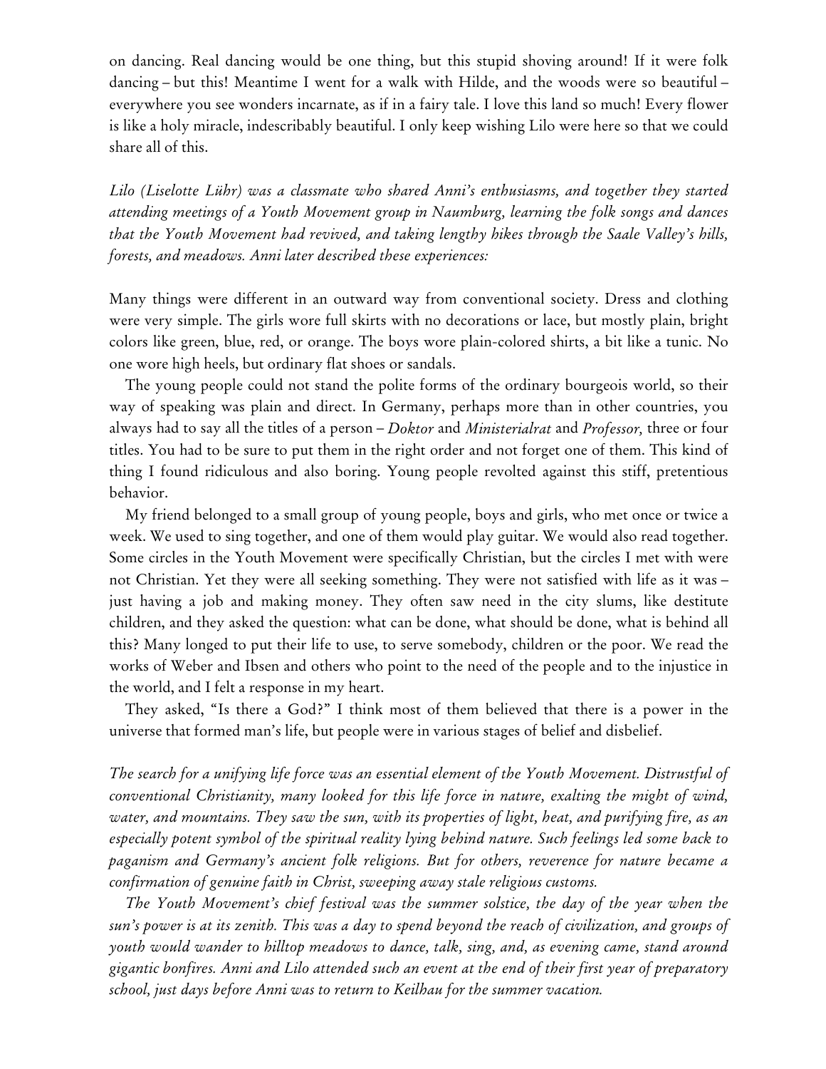on dancing. Real dancing would be one thing, but this stupid shoving around! If it were folk dancing – but this! Meantime I went for a walk with Hilde, and the woods were so beautiful – everywhere you see wonders incarnate, as if in a fairy tale. I love this land so much! Every flower is like a holy miracle, indescribably beautiful. I only keep wishing Lilo were here so that we could share all of this.

*Lilo (Liselotte Lühr) was a classmate who shared Anni's enthusiasms, and together they started attending meetings of a Youth Movement group in Naumburg, learning the folk songs and dances that the Youth Movement had revived, and taking lengthy hikes through the Saale Valley's hills, forests, and meadows. Anni later described these experiences:*

Many things were different in an outward way from conventional society. Dress and clothing were very simple. The girls wore full skirts with no decorations or lace, but mostly plain, bright colors like green, blue, red, or orange. The boys wore plain-colored shirts, a bit like a tunic. No one wore high heels, but ordinary flat shoes or sandals.

The young people could not stand the polite forms of the ordinary bourgeois world, so their way of speaking was plain and direct. In Germany, perhaps more than in other countries, you always had to say all the titles of a person – *Doktor* and *Ministerialrat* and *Professor,* three or four titles. You had to be sure to put them in the right order and not forget one of them. This kind of thing I found ridiculous and also boring. Young people revolted against this stiff, pretentious behavior.

My friend belonged to a small group of young people, boys and girls, who met once or twice a week. We used to sing together, and one of them would play guitar. We would also read together. Some circles in the Youth Movement were specifically Christian, but the circles I met with were not Christian. Yet they were all seeking something. They were not satisfied with life as it was – just having a job and making money. They often saw need in the city slums, like destitute children, and they asked the question: what can be done, what should be done, what is behind all this? Many longed to put their life to use, to serve somebody, children or the poor. We read the works of Weber and Ibsen and others who point to the need of the people and to the injustice in the world, and I felt a response in my heart.

They asked, "Is there a God?" I think most of them believed that there is a power in the universe that formed man's life, but people were in various stages of belief and disbelief.

*The search for a unifying life force was an essential element of the Youth Movement. Distrustful of conventional Christianity, many looked for this life force in nature, exalting the might of wind, water, and mountains. They saw the sun, with its properties of light, heat, and purifying fire, as an especially potent symbol of the spiritual reality lying behind nature. Such feelings led some back to paganism and Germany's ancient folk religions. But for others, reverence for nature became a confirmation of genuine faith in Christ, sweeping away stale religious customs.*

*The Youth Movement's chief festival was the summer solstice, the day of the year when the sun's power is at its zenith. This was a day to spend beyond the reach of civilization, and groups of youth would wander to hilltop meadows to dance, talk, sing, and, as evening came, stand around gigantic bonfires. Anni and Lilo attended such an event at the end of their first year of preparatory school, just days before Anni was to return to Keilhau for the summer vacation.*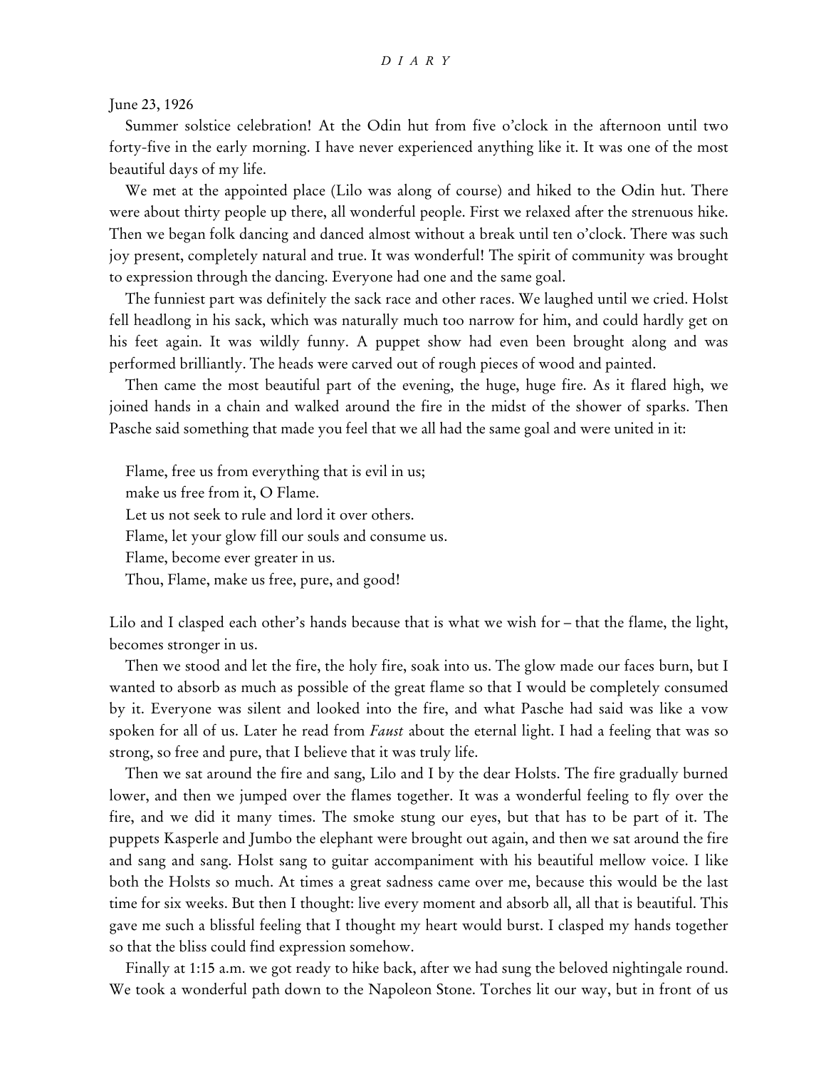#### June 23, 1926

Summer solstice celebration! At the Odin hut from five o'clock in the afternoon until two forty-five in the early morning. I have never experienced anything like it. It was one of the most beautiful days of my life.

We met at the appointed place (Lilo was along of course) and hiked to the Odin hut. There were about thirty people up there, all wonderful people. First we relaxed after the strenuous hike. Then we began folk dancing and danced almost without a break until ten o'clock. There was such joy present, completely natural and true. It was wonderful! The spirit of community was brought to expression through the dancing. Everyone had one and the same goal.

The funniest part was definitely the sack race and other races. We laughed until we cried. Holst fell headlong in his sack, which was naturally much too narrow for him, and could hardly get on his feet again. It was wildly funny. A puppet show had even been brought along and was performed brilliantly. The heads were carved out of rough pieces of wood and painted.

Then came the most beautiful part of the evening, the huge, huge fire. As it flared high, we joined hands in a chain and walked around the fire in the midst of the shower of sparks. Then Pasche said something that made you feel that we all had the same goal and were united in it:

Flame, free us from everything that is evil in us; make us free from it, O Flame. Let us not seek to rule and lord it over others. Flame, let your glow fill our souls and consume us. Flame, become ever greater in us. Thou, Flame, make us free, pure, and good!

Lilo and I clasped each other's hands because that is what we wish for – that the flame, the light, becomes stronger in us.

Then we stood and let the fire, the holy fire, soak into us. The glow made our faces burn, but I wanted to absorb as much as possible of the great flame so that I would be completely consumed by it. Everyone was silent and looked into the fire, and what Pasche had said was like a vow spoken for all of us. Later he read from *Faust* about the eternal light. I had a feeling that was so strong, so free and pure, that I believe that it was truly life.

Then we sat around the fire and sang, Lilo and I by the dear Holsts. The fire gradually burned lower, and then we jumped over the flames together. It was a wonderful feeling to fly over the fire, and we did it many times. The smoke stung our eyes, but that has to be part of it. The puppets Kasperle and Jumbo the elephant were brought out again, and then we sat around the fire and sang and sang. Holst sang to guitar accompaniment with his beautiful mellow voice. I like both the Holsts so much. At times a great sadness came over me, because this would be the last time for six weeks. But then I thought: live every moment and absorb all, all that is beautiful. This gave me such a blissful feeling that I thought my heart would burst. I clasped my hands together so that the bliss could find expression somehow.

Finally at 1:15 a.m. we got ready to hike back, after we had sung the beloved nightingale round. We took a wonderful path down to the Napoleon Stone. Torches lit our way, but in front of us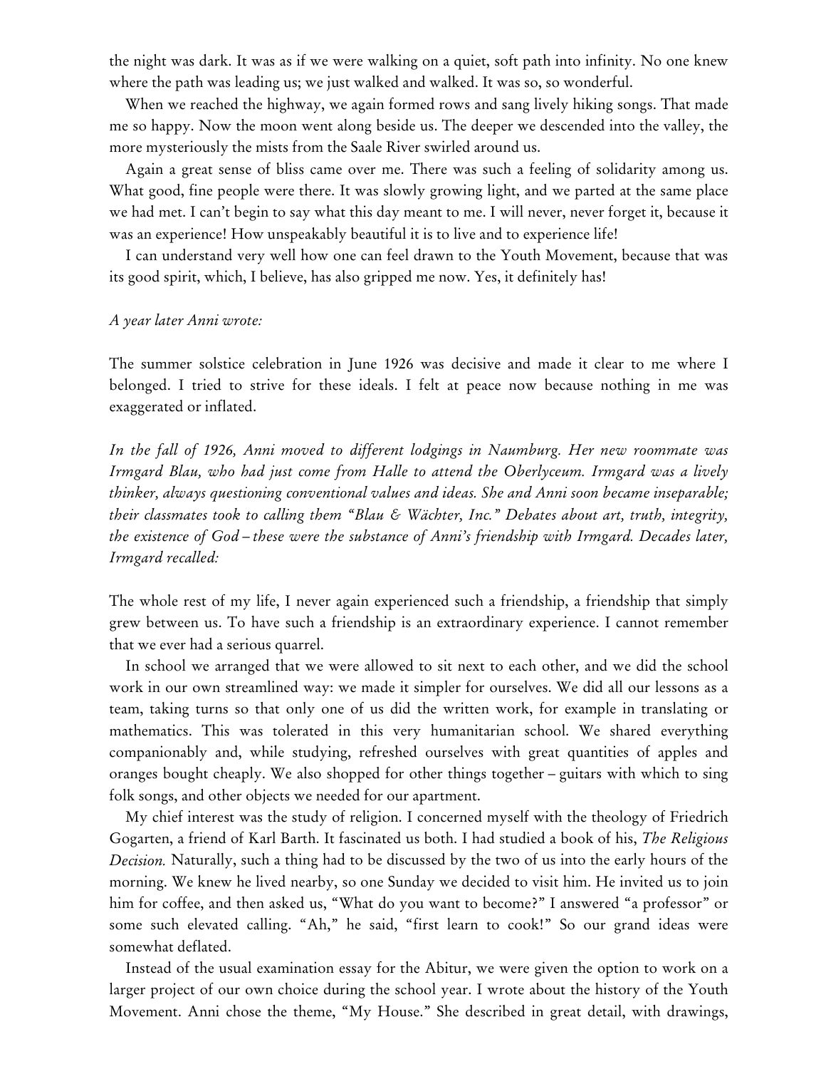the night was dark. It was as if we were walking on a quiet, soft path into infinity. No one knew where the path was leading us; we just walked and walked. It was so, so wonderful.

When we reached the highway, we again formed rows and sang lively hiking songs. That made me so happy. Now the moon went along beside us. The deeper we descended into the valley, the more mysteriously the mists from the Saale River swirled around us.

Again a great sense of bliss came over me. There was such a feeling of solidarity among us. What good, fine people were there. It was slowly growing light, and we parted at the same place we had met. I can't begin to say what this day meant to me. I will never, never forget it, because it was an experience! How unspeakably beautiful it is to live and to experience life!

I can understand very well how one can feel drawn to the Youth Movement, because that was its good spirit, which, I believe, has also gripped me now. Yes, it definitely has!

#### *A year later Anni wrote:*

The summer solstice celebration in June 1926 was decisive and made it clear to me where I belonged. I tried to strive for these ideals. I felt at peace now because nothing in me was exaggerated or inflated.

*In the fall of 1926, Anni moved to different lodgings in Naumburg. Her new roommate was Irmgard Blau, who had just come from Halle to attend the Oberlyceum. Irmgard was a lively thinker, always questioning conventional values and ideas. She and Anni soon became inseparable; their classmates took to calling them "Blau & Wächter, Inc." Debates about art, truth, integrity, the existence of God – these were the substance of Anni's friendship with Irmgard. Decades later, Irmgard recalled:*

The whole rest of my life, I never again experienced such a friendship, a friendship that simply grew between us. To have such a friendship is an extraordinary experience. I cannot remember that we ever had a serious quarrel.

In school we arranged that we were allowed to sit next to each other, and we did the school work in our own streamlined way: we made it simpler for ourselves. We did all our lessons as a team, taking turns so that only one of us did the written work, for example in translating or mathematics. This was tolerated in this very humanitarian school. We shared everything companionably and, while studying, refreshed ourselves with great quantities of apples and oranges bought cheaply. We also shopped for other things together – guitars with which to sing folk songs, and other objects we needed for our apartment.

My chief interest was the study of religion. I concerned myself with the theology of Friedrich Gogarten, a friend of Karl Barth. It fascinated us both. I had studied a book of his, *The Religious Decision.* Naturally, such a thing had to be discussed by the two of us into the early hours of the morning. We knew he lived nearby, so one Sunday we decided to visit him. He invited us to join him for coffee, and then asked us, "What do you want to become?" I answered "a professor" or some such elevated calling. "Ah," he said, "first learn to cook!" So our grand ideas were somewhat deflated.

Instead of the usual examination essay for the Abitur, we were given the option to work on a larger project of our own choice during the school year. I wrote about the history of the Youth Movement. Anni chose the theme, "My House." She described in great detail, with drawings,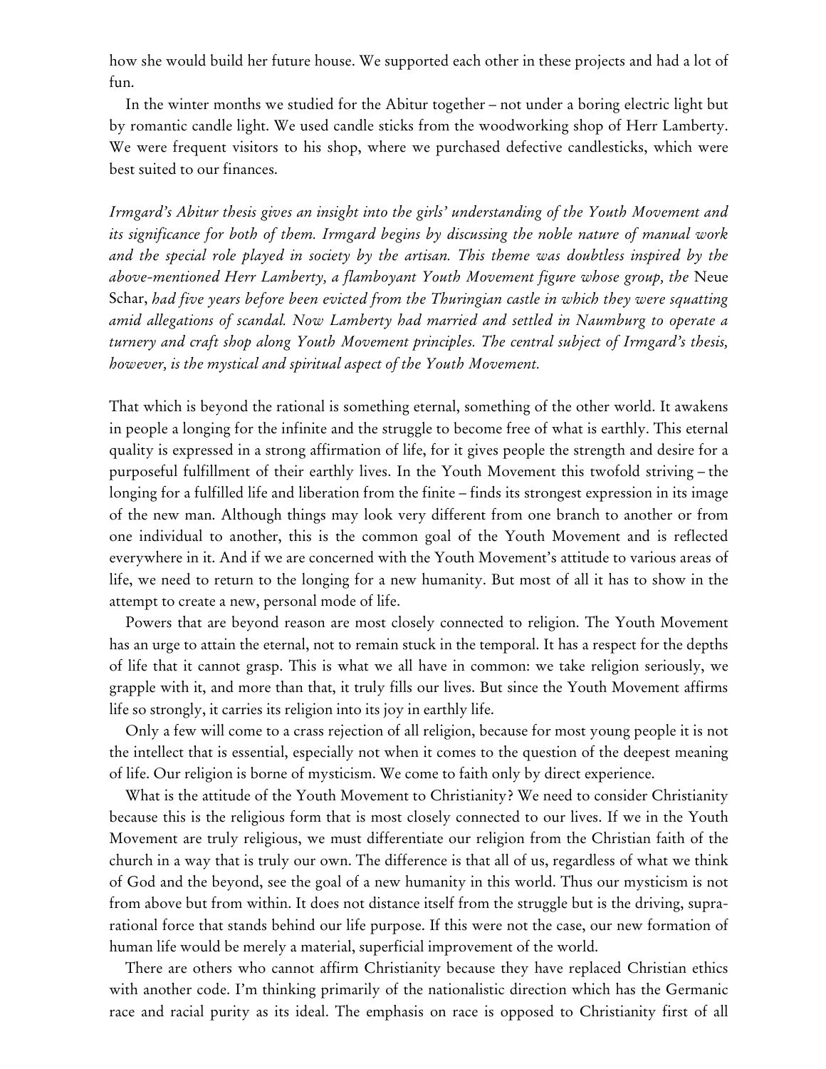how she would build her future house. We supported each other in these projects and had a lot of fun.

In the winter months we studied for the Abitur together – not under a boring electric light but by romantic candle light. We used candle sticks from the woodworking shop of Herr Lamberty. We were frequent visitors to his shop, where we purchased defective candlesticks, which were best suited to our finances.

*Irmgard's Abitur thesis gives an insight into the girls' understanding of the Youth Movement and its significance for both of them. Irmgard begins by discussing the noble nature of manual work and the special role played in society by the artisan. This theme was doubtless inspired by the above-mentioned Herr Lamberty, a flamboyant Youth Movement figure whose group, the* Neue Schar, *had five years before been evicted from the Thuringian castle in which they were squatting amid allegations of scandal. Now Lamberty had married and settled in Naumburg to operate a turnery and craft shop along Youth Movement principles. The central subject of Irmgard's thesis, however, is the mystical and spiritual aspect of the Youth Movement.*

That which is beyond the rational is something eternal, something of the other world. It awakens in people a longing for the infinite and the struggle to become free of what is earthly. This eternal quality is expressed in a strong affirmation of life, for it gives people the strength and desire for a purposeful fulfillment of their earthly lives. In the Youth Movement this twofold striving – the longing for a fulfilled life and liberation from the finite – finds its strongest expression in its image of the new man. Although things may look very different from one branch to another or from one individual to another, this is the common goal of the Youth Movement and is reflected everywhere in it. And if we are concerned with the Youth Movement's attitude to various areas of life, we need to return to the longing for a new humanity. But most of all it has to show in the attempt to create a new, personal mode of life.

Powers that are beyond reason are most closely connected to religion. The Youth Movement has an urge to attain the eternal, not to remain stuck in the temporal. It has a respect for the depths of life that it cannot grasp. This is what we all have in common: we take religion seriously, we grapple with it, and more than that, it truly fills our lives. But since the Youth Movement affirms life so strongly, it carries its religion into its joy in earthly life.

Only a few will come to a crass rejection of all religion, because for most young people it is not the intellect that is essential, especially not when it comes to the question of the deepest meaning of life. Our religion is borne of mysticism. We come to faith only by direct experience.

What is the attitude of the Youth Movement to Christianity? We need to consider Christianity because this is the religious form that is most closely connected to our lives. If we in the Youth Movement are truly religious, we must differentiate our religion from the Christian faith of the church in a way that is truly our own. The difference is that all of us, regardless of what we think of God and the beyond, see the goal of a new humanity in this world. Thus our mysticism is not from above but from within. It does not distance itself from the struggle but is the driving, suprarational force that stands behind our life purpose. If this were not the case, our new formation of human life would be merely a material, superficial improvement of the world.

There are others who cannot affirm Christianity because they have replaced Christian ethics with another code. I'm thinking primarily of the nationalistic direction which has the Germanic race and racial purity as its ideal. The emphasis on race is opposed to Christianity first of all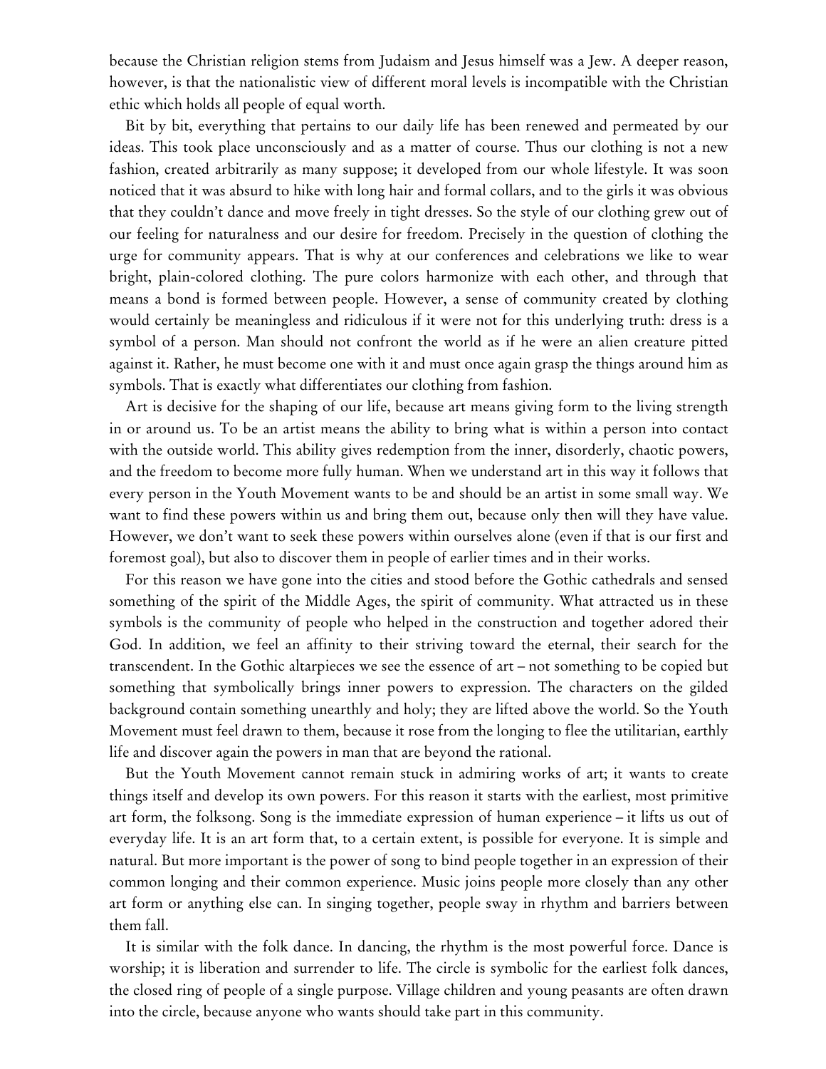because the Christian religion stems from Judaism and Jesus himself was a Jew. A deeper reason, however, is that the nationalistic view of different moral levels is incompatible with the Christian ethic which holds all people of equal worth.

Bit by bit, everything that pertains to our daily life has been renewed and permeated by our ideas. This took place unconsciously and as a matter of course. Thus our clothing is not a new fashion, created arbitrarily as many suppose; it developed from our whole lifestyle. It was soon noticed that it was absurd to hike with long hair and formal collars, and to the girls it was obvious that they couldn't dance and move freely in tight dresses. So the style of our clothing grew out of our feeling for naturalness and our desire for freedom. Precisely in the question of clothing the urge for community appears. That is why at our conferences and celebrations we like to wear bright, plain-colored clothing. The pure colors harmonize with each other, and through that means a bond is formed between people. However, a sense of community created by clothing would certainly be meaningless and ridiculous if it were not for this underlying truth: dress is a symbol of a person. Man should not confront the world as if he were an alien creature pitted against it. Rather, he must become one with it and must once again grasp the things around him as symbols. That is exactly what differentiates our clothing from fashion.

Art is decisive for the shaping of our life, because art means giving form to the living strength in or around us. To be an artist means the ability to bring what is within a person into contact with the outside world. This ability gives redemption from the inner, disorderly, chaotic powers, and the freedom to become more fully human. When we understand art in this way it follows that every person in the Youth Movement wants to be and should be an artist in some small way. We want to find these powers within us and bring them out, because only then will they have value. However, we don't want to seek these powers within ourselves alone (even if that is our first and foremost goal), but also to discover them in people of earlier times and in their works.

For this reason we have gone into the cities and stood before the Gothic cathedrals and sensed something of the spirit of the Middle Ages, the spirit of community. What attracted us in these symbols is the community of people who helped in the construction and together adored their God. In addition, we feel an affinity to their striving toward the eternal, their search for the transcendent. In the Gothic altarpieces we see the essence of art – not something to be copied but something that symbolically brings inner powers to expression. The characters on the gilded background contain something unearthly and holy; they are lifted above the world. So the Youth Movement must feel drawn to them, because it rose from the longing to flee the utilitarian, earthly life and discover again the powers in man that are beyond the rational.

But the Youth Movement cannot remain stuck in admiring works of art; it wants to create things itself and develop its own powers. For this reason it starts with the earliest, most primitive art form, the folksong. Song is the immediate expression of human experience – it lifts us out of everyday life. It is an art form that, to a certain extent, is possible for everyone. It is simple and natural. But more important is the power of song to bind people together in an expression of their common longing and their common experience. Music joins people more closely than any other art form or anything else can. In singing together, people sway in rhythm and barriers between them fall.

It is similar with the folk dance. In dancing, the rhythm is the most powerful force. Dance is worship; it is liberation and surrender to life. The circle is symbolic for the earliest folk dances, the closed ring of people of a single purpose. Village children and young peasants are often drawn into the circle, because anyone who wants should take part in this community.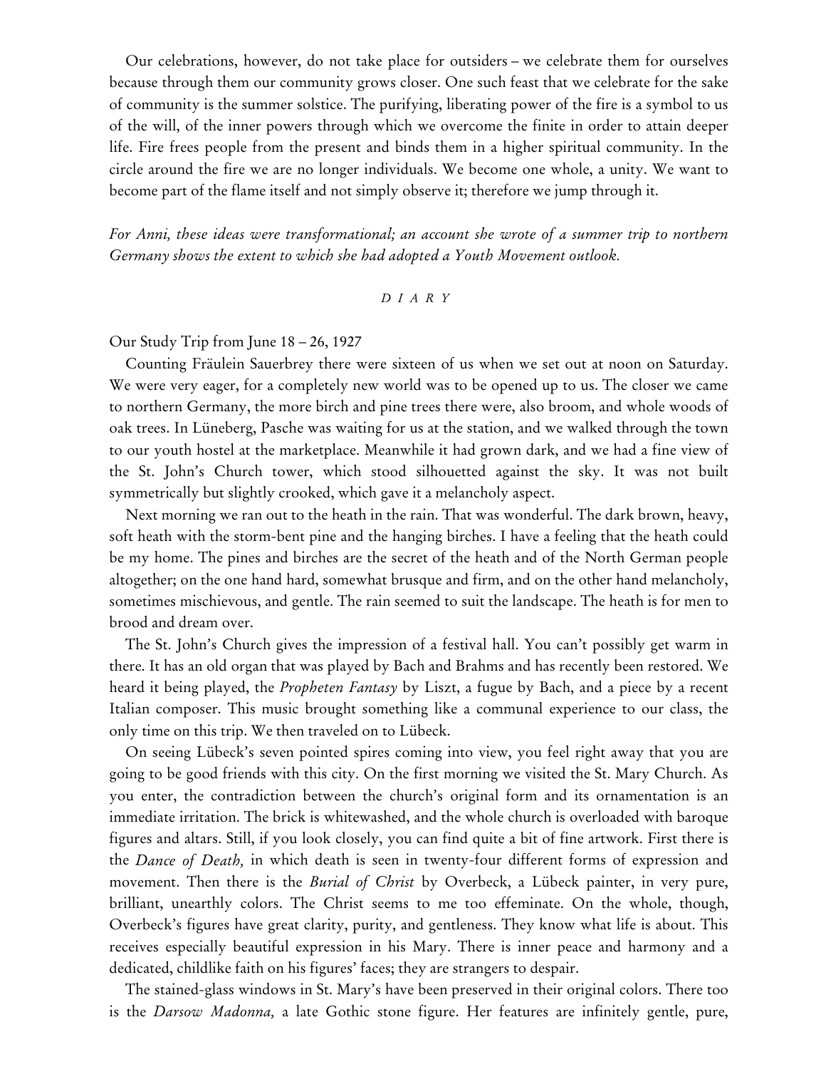Our celebrations, however, do not take place for outsiders – we celebrate them for ourselves because through them our community grows closer. One such feast that we celebrate for the sake of community is the summer solstice. The purifying, liberating power of the fire is a symbol to us of the will, of the inner powers through which we overcome the finite in order to attain deeper life. Fire frees people from the present and binds them in a higher spiritual community. In the circle around the fire we are no longer individuals. We become one whole, a unity. We want to become part of the flame itself and not simply observe it; therefore we jump through it.

*For Anni, these ideas were transformational; an account she wrote of a summer trip to northern Germany shows the extent to which she had adopted a Youth Movement outlook.*

*DIARY*

Our Study Trip from June 18 – 26, 1927

Counting Fräulein Sauerbrey there were sixteen of us when we set out at noon on Saturday. We were very eager, for a completely new world was to be opened up to us. The closer we came to northern Germany, the more birch and pine trees there were, also broom, and whole woods of oak trees. In Lüneberg, Pasche was waiting for us at the station, and we walked through the town to our youth hostel at the marketplace. Meanwhile it had grown dark, and we had a fine view of the St. John's Church tower, which stood silhouetted against the sky. It was not built symmetrically but slightly crooked, which gave it a melancholy aspect.

Next morning we ran out to the heath in the rain. That was wonderful. The dark brown, heavy, soft heath with the storm-bent pine and the hanging birches. I have a feeling that the heath could be my home. The pines and birches are the secret of the heath and of the North German people altogether; on the one hand hard, somewhat brusque and firm, and on the other hand melancholy, sometimes mischievous, and gentle. The rain seemed to suit the landscape. The heath is for men to brood and dream over.

The St. John's Church gives the impression of a festival hall. You can't possibly get warm in there. It has an old organ that was played by Bach and Brahms and has recently been restored. We heard it being played, the *Propheten Fantasy* by Liszt, a fugue by Bach, and a piece by a recent Italian composer. This music brought something like a communal experience to our class, the only time on this trip. We then traveled on to Lübeck.

On seeing Lübeck's seven pointed spires coming into view, you feel right away that you are going to be good friends with this city. On the first morning we visited the St. Mary Church. As you enter, the contradiction between the church's original form and its ornamentation is an immediate irritation. The brick is whitewashed, and the whole church is overloaded with baroque figures and altars. Still, if you look closely, you can find quite a bit of fine artwork. First there is the *Dance of Death,* in which death is seen in twenty-four different forms of expression and movement. Then there is the *Burial of Christ* by Overbeck, a Lübeck painter, in very pure, brilliant, unearthly colors. The Christ seems to me too effeminate. On the whole, though, Overbeck's figures have great clarity, purity, and gentleness. They know what life is about. This receives especially beautiful expression in his Mary. There is inner peace and harmony and a dedicated, childlike faith on his figures' faces; they are strangers to despair.

The stained-glass windows in St. Mary's have been preserved in their original colors. There too is the *Darsow Madonna,* a late Gothic stone figure. Her features are infinitely gentle, pure,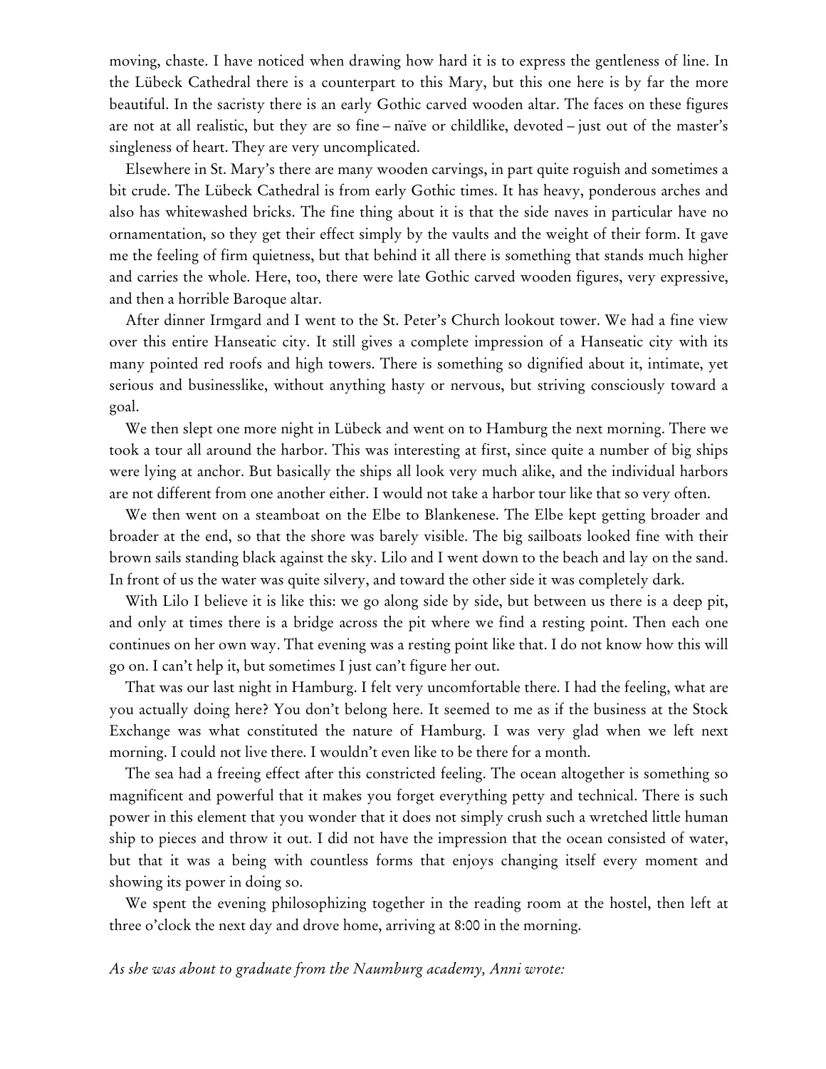moving, chaste. I have noticed when drawing how hard it is to express the gentleness of line. In the Lübeck Cathedral there is a counterpart to this Mary, but this one here is by far the more beautiful. In the sacristy there is an early Gothic carved wooden altar. The faces on these figures are not at all realistic, but they are so fine – naïve or childlike, devoted – just out of the master's singleness of heart. They are very uncomplicated.

Elsewhere in St. Mary's there are many wooden carvings, in part quite roguish and sometimes a bit crude. The Lübeck Cathedral is from early Gothic times. It has heavy, ponderous arches and also has whitewashed bricks. The fine thing about it is that the side naves in particular have no ornamentation, so they get their effect simply by the vaults and the weight of their form. It gave me the feeling of firm quietness, but that behind it all there is something that stands much higher and carries the whole. Here, too, there were late Gothic carved wooden figures, very expressive, and then a horrible Baroque altar.

After dinner Irmgard and I went to the St. Peter's Church lookout tower. We had a fine view over this entire Hanseatic city. It still gives a complete impression of a Hanseatic city with its many pointed red roofs and high towers. There is something so dignified about it, intimate, yet serious and businesslike, without anything hasty or nervous, but striving consciously toward a goal.

We then slept one more night in Lübeck and went on to Hamburg the next morning. There we took a tour all around the harbor. This was interesting at first, since quite a number of big ships were lying at anchor. But basically the ships all look very much alike, and the individual harbors are not different from one another either. I would not take a harbor tour like that so very often.

We then went on a steamboat on the Elbe to Blankenese. The Elbe kept getting broader and broader at the end, so that the shore was barely visible. The big sailboats looked fine with their brown sails standing black against the sky. Lilo and I went down to the beach and lay on the sand. In front of us the water was quite silvery, and toward the other side it was completely dark.

With Lilo I believe it is like this: we go along side by side, but between us there is a deep pit, and only at times there is a bridge across the pit where we find a resting point. Then each one continues on her own way. That evening was a resting point like that. I do not know how this will go on. I can't help it, but sometimes I just can't figure her out.

That was our last night in Hamburg. I felt very uncomfortable there. I had the feeling, what are you actually doing here? You don't belong here. It seemed to me as if the business at the Stock Exchange was what constituted the nature of Hamburg. I was very glad when we left next morning. I could not live there. I wouldn't even like to be there for a month.

The sea had a freeing effect after this constricted feeling. The ocean altogether is something so magnificent and powerful that it makes you forget everything petty and technical. There is such power in this element that you wonder that it does not simply crush such a wretched little human ship to pieces and throw it out. I did not have the impression that the ocean consisted of water, but that it was a being with countless forms that enjoys changing itself every moment and showing its power in doing so.

We spent the evening philosophizing together in the reading room at the hostel, then left at three o'clock the next day and drove home, arriving at 8:00 in the morning.

*As she was about to graduate from the Naumburg academy, Anni wrote:*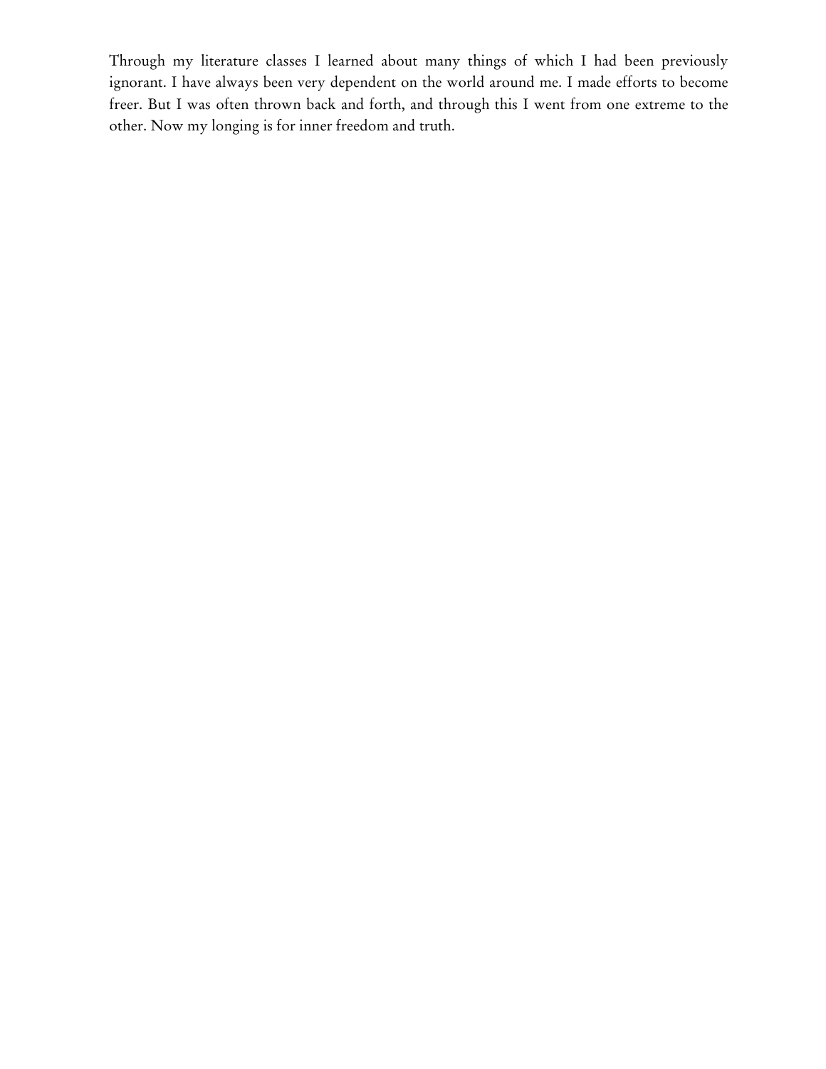Through my literature classes I learned about many things of which I had been previously ignorant. I have always been very dependent on the world around me. I made efforts to become freer. But I was often thrown back and forth, and through this I went from one extreme to the other. Now my longing is for inner freedom and truth.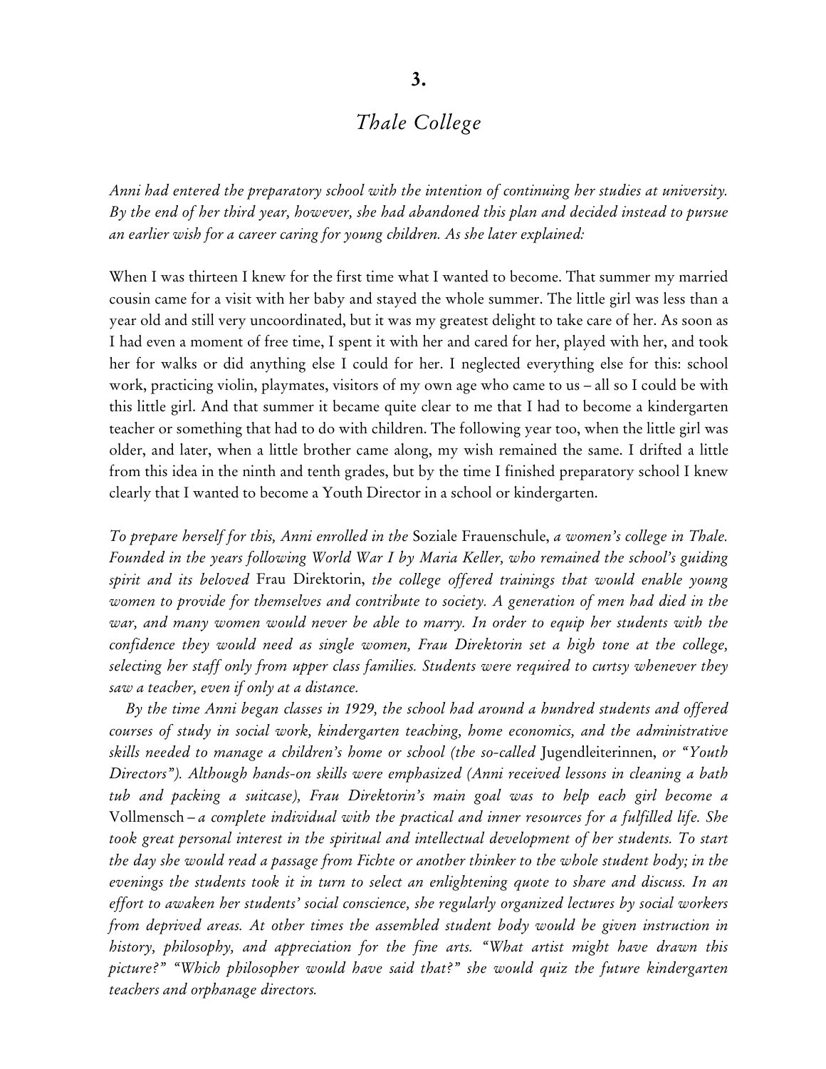## *Thale College*

*Anni had entered the preparatory school with the intention of continuing her studies at university. By the end of her third year, however, she had abandoned this plan and decided instead to pursue an earlier wish for a career caring for young children. As she later explained:*

When I was thirteen I knew for the first time what I wanted to become. That summer my married cousin came for a visit with her baby and stayed the whole summer. The little girl was less than a year old and still very uncoordinated, but it was my greatest delight to take care of her. As soon as I had even a moment of free time, I spent it with her and cared for her, played with her, and took her for walks or did anything else I could for her. I neglected everything else for this: school work, practicing violin, playmates, visitors of my own age who came to us – all so I could be with this little girl. And that summer it became quite clear to me that I had to become a kindergarten teacher or something that had to do with children. The following year too, when the little girl was older, and later, when a little brother came along, my wish remained the same. I drifted a little from this idea in the ninth and tenth grades, but by the time I finished preparatory school I knew clearly that I wanted to become a Youth Director in a school or kindergarten.

*To prepare herself for this, Anni enrolled in the* Soziale Frauenschule, *a women's college in Thale. Founded in the years following World War I by Maria Keller, who remained the school's guiding spirit and its beloved* Frau Direktorin, *the college offered trainings that would enable young women to provide for themselves and contribute to society. A generation of men had died in the war, and many women would never be able to marry. In order to equip her students with the confidence they would need as single women, Frau Direktorin set a high tone at the college, selecting her staff only from upper class families. Students were required to curtsy whenever they saw a teacher, even if only at a distance.*

*By the time Anni began classes in 1929, the school had around a hundred students and offered courses of study in social work, kindergarten teaching, home economics, and the administrative skills needed to manage a children's home or school (the so-called* Jugendleiterinnen, *or "Youth Directors"). Although hands-on skills were emphasized (Anni received lessons in cleaning a bath tub and packing a suitcase), Frau Direktorin's main goal was to help each girl become a*  Vollmensch *– a complete individual with the practical and inner resources for a fulfilled life. She took great personal interest in the spiritual and intellectual development of her students. To start the day she would read a passage from Fichte or another thinker to the whole student body; in the evenings the students took it in turn to select an enlightening quote to share and discuss. In an effort to awaken her students' social conscience, she regularly organized lectures by social workers from deprived areas. At other times the assembled student body would be given instruction in history, philosophy, and appreciation for the fine arts. "What artist might have drawn this picture?" "Which philosopher would have said that?" she would quiz the future kindergarten teachers and orphanage directors.*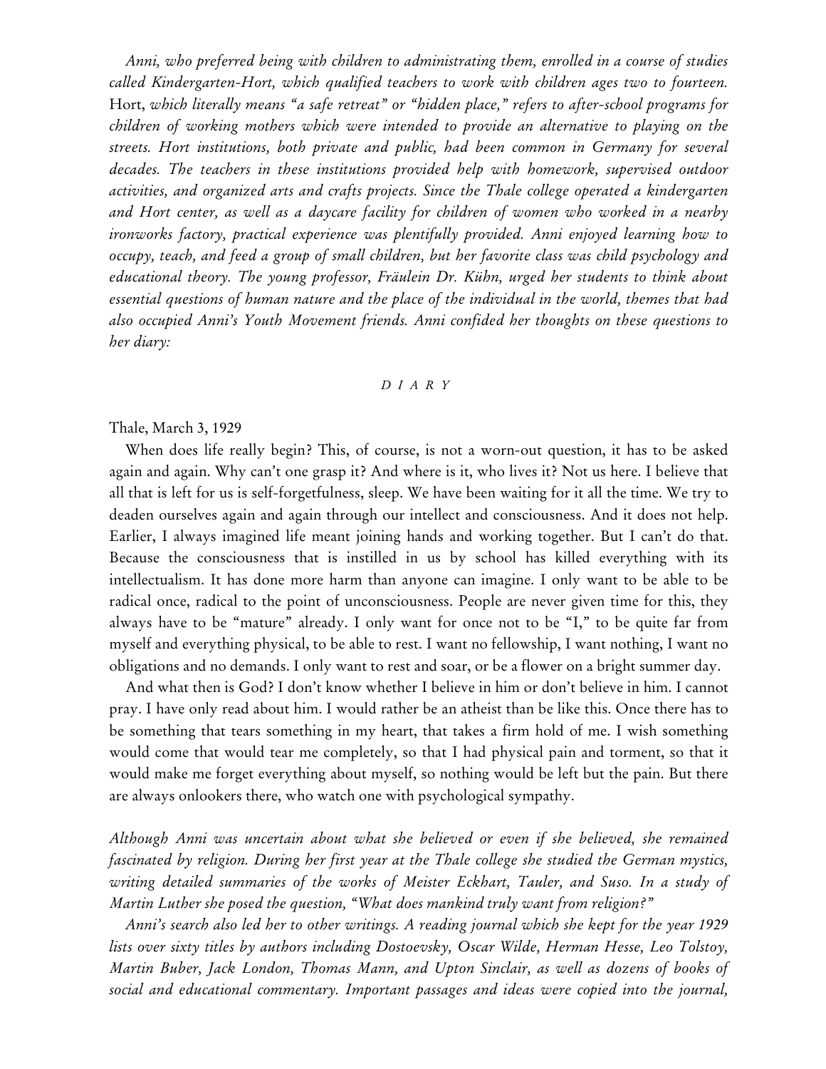*Anni, who preferred being with children to administrating them, enrolled in a course of studies called Kindergarten-Hort, which qualified teachers to work with children ages two to fourteen.*  Hort, *which literally means "a safe retreat" or "hidden place," refers to after-school programs for children of working mothers which were intended to provide an alternative to playing on the streets. Hort institutions, both private and public, had been common in Germany for several decades. The teachers in these institutions provided help with homework, supervised outdoor activities, and organized arts and crafts projects. Since the Thale college operated a kindergarten and Hort center, as well as a daycare facility for children of women who worked in a nearby ironworks factory, practical experience was plentifully provided. Anni enjoyed learning how to occupy, teach, and feed a group of small children, but her favorite class was child psychology and educational theory. The young professor, Fräulein Dr. Kühn, urged her students to think about essential questions of human nature and the place of the individual in the world, themes that had also occupied Anni's Youth Movement friends. Anni confided her thoughts on these questions to her diary:*

#### *DIARY*

#### Thale, March 3, 1929

When does life really begin? This, of course, is not a worn-out question, it has to be asked again and again. Why can't one grasp it? And where is it, who lives it? Not us here. I believe that all that is left for us is self-forgetfulness, sleep. We have been waiting for it all the time. We try to deaden ourselves again and again through our intellect and consciousness. And it does not help. Earlier, I always imagined life meant joining hands and working together. But I can't do that. Because the consciousness that is instilled in us by school has killed everything with its intellectualism. It has done more harm than anyone can imagine. I only want to be able to be radical once, radical to the point of unconsciousness. People are never given time for this, they always have to be "mature" already. I only want for once not to be "I," to be quite far from myself and everything physical, to be able to rest. I want no fellowship, I want nothing, I want no obligations and no demands. I only want to rest and soar, or be a flower on a bright summer day.

And what then is God? I don't know whether I believe in him or don't believe in him. I cannot pray. I have only read about him. I would rather be an atheist than be like this. Once there has to be something that tears something in my heart, that takes a firm hold of me. I wish something would come that would tear me completely, so that I had physical pain and torment, so that it would make me forget everything about myself, so nothing would be left but the pain. But there are always onlookers there, who watch one with psychological sympathy.

*Although Anni was uncertain about what she believed or even if she believed, she remained fascinated by religion. During her first year at the Thale college she studied the German mystics, writing detailed summaries of the works of Meister Eckhart, Tauler, and Suso. In a study of Martin Luther she posed the question, "What does mankind truly want from religion?"*

*Anni's search also led her to other writings. A reading journal which she kept for the year 1929 lists over sixty titles by authors including Dostoevsky, Oscar Wilde, Herman Hesse, Leo Tolstoy, Martin Buber, Jack London, Thomas Mann, and Upton Sinclair, as well as dozens of books of social and educational commentary. Important passages and ideas were copied into the journal,*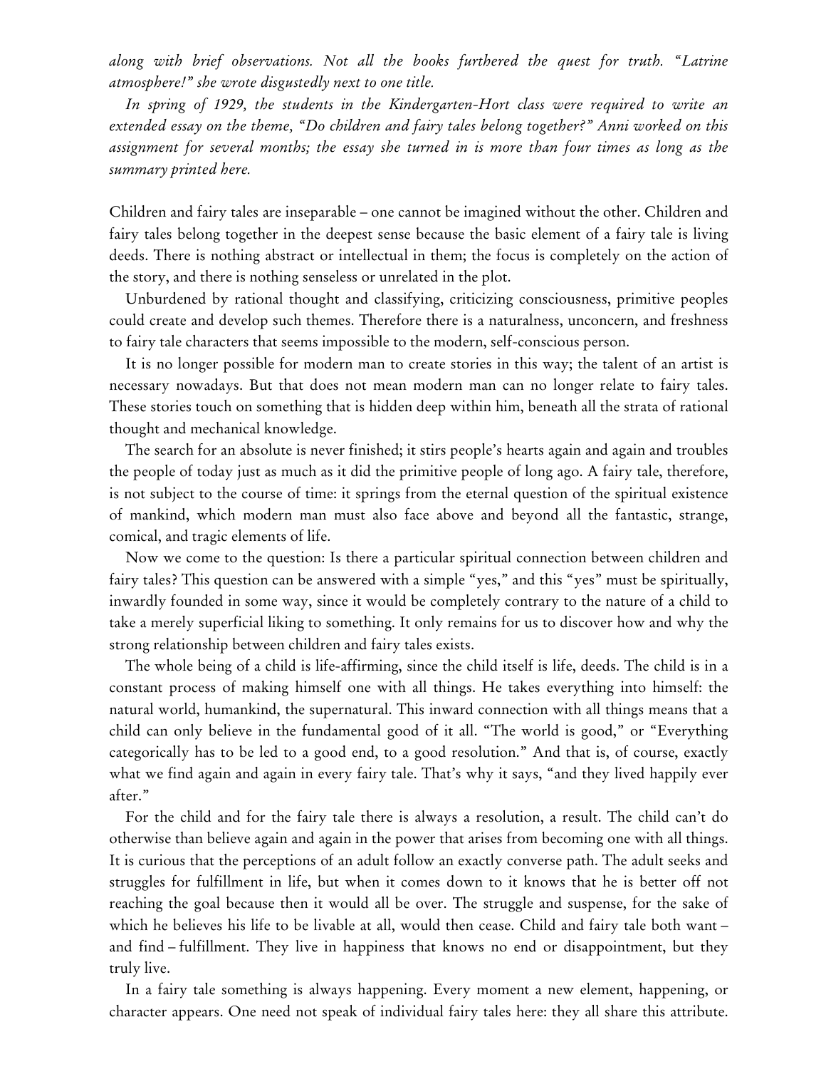*along with brief observations. Not all the books furthered the quest for truth. "Latrine atmosphere!" she wrote disgustedly next to one title.*

*In spring of 1929, the students in the Kindergarten-Hort class were required to write an extended essay on the theme, "Do children and fairy tales belong together?" Anni worked on this assignment for several months; the essay she turned in is more than four times as long as the summary printed here.*

Children and fairy tales are inseparable – one cannot be imagined without the other. Children and fairy tales belong together in the deepest sense because the basic element of a fairy tale is living deeds. There is nothing abstract or intellectual in them; the focus is completely on the action of the story, and there is nothing senseless or unrelated in the plot.

Unburdened by rational thought and classifying, criticizing consciousness, primitive peoples could create and develop such themes. Therefore there is a naturalness, unconcern, and freshness to fairy tale characters that seems impossible to the modern, self-conscious person.

It is no longer possible for modern man to create stories in this way; the talent of an artist is necessary nowadays. But that does not mean modern man can no longer relate to fairy tales. These stories touch on something that is hidden deep within him, beneath all the strata of rational thought and mechanical knowledge.

The search for an absolute is never finished; it stirs people's hearts again and again and troubles the people of today just as much as it did the primitive people of long ago. A fairy tale, therefore, is not subject to the course of time: it springs from the eternal question of the spiritual existence of mankind, which modern man must also face above and beyond all the fantastic, strange, comical, and tragic elements of life.

Now we come to the question: Is there a particular spiritual connection between children and fairy tales? This question can be answered with a simple "yes," and this "yes" must be spiritually, inwardly founded in some way, since it would be completely contrary to the nature of a child to take a merely superficial liking to something. It only remains for us to discover how and why the strong relationship between children and fairy tales exists.

The whole being of a child is life-affirming, since the child itself is life, deeds. The child is in a constant process of making himself one with all things. He takes everything into himself: the natural world, humankind, the supernatural. This inward connection with all things means that a child can only believe in the fundamental good of it all. "The world is good," or "Everything categorically has to be led to a good end, to a good resolution." And that is, of course, exactly what we find again and again in every fairy tale. That's why it says, "and they lived happily ever after."

For the child and for the fairy tale there is always a resolution, a result. The child can't do otherwise than believe again and again in the power that arises from becoming one with all things. It is curious that the perceptions of an adult follow an exactly converse path. The adult seeks and struggles for fulfillment in life, but when it comes down to it knows that he is better off not reaching the goal because then it would all be over. The struggle and suspense, for the sake of which he believes his life to be livable at all, would then cease. Child and fairy tale both want – and find – fulfillment. They live in happiness that knows no end or disappointment, but they truly live.

In a fairy tale something is always happening. Every moment a new element, happening, or character appears. One need not speak of individual fairy tales here: they all share this attribute.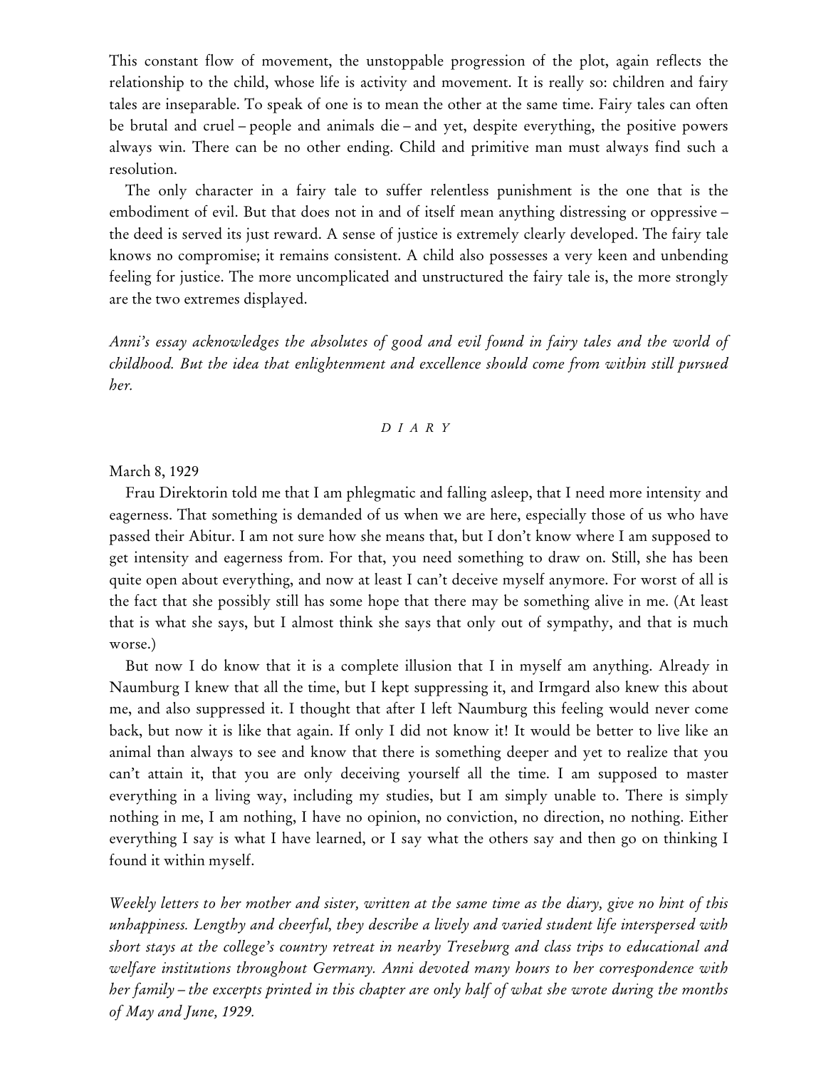This constant flow of movement, the unstoppable progression of the plot, again reflects the relationship to the child, whose life is activity and movement. It is really so: children and fairy tales are inseparable. To speak of one is to mean the other at the same time. Fairy tales can often be brutal and cruel – people and animals die – and yet, despite everything, the positive powers always win. There can be no other ending. Child and primitive man must always find such a resolution.

The only character in a fairy tale to suffer relentless punishment is the one that is the embodiment of evil. But that does not in and of itself mean anything distressing or oppressive – the deed is served its just reward. A sense of justice is extremely clearly developed. The fairy tale knows no compromise; it remains consistent. A child also possesses a very keen and unbending feeling for justice. The more uncomplicated and unstructured the fairy tale is, the more strongly are the two extremes displayed.

*Anni's essay acknowledges the absolutes of good and evil found in fairy tales and the world of childhood. But the idea that enlightenment and excellence should come from within still pursued her.*

#### *DIARY*

March 8, 1929

Frau Direktorin told me that I am phlegmatic and falling asleep, that I need more intensity and eagerness. That something is demanded of us when we are here, especially those of us who have passed their Abitur. I am not sure how she means that, but I don't know where I am supposed to get intensity and eagerness from. For that, you need something to draw on. Still, she has been quite open about everything, and now at least I can't deceive myself anymore. For worst of all is the fact that she possibly still has some hope that there may be something alive in me. (At least that is what she says, but I almost think she says that only out of sympathy, and that is much worse.)

But now I do know that it is a complete illusion that I in myself am anything. Already in Naumburg I knew that all the time, but I kept suppressing it, and Irmgard also knew this about me, and also suppressed it. I thought that after I left Naumburg this feeling would never come back, but now it is like that again. If only I did not know it! It would be better to live like an animal than always to see and know that there is something deeper and yet to realize that you can't attain it, that you are only deceiving yourself all the time. I am supposed to master everything in a living way, including my studies, but I am simply unable to. There is simply nothing in me, I am nothing, I have no opinion, no conviction, no direction, no nothing. Either everything I say is what I have learned, or I say what the others say and then go on thinking I found it within myself.

*Weekly letters to her mother and sister, written at the same time as the diary, give no hint of this unhappiness. Lengthy and cheerful, they describe a lively and varied student life interspersed with short stays at the college's country retreat in nearby Treseburg and class trips to educational and welfare institutions throughout Germany. Anni devoted many hours to her correspondence with her family – the excerpts printed in this chapter are only half of what she wrote during the months of May and June, 1929.*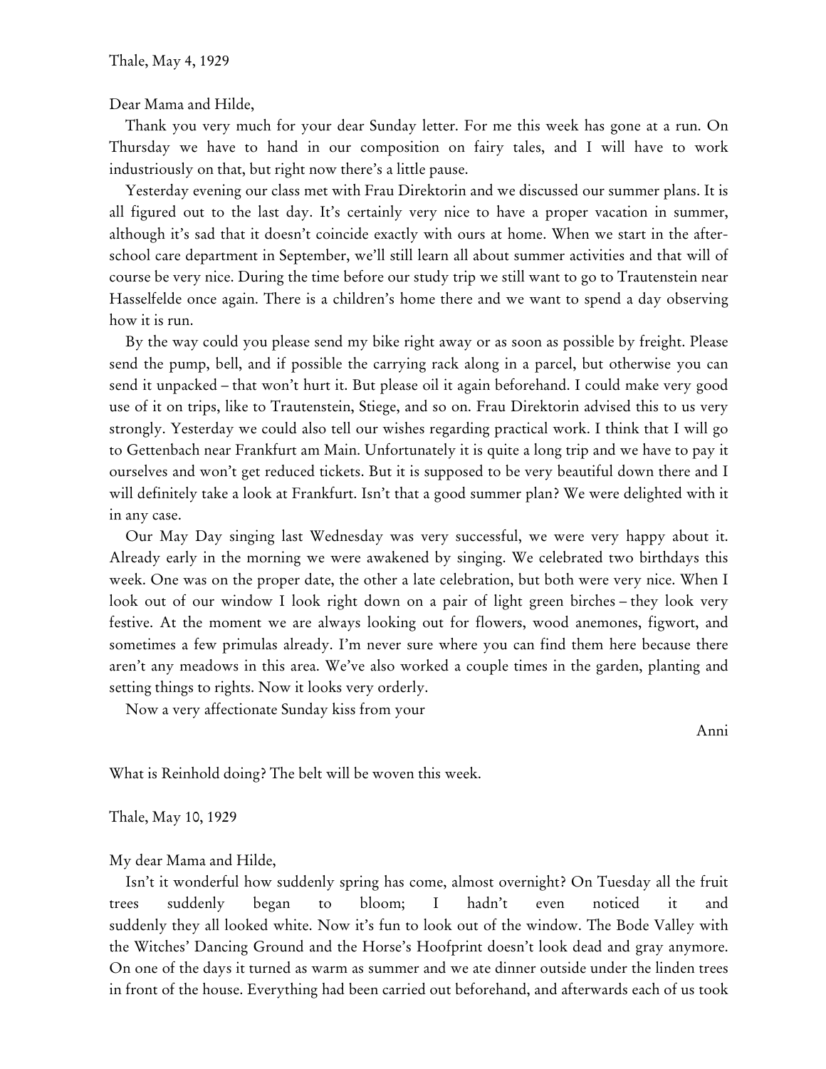Dear Mama and Hilde,

Thank you very much for your dear Sunday letter. For me this week has gone at a run. On Thursday we have to hand in our composition on fairy tales, and I will have to work industriously on that, but right now there's a little pause.

Yesterday evening our class met with Frau Direktorin and we discussed our summer plans. It is all figured out to the last day. It's certainly very nice to have a proper vacation in summer, although it's sad that it doesn't coincide exactly with ours at home. When we start in the afterschool care department in September, we'll still learn all about summer activities and that will of course be very nice. During the time before our study trip we still want to go to Trautenstein near Hasselfelde once again. There is a children's home there and we want to spend a day observing how it is run.

By the way could you please send my bike right away or as soon as possible by freight. Please send the pump, bell, and if possible the carrying rack along in a parcel, but otherwise you can send it unpacked – that won't hurt it. But please oil it again beforehand. I could make very good use of it on trips, like to Trautenstein, Stiege, and so on. Frau Direktorin advised this to us very strongly. Yesterday we could also tell our wishes regarding practical work. I think that I will go to Gettenbach near Frankfurt am Main. Unfortunately it is quite a long trip and we have to pay it ourselves and won't get reduced tickets. But it is supposed to be very beautiful down there and I will definitely take a look at Frankfurt. Isn't that a good summer plan? We were delighted with it in any case.

Our May Day singing last Wednesday was very successful, we were very happy about it. Already early in the morning we were awakened by singing. We celebrated two birthdays this week. One was on the proper date, the other a late celebration, but both were very nice. When I look out of our window I look right down on a pair of light green birches – they look very festive. At the moment we are always looking out for flowers, wood anemones, figwort, and sometimes a few primulas already. I'm never sure where you can find them here because there aren't any meadows in this area. We've also worked a couple times in the garden, planting and setting things to rights. Now it looks very orderly.

Now a very affectionate Sunday kiss from your

Anni

What is Reinhold doing? The belt will be woven this week.

Thale, May 10, 1929

#### My dear Mama and Hilde,

Isn't it wonderful how suddenly spring has come, almost overnight? On Tuesday all the fruit trees suddenly began to bloom; I hadn't even noticed it and suddenly they all looked white. Now it's fun to look out of the window. The Bode Valley with the Witches' Dancing Ground and the Horse's Hoofprint doesn't look dead and gray anymore. On one of the days it turned as warm as summer and we ate dinner outside under the linden trees in front of the house. Everything had been carried out beforehand, and afterwards each of us took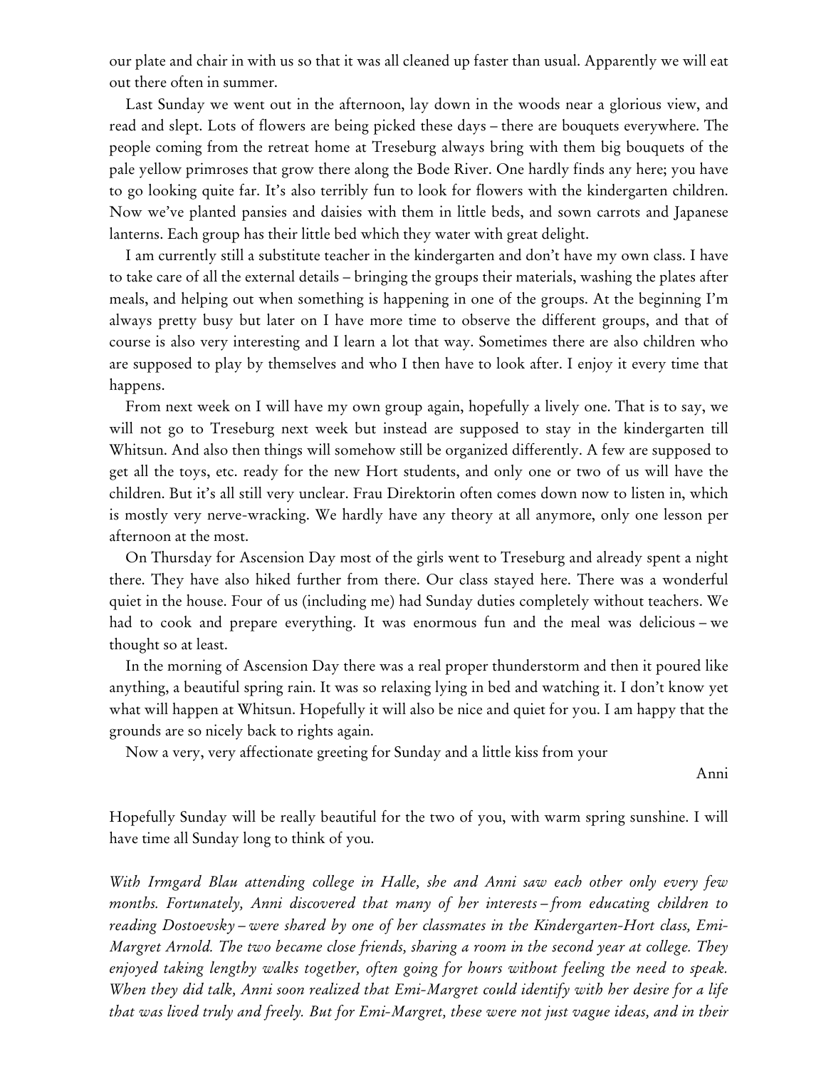our plate and chair in with us so that it was all cleaned up faster than usual. Apparently we will eat out there often in summer.

Last Sunday we went out in the afternoon, lay down in the woods near a glorious view, and read and slept. Lots of flowers are being picked these days – there are bouquets everywhere. The people coming from the retreat home at Treseburg always bring with them big bouquets of the pale yellow primroses that grow there along the Bode River. One hardly finds any here; you have to go looking quite far. It's also terribly fun to look for flowers with the kindergarten children. Now we've planted pansies and daisies with them in little beds, and sown carrots and Japanese lanterns. Each group has their little bed which they water with great delight.

I am currently still a substitute teacher in the kindergarten and don't have my own class. I have to take care of all the external details – bringing the groups their materials, washing the plates after meals, and helping out when something is happening in one of the groups. At the beginning I'm always pretty busy but later on I have more time to observe the different groups, and that of course is also very interesting and I learn a lot that way. Sometimes there are also children who are supposed to play by themselves and who I then have to look after. I enjoy it every time that happens.

From next week on I will have my own group again, hopefully a lively one. That is to say, we will not go to Treseburg next week but instead are supposed to stay in the kindergarten till Whitsun. And also then things will somehow still be organized differently. A few are supposed to get all the toys, etc. ready for the new Hort students, and only one or two of us will have the children. But it's all still very unclear. Frau Direktorin often comes down now to listen in, which is mostly very nerve-wracking. We hardly have any theory at all anymore, only one lesson per afternoon at the most.

On Thursday for Ascension Day most of the girls went to Treseburg and already spent a night there. They have also hiked further from there. Our class stayed here. There was a wonderful quiet in the house. Four of us (including me) had Sunday duties completely without teachers. We had to cook and prepare everything. It was enormous fun and the meal was delicious – we thought so at least.

In the morning of Ascension Day there was a real proper thunderstorm and then it poured like anything, a beautiful spring rain. It was so relaxing lying in bed and watching it. I don't know yet what will happen at Whitsun. Hopefully it will also be nice and quiet for you. I am happy that the grounds are so nicely back to rights again.

Now a very, very affectionate greeting for Sunday and a little kiss from your

Anni

Hopefully Sunday will be really beautiful for the two of you, with warm spring sunshine. I will have time all Sunday long to think of you.

*With Irmgard Blau attending college in Halle, she and Anni saw each other only every few months. Fortunately, Anni discovered that many of her interests – from educating children to reading Dostoevsky – were shared by one of her classmates in the Kindergarten-Hort class, Emi-Margret Arnold. The two became close friends, sharing a room in the second year at college. They enjoyed taking lengthy walks together, often going for hours without feeling the need to speak. When they did talk, Anni soon realized that Emi-Margret could identify with her desire for a life that was lived truly and freely. But for Emi-Margret, these were not just vague ideas, and in their*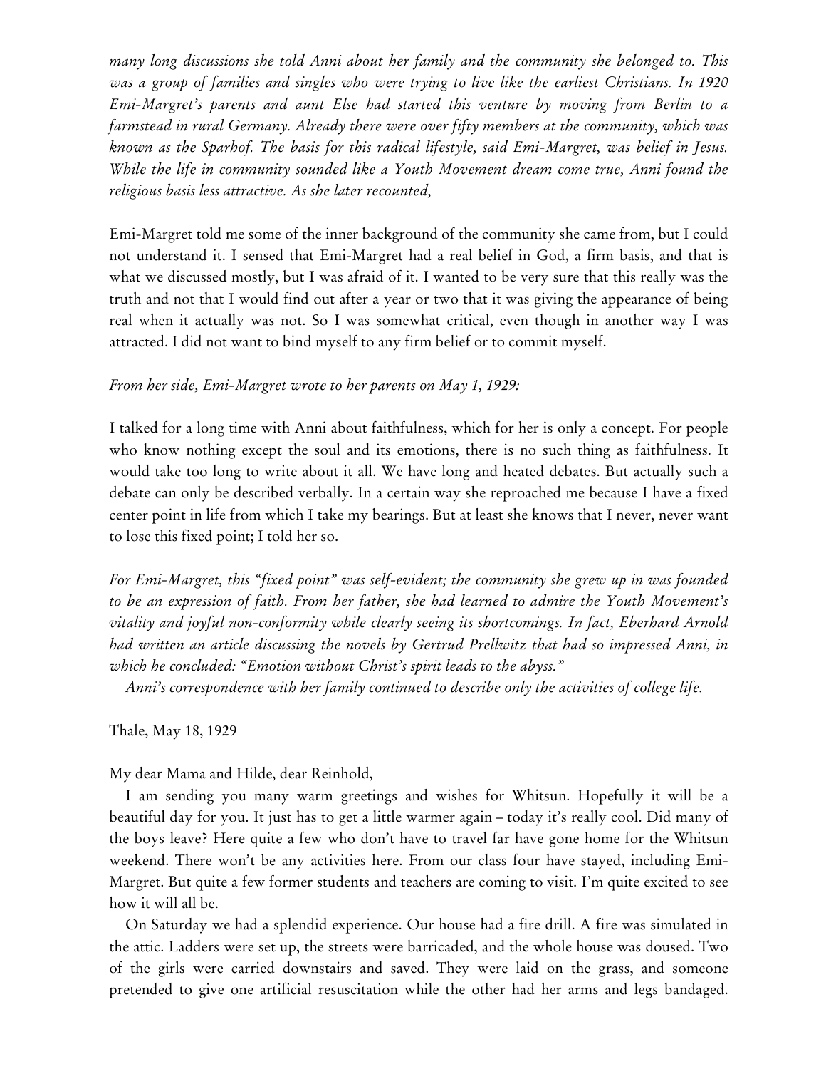*many long discussions she told Anni about her family and the community she belonged to. This was a group of families and singles who were trying to live like the earliest Christians. In 1920 Emi-Margret's parents and aunt Else had started this venture by moving from Berlin to a farmstead in rural Germany. Already there were over fifty members at the community, which was known as the Sparhof. The basis for this radical lifestyle, said Emi-Margret, was belief in Jesus. While the life in community sounded like a Youth Movement dream come true, Anni found the religious basis less attractive. As she later recounted,*

Emi-Margret told me some of the inner background of the community she came from, but I could not understand it. I sensed that Emi-Margret had a real belief in God, a firm basis, and that is what we discussed mostly, but I was afraid of it. I wanted to be very sure that this really was the truth and not that I would find out after a year or two that it was giving the appearance of being real when it actually was not. So I was somewhat critical, even though in another way I was attracted. I did not want to bind myself to any firm belief or to commit myself.

#### *From her side, Emi-Margret wrote to her parents on May 1, 1929:*

I talked for a long time with Anni about faithfulness, which for her is only a concept. For people who know nothing except the soul and its emotions, there is no such thing as faithfulness. It would take too long to write about it all. We have long and heated debates. But actually such a debate can only be described verbally. In a certain way she reproached me because I have a fixed center point in life from which I take my bearings. But at least she knows that I never, never want to lose this fixed point; I told her so.

*For Emi-Margret, this "fixed point" was self-evident; the community she grew up in was founded to be an expression of faith. From her father, she had learned to admire the Youth Movement's vitality and joyful non-conformity while clearly seeing its shortcomings. In fact, Eberhard Arnold had written an article discussing the novels by Gertrud Prellwitz that had so impressed Anni, in which he concluded: "Emotion without Christ's spirit leads to the abyss."*

*Anni's correspondence with her family continued to describe only the activities of college life.*

Thale, May 18, 1929

My dear Mama and Hilde, dear Reinhold,

I am sending you many warm greetings and wishes for Whitsun. Hopefully it will be a beautiful day for you. It just has to get a little warmer again – today it's really cool. Did many of the boys leave? Here quite a few who don't have to travel far have gone home for the Whitsun weekend. There won't be any activities here. From our class four have stayed, including Emi-Margret. But quite a few former students and teachers are coming to visit. I'm quite excited to see how it will all be.

On Saturday we had a splendid experience. Our house had a fire drill. A fire was simulated in the attic. Ladders were set up, the streets were barricaded, and the whole house was doused. Two of the girls were carried downstairs and saved. They were laid on the grass, and someone pretended to give one artificial resuscitation while the other had her arms and legs bandaged.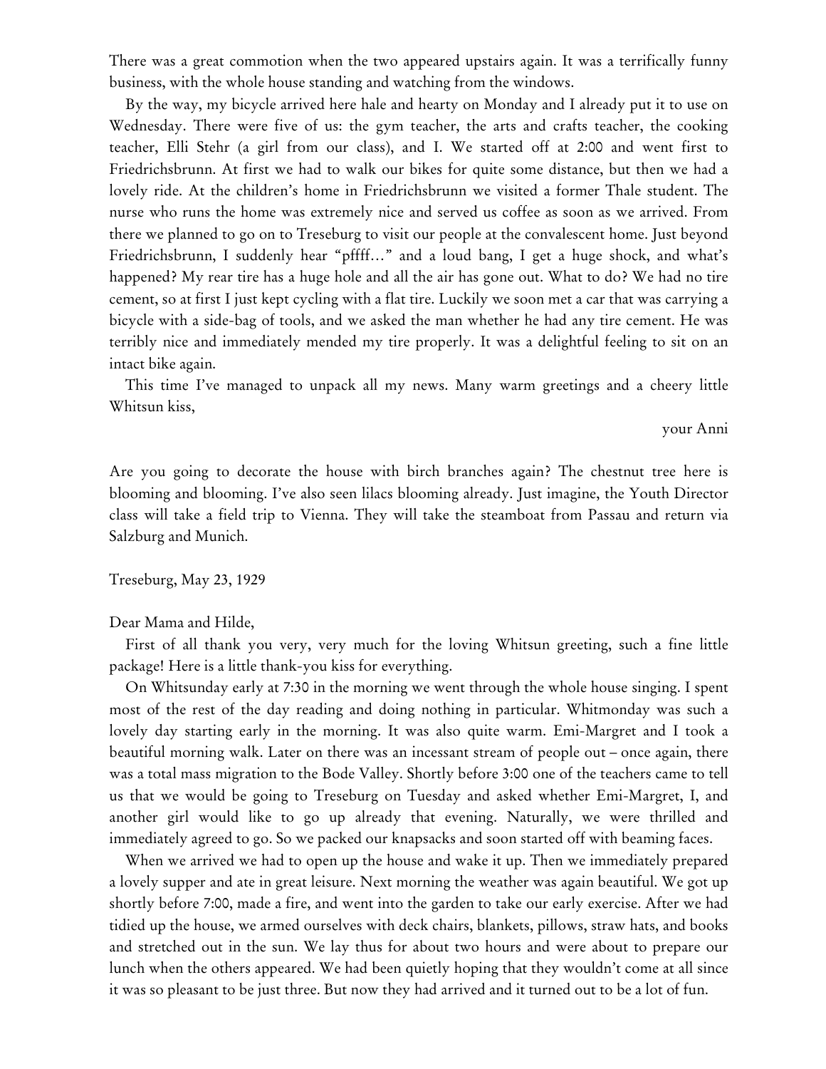There was a great commotion when the two appeared upstairs again. It was a terrifically funny business, with the whole house standing and watching from the windows.

By the way, my bicycle arrived here hale and hearty on Monday and I already put it to use on Wednesday. There were five of us: the gym teacher, the arts and crafts teacher, the cooking teacher, Elli Stehr (a girl from our class), and I. We started off at 2:00 and went first to Friedrichsbrunn. At first we had to walk our bikes for quite some distance, but then we had a lovely ride. At the children's home in Friedrichsbrunn we visited a former Thale student. The nurse who runs the home was extremely nice and served us coffee as soon as we arrived. From there we planned to go on to Treseburg to visit our people at the convalescent home. Just beyond Friedrichsbrunn, I suddenly hear "pffff…" and a loud bang, I get a huge shock, and what's happened? My rear tire has a huge hole and all the air has gone out. What to do? We had no tire cement, so at first I just kept cycling with a flat tire. Luckily we soon met a car that was carrying a bicycle with a side-bag of tools, and we asked the man whether he had any tire cement. He was terribly nice and immediately mended my tire properly. It was a delightful feeling to sit on an intact bike again.

This time I've managed to unpack all my news. Many warm greetings and a cheery little Whitsun kiss,

your Anni

Are you going to decorate the house with birch branches again? The chestnut tree here is blooming and blooming. I've also seen lilacs blooming already. Just imagine, the Youth Director class will take a field trip to Vienna. They will take the steamboat from Passau and return via Salzburg and Munich.

Treseburg, May 23, 1929

#### Dear Mama and Hilde,

First of all thank you very, very much for the loving Whitsun greeting, such a fine little package! Here is a little thank-you kiss for everything.

On Whitsunday early at 7:30 in the morning we went through the whole house singing. I spent most of the rest of the day reading and doing nothing in particular. Whitmonday was such a lovely day starting early in the morning. It was also quite warm. Emi-Margret and I took a beautiful morning walk. Later on there was an incessant stream of people out – once again, there was a total mass migration to the Bode Valley. Shortly before 3:00 one of the teachers came to tell us that we would be going to Treseburg on Tuesday and asked whether Emi-Margret, I, and another girl would like to go up already that evening. Naturally, we were thrilled and immediately agreed to go. So we packed our knapsacks and soon started off with beaming faces.

When we arrived we had to open up the house and wake it up. Then we immediately prepared a lovely supper and ate in great leisure. Next morning the weather was again beautiful. We got up shortly before 7:00, made a fire, and went into the garden to take our early exercise. After we had tidied up the house, we armed ourselves with deck chairs, blankets, pillows, straw hats, and books and stretched out in the sun. We lay thus for about two hours and were about to prepare our lunch when the others appeared. We had been quietly hoping that they wouldn't come at all since it was so pleasant to be just three. But now they had arrived and it turned out to be a lot of fun.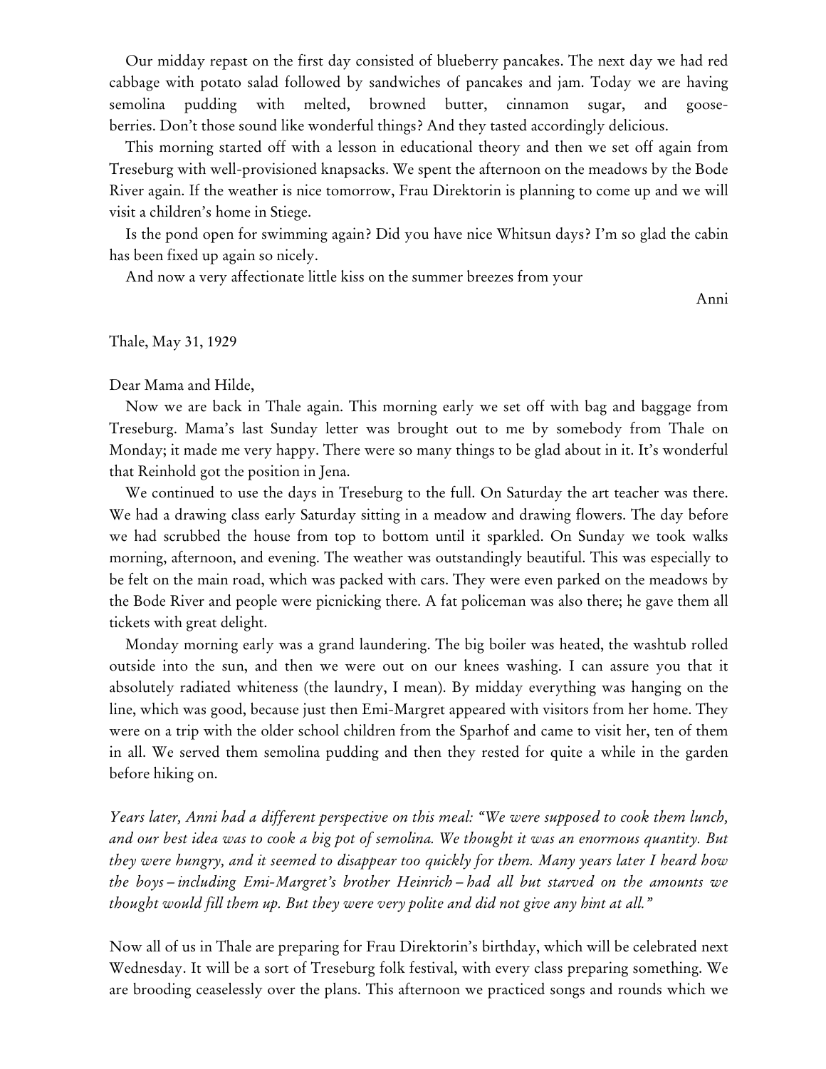Our midday repast on the first day consisted of blueberry pancakes. The next day we had red cabbage with potato salad followed by sandwiches of pancakes and jam. Today we are having semolina pudding with melted, browned butter, cinnamon sugar, and gooseberries. Don't those sound like wonderful things? And they tasted accordingly delicious.

This morning started off with a lesson in educational theory and then we set off again from Treseburg with well-provisioned knapsacks. We spent the afternoon on the meadows by the Bode River again. If the weather is nice tomorrow, Frau Direktorin is planning to come up and we will visit a children's home in Stiege.

Is the pond open for swimming again? Did you have nice Whitsun days? I'm so glad the cabin has been fixed up again so nicely.

And now a very affectionate little kiss on the summer breezes from your

Anni

Thale, May 31, 1929

Dear Mama and Hilde,

Now we are back in Thale again. This morning early we set off with bag and baggage from Treseburg. Mama's last Sunday letter was brought out to me by somebody from Thale on Monday; it made me very happy. There were so many things to be glad about in it. It's wonderful that Reinhold got the position in Jena.

We continued to use the days in Treseburg to the full. On Saturday the art teacher was there. We had a drawing class early Saturday sitting in a meadow and drawing flowers. The day before we had scrubbed the house from top to bottom until it sparkled. On Sunday we took walks morning, afternoon, and evening. The weather was outstandingly beautiful. This was especially to be felt on the main road, which was packed with cars. They were even parked on the meadows by the Bode River and people were picnicking there. A fat policeman was also there; he gave them all tickets with great delight.

Monday morning early was a grand laundering. The big boiler was heated, the washtub rolled outside into the sun, and then we were out on our knees washing. I can assure you that it absolutely radiated whiteness (the laundry, I mean). By midday everything was hanging on the line, which was good, because just then Emi-Margret appeared with visitors from her home. They were on a trip with the older school children from the Sparhof and came to visit her, ten of them in all. We served them semolina pudding and then they rested for quite a while in the garden before hiking on.

*Years later, Anni had a different perspective on this meal: "We were supposed to cook them lunch, and our best idea was to cook a big pot of semolina. We thought it was an enormous quantity. But they were hungry, and it seemed to disappear too quickly for them. Many years later I heard how the boys – including Emi-Margret's brother Heinrich – had all but starved on the amounts we thought would fill them up. But they were very polite and did not give any hint at all."*

Now all of us in Thale are preparing for Frau Direktorin's birthday, which will be celebrated next Wednesday. It will be a sort of Treseburg folk festival, with every class preparing something. We are brooding ceaselessly over the plans. This afternoon we practiced songs and rounds which we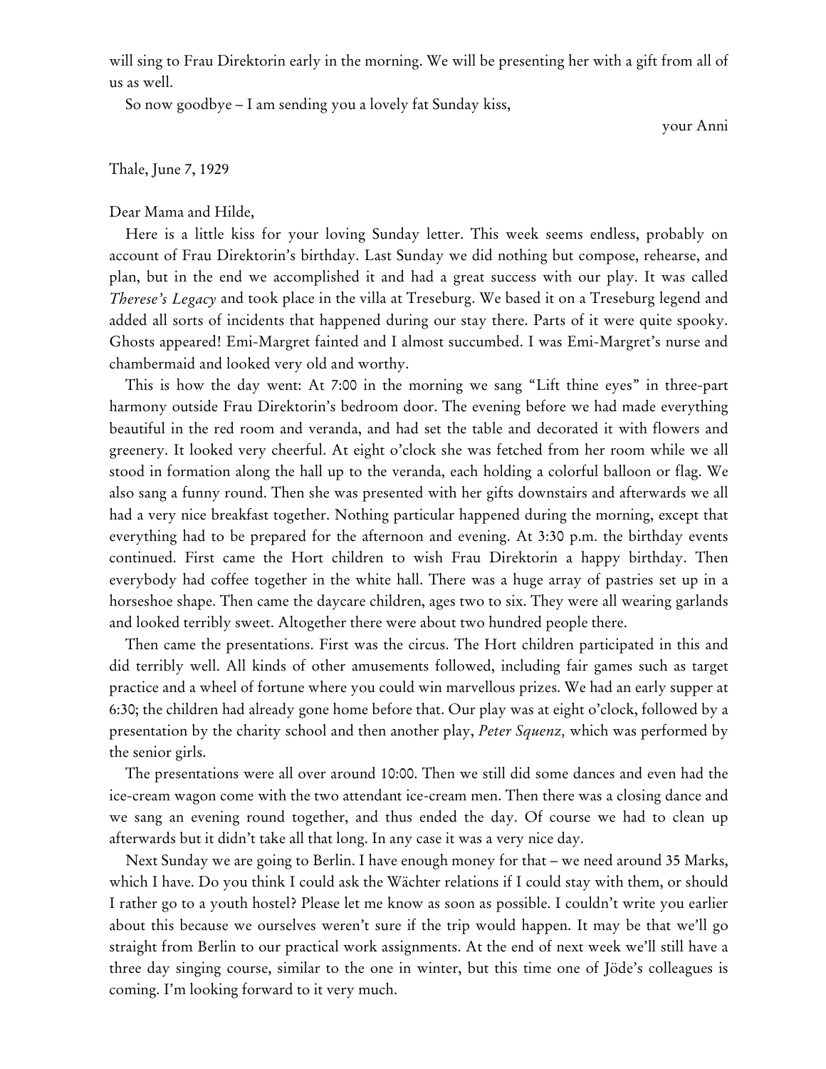will sing to Frau Direktorin early in the morning. We will be presenting her with a gift from all of us as well.

So now goodbye – I am sending you a lovely fat Sunday kiss,

your Anni

#### Thale, June 7, 1929

#### Dear Mama and Hilde,

Here is a little kiss for your loving Sunday letter. This week seems endless, probably on account of Frau Direktorin's birthday. Last Sunday we did nothing but compose, rehearse, and plan, but in the end we accomplished it and had a great success with our play. It was called *Therese's Legacy* and took place in the villa at Treseburg. We based it on a Treseburg legend and added all sorts of incidents that happened during our stay there. Parts of it were quite spooky. Ghosts appeared! Emi-Margret fainted and I almost succumbed. I was Emi-Margret's nurse and chambermaid and looked very old and worthy.

This is how the day went: At 7:00 in the morning we sang "Lift thine eyes" in three-part harmony outside Frau Direktorin's bedroom door. The evening before we had made everything beautiful in the red room and veranda, and had set the table and decorated it with flowers and greenery. It looked very cheerful. At eight o'clock she was fetched from her room while we all stood in formation along the hall up to the veranda, each holding a colorful balloon or flag. We also sang a funny round. Then she was presented with her gifts downstairs and afterwards we all had a very nice breakfast together. Nothing particular happened during the morning, except that everything had to be prepared for the afternoon and evening. At 3:30 p.m. the birthday events continued. First came the Hort children to wish Frau Direktorin a happy birthday. Then everybody had coffee together in the white hall. There was a huge array of pastries set up in a horseshoe shape. Then came the daycare children, ages two to six. They were all wearing garlands and looked terribly sweet. Altogether there were about two hundred people there.

Then came the presentations. First was the circus. The Hort children participated in this and did terribly well. All kinds of other amusements followed, including fair games such as target practice and a wheel of fortune where you could win marvellous prizes. We had an early supper at 6:30; the children had already gone home before that. Our play was at eight o'clock, followed by a presentation by the charity school and then another play, *Peter Squenz,* which was performed by the senior girls.

The presentations were all over around 10:00. Then we still did some dances and even had the ice-cream wagon come with the two attendant ice-cream men. Then there was a closing dance and we sang an evening round together, and thus ended the day. Of course we had to clean up afterwards but it didn't take all that long. In any case it was a very nice day.

Next Sunday we are going to Berlin. I have enough money for that – we need around 35 Marks, which I have. Do you think I could ask the Wächter relations if I could stay with them, or should I rather go to a youth hostel? Please let me know as soon as possible. I couldn't write you earlier about this because we ourselves weren't sure if the trip would happen. It may be that we'll go straight from Berlin to our practical work assignments. At the end of next week we'll still have a three day singing course, similar to the one in winter, but this time one of Jöde's colleagues is coming. I'm looking forward to it very much.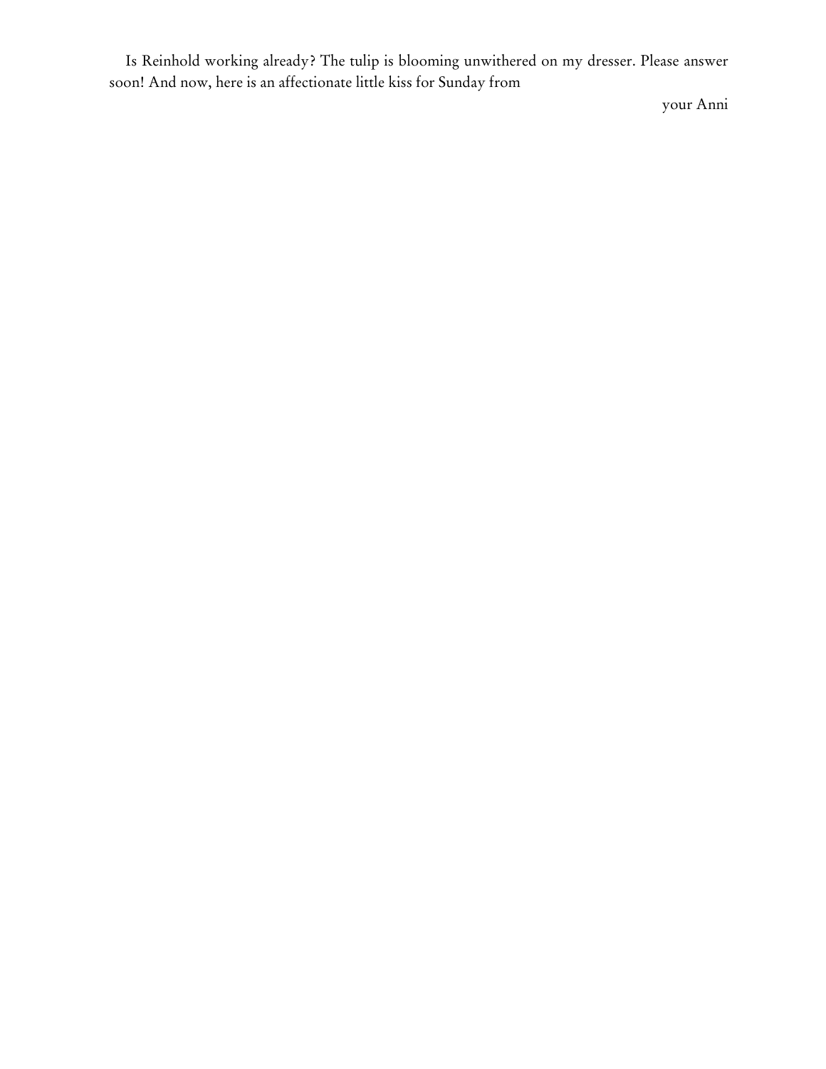Is Reinhold working already? The tulip is blooming unwithered on my dresser. Please answer soon! And now, here is an affectionate little kiss for Sunday from

your Anni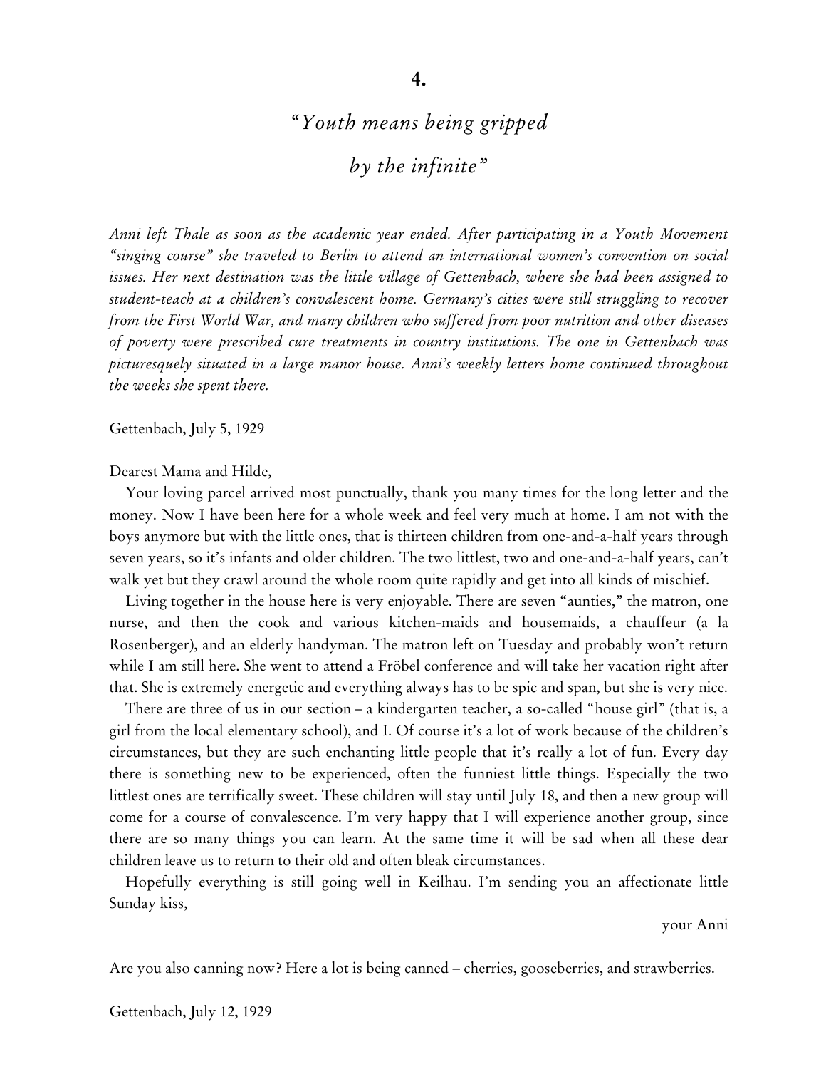# *"Youth means being gripped by the infinite"*

*Anni left Thale as soon as the academic year ended. After participating in a Youth Movement "singing course" she traveled to Berlin to attend an international women's convention on social issues. Her next destination was the little village of Gettenbach, where she had been assigned to student-teach at a children's convalescent home. Germany's cities were still struggling to recover from the First World War, and many children who suffered from poor nutrition and other diseases of poverty were prescribed cure treatments in country institutions. The one in Gettenbach was picturesquely situated in a large manor house. Anni's weekly letters home continued throughout the weeks she spent there.*

Gettenbach, July 5, 1929

Dearest Mama and Hilde,

Your loving parcel arrived most punctually, thank you many times for the long letter and the money. Now I have been here for a whole week and feel very much at home. I am not with the boys anymore but with the little ones, that is thirteen children from one-and-a-half years through seven years, so it's infants and older children. The two littlest, two and one-and-a-half years, can't walk yet but they crawl around the whole room quite rapidly and get into all kinds of mischief.

Living together in the house here is very enjoyable. There are seven "aunties," the matron, one nurse, and then the cook and various kitchen-maids and housemaids, a chauffeur (a la Rosenberger), and an elderly handyman. The matron left on Tuesday and probably won't return while I am still here. She went to attend a Fröbel conference and will take her vacation right after that. She is extremely energetic and everything always has to be spic and span, but she is very nice.

There are three of us in our section – a kindergarten teacher, a so-called "house girl" (that is, a girl from the local elementary school), and I. Of course it's a lot of work because of the children's circumstances, but they are such enchanting little people that it's really a lot of fun. Every day there is something new to be experienced, often the funniest little things. Especially the two littlest ones are terrifically sweet. These children will stay until July 18, and then a new group will come for a course of convalescence. I'm very happy that I will experience another group, since there are so many things you can learn. At the same time it will be sad when all these dear children leave us to return to their old and often bleak circumstances.

Hopefully everything is still going well in Keilhau. I'm sending you an affectionate little Sunday kiss,

your Anni

Are you also canning now? Here a lot is being canned – cherries, gooseberries, and strawberries.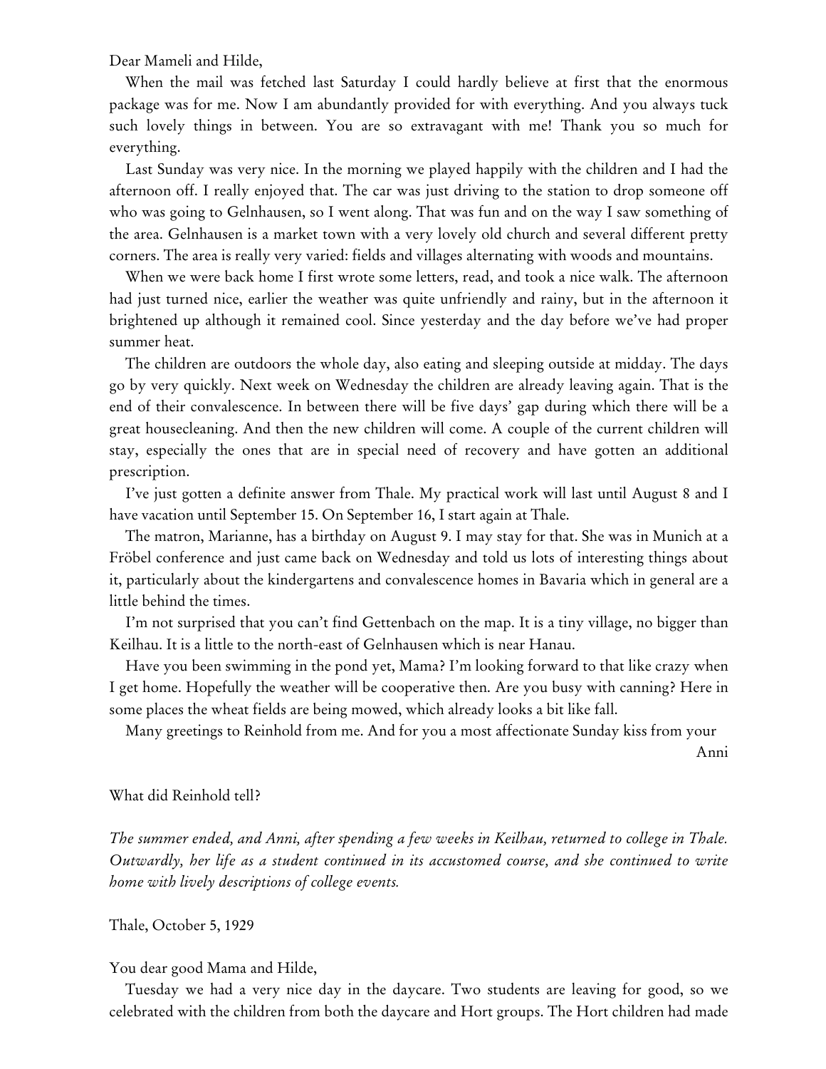Dear Mameli and Hilde,

When the mail was fetched last Saturday I could hardly believe at first that the enormous package was for me. Now I am abundantly provided for with everything. And you always tuck such lovely things in between. You are so extravagant with me! Thank you so much for everything.

Last Sunday was very nice. In the morning we played happily with the children and I had the afternoon off. I really enjoyed that. The car was just driving to the station to drop someone off who was going to Gelnhausen, so I went along. That was fun and on the way I saw something of the area. Gelnhausen is a market town with a very lovely old church and several different pretty corners. The area is really very varied: fields and villages alternating with woods and mountains.

When we were back home I first wrote some letters, read, and took a nice walk. The afternoon had just turned nice, earlier the weather was quite unfriendly and rainy, but in the afternoon it brightened up although it remained cool. Since yesterday and the day before we've had proper summer heat.

The children are outdoors the whole day, also eating and sleeping outside at midday. The days go by very quickly. Next week on Wednesday the children are already leaving again. That is the end of their convalescence. In between there will be five days' gap during which there will be a great housecleaning. And then the new children will come. A couple of the current children will stay, especially the ones that are in special need of recovery and have gotten an additional prescription.

I've just gotten a definite answer from Thale. My practical work will last until August 8 and I have vacation until September 15. On September 16, I start again at Thale.

The matron, Marianne, has a birthday on August 9. I may stay for that. She was in Munich at a Fröbel conference and just came back on Wednesday and told us lots of interesting things about it, particularly about the kindergartens and convalescence homes in Bavaria which in general are a little behind the times.

I'm not surprised that you can't find Gettenbach on the map. It is a tiny village, no bigger than Keilhau. It is a little to the north-east of Gelnhausen which is near Hanau.

Have you been swimming in the pond yet, Mama? I'm looking forward to that like crazy when I get home. Hopefully the weather will be cooperative then. Are you busy with canning? Here in some places the wheat fields are being mowed, which already looks a bit like fall.

Many greetings to Reinhold from me. And for you a most affectionate Sunday kiss from your

#### Anni

#### What did Reinhold tell?

*The summer ended, and Anni, after spending a few weeks in Keilhau, returned to college in Thale. Outwardly, her life as a student continued in its accustomed course, and she continued to write home with lively descriptions of college events.*

#### Thale, October 5, 1929

#### You dear good Mama and Hilde,

Tuesday we had a very nice day in the daycare. Two students are leaving for good, so we celebrated with the children from both the daycare and Hort groups. The Hort children had made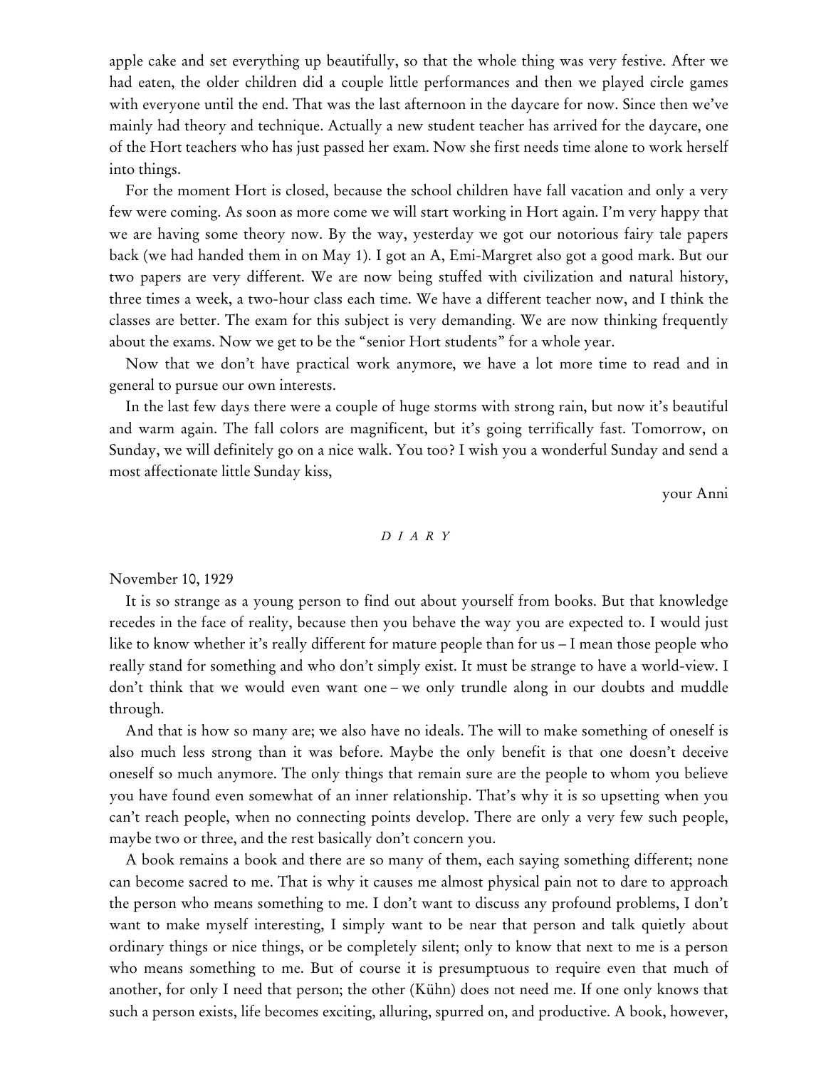apple cake and set everything up beautifully, so that the whole thing was very festive. After we had eaten, the older children did a couple little performances and then we played circle games with everyone until the end. That was the last afternoon in the daycare for now. Since then we've mainly had theory and technique. Actually a new student teacher has arrived for the daycare, one of the Hort teachers who has just passed her exam. Now she first needs time alone to work herself into things.

For the moment Hort is closed, because the school children have fall vacation and only a very few were coming. As soon as more come we will start working in Hort again. I'm very happy that we are having some theory now. By the way, yesterday we got our notorious fairy tale papers back (we had handed them in on May 1). I got an A, Emi-Margret also got a good mark. But our two papers are very different. We are now being stuffed with civilization and natural history, three times a week, a two-hour class each time. We have a different teacher now, and I think the classes are better. The exam for this subject is very demanding. We are now thinking frequently about the exams. Now we get to be the "senior Hort students" for a whole year.

Now that we don't have practical work anymore, we have a lot more time to read and in general to pursue our own interests.

In the last few days there were a couple of huge storms with strong rain, but now it's beautiful and warm again. The fall colors are magnificent, but it's going terrifically fast. Tomorrow, on Sunday, we will definitely go on a nice walk. You too? I wish you a wonderful Sunday and send a most affectionate little Sunday kiss,

your Anni

#### *DIARY*

November 10, 1929

It is so strange as a young person to find out about yourself from books. But that knowledge recedes in the face of reality, because then you behave the way you are expected to. I would just like to know whether it's really different for mature people than for us – I mean those people who really stand for something and who don't simply exist. It must be strange to have a world-view. I don't think that we would even want one – we only trundle along in our doubts and muddle through.

And that is how so many are; we also have no ideals. The will to make something of oneself is also much less strong than it was before. Maybe the only benefit is that one doesn't deceive oneself so much anymore. The only things that remain sure are the people to whom you believe you have found even somewhat of an inner relationship. That's why it is so upsetting when you can't reach people, when no connecting points develop. There are only a very few such people, maybe two or three, and the rest basically don't concern you.

A book remains a book and there are so many of them, each saying something different; none can become sacred to me. That is why it causes me almost physical pain not to dare to approach the person who means something to me. I don't want to discuss any profound problems, I don't want to make myself interesting, I simply want to be near that person and talk quietly about ordinary things or nice things, or be completely silent; only to know that next to me is a person who means something to me. But of course it is presumptuous to require even that much of another, for only I need that person; the other (Kühn) does not need me. If one only knows that such a person exists, life becomes exciting, alluring, spurred on, and productive. A book, however,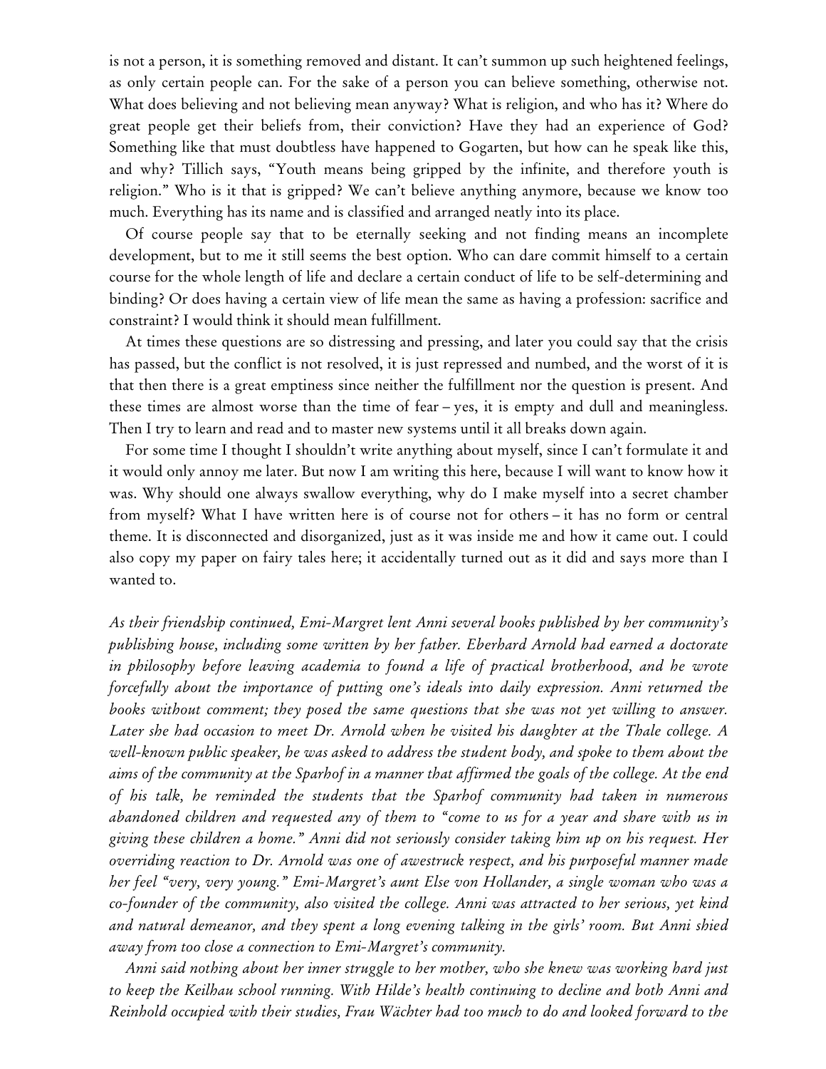is not a person, it is something removed and distant. It can't summon up such heightened feelings, as only certain people can. For the sake of a person you can believe something, otherwise not. What does believing and not believing mean anyway? What is religion, and who has it? Where do great people get their beliefs from, their conviction? Have they had an experience of God? Something like that must doubtless have happened to Gogarten, but how can he speak like this, and why? Tillich says, "Youth means being gripped by the infinite, and therefore youth is religion." Who is it that is gripped? We can't believe anything anymore, because we know too much. Everything has its name and is classified and arranged neatly into its place.

Of course people say that to be eternally seeking and not finding means an incomplete development, but to me it still seems the best option. Who can dare commit himself to a certain course for the whole length of life and declare a certain conduct of life to be self-determining and binding? Or does having a certain view of life mean the same as having a profession: sacrifice and constraint? I would think it should mean fulfillment.

At times these questions are so distressing and pressing, and later you could say that the crisis has passed, but the conflict is not resolved, it is just repressed and numbed, and the worst of it is that then there is a great emptiness since neither the fulfillment nor the question is present. And these times are almost worse than the time of fear – yes, it is empty and dull and meaningless. Then I try to learn and read and to master new systems until it all breaks down again.

For some time I thought I shouldn't write anything about myself, since I can't formulate it and it would only annoy me later. But now I am writing this here, because I will want to know how it was. Why should one always swallow everything, why do I make myself into a secret chamber from myself? What I have written here is of course not for others – it has no form or central theme. It is disconnected and disorganized, just as it was inside me and how it came out. I could also copy my paper on fairy tales here; it accidentally turned out as it did and says more than I wanted to.

*As their friendship continued, Emi-Margret lent Anni several books published by her community's publishing house, including some written by her father. Eberhard Arnold had earned a doctorate in philosophy before leaving academia to found a life of practical brotherhood, and he wrote forcefully about the importance of putting one's ideals into daily expression. Anni returned the books without comment; they posed the same questions that she was not yet willing to answer. Later she had occasion to meet Dr. Arnold when he visited his daughter at the Thale college. A well-known public speaker, he was asked to address the student body, and spoke to them about the aims of the community at the Sparhof in a manner that affirmed the goals of the college. At the end of his talk, he reminded the students that the Sparhof community had taken in numerous abandoned children and requested any of them to "come to us for a year and share with us in giving these children a home." Anni did not seriously consider taking him up on his request. Her overriding reaction to Dr. Arnold was one of awestruck respect, and his purposeful manner made her feel "very, very young." Emi-Margret's aunt Else von Hollander, a single woman who was a co-founder of the community, also visited the college. Anni was attracted to her serious, yet kind and natural demeanor, and they spent a long evening talking in the girls' room. But Anni shied away from too close a connection to Emi-Margret's community.*

*Anni said nothing about her inner struggle to her mother, who she knew was working hard just to keep the Keilhau school running. With Hilde's health continuing to decline and both Anni and Reinhold occupied with their studies, Frau Wächter had too much to do and looked forward to the*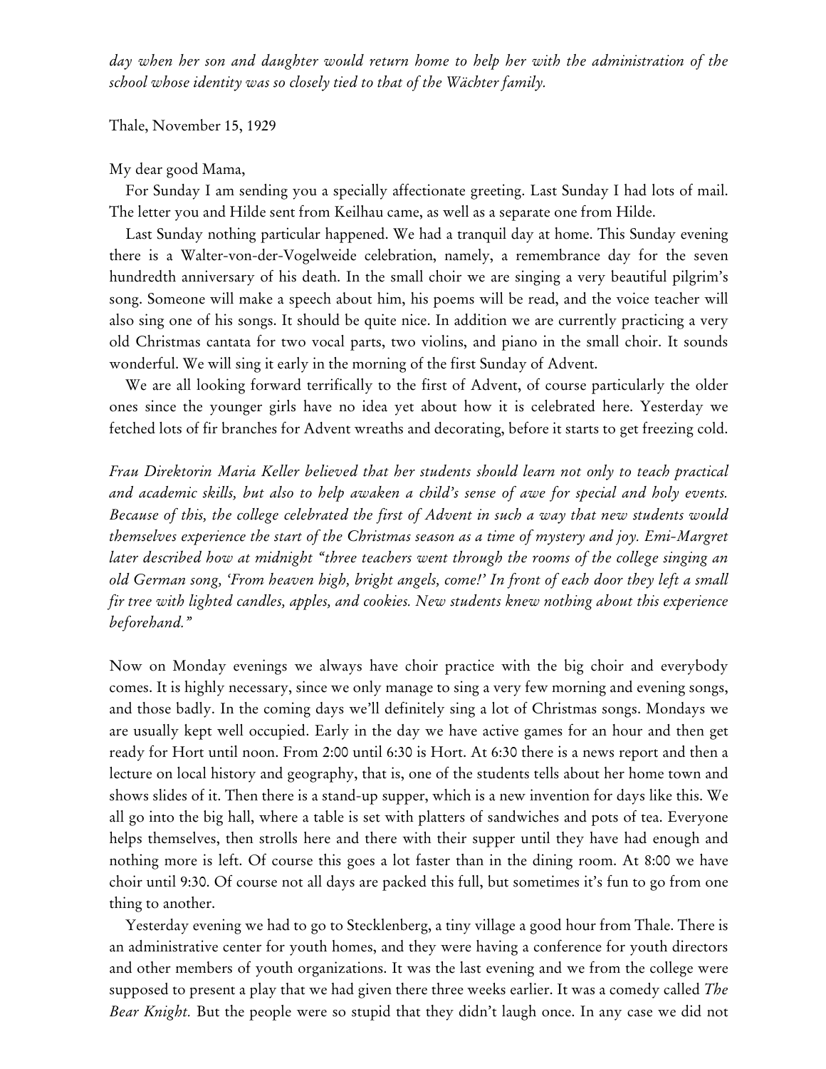*day when her son and daughter would return home to help her with the administration of the school whose identity was so closely tied to that of the Wächter family.*

Thale, November 15, 1929

#### My dear good Mama,

For Sunday I am sending you a specially affectionate greeting. Last Sunday I had lots of mail. The letter you and Hilde sent from Keilhau came, as well as a separate one from Hilde.

Last Sunday nothing particular happened. We had a tranquil day at home. This Sunday evening there is a Walter-von-der-Vogelweide celebration, namely, a remembrance day for the seven hundredth anniversary of his death. In the small choir we are singing a very beautiful pilgrim's song. Someone will make a speech about him, his poems will be read, and the voice teacher will also sing one of his songs. It should be quite nice. In addition we are currently practicing a very old Christmas cantata for two vocal parts, two violins, and piano in the small choir. It sounds wonderful. We will sing it early in the morning of the first Sunday of Advent.

We are all looking forward terrifically to the first of Advent, of course particularly the older ones since the younger girls have no idea yet about how it is celebrated here. Yesterday we fetched lots of fir branches for Advent wreaths and decorating, before it starts to get freezing cold.

*Frau Direktorin Maria Keller believed that her students should learn not only to teach practical and academic skills, but also to help awaken a child's sense of awe for special and holy events. Because of this, the college celebrated the first of Advent in such a way that new students would themselves experience the start of the Christmas season as a time of mystery and joy. Emi-Margret later described how at midnight "three teachers went through the rooms of the college singing an old German song, 'From heaven high, bright angels, come!' In front of each door they left a small fir tree with lighted candles, apples, and cookies. New students knew nothing about this experience beforehand."*

Now on Monday evenings we always have choir practice with the big choir and everybody comes. It is highly necessary, since we only manage to sing a very few morning and evening songs, and those badly. In the coming days we'll definitely sing a lot of Christmas songs. Mondays we are usually kept well occupied. Early in the day we have active games for an hour and then get ready for Hort until noon. From 2:00 until 6:30 is Hort. At 6:30 there is a news report and then a lecture on local history and geography, that is, one of the students tells about her home town and shows slides of it. Then there is a stand-up supper, which is a new invention for days like this. We all go into the big hall, where a table is set with platters of sandwiches and pots of tea. Everyone helps themselves, then strolls here and there with their supper until they have had enough and nothing more is left. Of course this goes a lot faster than in the dining room. At 8:00 we have choir until 9:30. Of course not all days are packed this full, but sometimes it's fun to go from one thing to another.

Yesterday evening we had to go to Stecklenberg, a tiny village a good hour from Thale. There is an administrative center for youth homes, and they were having a conference for youth directors and other members of youth organizations. It was the last evening and we from the college were supposed to present a play that we had given there three weeks earlier. It was a comedy called *The Bear Knight.* But the people were so stupid that they didn't laugh once. In any case we did not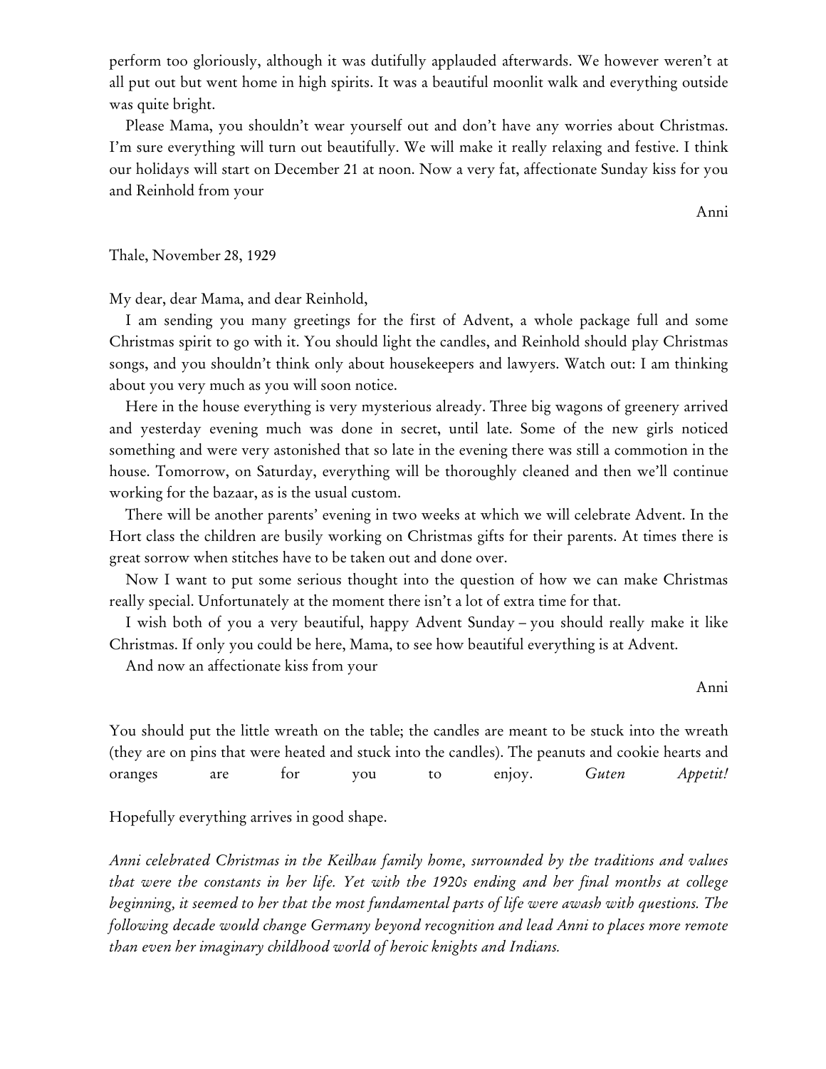perform too gloriously, although it was dutifully applauded afterwards. We however weren't at all put out but went home in high spirits. It was a beautiful moonlit walk and everything outside was quite bright.

Please Mama, you shouldn't wear yourself out and don't have any worries about Christmas. I'm sure everything will turn out beautifully. We will make it really relaxing and festive. I think our holidays will start on December 21 at noon. Now a very fat, affectionate Sunday kiss for you and Reinhold from your

Thale, November 28, 1929

My dear, dear Mama, and dear Reinhold,

I am sending you many greetings for the first of Advent, a whole package full and some Christmas spirit to go with it. You should light the candles, and Reinhold should play Christmas songs, and you shouldn't think only about housekeepers and lawyers. Watch out: I am thinking about you very much as you will soon notice.

Here in the house everything is very mysterious already. Three big wagons of greenery arrived and yesterday evening much was done in secret, until late. Some of the new girls noticed something and were very astonished that so late in the evening there was still a commotion in the house. Tomorrow, on Saturday, everything will be thoroughly cleaned and then we'll continue working for the bazaar, as is the usual custom.

There will be another parents' evening in two weeks at which we will celebrate Advent. In the Hort class the children are busily working on Christmas gifts for their parents. At times there is great sorrow when stitches have to be taken out and done over.

Now I want to put some serious thought into the question of how we can make Christmas really special. Unfortunately at the moment there isn't a lot of extra time for that.

I wish both of you a very beautiful, happy Advent Sunday – you should really make it like Christmas. If only you could be here, Mama, to see how beautiful everything is at Advent.

And now an affectionate kiss from your

Anni

You should put the little wreath on the table; the candles are meant to be stuck into the wreath (they are on pins that were heated and stuck into the candles). The peanuts and cookie hearts and oranges are for you to enjoy. *Guten Appetit!* 

Hopefully everything arrives in good shape.

*Anni celebrated Christmas in the Keilhau family home, surrounded by the traditions and values that were the constants in her life. Yet with the 1920s ending and her final months at college beginning, it seemed to her that the most fundamental parts of life were awash with questions. The following decade would change Germany beyond recognition and lead Anni to places more remote than even her imaginary childhood world of heroic knights and Indians.*

Anni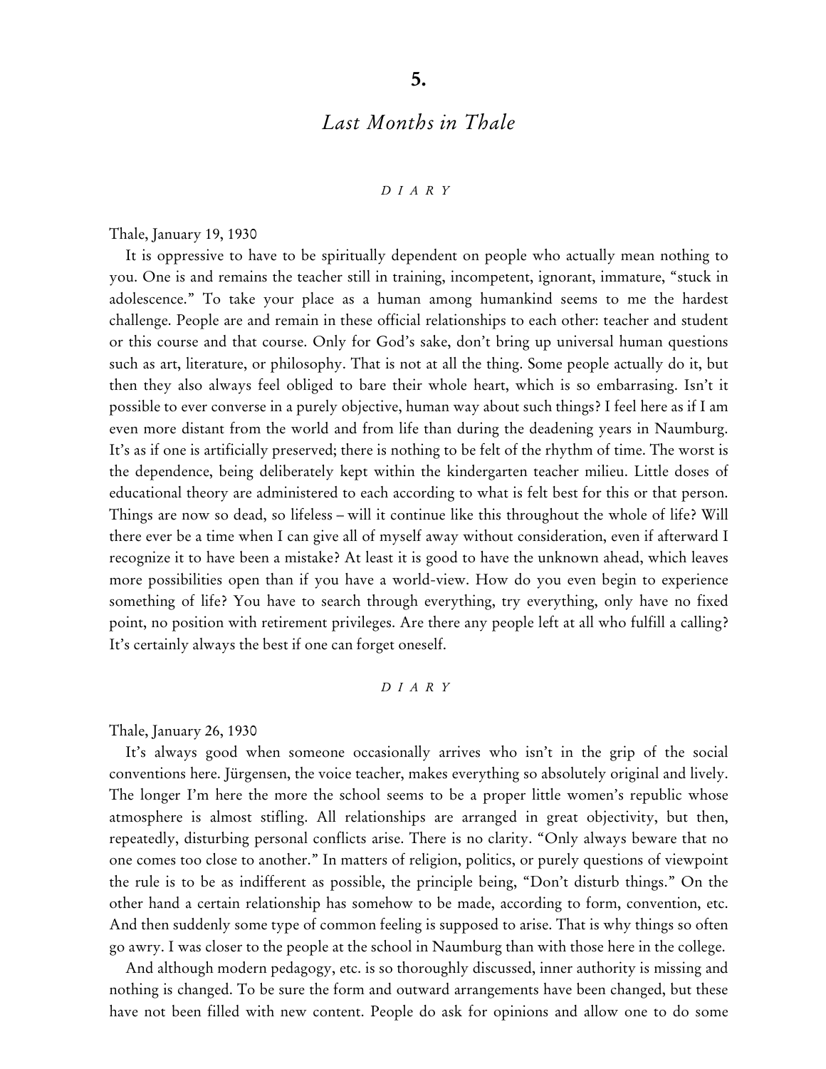## *Last Months in Thale*

## *DIARY*

Thale, January 19, 1930

It is oppressive to have to be spiritually dependent on people who actually mean nothing to you. One is and remains the teacher still in training, incompetent, ignorant, immature, "stuck in adolescence." To take your place as a human among humankind seems to me the hardest challenge. People are and remain in these official relationships to each other: teacher and student or this course and that course. Only for God's sake, don't bring up universal human questions such as art, literature, or philosophy. That is not at all the thing. Some people actually do it, but then they also always feel obliged to bare their whole heart, which is so embarrasing. Isn't it possible to ever converse in a purely objective, human way about such things? I feel here as if I am even more distant from the world and from life than during the deadening years in Naumburg. It's as if one is artificially preserved; there is nothing to be felt of the rhythm of time. The worst is the dependence, being deliberately kept within the kindergarten teacher milieu. Little doses of educational theory are administered to each according to what is felt best for this or that person. Things are now so dead, so lifeless – will it continue like this throughout the whole of life? Will there ever be a time when I can give all of myself away without consideration, even if afterward I recognize it to have been a mistake? At least it is good to have the unknown ahead, which leaves more possibilities open than if you have a world-view. How do you even begin to experience something of life? You have to search through everything, try everything, only have no fixed point, no position with retirement privileges. Are there any people left at all who fulfill a calling? It's certainly always the best if one can forget oneself.

## *DIARY*

Thale, January 26, 1930

It's always good when someone occasionally arrives who isn't in the grip of the social conventions here. Jürgensen, the voice teacher, makes everything so absolutely original and lively. The longer I'm here the more the school seems to be a proper little women's republic whose atmosphere is almost stifling. All relationships are arranged in great objectivity, but then, repeatedly, disturbing personal conflicts arise. There is no clarity. "Only always beware that no one comes too close to another." In matters of religion, politics, or purely questions of viewpoint the rule is to be as indifferent as possible, the principle being, "Don't disturb things." On the other hand a certain relationship has somehow to be made, according to form, convention, etc. And then suddenly some type of common feeling is supposed to arise. That is why things so often go awry. I was closer to the people at the school in Naumburg than with those here in the college.

And although modern pedagogy, etc. is so thoroughly discussed, inner authority is missing and nothing is changed. To be sure the form and outward arrangements have been changed, but these have not been filled with new content. People do ask for opinions and allow one to do some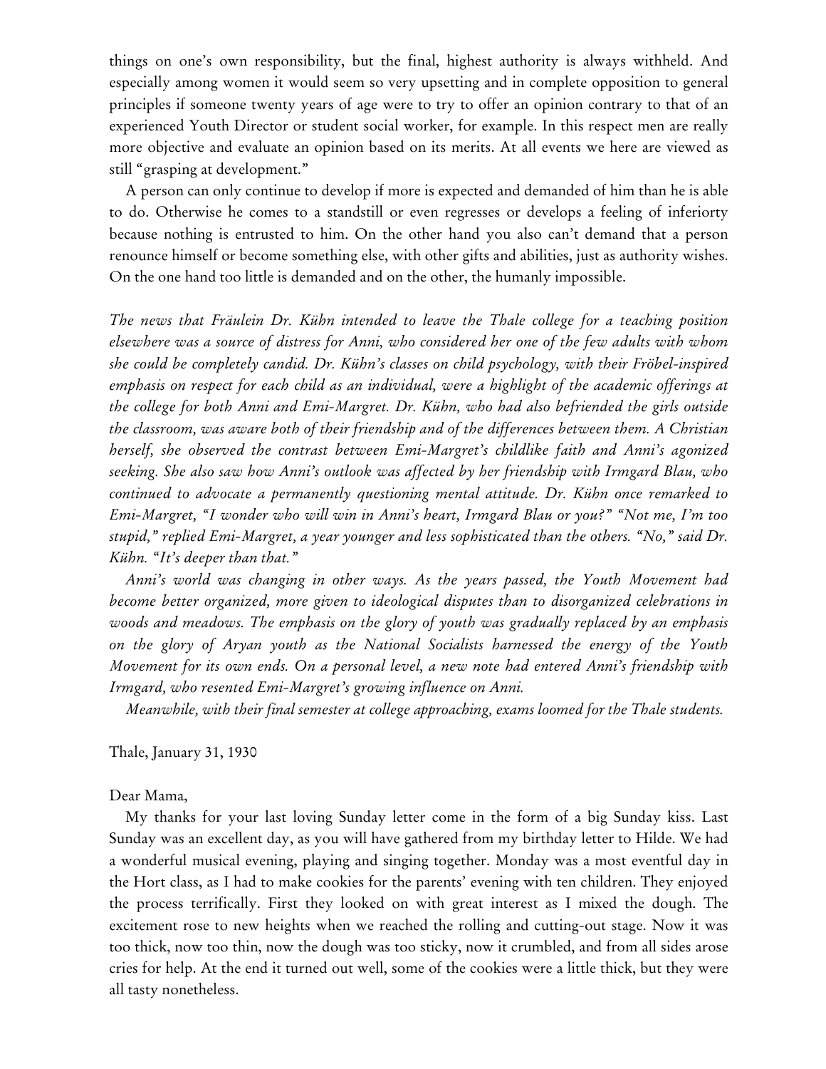things on one's own responsibility, but the final, highest authority is always withheld. And especially among women it would seem so very upsetting and in complete opposition to general principles if someone twenty years of age were to try to offer an opinion contrary to that of an experienced Youth Director or student social worker, for example. In this respect men are really more objective and evaluate an opinion based on its merits. At all events we here are viewed as still "grasping at development."

A person can only continue to develop if more is expected and demanded of him than he is able to do. Otherwise he comes to a standstill or even regresses or develops a feeling of inferiorty because nothing is entrusted to him. On the other hand you also can't demand that a person renounce himself or become something else, with other gifts and abilities, just as authority wishes. On the one hand too little is demanded and on the other, the humanly impossible.

*The news that Fräulein Dr. Kühn intended to leave the Thale college for a teaching position elsewhere was a source of distress for Anni, who considered her one of the few adults with whom she could be completely candid. Dr. Kühn's classes on child psychology, with their Fröbel-inspired emphasis on respect for each child as an individual, were a highlight of the academic offerings at the college for both Anni and Emi-Margret. Dr. Kühn, who had also befriended the girls outside the classroom, was aware both of their friendship and of the differences between them. A Christian herself, she observed the contrast between Emi-Margret's childlike faith and Anni's agonized seeking. She also saw how Anni's outlook was affected by her friendship with Irmgard Blau, who continued to advocate a permanently questioning mental attitude. Dr. Kühn once remarked to Emi-Margret, "I wonder who will win in Anni's heart, Irmgard Blau or you?" "Not me, I'm too stupid," replied Emi-Margret, a year younger and less sophisticated than the others. "No," said Dr. Kühn. "It's deeper than that."*

*Anni's world was changing in other ways. As the years passed, the Youth Movement had become better organized, more given to ideological disputes than to disorganized celebrations in woods and meadows. The emphasis on the glory of youth was gradually replaced by an emphasis on the glory of Aryan youth as the National Socialists harnessed the energy of the Youth Movement for its own ends. On a personal level, a new note had entered Anni's friendship with Irmgard, who resented Emi-Margret's growing influence on Anni.*

*Meanwhile, with their final semester at college approaching, exams loomed for the Thale students.*

Thale, January 31, 1930

## Dear Mama,

My thanks for your last loving Sunday letter come in the form of a big Sunday kiss. Last Sunday was an excellent day, as you will have gathered from my birthday letter to Hilde. We had a wonderful musical evening, playing and singing together. Monday was a most eventful day in the Hort class, as I had to make cookies for the parents' evening with ten children. They enjoyed the process terrifically. First they looked on with great interest as I mixed the dough. The excitement rose to new heights when we reached the rolling and cutting-out stage. Now it was too thick, now too thin, now the dough was too sticky, now it crumbled, and from all sides arose cries for help. At the end it turned out well, some of the cookies were a little thick, but they were all tasty nonetheless.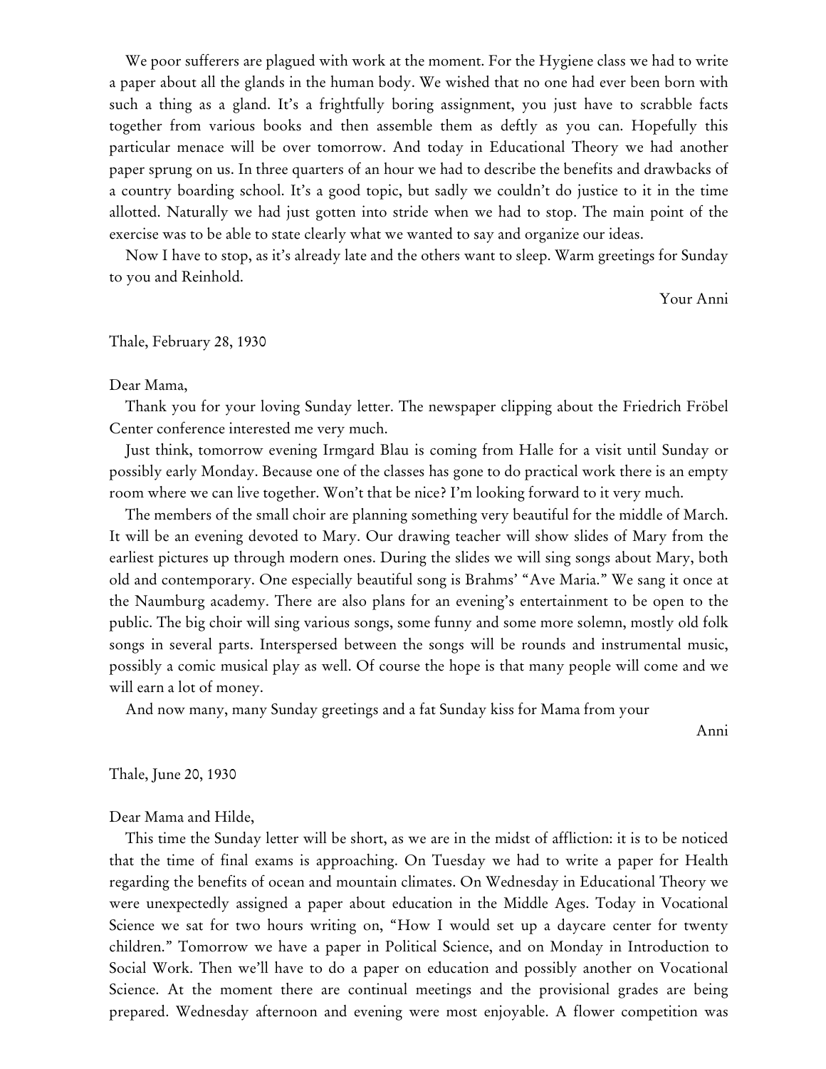We poor sufferers are plagued with work at the moment. For the Hygiene class we had to write a paper about all the glands in the human body. We wished that no one had ever been born with such a thing as a gland. It's a frightfully boring assignment, you just have to scrabble facts together from various books and then assemble them as deftly as you can. Hopefully this particular menace will be over tomorrow. And today in Educational Theory we had another paper sprung on us. In three quarters of an hour we had to describe the benefits and drawbacks of a country boarding school. It's a good topic, but sadly we couldn't do justice to it in the time allotted. Naturally we had just gotten into stride when we had to stop. The main point of the exercise was to be able to state clearly what we wanted to say and organize our ideas.

Now I have to stop, as it's already late and the others want to sleep. Warm greetings for Sunday to you and Reinhold.

Your Anni

## Thale, February 28, 1930

## Dear Mama,

Thank you for your loving Sunday letter. The newspaper clipping about the Friedrich Fröbel Center conference interested me very much.

Just think, tomorrow evening Irmgard Blau is coming from Halle for a visit until Sunday or possibly early Monday. Because one of the classes has gone to do practical work there is an empty room where we can live together. Won't that be nice? I'm looking forward to it very much.

The members of the small choir are planning something very beautiful for the middle of March. It will be an evening devoted to Mary. Our drawing teacher will show slides of Mary from the earliest pictures up through modern ones. During the slides we will sing songs about Mary, both old and contemporary. One especially beautiful song is Brahms' "Ave Maria." We sang it once at the Naumburg academy. There are also plans for an evening's entertainment to be open to the public. The big choir will sing various songs, some funny and some more solemn, mostly old folk songs in several parts. Interspersed between the songs will be rounds and instrumental music, possibly a comic musical play as well. Of course the hope is that many people will come and we will earn a lot of money.

And now many, many Sunday greetings and a fat Sunday kiss for Mama from your

Anni

Thale, June 20, 1930

Dear Mama and Hilde,

This time the Sunday letter will be short, as we are in the midst of affliction: it is to be noticed that the time of final exams is approaching. On Tuesday we had to write a paper for Health regarding the benefits of ocean and mountain climates. On Wednesday in Educational Theory we were unexpectedly assigned a paper about education in the Middle Ages. Today in Vocational Science we sat for two hours writing on, "How I would set up a daycare center for twenty children." Tomorrow we have a paper in Political Science, and on Monday in Introduction to Social Work. Then we'll have to do a paper on education and possibly another on Vocational Science. At the moment there are continual meetings and the provisional grades are being prepared. Wednesday afternoon and evening were most enjoyable. A flower competition was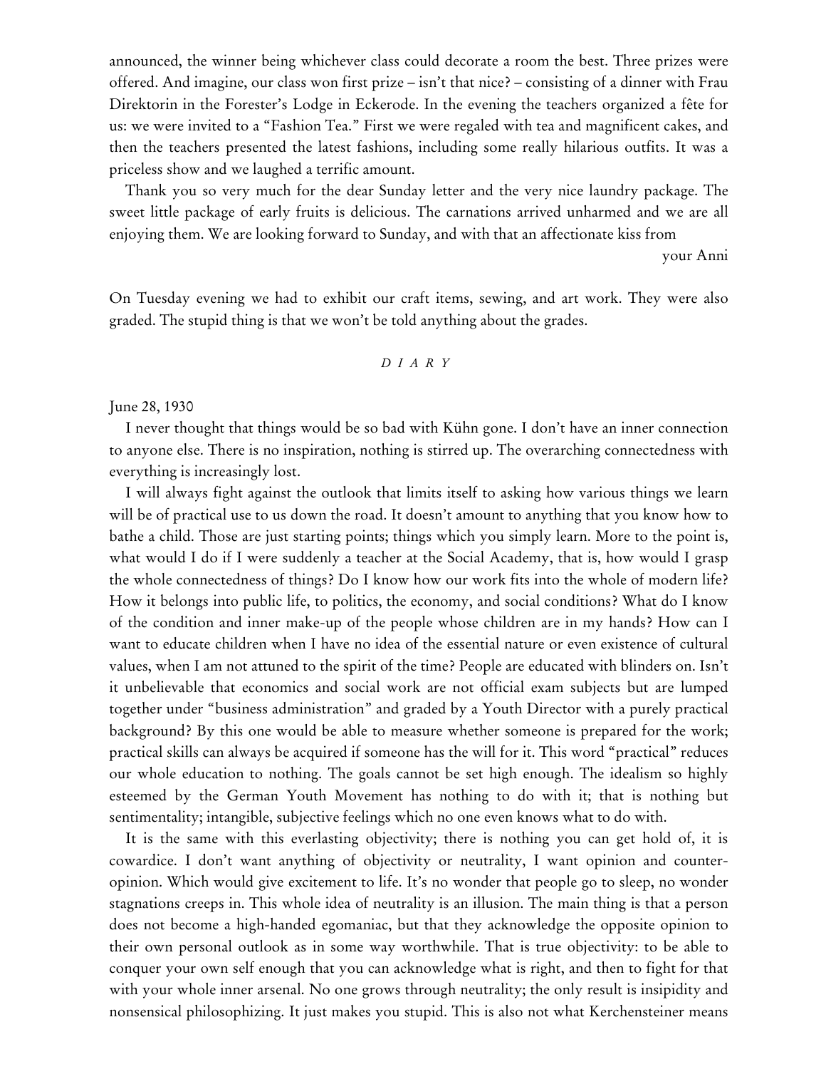announced, the winner being whichever class could decorate a room the best. Three prizes were offered. And imagine, our class won first prize – isn't that nice? – consisting of a dinner with Frau Direktorin in the Forester's Lodge in Eckerode. In the evening the teachers organized a fête for us: we were invited to a "Fashion Tea." First we were regaled with tea and magnificent cakes, and then the teachers presented the latest fashions, including some really hilarious outfits. It was a priceless show and we laughed a terrific amount.

Thank you so very much for the dear Sunday letter and the very nice laundry package. The sweet little package of early fruits is delicious. The carnations arrived unharmed and we are all enjoying them. We are looking forward to Sunday, and with that an affectionate kiss from

your Anni

On Tuesday evening we had to exhibit our craft items, sewing, and art work. They were also graded. The stupid thing is that we won't be told anything about the grades.

$$
D\ I\ A\ R\ Y
$$

June 28, 1930

I never thought that things would be so bad with Kühn gone. I don't have an inner connection to anyone else. There is no inspiration, nothing is stirred up. The overarching connectedness with everything is increasingly lost.

I will always fight against the outlook that limits itself to asking how various things we learn will be of practical use to us down the road. It doesn't amount to anything that you know how to bathe a child. Those are just starting points; things which you simply learn. More to the point is, what would I do if I were suddenly a teacher at the Social Academy, that is, how would I grasp the whole connectedness of things? Do I know how our work fits into the whole of modern life? How it belongs into public life, to politics, the economy, and social conditions? What do I know of the condition and inner make-up of the people whose children are in my hands? How can I want to educate children when I have no idea of the essential nature or even existence of cultural values, when I am not attuned to the spirit of the time? People are educated with blinders on. Isn't it unbelievable that economics and social work are not official exam subjects but are lumped together under "business administration" and graded by a Youth Director with a purely practical background? By this one would be able to measure whether someone is prepared for the work; practical skills can always be acquired if someone has the will for it. This word "practical" reduces our whole education to nothing. The goals cannot be set high enough. The idealism so highly esteemed by the German Youth Movement has nothing to do with it; that is nothing but sentimentality; intangible, subjective feelings which no one even knows what to do with.

It is the same with this everlasting objectivity; there is nothing you can get hold of, it is cowardice. I don't want anything of objectivity or neutrality, I want opinion and counteropinion. Which would give excitement to life. It's no wonder that people go to sleep, no wonder stagnations creeps in. This whole idea of neutrality is an illusion. The main thing is that a person does not become a high-handed egomaniac, but that they acknowledge the opposite opinion to their own personal outlook as in some way worthwhile. That is true objectivity: to be able to conquer your own self enough that you can acknowledge what is right, and then to fight for that with your whole inner arsenal. No one grows through neutrality; the only result is insipidity and nonsensical philosophizing. It just makes you stupid. This is also not what Kerchensteiner means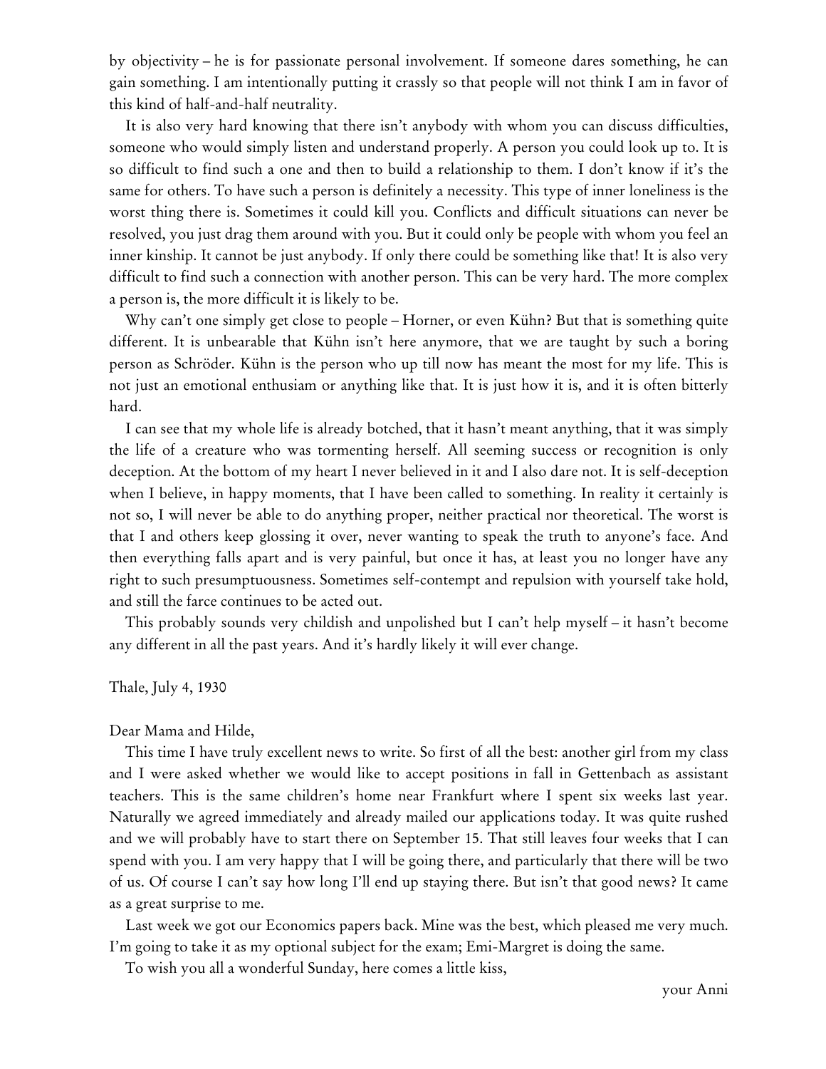by objectivity – he is for passionate personal involvement. If someone dares something, he can gain something. I am intentionally putting it crassly so that people will not think I am in favor of this kind of half-and-half neutrality.

It is also very hard knowing that there isn't anybody with whom you can discuss difficulties, someone who would simply listen and understand properly. A person you could look up to. It is so difficult to find such a one and then to build a relationship to them. I don't know if it's the same for others. To have such a person is definitely a necessity. This type of inner loneliness is the worst thing there is. Sometimes it could kill you. Conflicts and difficult situations can never be resolved, you just drag them around with you. But it could only be people with whom you feel an inner kinship. It cannot be just anybody. If only there could be something like that! It is also very difficult to find such a connection with another person. This can be very hard. The more complex a person is, the more difficult it is likely to be.

Why can't one simply get close to people – Horner, or even Kühn? But that is something quite different. It is unbearable that Kühn isn't here anymore, that we are taught by such a boring person as Schröder. Kühn is the person who up till now has meant the most for my life. This is not just an emotional enthusiam or anything like that. It is just how it is, and it is often bitterly hard.

I can see that my whole life is already botched, that it hasn't meant anything, that it was simply the life of a creature who was tormenting herself. All seeming success or recognition is only deception. At the bottom of my heart I never believed in it and I also dare not. It is self-deception when I believe, in happy moments, that I have been called to something. In reality it certainly is not so, I will never be able to do anything proper, neither practical nor theoretical. The worst is that I and others keep glossing it over, never wanting to speak the truth to anyone's face. And then everything falls apart and is very painful, but once it has, at least you no longer have any right to such presumptuousness. Sometimes self-contempt and repulsion with yourself take hold, and still the farce continues to be acted out.

This probably sounds very childish and unpolished but I can't help myself – it hasn't become any different in all the past years. And it's hardly likely it will ever change.

Thale, July 4, 1930

Dear Mama and Hilde,

This time I have truly excellent news to write. So first of all the best: another girl from my class and I were asked whether we would like to accept positions in fall in Gettenbach as assistant teachers. This is the same children's home near Frankfurt where I spent six weeks last year. Naturally we agreed immediately and already mailed our applications today. It was quite rushed and we will probably have to start there on September 15. That still leaves four weeks that I can spend with you. I am very happy that I will be going there, and particularly that there will be two of us. Of course I can't say how long I'll end up staying there. But isn't that good news? It came as a great surprise to me.

Last week we got our Economics papers back. Mine was the best, which pleased me very much. I'm going to take it as my optional subject for the exam; Emi-Margret is doing the same.

To wish you all a wonderful Sunday, here comes a little kiss,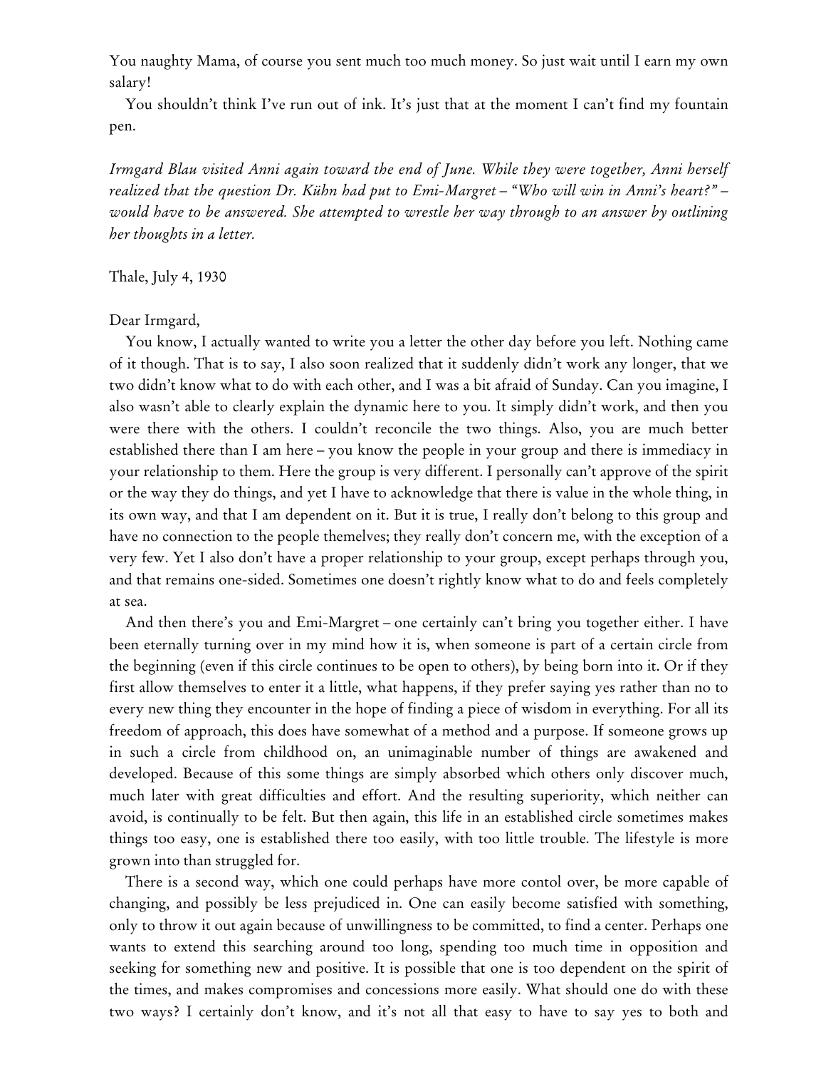You naughty Mama, of course you sent much too much money. So just wait until I earn my own salary!

You shouldn't think I've run out of ink. It's just that at the moment I can't find my fountain pen.

*Irmgard Blau visited Anni again toward the end of June. While they were together, Anni herself realized that the question Dr. Kühn had put to Emi-Margret – "Who will win in Anni's heart?" – would have to be answered. She attempted to wrestle her way through to an answer by outlining her thoughts in a letter.*

Thale, July 4, 1930

Dear Irmgard,

You know, I actually wanted to write you a letter the other day before you left. Nothing came of it though. That is to say, I also soon realized that it suddenly didn't work any longer, that we two didn't know what to do with each other, and I was a bit afraid of Sunday. Can you imagine, I also wasn't able to clearly explain the dynamic here to you. It simply didn't work, and then you were there with the others. I couldn't reconcile the two things. Also, you are much better established there than I am here – you know the people in your group and there is immediacy in your relationship to them. Here the group is very different. I personally can't approve of the spirit or the way they do things, and yet I have to acknowledge that there is value in the whole thing, in its own way, and that I am dependent on it. But it is true, I really don't belong to this group and have no connection to the people themelves; they really don't concern me, with the exception of a very few. Yet I also don't have a proper relationship to your group, except perhaps through you, and that remains one-sided. Sometimes one doesn't rightly know what to do and feels completely at sea.

And then there's you and Emi-Margret – one certainly can't bring you together either. I have been eternally turning over in my mind how it is, when someone is part of a certain circle from the beginning (even if this circle continues to be open to others), by being born into it. Or if they first allow themselves to enter it a little, what happens, if they prefer saying yes rather than no to every new thing they encounter in the hope of finding a piece of wisdom in everything. For all its freedom of approach, this does have somewhat of a method and a purpose. If someone grows up in such a circle from childhood on, an unimaginable number of things are awakened and developed. Because of this some things are simply absorbed which others only discover much, much later with great difficulties and effort. And the resulting superiority, which neither can avoid, is continually to be felt. But then again, this life in an established circle sometimes makes things too easy, one is established there too easily, with too little trouble. The lifestyle is more grown into than struggled for.

There is a second way, which one could perhaps have more contol over, be more capable of changing, and possibly be less prejudiced in. One can easily become satisfied with something, only to throw it out again because of unwillingness to be committed, to find a center. Perhaps one wants to extend this searching around too long, spending too much time in opposition and seeking for something new and positive. It is possible that one is too dependent on the spirit of the times, and makes compromises and concessions more easily. What should one do with these two ways? I certainly don't know, and it's not all that easy to have to say yes to both and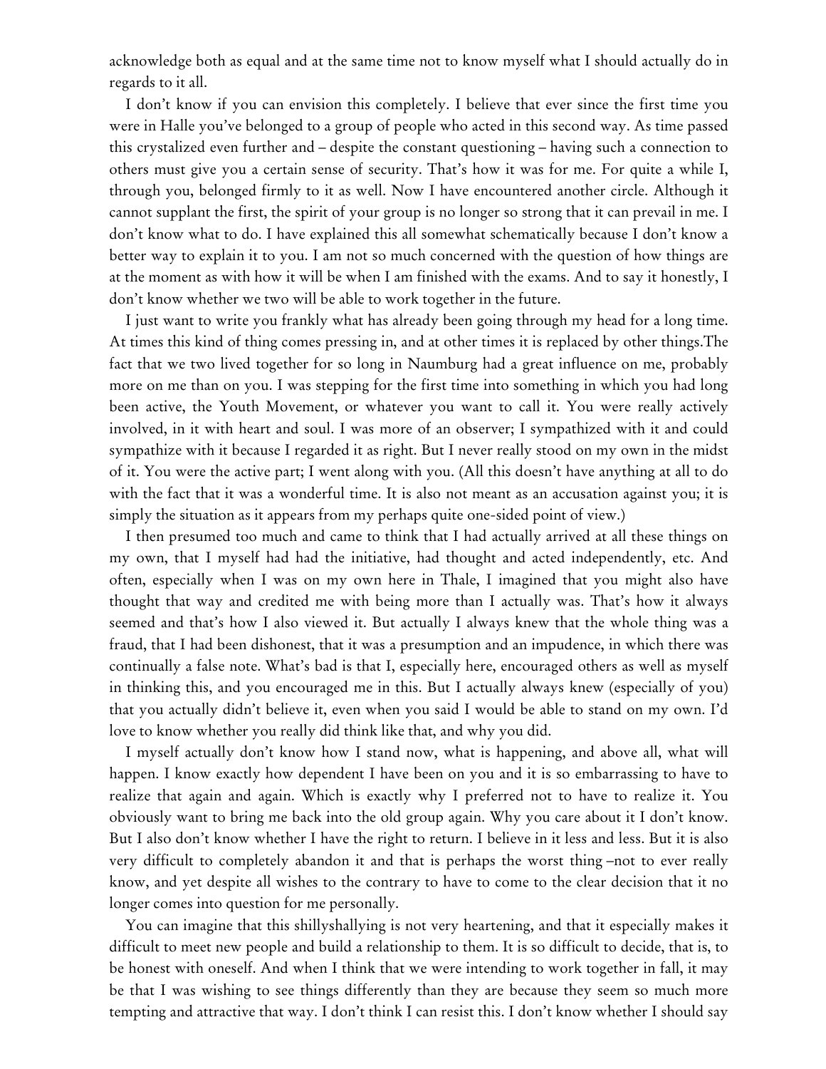acknowledge both as equal and at the same time not to know myself what I should actually do in regards to it all.

I don't know if you can envision this completely. I believe that ever since the first time you were in Halle you've belonged to a group of people who acted in this second way. As time passed this crystalized even further and – despite the constant questioning – having such a connection to others must give you a certain sense of security. That's how it was for me. For quite a while I, through you, belonged firmly to it as well. Now I have encountered another circle. Although it cannot supplant the first, the spirit of your group is no longer so strong that it can prevail in me. I don't know what to do. I have explained this all somewhat schematically because I don't know a better way to explain it to you. I am not so much concerned with the question of how things are at the moment as with how it will be when I am finished with the exams. And to say it honestly, I don't know whether we two will be able to work together in the future.

I just want to write you frankly what has already been going through my head for a long time. At times this kind of thing comes pressing in, and at other times it is replaced by other things.The fact that we two lived together for so long in Naumburg had a great influence on me, probably more on me than on you. I was stepping for the first time into something in which you had long been active, the Youth Movement, or whatever you want to call it. You were really actively involved, in it with heart and soul. I was more of an observer; I sympathized with it and could sympathize with it because I regarded it as right. But I never really stood on my own in the midst of it. You were the active part; I went along with you. (All this doesn't have anything at all to do with the fact that it was a wonderful time. It is also not meant as an accusation against you; it is simply the situation as it appears from my perhaps quite one-sided point of view.)

I then presumed too much and came to think that I had actually arrived at all these things on my own, that I myself had had the initiative, had thought and acted independently, etc. And often, especially when I was on my own here in Thale, I imagined that you might also have thought that way and credited me with being more than I actually was. That's how it always seemed and that's how I also viewed it. But actually I always knew that the whole thing was a fraud, that I had been dishonest, that it was a presumption and an impudence, in which there was continually a false note. What's bad is that I, especially here, encouraged others as well as myself in thinking this, and you encouraged me in this. But I actually always knew (especially of you) that you actually didn't believe it, even when you said I would be able to stand on my own. I'd love to know whether you really did think like that, and why you did.

I myself actually don't know how I stand now, what is happening, and above all, what will happen. I know exactly how dependent I have been on you and it is so embarrassing to have to realize that again and again. Which is exactly why I preferred not to have to realize it. You obviously want to bring me back into the old group again. Why you care about it I don't know. But I also don't know whether I have the right to return. I believe in it less and less. But it is also very difficult to completely abandon it and that is perhaps the worst thing –not to ever really know, and yet despite all wishes to the contrary to have to come to the clear decision that it no longer comes into question for me personally.

You can imagine that this shillyshallying is not very heartening, and that it especially makes it difficult to meet new people and build a relationship to them. It is so difficult to decide, that is, to be honest with oneself. And when I think that we were intending to work together in fall, it may be that I was wishing to see things differently than they are because they seem so much more tempting and attractive that way. I don't think I can resist this. I don't know whether I should say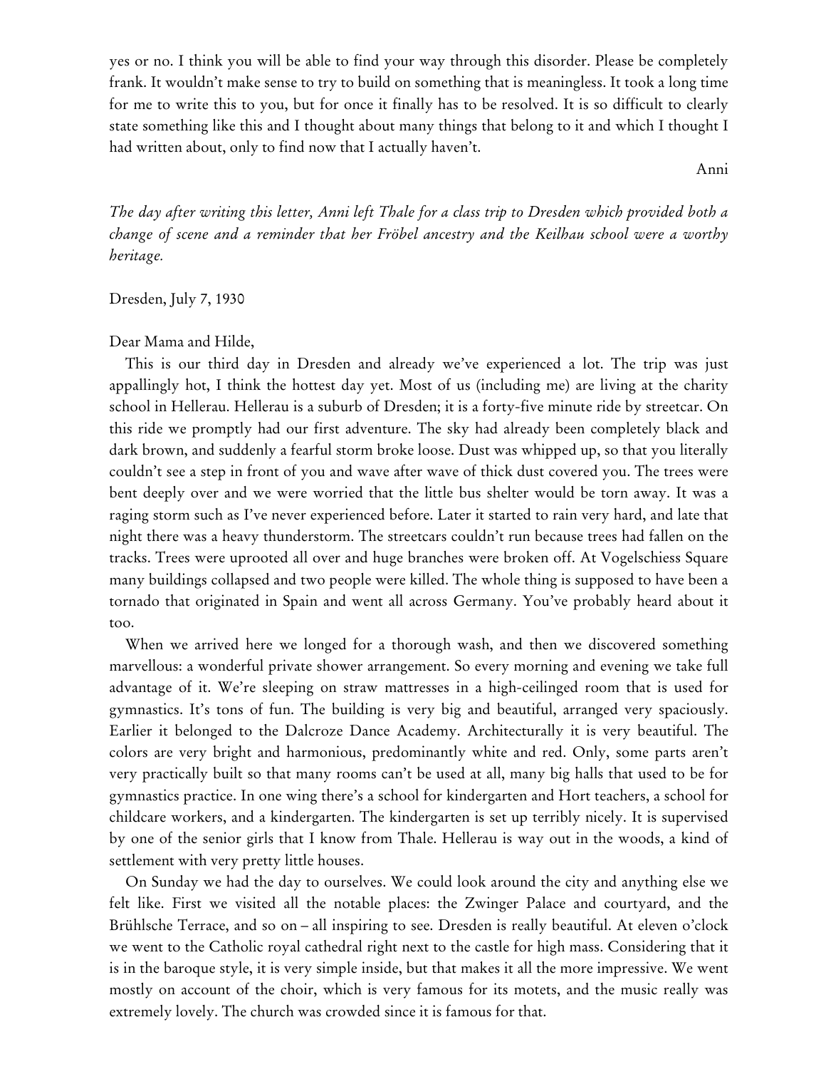yes or no. I think you will be able to find your way through this disorder. Please be completely frank. It wouldn't make sense to try to build on something that is meaningless. It took a long time for me to write this to you, but for once it finally has to be resolved. It is so difficult to clearly state something like this and I thought about many things that belong to it and which I thought I had written about, only to find now that I actually haven't.

Anni

*The day after writing this letter, Anni left Thale for a class trip to Dresden which provided both a change of scene and a reminder that her Fröbel ancestry and the Keilhau school were a worthy heritage.*

Dresden, July 7, 1930

Dear Mama and Hilde,

This is our third day in Dresden and already we've experienced a lot. The trip was just appallingly hot, I think the hottest day yet. Most of us (including me) are living at the charity school in Hellerau. Hellerau is a suburb of Dresden; it is a forty-five minute ride by streetcar. On this ride we promptly had our first adventure. The sky had already been completely black and dark brown, and suddenly a fearful storm broke loose. Dust was whipped up, so that you literally couldn't see a step in front of you and wave after wave of thick dust covered you. The trees were bent deeply over and we were worried that the little bus shelter would be torn away. It was a raging storm such as I've never experienced before. Later it started to rain very hard, and late that night there was a heavy thunderstorm. The streetcars couldn't run because trees had fallen on the tracks. Trees were uprooted all over and huge branches were broken off. At Vogelschiess Square many buildings collapsed and two people were killed. The whole thing is supposed to have been a tornado that originated in Spain and went all across Germany. You've probably heard about it too.

When we arrived here we longed for a thorough wash, and then we discovered something marvellous: a wonderful private shower arrangement. So every morning and evening we take full advantage of it. We're sleeping on straw mattresses in a high-ceilinged room that is used for gymnastics. It's tons of fun. The building is very big and beautiful, arranged very spaciously. Earlier it belonged to the Dalcroze Dance Academy. Architecturally it is very beautiful. The colors are very bright and harmonious, predominantly white and red. Only, some parts aren't very practically built so that many rooms can't be used at all, many big halls that used to be for gymnastics practice. In one wing there's a school for kindergarten and Hort teachers, a school for childcare workers, and a kindergarten. The kindergarten is set up terribly nicely. It is supervised by one of the senior girls that I know from Thale. Hellerau is way out in the woods, a kind of settlement with very pretty little houses.

On Sunday we had the day to ourselves. We could look around the city and anything else we felt like. First we visited all the notable places: the Zwinger Palace and courtyard, and the Brühlsche Terrace, and so on – all inspiring to see. Dresden is really beautiful. At eleven o'clock we went to the Catholic royal cathedral right next to the castle for high mass. Considering that it is in the baroque style, it is very simple inside, but that makes it all the more impressive. We went mostly on account of the choir, which is very famous for its motets, and the music really was extremely lovely. The church was crowded since it is famous for that.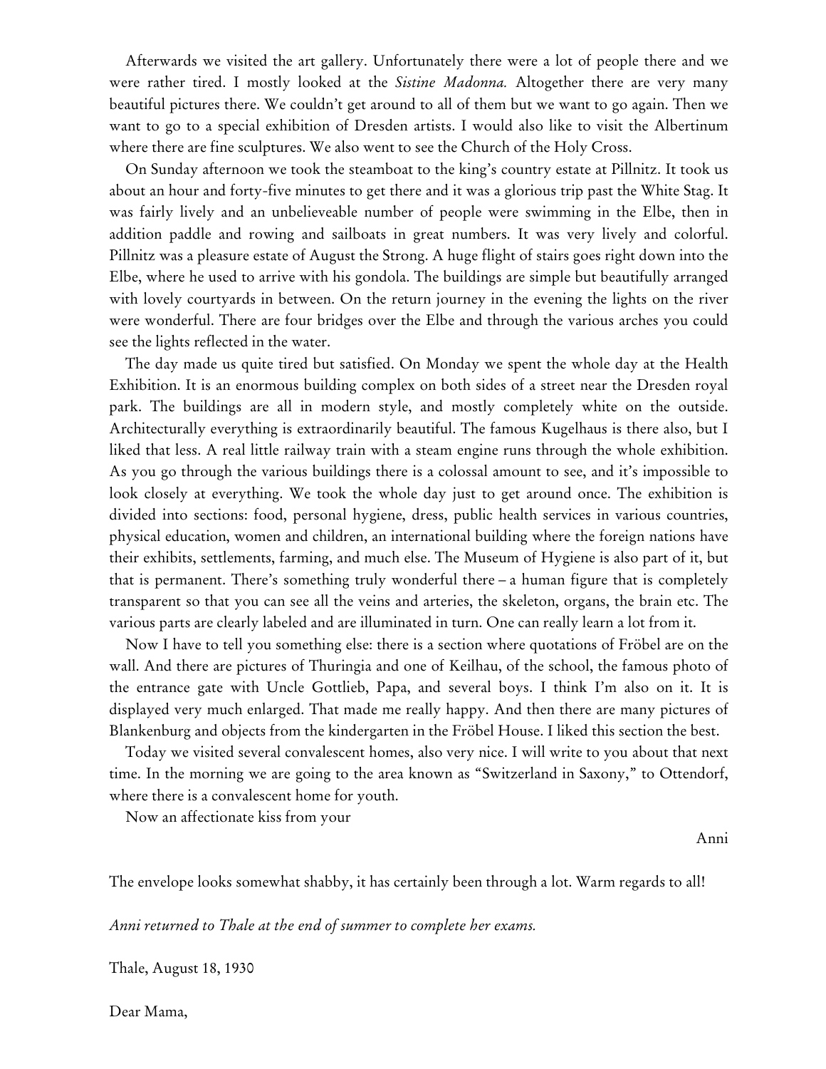Afterwards we visited the art gallery. Unfortunately there were a lot of people there and we were rather tired. I mostly looked at the *Sistine Madonna.* Altogether there are very many beautiful pictures there. We couldn't get around to all of them but we want to go again. Then we want to go to a special exhibition of Dresden artists. I would also like to visit the Albertinum where there are fine sculptures. We also went to see the Church of the Holy Cross.

On Sunday afternoon we took the steamboat to the king's country estate at Pillnitz. It took us about an hour and forty-five minutes to get there and it was a glorious trip past the White Stag. It was fairly lively and an unbelieveable number of people were swimming in the Elbe, then in addition paddle and rowing and sailboats in great numbers. It was very lively and colorful. Pillnitz was a pleasure estate of August the Strong. A huge flight of stairs goes right down into the Elbe, where he used to arrive with his gondola. The buildings are simple but beautifully arranged with lovely courtyards in between. On the return journey in the evening the lights on the river were wonderful. There are four bridges over the Elbe and through the various arches you could see the lights reflected in the water.

The day made us quite tired but satisfied. On Monday we spent the whole day at the Health Exhibition. It is an enormous building complex on both sides of a street near the Dresden royal park. The buildings are all in modern style, and mostly completely white on the outside. Architecturally everything is extraordinarily beautiful. The famous Kugelhaus is there also, but I liked that less. A real little railway train with a steam engine runs through the whole exhibition. As you go through the various buildings there is a colossal amount to see, and it's impossible to look closely at everything. We took the whole day just to get around once. The exhibition is divided into sections: food, personal hygiene, dress, public health services in various countries, physical education, women and children, an international building where the foreign nations have their exhibits, settlements, farming, and much else. The Museum of Hygiene is also part of it, but that is permanent. There's something truly wonderful there – a human figure that is completely transparent so that you can see all the veins and arteries, the skeleton, organs, the brain etc. The various parts are clearly labeled and are illuminated in turn. One can really learn a lot from it.

Now I have to tell you something else: there is a section where quotations of Fröbel are on the wall. And there are pictures of Thuringia and one of Keilhau, of the school, the famous photo of the entrance gate with Uncle Gottlieb, Papa, and several boys. I think I'm also on it. It is displayed very much enlarged. That made me really happy. And then there are many pictures of Blankenburg and objects from the kindergarten in the Fröbel House. I liked this section the best.

Today we visited several convalescent homes, also very nice. I will write to you about that next time. In the morning we are going to the area known as "Switzerland in Saxony," to Ottendorf, where there is a convalescent home for youth.

Now an affectionate kiss from your

Anni

The envelope looks somewhat shabby, it has certainly been through a lot. Warm regards to all!

*Anni returned to Thale at the end of summer to complete her exams.*

Thale, August 18, 1930

Dear Mama,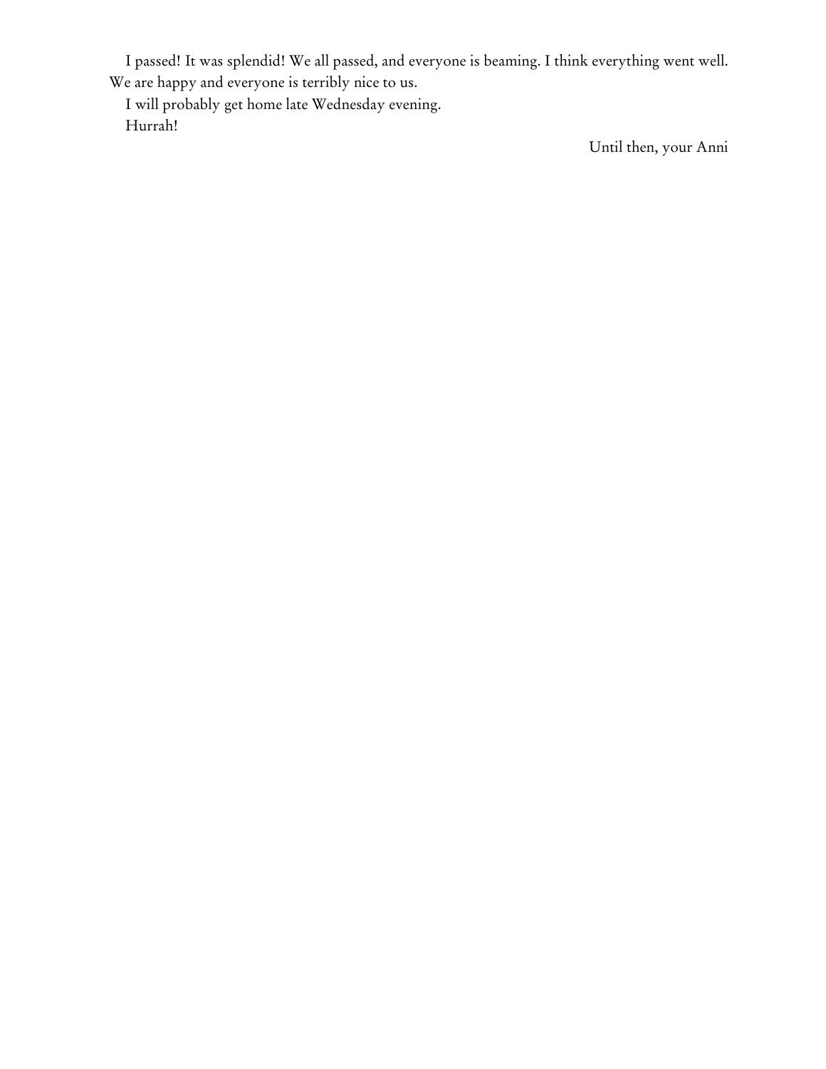I passed! It was splendid! We all passed, and everyone is beaming. I think everything went well.

We are happy and everyone is terribly nice to us. I will probably get home late Wednesday evening. Hurrah!

Until then, your Anni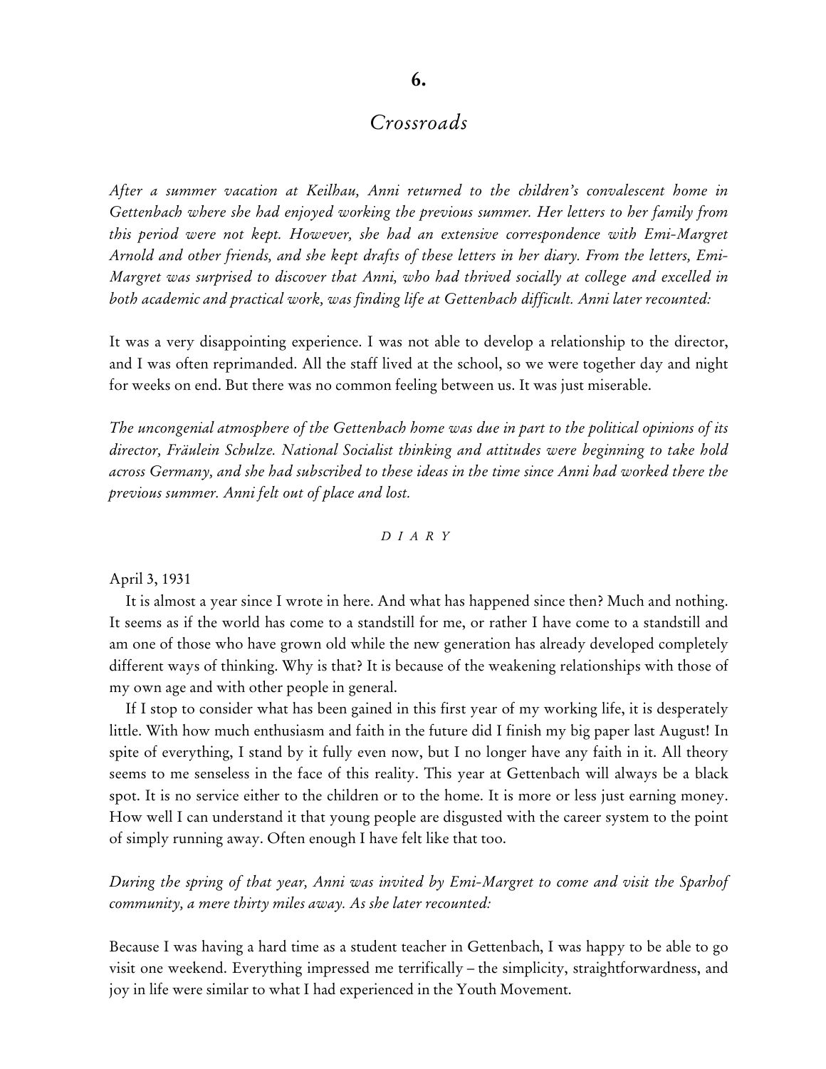# *Crossroads*

*After a summer vacation at Keilhau, Anni returned to the children's convalescent home in Gettenbach where she had enjoyed working the previous summer. Her letters to her family from this period were not kept. However, she had an extensive correspondence with Emi-Margret Arnold and other friends, and she kept drafts of these letters in her diary. From the letters, Emi-Margret was surprised to discover that Anni, who had thrived socially at college and excelled in both academic and practical work, was finding life at Gettenbach difficult. Anni later recounted:*

It was a very disappointing experience. I was not able to develop a relationship to the director, and I was often reprimanded. All the staff lived at the school, so we were together day and night for weeks on end. But there was no common feeling between us. It was just miserable.

*The uncongenial atmosphere of the Gettenbach home was due in part to the political opinions of its director, Fräulein Schulze. National Socialist thinking and attitudes were beginning to take hold across Germany, and she had subscribed to these ideas in the time since Anni had worked there the previous summer. Anni felt out of place and lost.*

## *DIARY*

April 3, 1931

It is almost a year since I wrote in here. And what has happened since then? Much and nothing. It seems as if the world has come to a standstill for me, or rather I have come to a standstill and am one of those who have grown old while the new generation has already developed completely different ways of thinking. Why is that? It is because of the weakening relationships with those of my own age and with other people in general.

If I stop to consider what has been gained in this first year of my working life, it is desperately little. With how much enthusiasm and faith in the future did I finish my big paper last August! In spite of everything, I stand by it fully even now, but I no longer have any faith in it. All theory seems to me senseless in the face of this reality. This year at Gettenbach will always be a black spot. It is no service either to the children or to the home. It is more or less just earning money. How well I can understand it that young people are disgusted with the career system to the point of simply running away. Often enough I have felt like that too.

*During the spring of that year, Anni was invited by Emi-Margret to come and visit the Sparhof community, a mere thirty miles away. As she later recounted:*

Because I was having a hard time as a student teacher in Gettenbach, I was happy to be able to go visit one weekend. Everything impressed me terrifically – the simplicity, straightforwardness, and joy in life were similar to what I had experienced in the Youth Movement.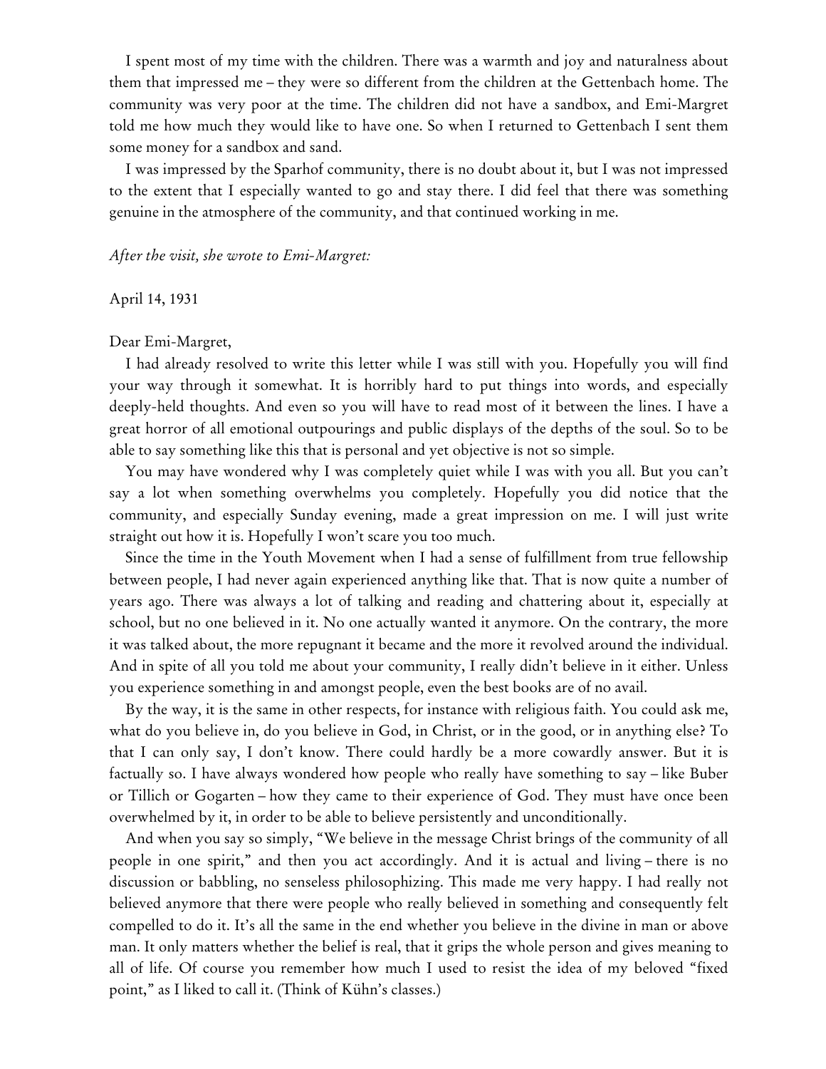I spent most of my time with the children. There was a warmth and joy and naturalness about them that impressed me – they were so different from the children at the Gettenbach home. The community was very poor at the time. The children did not have a sandbox, and Emi-Margret told me how much they would like to have one. So when I returned to Gettenbach I sent them some money for a sandbox and sand.

I was impressed by the Sparhof community, there is no doubt about it, but I was not impressed to the extent that I especially wanted to go and stay there. I did feel that there was something genuine in the atmosphere of the community, and that continued working in me.

## *After the visit, she wrote to Emi-Margret:*

April 14, 1931

#### Dear Emi-Margret,

I had already resolved to write this letter while I was still with you. Hopefully you will find your way through it somewhat. It is horribly hard to put things into words, and especially deeply-held thoughts. And even so you will have to read most of it between the lines. I have a great horror of all emotional outpourings and public displays of the depths of the soul. So to be able to say something like this that is personal and yet objective is not so simple.

You may have wondered why I was completely quiet while I was with you all. But you can't say a lot when something overwhelms you completely. Hopefully you did notice that the community, and especially Sunday evening, made a great impression on me. I will just write straight out how it is. Hopefully I won't scare you too much.

Since the time in the Youth Movement when I had a sense of fulfillment from true fellowship between people, I had never again experienced anything like that. That is now quite a number of years ago. There was always a lot of talking and reading and chattering about it, especially at school, but no one believed in it. No one actually wanted it anymore. On the contrary, the more it was talked about, the more repugnant it became and the more it revolved around the individual. And in spite of all you told me about your community, I really didn't believe in it either. Unless you experience something in and amongst people, even the best books are of no avail.

By the way, it is the same in other respects, for instance with religious faith. You could ask me, what do you believe in, do you believe in God, in Christ, or in the good, or in anything else? To that I can only say, I don't know. There could hardly be a more cowardly answer. But it is factually so. I have always wondered how people who really have something to say – like Buber or Tillich or Gogarten – how they came to their experience of God. They must have once been overwhelmed by it, in order to be able to believe persistently and unconditionally.

And when you say so simply, "We believe in the message Christ brings of the community of all people in one spirit," and then you act accordingly. And it is actual and living – there is no discussion or babbling, no senseless philosophizing. This made me very happy. I had really not believed anymore that there were people who really believed in something and consequently felt compelled to do it. It's all the same in the end whether you believe in the divine in man or above man. It only matters whether the belief is real, that it grips the whole person and gives meaning to all of life. Of course you remember how much I used to resist the idea of my beloved "fixed point," as I liked to call it. (Think of Kühn's classes.)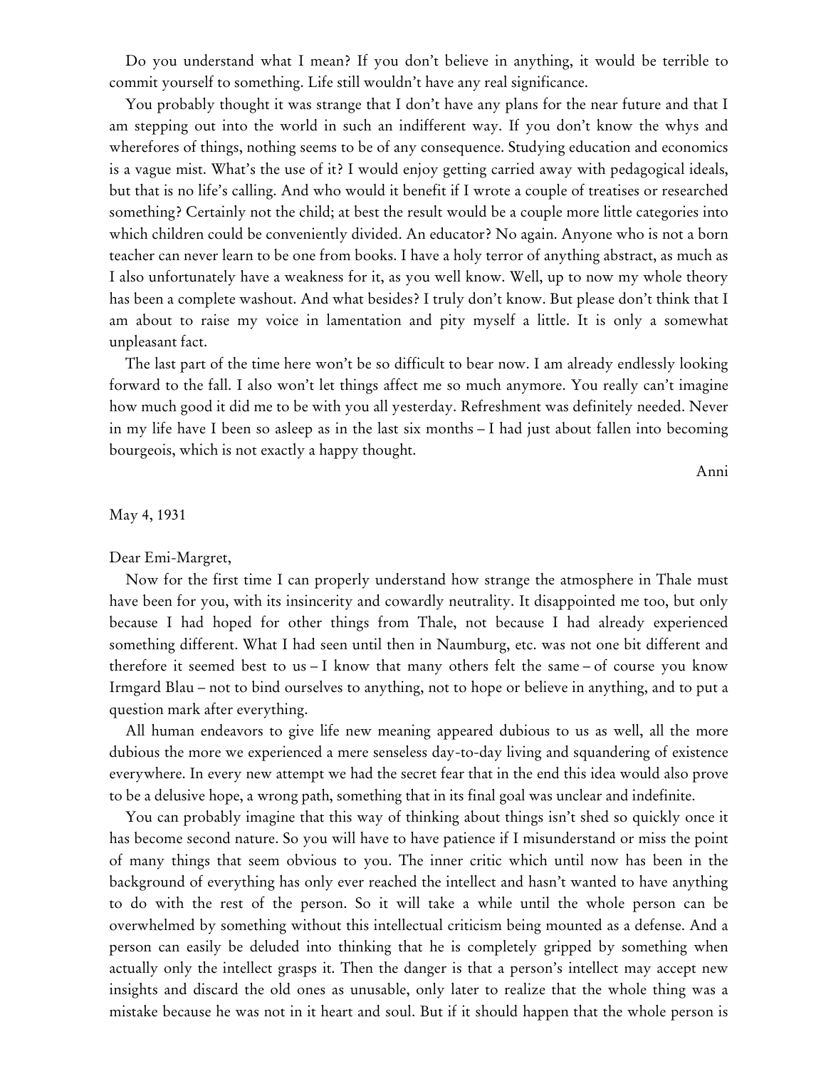Do you understand what I mean? If you don't believe in anything, it would be terrible to commit yourself to something. Life still wouldn't have any real significance.

You probably thought it was strange that I don't have any plans for the near future and that I am stepping out into the world in such an indifferent way. If you don't know the whys and wherefores of things, nothing seems to be of any consequence. Studying education and economics is a vague mist. What's the use of it? I would enjoy getting carried away with pedagogical ideals, but that is no life's calling. And who would it benefit if I wrote a couple of treatises or researched something? Certainly not the child; at best the result would be a couple more little categories into which children could be conveniently divided. An educator? No again. Anyone who is not a born teacher can never learn to be one from books. I have a holy terror of anything abstract, as much as I also unfortunately have a weakness for it, as you well know. Well, up to now my whole theory has been a complete washout. And what besides? I truly don't know. But please don't think that I am about to raise my voice in lamentation and pity myself a little. It is only a somewhat unpleasant fact.

The last part of the time here won't be so difficult to bear now. I am already endlessly looking forward to the fall. I also won't let things affect me so much anymore. You really can't imagine how much good it did me to be with you all yesterday. Refreshment was definitely needed. Never in my life have I been so asleep as in the last six months – I had just about fallen into becoming bourgeois, which is not exactly a happy thought.

Anni

#### May 4, 1931

## Dear Emi-Margret,

Now for the first time I can properly understand how strange the atmosphere in Thale must have been for you, with its insincerity and cowardly neutrality. It disappointed me too, but only because I had hoped for other things from Thale, not because I had already experienced something different. What I had seen until then in Naumburg, etc. was not one bit different and therefore it seemed best to us – I know that many others felt the same – of course you know Irmgard Blau – not to bind ourselves to anything, not to hope or believe in anything, and to put a question mark after everything.

All human endeavors to give life new meaning appeared dubious to us as well, all the more dubious the more we experienced a mere senseless day-to-day living and squandering of existence everywhere. In every new attempt we had the secret fear that in the end this idea would also prove to be a delusive hope, a wrong path, something that in its final goal was unclear and indefinite.

You can probably imagine that this way of thinking about things isn't shed so quickly once it has become second nature. So you will have to have patience if I misunderstand or miss the point of many things that seem obvious to you. The inner critic which until now has been in the background of everything has only ever reached the intellect and hasn't wanted to have anything to do with the rest of the person. So it will take a while until the whole person can be overwhelmed by something without this intellectual criticism being mounted as a defense. And a person can easily be deluded into thinking that he is completely gripped by something when actually only the intellect grasps it. Then the danger is that a person's intellect may accept new insights and discard the old ones as unusable, only later to realize that the whole thing was a mistake because he was not in it heart and soul. But if it should happen that the whole person is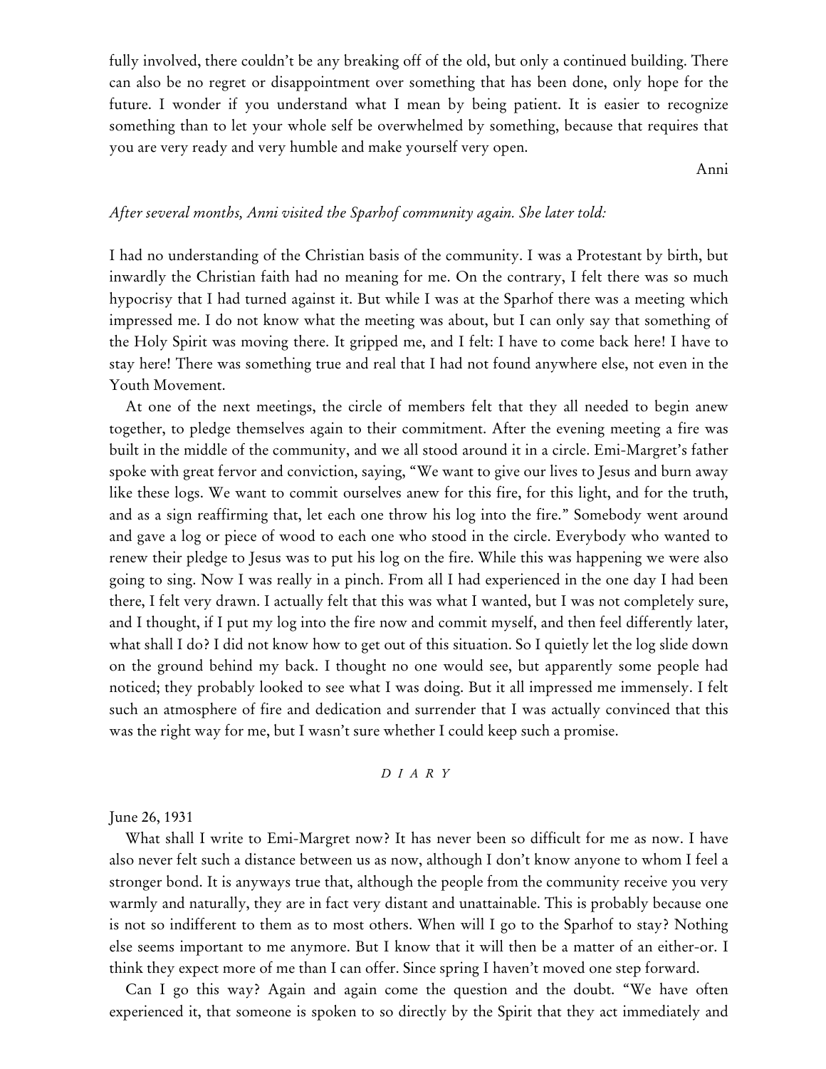fully involved, there couldn't be any breaking off of the old, but only a continued building. There can also be no regret or disappointment over something that has been done, only hope for the future. I wonder if you understand what I mean by being patient. It is easier to recognize something than to let your whole self be overwhelmed by something, because that requires that you are very ready and very humble and make yourself very open.

Anni

## *After several months, Anni visited the Sparhof community again. She later told:*

I had no understanding of the Christian basis of the community. I was a Protestant by birth, but inwardly the Christian faith had no meaning for me. On the contrary, I felt there was so much hypocrisy that I had turned against it. But while I was at the Sparhof there was a meeting which impressed me. I do not know what the meeting was about, but I can only say that something of the Holy Spirit was moving there. It gripped me, and I felt: I have to come back here! I have to stay here! There was something true and real that I had not found anywhere else, not even in the Youth Movement.

At one of the next meetings, the circle of members felt that they all needed to begin anew together, to pledge themselves again to their commitment. After the evening meeting a fire was built in the middle of the community, and we all stood around it in a circle. Emi-Margret's father spoke with great fervor and conviction, saying, "We want to give our lives to Jesus and burn away like these logs. We want to commit ourselves anew for this fire, for this light, and for the truth, and as a sign reaffirming that, let each one throw his log into the fire." Somebody went around and gave a log or piece of wood to each one who stood in the circle. Everybody who wanted to renew their pledge to Jesus was to put his log on the fire. While this was happening we were also going to sing. Now I was really in a pinch. From all I had experienced in the one day I had been there, I felt very drawn. I actually felt that this was what I wanted, but I was not completely sure, and I thought, if I put my log into the fire now and commit myself, and then feel differently later, what shall I do? I did not know how to get out of this situation. So I quietly let the log slide down on the ground behind my back. I thought no one would see, but apparently some people had noticed; they probably looked to see what I was doing. But it all impressed me immensely. I felt such an atmosphere of fire and dedication and surrender that I was actually convinced that this was the right way for me, but I wasn't sure whether I could keep such a promise.

## *DIARY*

June 26, 1931

What shall I write to Emi-Margret now? It has never been so difficult for me as now. I have also never felt such a distance between us as now, although I don't know anyone to whom I feel a stronger bond. It is anyways true that, although the people from the community receive you very warmly and naturally, they are in fact very distant and unattainable. This is probably because one is not so indifferent to them as to most others. When will I go to the Sparhof to stay? Nothing else seems important to me anymore. But I know that it will then be a matter of an either-or. I think they expect more of me than I can offer. Since spring I haven't moved one step forward.

Can I go this way? Again and again come the question and the doubt. "We have often experienced it, that someone is spoken to so directly by the Spirit that they act immediately and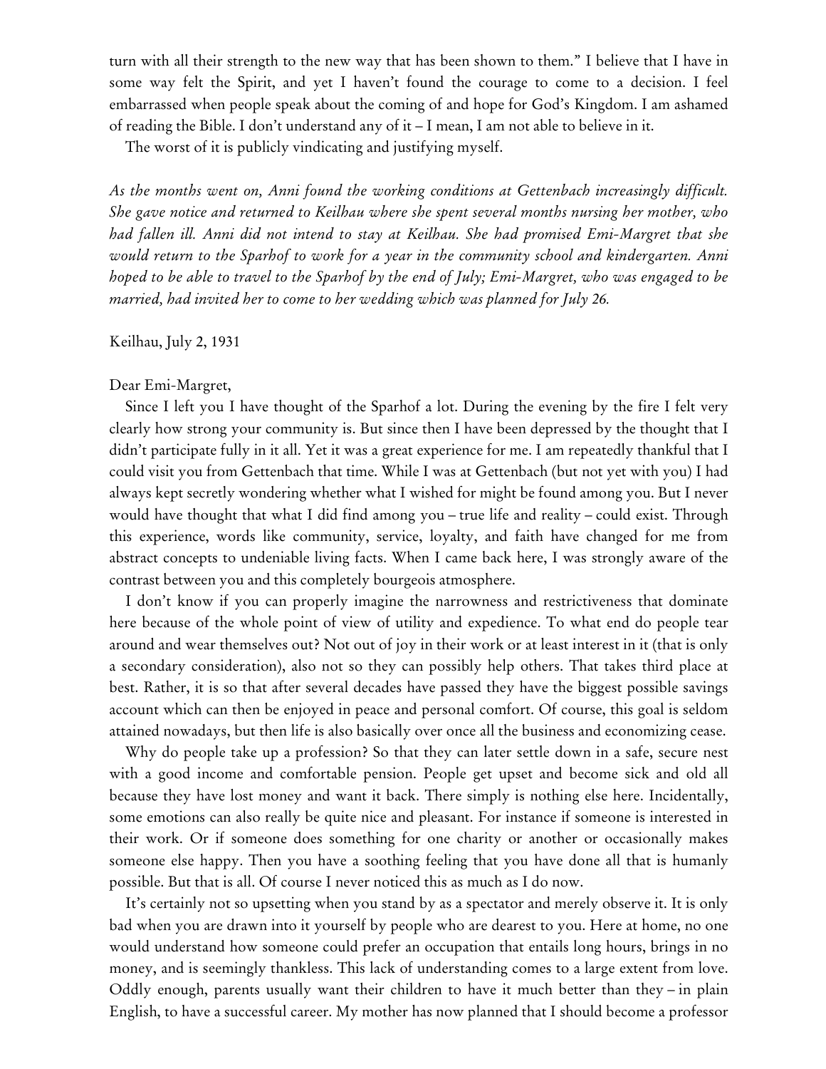turn with all their strength to the new way that has been shown to them." I believe that I have in some way felt the Spirit, and yet I haven't found the courage to come to a decision. I feel embarrassed when people speak about the coming of and hope for God's Kingdom. I am ashamed of reading the Bible. I don't understand any of it – I mean, I am not able to believe in it.

The worst of it is publicly vindicating and justifying myself.

*As the months went on, Anni found the working conditions at Gettenbach increasingly difficult. She gave notice and returned to Keilhau where she spent several months nursing her mother, who had fallen ill. Anni did not intend to stay at Keilhau. She had promised Emi-Margret that she would return to the Sparhof to work for a year in the community school and kindergarten. Anni hoped to be able to travel to the Sparhof by the end of July; Emi-Margret, who was engaged to be married, had invited her to come to her wedding which was planned for July 26.*

## Keilhau, July 2, 1931

## Dear Emi-Margret,

Since I left you I have thought of the Sparhof a lot. During the evening by the fire I felt very clearly how strong your community is. But since then I have been depressed by the thought that I didn't participate fully in it all. Yet it was a great experience for me. I am repeatedly thankful that I could visit you from Gettenbach that time. While I was at Gettenbach (but not yet with you) I had always kept secretly wondering whether what I wished for might be found among you. But I never would have thought that what I did find among you – true life and reality – could exist. Through this experience, words like community, service, loyalty, and faith have changed for me from abstract concepts to undeniable living facts. When I came back here, I was strongly aware of the contrast between you and this completely bourgeois atmosphere.

I don't know if you can properly imagine the narrowness and restrictiveness that dominate here because of the whole point of view of utility and expedience. To what end do people tear around and wear themselves out? Not out of joy in their work or at least interest in it (that is only a secondary consideration), also not so they can possibly help others. That takes third place at best. Rather, it is so that after several decades have passed they have the biggest possible savings account which can then be enjoyed in peace and personal comfort. Of course, this goal is seldom attained nowadays, but then life is also basically over once all the business and economizing cease.

Why do people take up a profession? So that they can later settle down in a safe, secure nest with a good income and comfortable pension. People get upset and become sick and old all because they have lost money and want it back. There simply is nothing else here. Incidentally, some emotions can also really be quite nice and pleasant. For instance if someone is interested in their work. Or if someone does something for one charity or another or occasionally makes someone else happy. Then you have a soothing feeling that you have done all that is humanly possible. But that is all. Of course I never noticed this as much as I do now.

It's certainly not so upsetting when you stand by as a spectator and merely observe it. It is only bad when you are drawn into it yourself by people who are dearest to you. Here at home, no one would understand how someone could prefer an occupation that entails long hours, brings in no money, and is seemingly thankless. This lack of understanding comes to a large extent from love. Oddly enough, parents usually want their children to have it much better than they – in plain English, to have a successful career. My mother has now planned that I should become a professor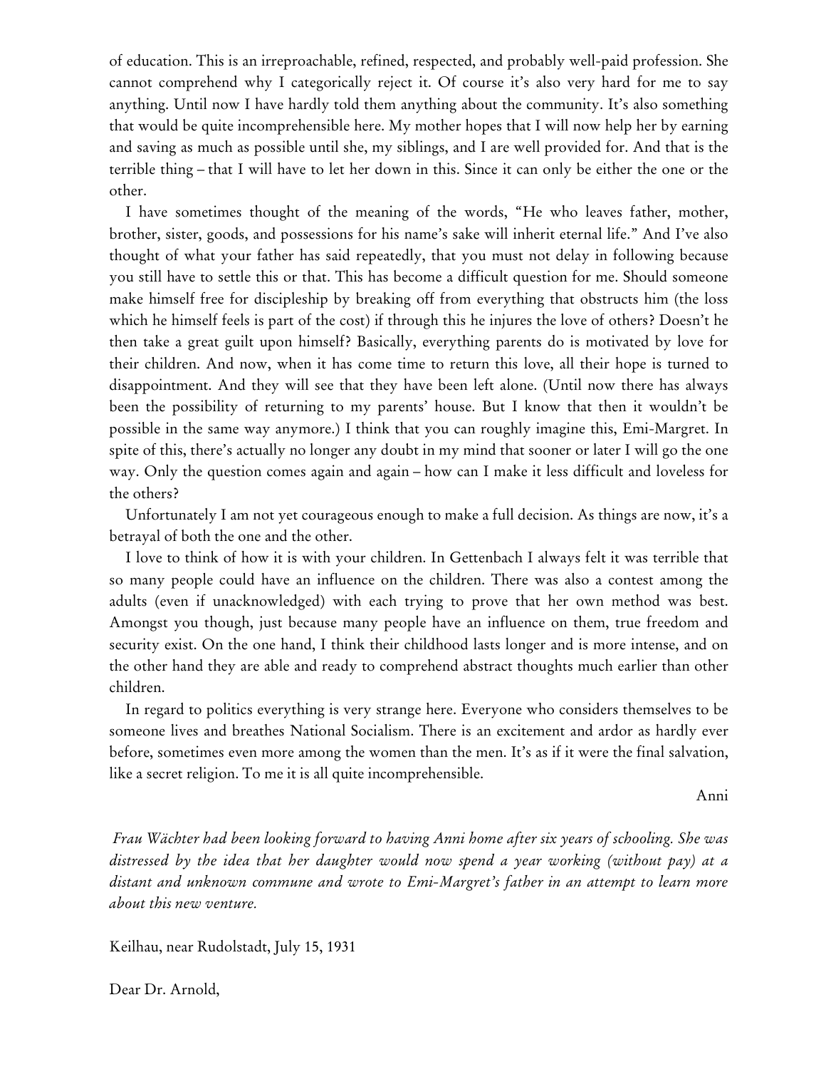of education. This is an irreproachable, refined, respected, and probably well-paid profession. She cannot comprehend why I categorically reject it. Of course it's also very hard for me to say anything. Until now I have hardly told them anything about the community. It's also something that would be quite incomprehensible here. My mother hopes that I will now help her by earning and saving as much as possible until she, my siblings, and I are well provided for. And that is the terrible thing – that I will have to let her down in this. Since it can only be either the one or the other.

I have sometimes thought of the meaning of the words, "He who leaves father, mother, brother, sister, goods, and possessions for his name's sake will inherit eternal life." And I've also thought of what your father has said repeatedly, that you must not delay in following because you still have to settle this or that. This has become a difficult question for me. Should someone make himself free for discipleship by breaking off from everything that obstructs him (the loss which he himself feels is part of the cost) if through this he injures the love of others? Doesn't he then take a great guilt upon himself? Basically, everything parents do is motivated by love for their children. And now, when it has come time to return this love, all their hope is turned to disappointment. And they will see that they have been left alone. (Until now there has always been the possibility of returning to my parents' house. But I know that then it wouldn't be possible in the same way anymore.) I think that you can roughly imagine this, Emi-Margret. In spite of this, there's actually no longer any doubt in my mind that sooner or later I will go the one way. Only the question comes again and again – how can I make it less difficult and loveless for the others?

Unfortunately I am not yet courageous enough to make a full decision. As things are now, it's a betrayal of both the one and the other.

I love to think of how it is with your children. In Gettenbach I always felt it was terrible that so many people could have an influence on the children. There was also a contest among the adults (even if unacknowledged) with each trying to prove that her own method was best. Amongst you though, just because many people have an influence on them, true freedom and security exist. On the one hand, I think their childhood lasts longer and is more intense, and on the other hand they are able and ready to comprehend abstract thoughts much earlier than other children.

In regard to politics everything is very strange here. Everyone who considers themselves to be someone lives and breathes National Socialism. There is an excitement and ardor as hardly ever before, sometimes even more among the women than the men. It's as if it were the final salvation, like a secret religion. To me it is all quite incomprehensible.

Anni

*Frau Wächter had been looking forward to having Anni home after six years of schooling. She was distressed by the idea that her daughter would now spend a year working (without pay) at a distant and unknown commune and wrote to Emi-Margret's father in an attempt to learn more about this new venture.*

Keilhau, near Rudolstadt, July 15, 1931

Dear Dr. Arnold,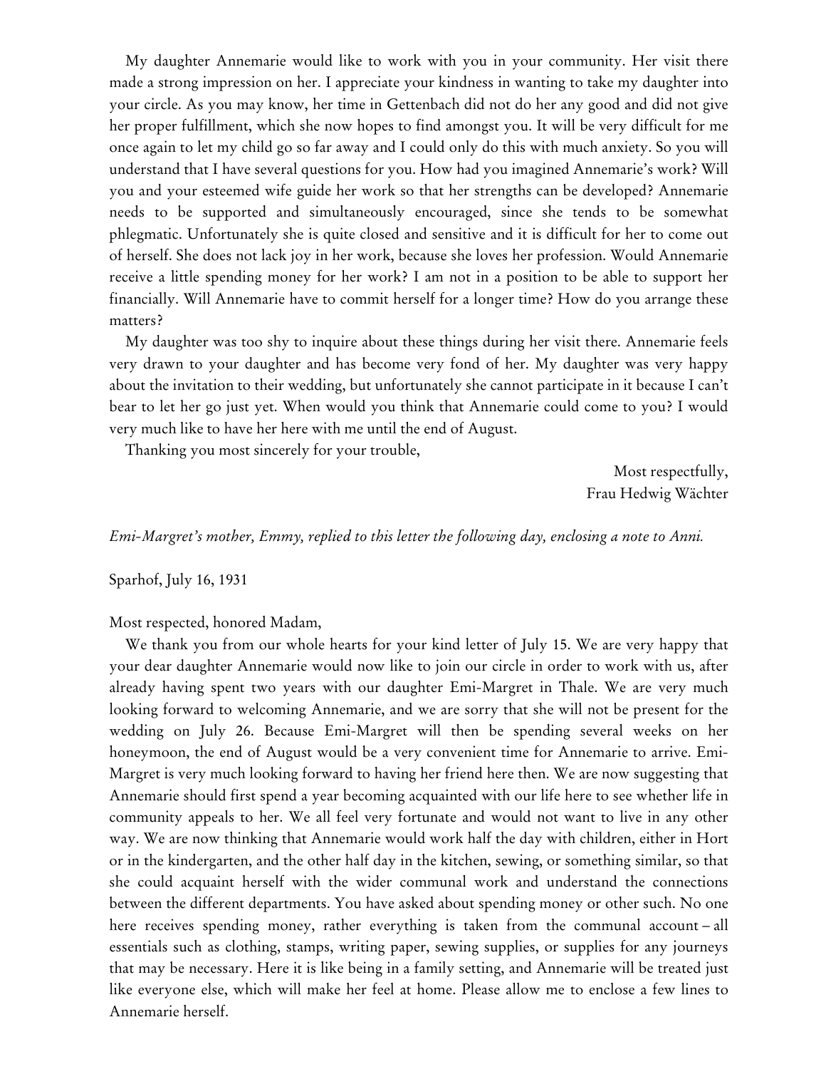My daughter Annemarie would like to work with you in your community. Her visit there made a strong impression on her. I appreciate your kindness in wanting to take my daughter into your circle. As you may know, her time in Gettenbach did not do her any good and did not give her proper fulfillment, which she now hopes to find amongst you. It will be very difficult for me once again to let my child go so far away and I could only do this with much anxiety. So you will understand that I have several questions for you. How had you imagined Annemarie's work? Will you and your esteemed wife guide her work so that her strengths can be developed? Annemarie needs to be supported and simultaneously encouraged, since she tends to be somewhat phlegmatic. Unfortunately she is quite closed and sensitive and it is difficult for her to come out of herself. She does not lack joy in her work, because she loves her profession. Would Annemarie receive a little spending money for her work? I am not in a position to be able to support her financially. Will Annemarie have to commit herself for a longer time? How do you arrange these matters?

My daughter was too shy to inquire about these things during her visit there. Annemarie feels very drawn to your daughter and has become very fond of her. My daughter was very happy about the invitation to their wedding, but unfortunately she cannot participate in it because I can't bear to let her go just yet. When would you think that Annemarie could come to you? I would very much like to have her here with me until the end of August.

Thanking you most sincerely for your trouble,

Most respectfully, Frau Hedwig Wächter

*Emi-Margret's mother, Emmy, replied to this letter the following day, enclosing a note to Anni.*

Sparhof, July 16, 1931

Most respected, honored Madam,

We thank you from our whole hearts for your kind letter of July 15. We are very happy that your dear daughter Annemarie would now like to join our circle in order to work with us, after already having spent two years with our daughter Emi-Margret in Thale. We are very much looking forward to welcoming Annemarie, and we are sorry that she will not be present for the wedding on July 26. Because Emi-Margret will then be spending several weeks on her honeymoon, the end of August would be a very convenient time for Annemarie to arrive. Emi-Margret is very much looking forward to having her friend here then. We are now suggesting that Annemarie should first spend a year becoming acquainted with our life here to see whether life in community appeals to her. We all feel very fortunate and would not want to live in any other way. We are now thinking that Annemarie would work half the day with children, either in Hort or in the kindergarten, and the other half day in the kitchen, sewing, or something similar, so that she could acquaint herself with the wider communal work and understand the connections between the different departments. You have asked about spending money or other such. No one here receives spending money, rather everything is taken from the communal account – all essentials such as clothing, stamps, writing paper, sewing supplies, or supplies for any journeys that may be necessary. Here it is like being in a family setting, and Annemarie will be treated just like everyone else, which will make her feel at home. Please allow me to enclose a few lines to Annemarie herself.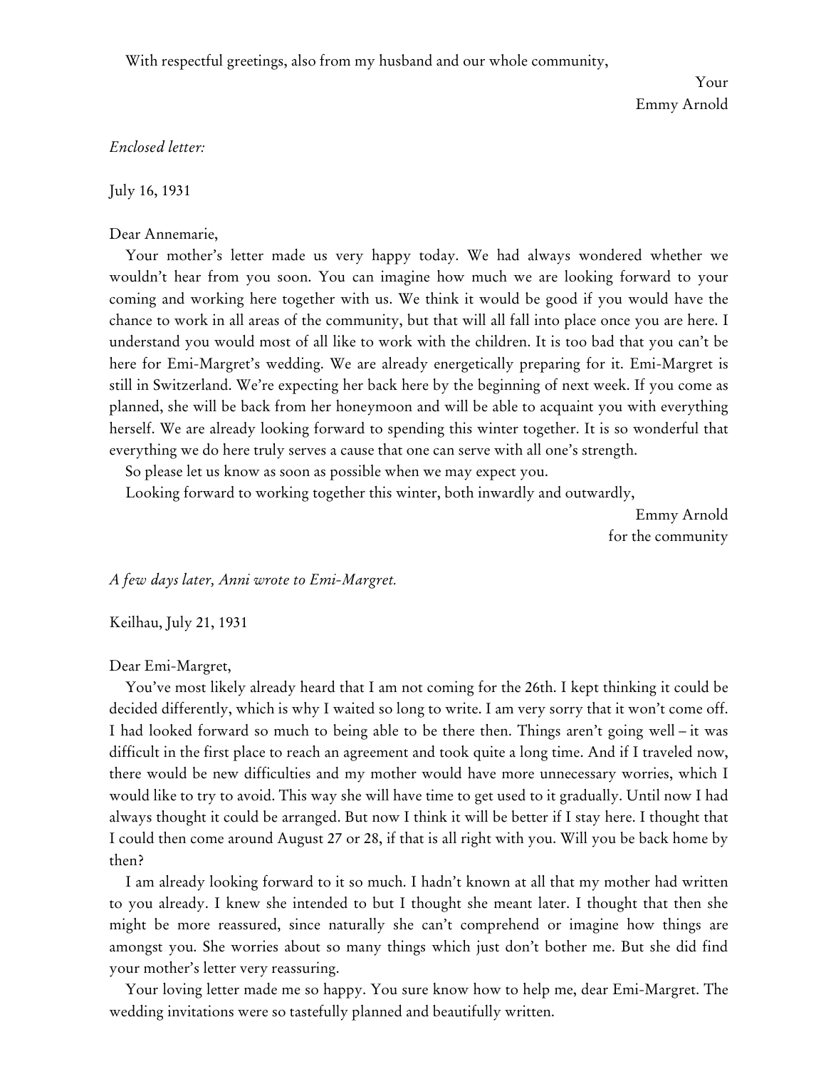With respectful greetings, also from my husband and our whole community,

Your Emmy Arnold

## *Enclosed letter:*

July 16, 1931

Dear Annemarie,

Your mother's letter made us very happy today. We had always wondered whether we wouldn't hear from you soon. You can imagine how much we are looking forward to your coming and working here together with us. We think it would be good if you would have the chance to work in all areas of the community, but that will all fall into place once you are here. I understand you would most of all like to work with the children. It is too bad that you can't be here for Emi-Margret's wedding. We are already energetically preparing for it. Emi-Margret is still in Switzerland. We're expecting her back here by the beginning of next week. If you come as planned, she will be back from her honeymoon and will be able to acquaint you with everything herself. We are already looking forward to spending this winter together. It is so wonderful that everything we do here truly serves a cause that one can serve with all one's strength.

So please let us know as soon as possible when we may expect you.

Looking forward to working together this winter, both inwardly and outwardly,

Emmy Arnold for the community

*A few days later, Anni wrote to Emi-Margret.*

Keilhau, July 21, 1931

Dear Emi-Margret,

You've most likely already heard that I am not coming for the 26th. I kept thinking it could be decided differently, which is why I waited so long to write. I am very sorry that it won't come off. I had looked forward so much to being able to be there then. Things aren't going well – it was difficult in the first place to reach an agreement and took quite a long time. And if I traveled now, there would be new difficulties and my mother would have more unnecessary worries, which I would like to try to avoid. This way she will have time to get used to it gradually. Until now I had always thought it could be arranged. But now I think it will be better if I stay here. I thought that I could then come around August 27 or 28, if that is all right with you. Will you be back home by then?

I am already looking forward to it so much. I hadn't known at all that my mother had written to you already. I knew she intended to but I thought she meant later. I thought that then she might be more reassured, since naturally she can't comprehend or imagine how things are amongst you. She worries about so many things which just don't bother me. But she did find your mother's letter very reassuring.

Your loving letter made me so happy. You sure know how to help me, dear Emi-Margret. The wedding invitations were so tastefully planned and beautifully written.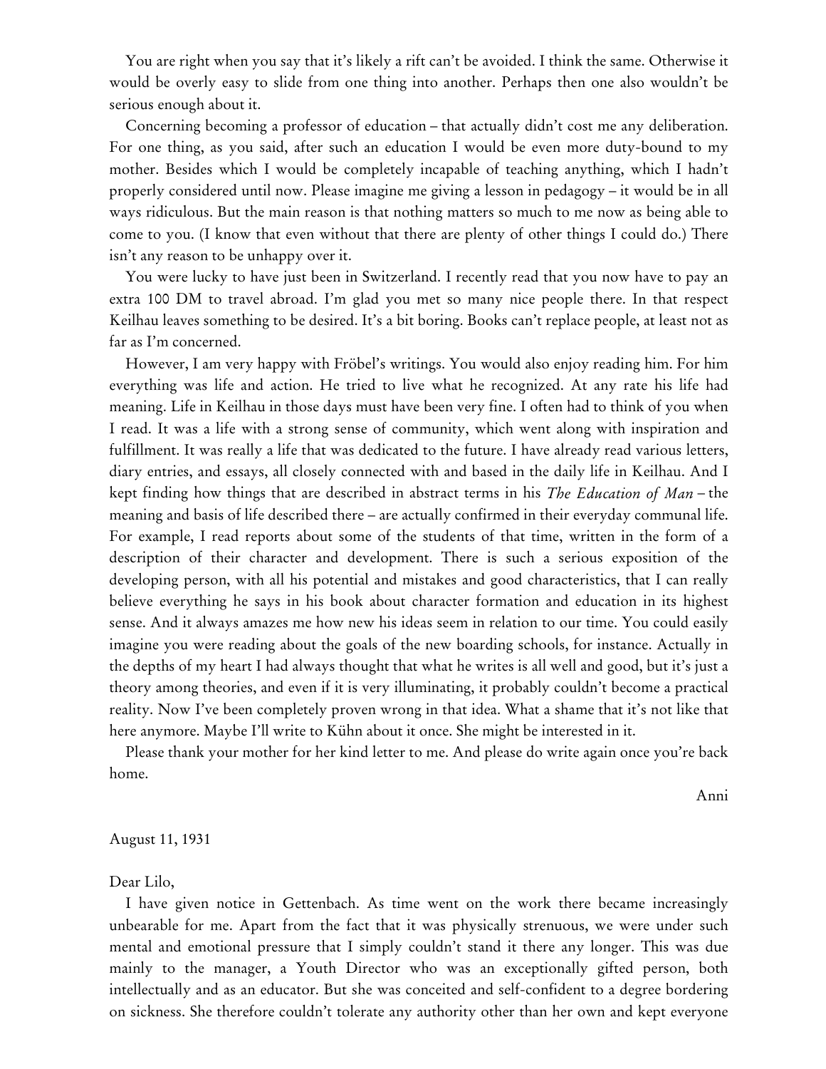You are right when you say that it's likely a rift can't be avoided. I think the same. Otherwise it would be overly easy to slide from one thing into another. Perhaps then one also wouldn't be serious enough about it.

Concerning becoming a professor of education – that actually didn't cost me any deliberation. For one thing, as you said, after such an education I would be even more duty-bound to my mother. Besides which I would be completely incapable of teaching anything, which I hadn't properly considered until now. Please imagine me giving a lesson in pedagogy – it would be in all ways ridiculous. But the main reason is that nothing matters so much to me now as being able to come to you. (I know that even without that there are plenty of other things I could do.) There isn't any reason to be unhappy over it.

You were lucky to have just been in Switzerland. I recently read that you now have to pay an extra 100 DM to travel abroad. I'm glad you met so many nice people there. In that respect Keilhau leaves something to be desired. It's a bit boring. Books can't replace people, at least not as far as I'm concerned.

However, I am very happy with Fröbel's writings. You would also enjoy reading him. For him everything was life and action. He tried to live what he recognized. At any rate his life had meaning. Life in Keilhau in those days must have been very fine. I often had to think of you when I read. It was a life with a strong sense of community, which went along with inspiration and fulfillment. It was really a life that was dedicated to the future. I have already read various letters, diary entries, and essays, all closely connected with and based in the daily life in Keilhau. And I kept finding how things that are described in abstract terms in his *The Education of Man* – the meaning and basis of life described there – are actually confirmed in their everyday communal life. For example, I read reports about some of the students of that time, written in the form of a description of their character and development. There is such a serious exposition of the developing person, with all his potential and mistakes and good characteristics, that I can really believe everything he says in his book about character formation and education in its highest sense. And it always amazes me how new his ideas seem in relation to our time. You could easily imagine you were reading about the goals of the new boarding schools, for instance. Actually in the depths of my heart I had always thought that what he writes is all well and good, but it's just a theory among theories, and even if it is very illuminating, it probably couldn't become a practical reality. Now I've been completely proven wrong in that idea. What a shame that it's not like that here anymore. Maybe I'll write to Kühn about it once. She might be interested in it.

Please thank your mother for her kind letter to me. And please do write again once you're back home.

Anni

August 11, 1931

Dear Lilo,

I have given notice in Gettenbach. As time went on the work there became increasingly unbearable for me. Apart from the fact that it was physically strenuous, we were under such mental and emotional pressure that I simply couldn't stand it there any longer. This was due mainly to the manager, a Youth Director who was an exceptionally gifted person, both intellectually and as an educator. But she was conceited and self-confident to a degree bordering on sickness. She therefore couldn't tolerate any authority other than her own and kept everyone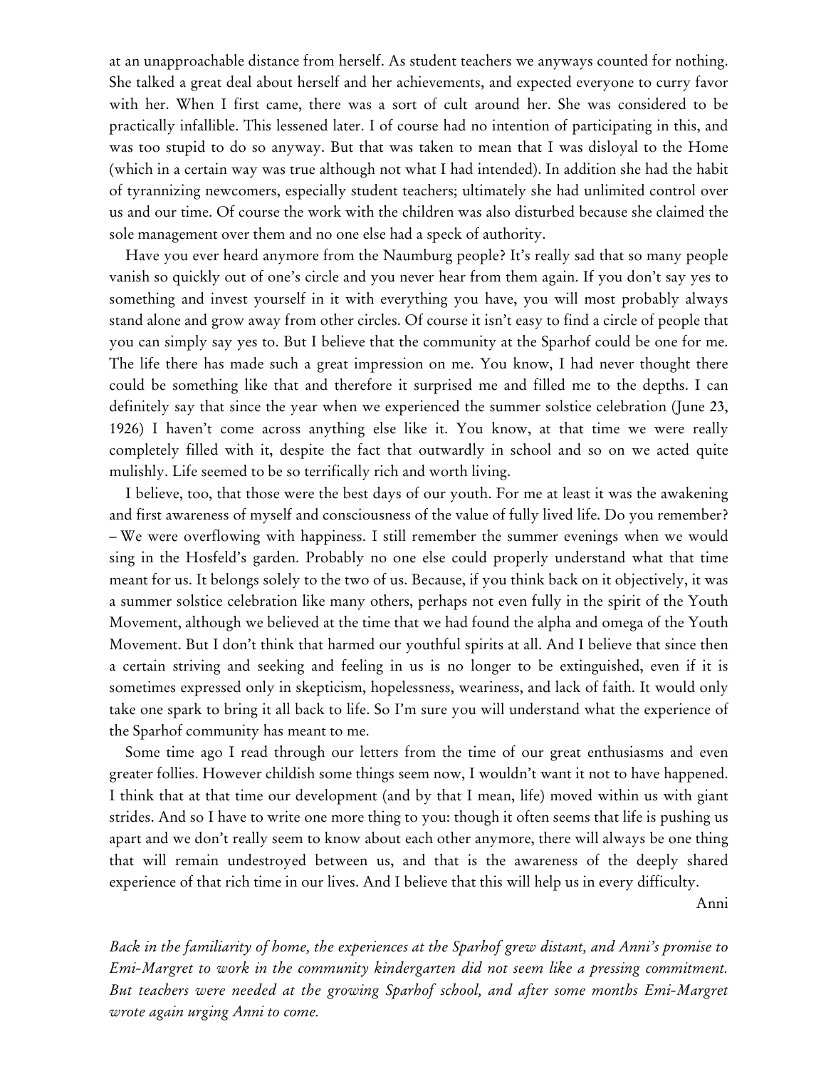at an unapproachable distance from herself. As student teachers we anyways counted for nothing. She talked a great deal about herself and her achievements, and expected everyone to curry favor with her. When I first came, there was a sort of cult around her. She was considered to be practically infallible. This lessened later. I of course had no intention of participating in this, and was too stupid to do so anyway. But that was taken to mean that I was disloyal to the Home (which in a certain way was true although not what I had intended). In addition she had the habit of tyrannizing newcomers, especially student teachers; ultimately she had unlimited control over us and our time. Of course the work with the children was also disturbed because she claimed the sole management over them and no one else had a speck of authority.

Have you ever heard anymore from the Naumburg people? It's really sad that so many people vanish so quickly out of one's circle and you never hear from them again. If you don't say yes to something and invest yourself in it with everything you have, you will most probably always stand alone and grow away from other circles. Of course it isn't easy to find a circle of people that you can simply say yes to. But I believe that the community at the Sparhof could be one for me. The life there has made such a great impression on me. You know, I had never thought there could be something like that and therefore it surprised me and filled me to the depths. I can definitely say that since the year when we experienced the summer solstice celebration (June 23, 1926) I haven't come across anything else like it. You know, at that time we were really completely filled with it, despite the fact that outwardly in school and so on we acted quite mulishly. Life seemed to be so terrifically rich and worth living.

I believe, too, that those were the best days of our youth. For me at least it was the awakening and first awareness of myself and consciousness of the value of fully lived life. Do you remember? – We were overflowing with happiness. I still remember the summer evenings when we would sing in the Hosfeld's garden. Probably no one else could properly understand what that time meant for us. It belongs solely to the two of us. Because, if you think back on it objectively, it was a summer solstice celebration like many others, perhaps not even fully in the spirit of the Youth Movement, although we believed at the time that we had found the alpha and omega of the Youth Movement. But I don't think that harmed our youthful spirits at all. And I believe that since then a certain striving and seeking and feeling in us is no longer to be extinguished, even if it is sometimes expressed only in skepticism, hopelessness, weariness, and lack of faith. It would only take one spark to bring it all back to life. So I'm sure you will understand what the experience of the Sparhof community has meant to me.

Some time ago I read through our letters from the time of our great enthusiasms and even greater follies. However childish some things seem now, I wouldn't want it not to have happened. I think that at that time our development (and by that I mean, life) moved within us with giant strides. And so I have to write one more thing to you: though it often seems that life is pushing us apart and we don't really seem to know about each other anymore, there will always be one thing that will remain undestroyed between us, and that is the awareness of the deeply shared experience of that rich time in our lives. And I believe that this will help us in every difficulty.

Anni

*Back in the familiarity of home, the experiences at the Sparhof grew distant, and Anni's promise to Emi-Margret to work in the community kindergarten did not seem like a pressing commitment. But teachers were needed at the growing Sparhof school, and after some months Emi-Margret wrote again urging Anni to come.*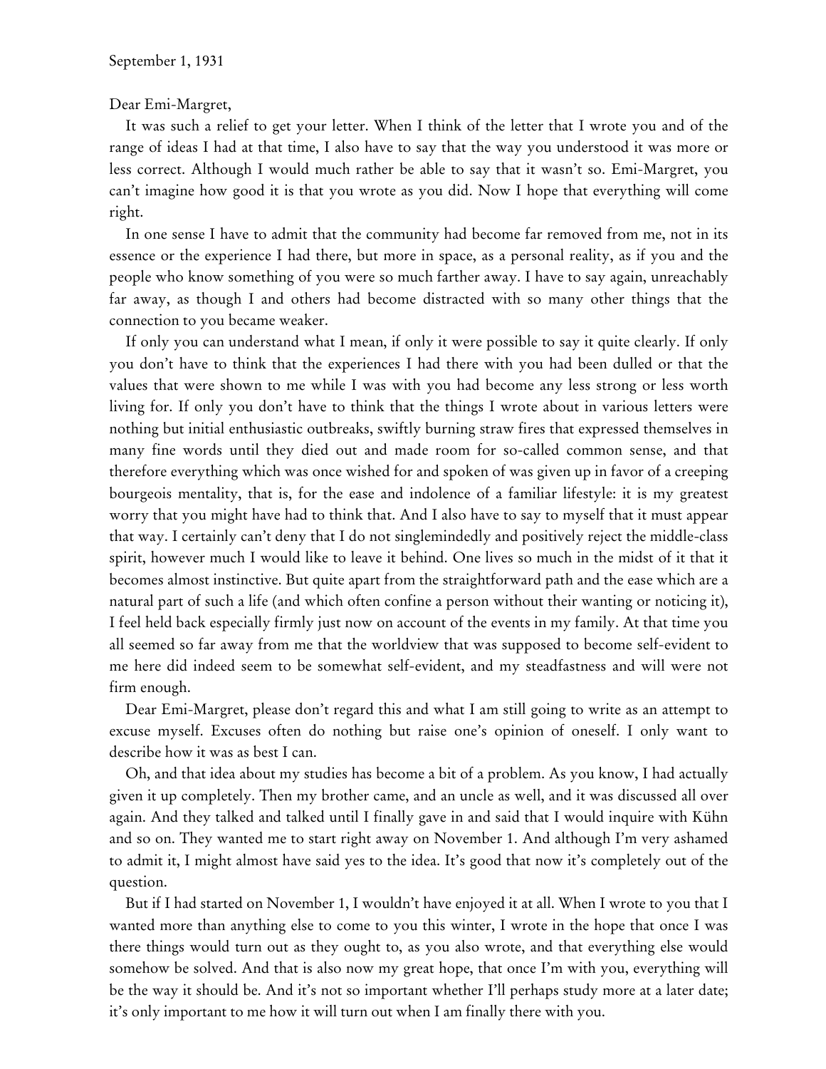## Dear Emi-Margret,

It was such a relief to get your letter. When I think of the letter that I wrote you and of the range of ideas I had at that time, I also have to say that the way you understood it was more or less correct. Although I would much rather be able to say that it wasn't so. Emi-Margret, you can't imagine how good it is that you wrote as you did. Now I hope that everything will come right.

In one sense I have to admit that the community had become far removed from me, not in its essence or the experience I had there, but more in space, as a personal reality, as if you and the people who know something of you were so much farther away. I have to say again, unreachably far away, as though I and others had become distracted with so many other things that the connection to you became weaker.

If only you can understand what I mean, if only it were possible to say it quite clearly. If only you don't have to think that the experiences I had there with you had been dulled or that the values that were shown to me while I was with you had become any less strong or less worth living for. If only you don't have to think that the things I wrote about in various letters were nothing but initial enthusiastic outbreaks, swiftly burning straw fires that expressed themselves in many fine words until they died out and made room for so-called common sense, and that therefore everything which was once wished for and spoken of was given up in favor of a creeping bourgeois mentality, that is, for the ease and indolence of a familiar lifestyle: it is my greatest worry that you might have had to think that. And I also have to say to myself that it must appear that way. I certainly can't deny that I do not singlemindedly and positively reject the middle-class spirit, however much I would like to leave it behind. One lives so much in the midst of it that it becomes almost instinctive. But quite apart from the straightforward path and the ease which are a natural part of such a life (and which often confine a person without their wanting or noticing it), I feel held back especially firmly just now on account of the events in my family. At that time you all seemed so far away from me that the worldview that was supposed to become self-evident to me here did indeed seem to be somewhat self-evident, and my steadfastness and will were not firm enough.

Dear Emi-Margret, please don't regard this and what I am still going to write as an attempt to excuse myself. Excuses often do nothing but raise one's opinion of oneself. I only want to describe how it was as best I can.

Oh, and that idea about my studies has become a bit of a problem. As you know, I had actually given it up completely. Then my brother came, and an uncle as well, and it was discussed all over again. And they talked and talked until I finally gave in and said that I would inquire with Kühn and so on. They wanted me to start right away on November 1. And although I'm very ashamed to admit it, I might almost have said yes to the idea. It's good that now it's completely out of the question.

But if I had started on November 1, I wouldn't have enjoyed it at all. When I wrote to you that I wanted more than anything else to come to you this winter, I wrote in the hope that once I was there things would turn out as they ought to, as you also wrote, and that everything else would somehow be solved. And that is also now my great hope, that once I'm with you, everything will be the way it should be. And it's not so important whether I'll perhaps study more at a later date; it's only important to me how it will turn out when I am finally there with you.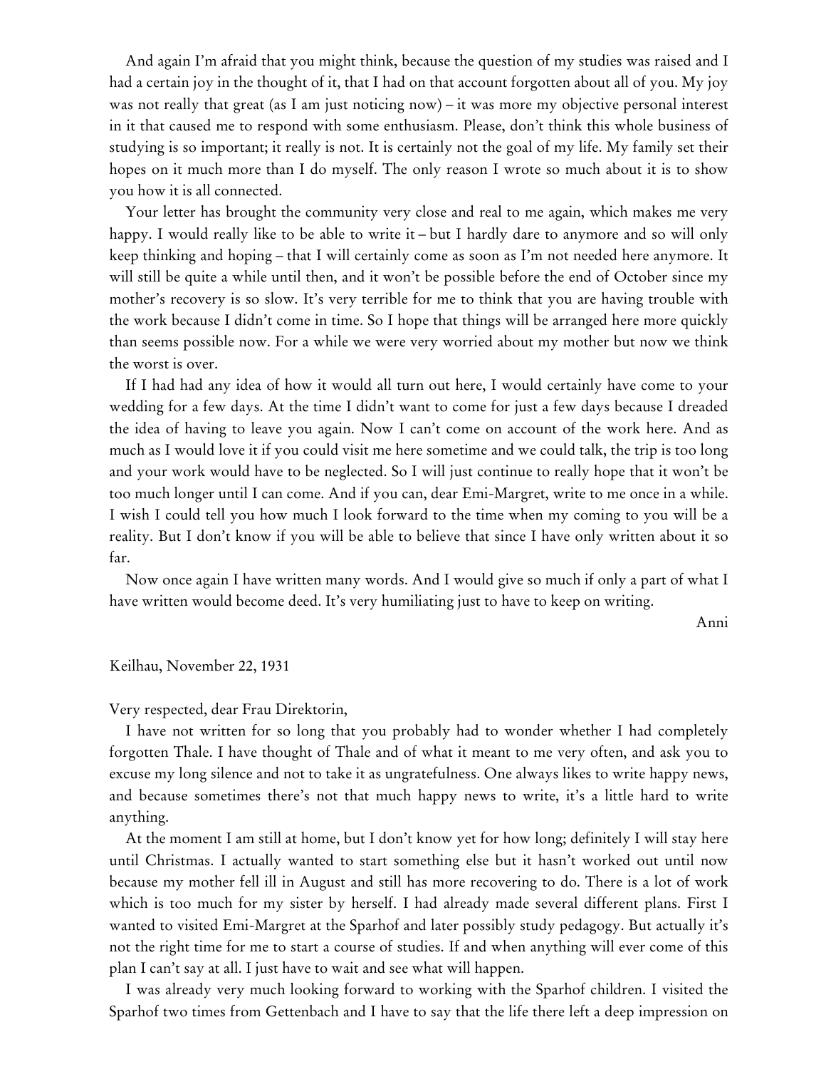And again I'm afraid that you might think, because the question of my studies was raised and I had a certain joy in the thought of it, that I had on that account forgotten about all of you. My joy was not really that great (as I am just noticing now) – it was more my objective personal interest in it that caused me to respond with some enthusiasm. Please, don't think this whole business of studying is so important; it really is not. It is certainly not the goal of my life. My family set their hopes on it much more than I do myself. The only reason I wrote so much about it is to show you how it is all connected.

Your letter has brought the community very close and real to me again, which makes me very happy. I would really like to be able to write it – but I hardly dare to anymore and so will only keep thinking and hoping – that I will certainly come as soon as I'm not needed here anymore. It will still be quite a while until then, and it won't be possible before the end of October since my mother's recovery is so slow. It's very terrible for me to think that you are having trouble with the work because I didn't come in time. So I hope that things will be arranged here more quickly than seems possible now. For a while we were very worried about my mother but now we think the worst is over.

If I had had any idea of how it would all turn out here, I would certainly have come to your wedding for a few days. At the time I didn't want to come for just a few days because I dreaded the idea of having to leave you again. Now I can't come on account of the work here. And as much as I would love it if you could visit me here sometime and we could talk, the trip is too long and your work would have to be neglected. So I will just continue to really hope that it won't be too much longer until I can come. And if you can, dear Emi-Margret, write to me once in a while. I wish I could tell you how much I look forward to the time when my coming to you will be a reality. But I don't know if you will be able to believe that since I have only written about it so far.

Now once again I have written many words. And I would give so much if only a part of what I have written would become deed. It's very humiliating just to have to keep on writing.

Anni

Keilhau, November 22, 1931

## Very respected, dear Frau Direktorin,

I have not written for so long that you probably had to wonder whether I had completely forgotten Thale. I have thought of Thale and of what it meant to me very often, and ask you to excuse my long silence and not to take it as ungratefulness. One always likes to write happy news, and because sometimes there's not that much happy news to write, it's a little hard to write anything.

At the moment I am still at home, but I don't know yet for how long; definitely I will stay here until Christmas. I actually wanted to start something else but it hasn't worked out until now because my mother fell ill in August and still has more recovering to do. There is a lot of work which is too much for my sister by herself. I had already made several different plans. First I wanted to visited Emi-Margret at the Sparhof and later possibly study pedagogy. But actually it's not the right time for me to start a course of studies. If and when anything will ever come of this plan I can't say at all. I just have to wait and see what will happen.

I was already very much looking forward to working with the Sparhof children. I visited the Sparhof two times from Gettenbach and I have to say that the life there left a deep impression on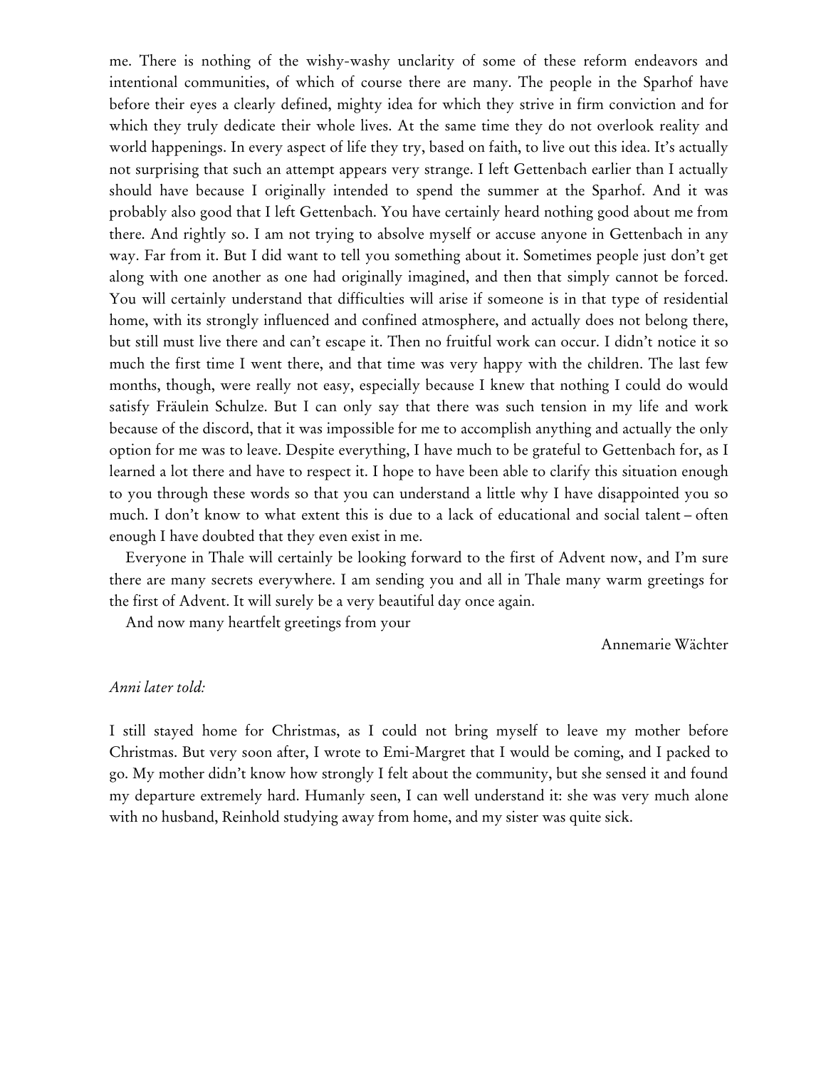me. There is nothing of the wishy-washy unclarity of some of these reform endeavors and intentional communities, of which of course there are many. The people in the Sparhof have before their eyes a clearly defined, mighty idea for which they strive in firm conviction and for which they truly dedicate their whole lives. At the same time they do not overlook reality and world happenings. In every aspect of life they try, based on faith, to live out this idea. It's actually not surprising that such an attempt appears very strange. I left Gettenbach earlier than I actually should have because I originally intended to spend the summer at the Sparhof. And it was probably also good that I left Gettenbach. You have certainly heard nothing good about me from there. And rightly so. I am not trying to absolve myself or accuse anyone in Gettenbach in any way. Far from it. But I did want to tell you something about it. Sometimes people just don't get along with one another as one had originally imagined, and then that simply cannot be forced. You will certainly understand that difficulties will arise if someone is in that type of residential home, with its strongly influenced and confined atmosphere, and actually does not belong there, but still must live there and can't escape it. Then no fruitful work can occur. I didn't notice it so much the first time I went there, and that time was very happy with the children. The last few months, though, were really not easy, especially because I knew that nothing I could do would satisfy Fräulein Schulze. But I can only say that there was such tension in my life and work because of the discord, that it was impossible for me to accomplish anything and actually the only option for me was to leave. Despite everything, I have much to be grateful to Gettenbach for, as I learned a lot there and have to respect it. I hope to have been able to clarify this situation enough to you through these words so that you can understand a little why I have disappointed you so much. I don't know to what extent this is due to a lack of educational and social talent – often enough I have doubted that they even exist in me.

Everyone in Thale will certainly be looking forward to the first of Advent now, and I'm sure there are many secrets everywhere. I am sending you and all in Thale many warm greetings for the first of Advent. It will surely be a very beautiful day once again.

And now many heartfelt greetings from your

Annemarie Wächter

## *Anni later told:*

I still stayed home for Christmas, as I could not bring myself to leave my mother before Christmas. But very soon after, I wrote to Emi-Margret that I would be coming, and I packed to go. My mother didn't know how strongly I felt about the community, but she sensed it and found my departure extremely hard. Humanly seen, I can well understand it: she was very much alone with no husband, Reinhold studying away from home, and my sister was quite sick.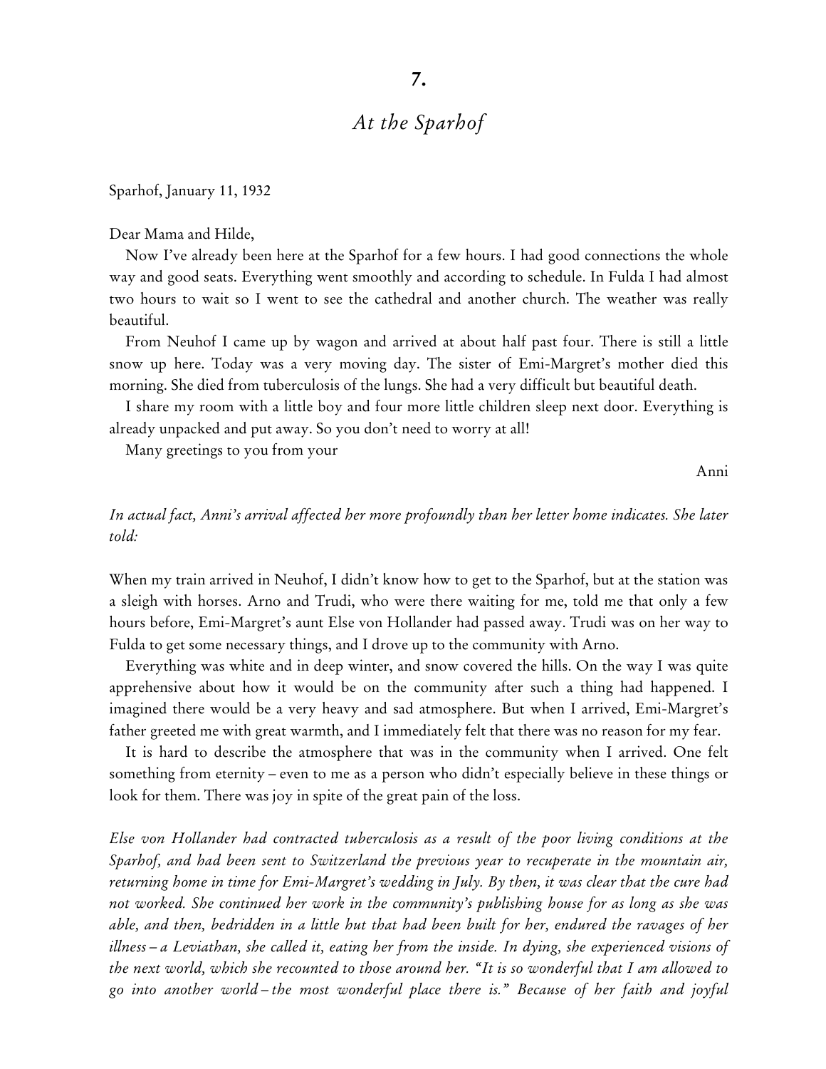# *At the Sparhof*

Sparhof, January 11, 1932

Dear Mama and Hilde,

Now I've already been here at the Sparhof for a few hours. I had good connections the whole way and good seats. Everything went smoothly and according to schedule. In Fulda I had almost two hours to wait so I went to see the cathedral and another church. The weather was really beautiful.

From Neuhof I came up by wagon and arrived at about half past four. There is still a little snow up here. Today was a very moving day. The sister of Emi-Margret's mother died this morning. She died from tuberculosis of the lungs. She had a very difficult but beautiful death.

I share my room with a little boy and four more little children sleep next door. Everything is already unpacked and put away. So you don't need to worry at all!

Many greetings to you from your

Anni

## *In actual fact, Anni's arrival affected her more profoundly than her letter home indicates. She later told:*

When my train arrived in Neuhof, I didn't know how to get to the Sparhof, but at the station was a sleigh with horses. Arno and Trudi, who were there waiting for me, told me that only a few hours before, Emi-Margret's aunt Else von Hollander had passed away. Trudi was on her way to Fulda to get some necessary things, and I drove up to the community with Arno.

Everything was white and in deep winter, and snow covered the hills. On the way I was quite apprehensive about how it would be on the community after such a thing had happened. I imagined there would be a very heavy and sad atmosphere. But when I arrived, Emi-Margret's father greeted me with great warmth, and I immediately felt that there was no reason for my fear.

It is hard to describe the atmosphere that was in the community when I arrived. One felt something from eternity – even to me as a person who didn't especially believe in these things or look for them. There was joy in spite of the great pain of the loss.

*Else von Hollander had contracted tuberculosis as a result of the poor living conditions at the Sparhof, and had been sent to Switzerland the previous year to recuperate in the mountain air, returning home in time for Emi-Margret's wedding in July. By then, it was clear that the cure had not worked. She continued her work in the community's publishing house for as long as she was able, and then, bedridden in a little hut that had been built for her, endured the ravages of her illness – a Leviathan, she called it, eating her from the inside. In dying, she experienced visions of the next world, which she recounted to those around her. "It is so wonderful that I am allowed to go into another world – the most wonderful place there is." Because of her faith and joyful*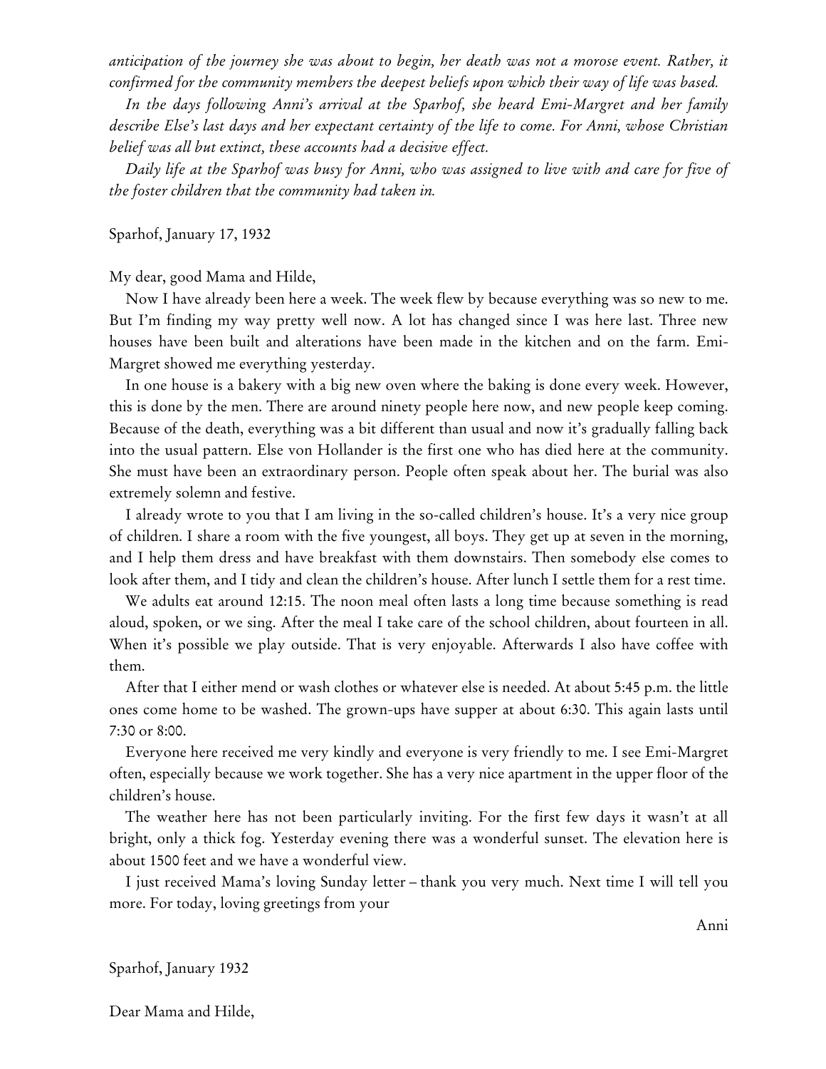*anticipation of the journey she was about to begin, her death was not a morose event. Rather, it confirmed for the community members the deepest beliefs upon which their way of life was based.*

*In the days following Anni's arrival at the Sparhof, she heard Emi-Margret and her family describe Else's last days and her expectant certainty of the life to come. For Anni, whose Christian belief was all but extinct, these accounts had a decisive effect.*

*Daily life at the Sparhof was busy for Anni, who was assigned to live with and care for five of the foster children that the community had taken in.*

Sparhof, January 17, 1932

My dear, good Mama and Hilde,

Now I have already been here a week. The week flew by because everything was so new to me. But I'm finding my way pretty well now. A lot has changed since I was here last. Three new houses have been built and alterations have been made in the kitchen and on the farm. Emi-Margret showed me everything yesterday.

In one house is a bakery with a big new oven where the baking is done every week. However, this is done by the men. There are around ninety people here now, and new people keep coming. Because of the death, everything was a bit different than usual and now it's gradually falling back into the usual pattern. Else von Hollander is the first one who has died here at the community. She must have been an extraordinary person. People often speak about her. The burial was also extremely solemn and festive.

I already wrote to you that I am living in the so-called children's house. It's a very nice group of children. I share a room with the five youngest, all boys. They get up at seven in the morning, and I help them dress and have breakfast with them downstairs. Then somebody else comes to look after them, and I tidy and clean the children's house. After lunch I settle them for a rest time.

We adults eat around 12:15. The noon meal often lasts a long time because something is read aloud, spoken, or we sing. After the meal I take care of the school children, about fourteen in all. When it's possible we play outside. That is very enjoyable. Afterwards I also have coffee with them.

After that I either mend or wash clothes or whatever else is needed. At about 5:45 p.m. the little ones come home to be washed. The grown-ups have supper at about 6:30. This again lasts until 7:30 or 8:00.

Everyone here received me very kindly and everyone is very friendly to me. I see Emi-Margret often, especially because we work together. She has a very nice apartment in the upper floor of the children's house.

The weather here has not been particularly inviting. For the first few days it wasn't at all bright, only a thick fog. Yesterday evening there was a wonderful sunset. The elevation here is about 1500 feet and we have a wonderful view.

I just received Mama's loving Sunday letter – thank you very much. Next time I will tell you more. For today, loving greetings from your

Anni

Sparhof, January 1932

Dear Mama and Hilde,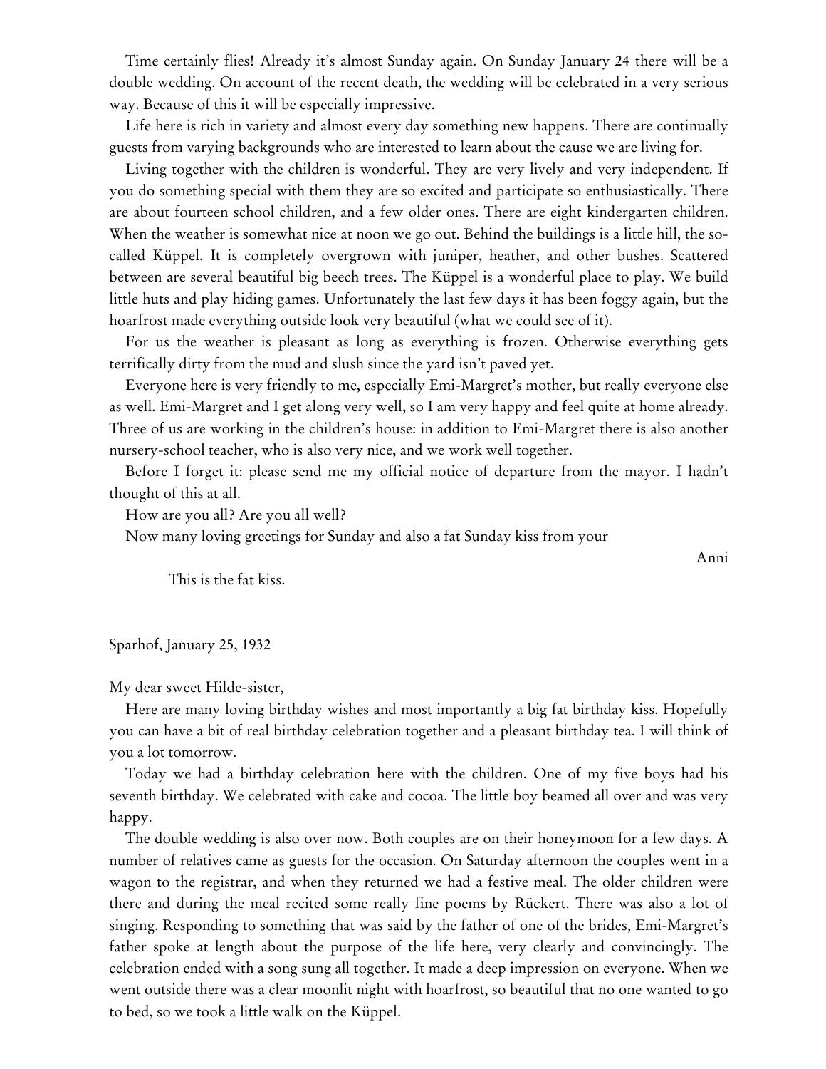Time certainly flies! Already it's almost Sunday again. On Sunday January 24 there will be a double wedding. On account of the recent death, the wedding will be celebrated in a very serious way. Because of this it will be especially impressive.

Life here is rich in variety and almost every day something new happens. There are continually guests from varying backgrounds who are interested to learn about the cause we are living for.

Living together with the children is wonderful. They are very lively and very independent. If you do something special with them they are so excited and participate so enthusiastically. There are about fourteen school children, and a few older ones. There are eight kindergarten children. When the weather is somewhat nice at noon we go out. Behind the buildings is a little hill, the socalled Küppel. It is completely overgrown with juniper, heather, and other bushes. Scattered between are several beautiful big beech trees. The Küppel is a wonderful place to play. We build little huts and play hiding games. Unfortunately the last few days it has been foggy again, but the hoarfrost made everything outside look very beautiful (what we could see of it).

For us the weather is pleasant as long as everything is frozen. Otherwise everything gets terrifically dirty from the mud and slush since the yard isn't paved yet.

Everyone here is very friendly to me, especially Emi-Margret's mother, but really everyone else as well. Emi-Margret and I get along very well, so I am very happy and feel quite at home already. Three of us are working in the children's house: in addition to Emi-Margret there is also another nursery-school teacher, who is also very nice, and we work well together.

Before I forget it: please send me my official notice of departure from the mayor. I hadn't thought of this at all.

How are you all? Are you all well?

Now many loving greetings for Sunday and also a fat Sunday kiss from your

This is the fat kiss.

Sparhof, January 25, 1932

My dear sweet Hilde-sister,

Here are many loving birthday wishes and most importantly a big fat birthday kiss. Hopefully you can have a bit of real birthday celebration together and a pleasant birthday tea. I will think of you a lot tomorrow.

Today we had a birthday celebration here with the children. One of my five boys had his seventh birthday. We celebrated with cake and cocoa. The little boy beamed all over and was very happy.

The double wedding is also over now. Both couples are on their honeymoon for a few days. A number of relatives came as guests for the occasion. On Saturday afternoon the couples went in a wagon to the registrar, and when they returned we had a festive meal. The older children were there and during the meal recited some really fine poems by Rückert. There was also a lot of singing. Responding to something that was said by the father of one of the brides, Emi-Margret's father spoke at length about the purpose of the life here, very clearly and convincingly. The celebration ended with a song sung all together. It made a deep impression on everyone. When we went outside there was a clear moonlit night with hoarfrost, so beautiful that no one wanted to go to bed, so we took a little walk on the Küppel.

Anni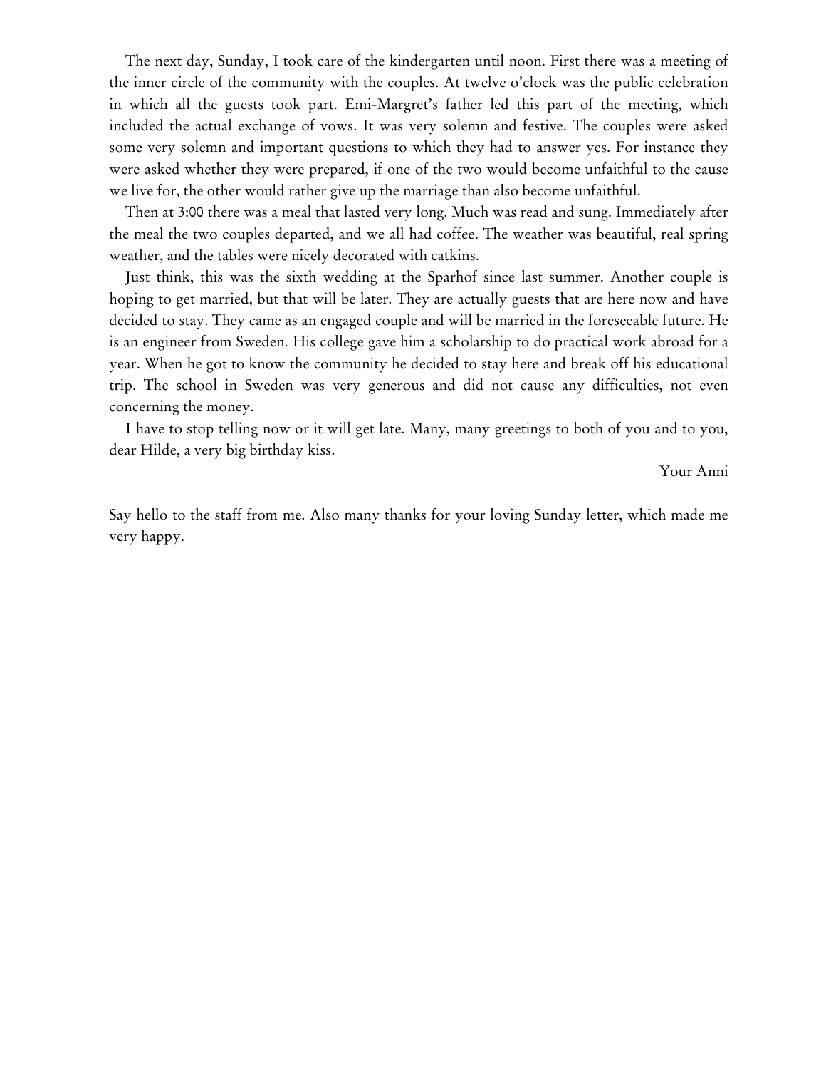The next day, Sunday, I took care of the kindergarten until noon. First there was a meeting of the inner circle of the community with the couples. At twelve o'clock was the public celebration in which all the guests took part. Emi-Margret's father led this part of the meeting, which included the actual exchange of vows. It was very solemn and festive. The couples were asked some very solemn and important questions to which they had to answer yes. For instance they were asked whether they were prepared, if one of the two would become unfaithful to the cause we live for, the other would rather give up the marriage than also become unfaithful.

Then at 3:00 there was a meal that lasted very long. Much was read and sung. Immediately after the meal the two couples departed, and we all had coffee. The weather was beautiful, real spring weather, and the tables were nicely decorated with catkins.

Just think, this was the sixth wedding at the Sparhof since last summer. Another couple is hoping to get married, but that will be later. They are actually guests that are here now and have decided to stay. They came as an engaged couple and will be married in the foreseeable future. He is an engineer from Sweden. His college gave him a scholarship to do practical work abroad for a year. When he got to know the community he decided to stay here and break off his educational trip. The school in Sweden was very generous and did not cause any difficulties, not even concerning the money.

I have to stop telling now or it will get late. Many, many greetings to both of you and to you, dear Hilde, a very big birthday kiss.

Your Anni

Say hello to the staff from me. Also many thanks for your loving Sunday letter, which made me very happy.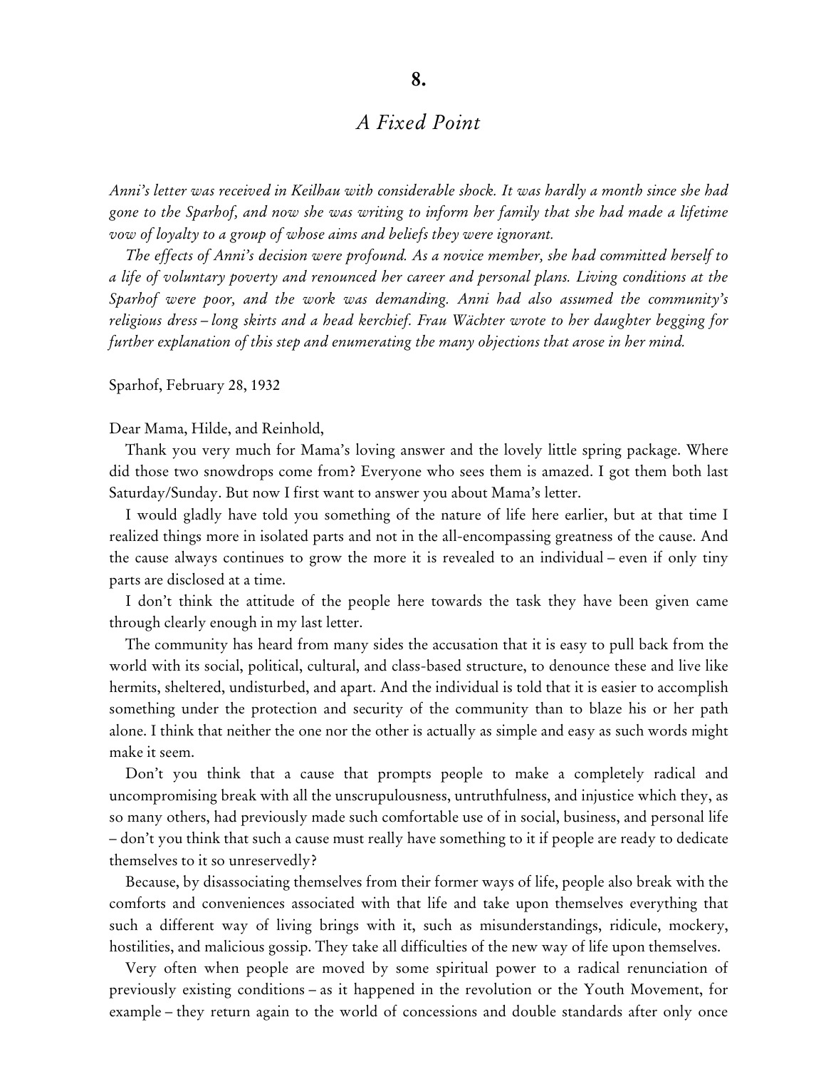# *A Fixed Point*

*Anni's letter was received in Keilhau with considerable shock. It was hardly a month since she had gone to the Sparhof, and now she was writing to inform her family that she had made a lifetime vow of loyalty to a group of whose aims and beliefs they were ignorant.*

*The effects of Anni's decision were profound. As a novice member, she had committed herself to a life of voluntary poverty and renounced her career and personal plans. Living conditions at the Sparhof were poor, and the work was demanding. Anni had also assumed the community's religious dress – long skirts and a head kerchief. Frau Wächter wrote to her daughter begging for further explanation of this step and enumerating the many objections that arose in her mind.*

Sparhof, February 28, 1932

Dear Mama, Hilde, and Reinhold,

Thank you very much for Mama's loving answer and the lovely little spring package. Where did those two snowdrops come from? Everyone who sees them is amazed. I got them both last Saturday/Sunday. But now I first want to answer you about Mama's letter.

I would gladly have told you something of the nature of life here earlier, but at that time I realized things more in isolated parts and not in the all-encompassing greatness of the cause. And the cause always continues to grow the more it is revealed to an individual – even if only tiny parts are disclosed at a time.

I don't think the attitude of the people here towards the task they have been given came through clearly enough in my last letter.

The community has heard from many sides the accusation that it is easy to pull back from the world with its social, political, cultural, and class-based structure, to denounce these and live like hermits, sheltered, undisturbed, and apart. And the individual is told that it is easier to accomplish something under the protection and security of the community than to blaze his or her path alone. I think that neither the one nor the other is actually as simple and easy as such words might make it seem.

Don't you think that a cause that prompts people to make a completely radical and uncompromising break with all the unscrupulousness, untruthfulness, and injustice which they, as so many others, had previously made such comfortable use of in social, business, and personal life – don't you think that such a cause must really have something to it if people are ready to dedicate themselves to it so unreservedly?

Because, by disassociating themselves from their former ways of life, people also break with the comforts and conveniences associated with that life and take upon themselves everything that such a different way of living brings with it, such as misunderstandings, ridicule, mockery, hostilities, and malicious gossip. They take all difficulties of the new way of life upon themselves.

Very often when people are moved by some spiritual power to a radical renunciation of previously existing conditions – as it happened in the revolution or the Youth Movement, for example – they return again to the world of concessions and double standards after only once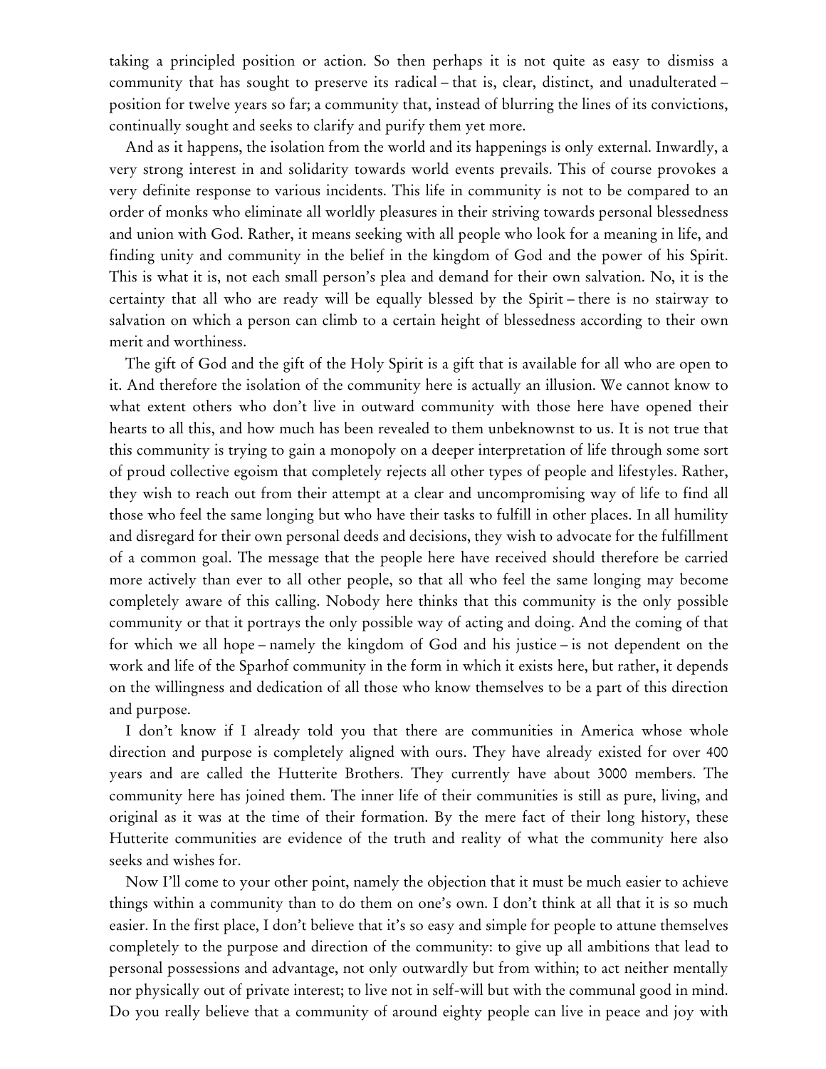taking a principled position or action. So then perhaps it is not quite as easy to dismiss a community that has sought to preserve its radical – that is, clear, distinct, and unadulterated – position for twelve years so far; a community that, instead of blurring the lines of its convictions, continually sought and seeks to clarify and purify them yet more.

And as it happens, the isolation from the world and its happenings is only external. Inwardly, a very strong interest in and solidarity towards world events prevails. This of course provokes a very definite response to various incidents. This life in community is not to be compared to an order of monks who eliminate all worldly pleasures in their striving towards personal blessedness and union with God. Rather, it means seeking with all people who look for a meaning in life, and finding unity and community in the belief in the kingdom of God and the power of his Spirit. This is what it is, not each small person's plea and demand for their own salvation. No, it is the certainty that all who are ready will be equally blessed by the Spirit – there is no stairway to salvation on which a person can climb to a certain height of blessedness according to their own merit and worthiness.

The gift of God and the gift of the Holy Spirit is a gift that is available for all who are open to it. And therefore the isolation of the community here is actually an illusion. We cannot know to what extent others who don't live in outward community with those here have opened their hearts to all this, and how much has been revealed to them unbeknownst to us. It is not true that this community is trying to gain a monopoly on a deeper interpretation of life through some sort of proud collective egoism that completely rejects all other types of people and lifestyles. Rather, they wish to reach out from their attempt at a clear and uncompromising way of life to find all those who feel the same longing but who have their tasks to fulfill in other places. In all humility and disregard for their own personal deeds and decisions, they wish to advocate for the fulfillment of a common goal. The message that the people here have received should therefore be carried more actively than ever to all other people, so that all who feel the same longing may become completely aware of this calling. Nobody here thinks that this community is the only possible community or that it portrays the only possible way of acting and doing. And the coming of that for which we all hope – namely the kingdom of God and his justice – is not dependent on the work and life of the Sparhof community in the form in which it exists here, but rather, it depends on the willingness and dedication of all those who know themselves to be a part of this direction and purpose.

I don't know if I already told you that there are communities in America whose whole direction and purpose is completely aligned with ours. They have already existed for over 400 years and are called the Hutterite Brothers. They currently have about 3000 members. The community here has joined them. The inner life of their communities is still as pure, living, and original as it was at the time of their formation. By the mere fact of their long history, these Hutterite communities are evidence of the truth and reality of what the community here also seeks and wishes for.

Now I'll come to your other point, namely the objection that it must be much easier to achieve things within a community than to do them on one's own. I don't think at all that it is so much easier. In the first place, I don't believe that it's so easy and simple for people to attune themselves completely to the purpose and direction of the community: to give up all ambitions that lead to personal possessions and advantage, not only outwardly but from within; to act neither mentally nor physically out of private interest; to live not in self-will but with the communal good in mind. Do you really believe that a community of around eighty people can live in peace and joy with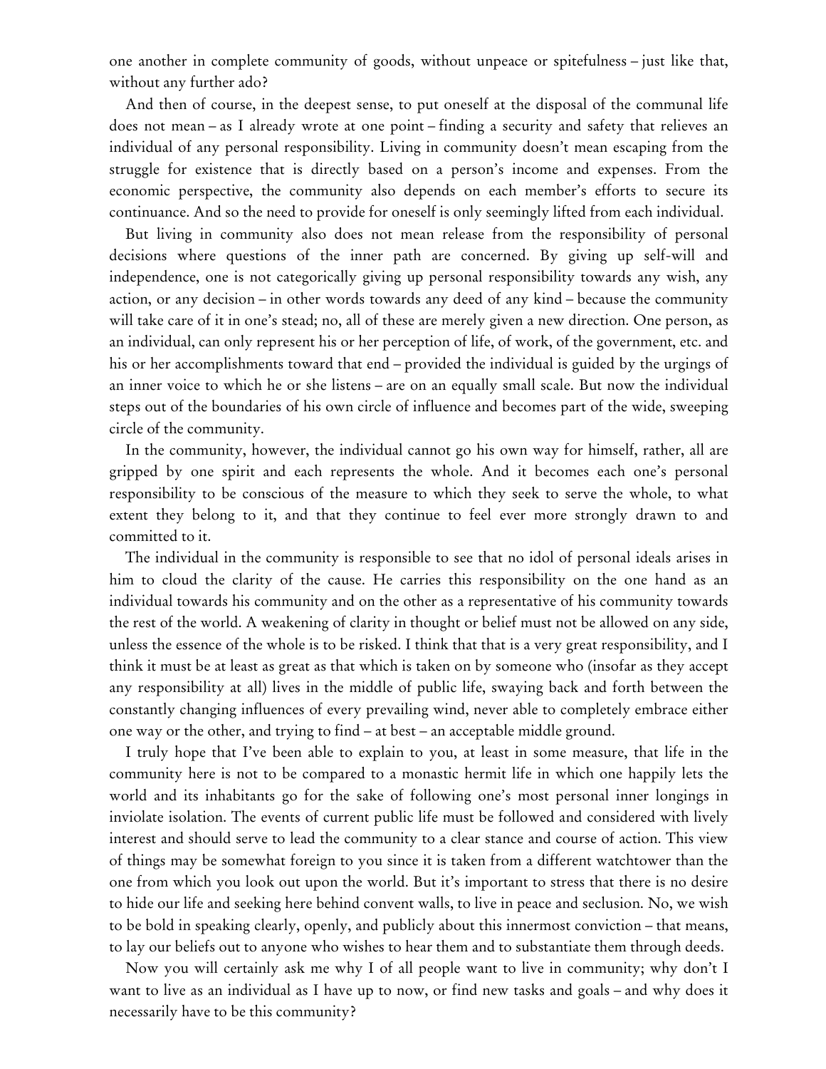one another in complete community of goods, without unpeace or spitefulness – just like that, without any further ado?

And then of course, in the deepest sense, to put oneself at the disposal of the communal life does not mean – as I already wrote at one point – finding a security and safety that relieves an individual of any personal responsibility. Living in community doesn't mean escaping from the struggle for existence that is directly based on a person's income and expenses. From the economic perspective, the community also depends on each member's efforts to secure its continuance. And so the need to provide for oneself is only seemingly lifted from each individual.

But living in community also does not mean release from the responsibility of personal decisions where questions of the inner path are concerned. By giving up self-will and independence, one is not categorically giving up personal responsibility towards any wish, any action, or any decision – in other words towards any deed of any kind – because the community will take care of it in one's stead; no, all of these are merely given a new direction. One person, as an individual, can only represent his or her perception of life, of work, of the government, etc. and his or her accomplishments toward that end – provided the individual is guided by the urgings of an inner voice to which he or she listens – are on an equally small scale. But now the individual steps out of the boundaries of his own circle of influence and becomes part of the wide, sweeping circle of the community.

In the community, however, the individual cannot go his own way for himself, rather, all are gripped by one spirit and each represents the whole. And it becomes each one's personal responsibility to be conscious of the measure to which they seek to serve the whole, to what extent they belong to it, and that they continue to feel ever more strongly drawn to and committed to it.

The individual in the community is responsible to see that no idol of personal ideals arises in him to cloud the clarity of the cause. He carries this responsibility on the one hand as an individual towards his community and on the other as a representative of his community towards the rest of the world. A weakening of clarity in thought or belief must not be allowed on any side, unless the essence of the whole is to be risked. I think that that is a very great responsibility, and I think it must be at least as great as that which is taken on by someone who (insofar as they accept any responsibility at all) lives in the middle of public life, swaying back and forth between the constantly changing influences of every prevailing wind, never able to completely embrace either one way or the other, and trying to find – at best – an acceptable middle ground.

I truly hope that I've been able to explain to you, at least in some measure, that life in the community here is not to be compared to a monastic hermit life in which one happily lets the world and its inhabitants go for the sake of following one's most personal inner longings in inviolate isolation. The events of current public life must be followed and considered with lively interest and should serve to lead the community to a clear stance and course of action. This view of things may be somewhat foreign to you since it is taken from a different watchtower than the one from which you look out upon the world. But it's important to stress that there is no desire to hide our life and seeking here behind convent walls, to live in peace and seclusion. No, we wish to be bold in speaking clearly, openly, and publicly about this innermost conviction – that means, to lay our beliefs out to anyone who wishes to hear them and to substantiate them through deeds.

Now you will certainly ask me why I of all people want to live in community; why don't I want to live as an individual as I have up to now, or find new tasks and goals – and why does it necessarily have to be this community?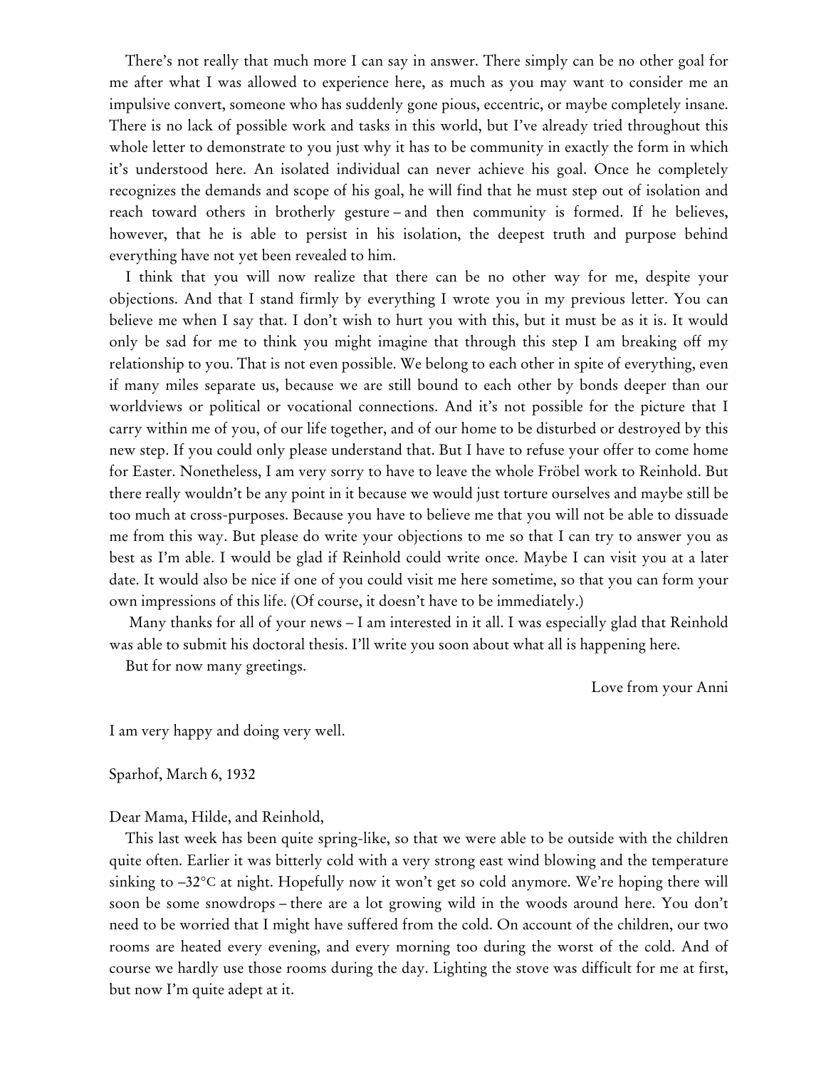There's not really that much more I can say in answer. There simply can be no other goal for me after what I was allowed to experience here, as much as you may want to consider me an impulsive convert, someone who has suddenly gone pious, eccentric, or maybe completely insane. There is no lack of possible work and tasks in this world, but I've already tried throughout this whole letter to demonstrate to you just why it has to be community in exactly the form in which it's understood here. An isolated individual can never achieve his goal. Once he completely recognizes the demands and scope of his goal, he will find that he must step out of isolation and reach toward others in brotherly gesture – and then community is formed. If he believes, however, that he is able to persist in his isolation, the deepest truth and purpose behind everything have not yet been revealed to him.

I think that you will now realize that there can be no other way for me, despite your objections. And that I stand firmly by everything I wrote you in my previous letter. You can believe me when I say that. I don't wish to hurt you with this, but it must be as it is. It would only be sad for me to think you might imagine that through this step I am breaking off my relationship to you. That is not even possible. We belong to each other in spite of everything, even if many miles separate us, because we are still bound to each other by bonds deeper than our worldviews or political or vocational connections. And it's not possible for the picture that I carry within me of you, of our life together, and of our home to be disturbed or destroyed by this new step. If you could only please understand that. But I have to refuse your offer to come home for Easter. Nonetheless, I am very sorry to have to leave the whole Fröbel work to Reinhold. But there really wouldn't be any point in it because we would just torture ourselves and maybe still be too much at cross-purposes. Because you have to believe me that you will not be able to dissuade me from this way. But please do write your objections to me so that I can try to answer you as best as I'm able. I would be glad if Reinhold could write once. Maybe I can visit you at a later date. It would also be nice if one of you could visit me here sometime, so that you can form your own impressions of this life. (Of course, it doesn't have to be immediately.)

Many thanks for all of your news – I am interested in it all. I was especially glad that Reinhold was able to submit his doctoral thesis. I'll write you soon about what all is happening here.

But for now many greetings.

Love from your Anni

I am very happy and doing very well.

Sparhof, March 6, 1932

Dear Mama, Hilde, and Reinhold,

This last week has been quite spring-like, so that we were able to be outside with the children quite often. Earlier it was bitterly cold with a very strong east wind blowing and the temperature sinking to –32°C at night. Hopefully now it won't get so cold anymore. We're hoping there will soon be some snowdrops – there are a lot growing wild in the woods around here. You don't need to be worried that I might have suffered from the cold. On account of the children, our two rooms are heated every evening, and every morning too during the worst of the cold. And of course we hardly use those rooms during the day. Lighting the stove was difficult for me at first, but now I'm quite adept at it.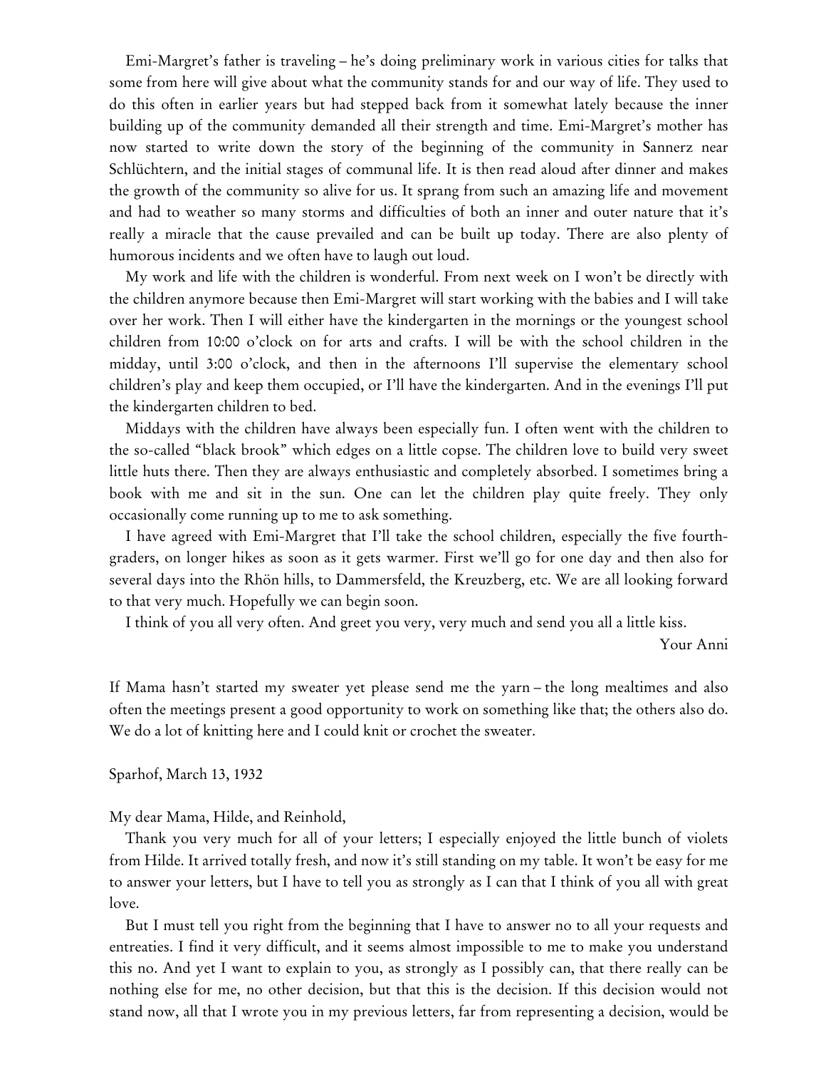Emi-Margret's father is traveling – he's doing preliminary work in various cities for talks that some from here will give about what the community stands for and our way of life. They used to do this often in earlier years but had stepped back from it somewhat lately because the inner building up of the community demanded all their strength and time. Emi-Margret's mother has now started to write down the story of the beginning of the community in Sannerz near Schlüchtern, and the initial stages of communal life. It is then read aloud after dinner and makes the growth of the community so alive for us. It sprang from such an amazing life and movement and had to weather so many storms and difficulties of both an inner and outer nature that it's really a miracle that the cause prevailed and can be built up today. There are also plenty of humorous incidents and we often have to laugh out loud.

My work and life with the children is wonderful. From next week on I won't be directly with the children anymore because then Emi-Margret will start working with the babies and I will take over her work. Then I will either have the kindergarten in the mornings or the youngest school children from 10:00 o'clock on for arts and crafts. I will be with the school children in the midday, until 3:00 o'clock, and then in the afternoons I'll supervise the elementary school children's play and keep them occupied, or I'll have the kindergarten. And in the evenings I'll put the kindergarten children to bed.

Middays with the children have always been especially fun. I often went with the children to the so-called "black brook" which edges on a little copse. The children love to build very sweet little huts there. Then they are always enthusiastic and completely absorbed. I sometimes bring a book with me and sit in the sun. One can let the children play quite freely. They only occasionally come running up to me to ask something.

I have agreed with Emi-Margret that I'll take the school children, especially the five fourthgraders, on longer hikes as soon as it gets warmer. First we'll go for one day and then also for several days into the Rhön hills, to Dammersfeld, the Kreuzberg, etc. We are all looking forward to that very much. Hopefully we can begin soon.

I think of you all very often. And greet you very, very much and send you all a little kiss.

Your Anni

If Mama hasn't started my sweater yet please send me the yarn – the long mealtimes and also often the meetings present a good opportunity to work on something like that; the others also do. We do a lot of knitting here and I could knit or crochet the sweater.

Sparhof, March 13, 1932

My dear Mama, Hilde, and Reinhold,

Thank you very much for all of your letters; I especially enjoyed the little bunch of violets from Hilde. It arrived totally fresh, and now it's still standing on my table. It won't be easy for me to answer your letters, but I have to tell you as strongly as I can that I think of you all with great love.

But I must tell you right from the beginning that I have to answer no to all your requests and entreaties. I find it very difficult, and it seems almost impossible to me to make you understand this no. And yet I want to explain to you, as strongly as I possibly can, that there really can be nothing else for me, no other decision, but that this is the decision. If this decision would not stand now, all that I wrote you in my previous letters, far from representing a decision, would be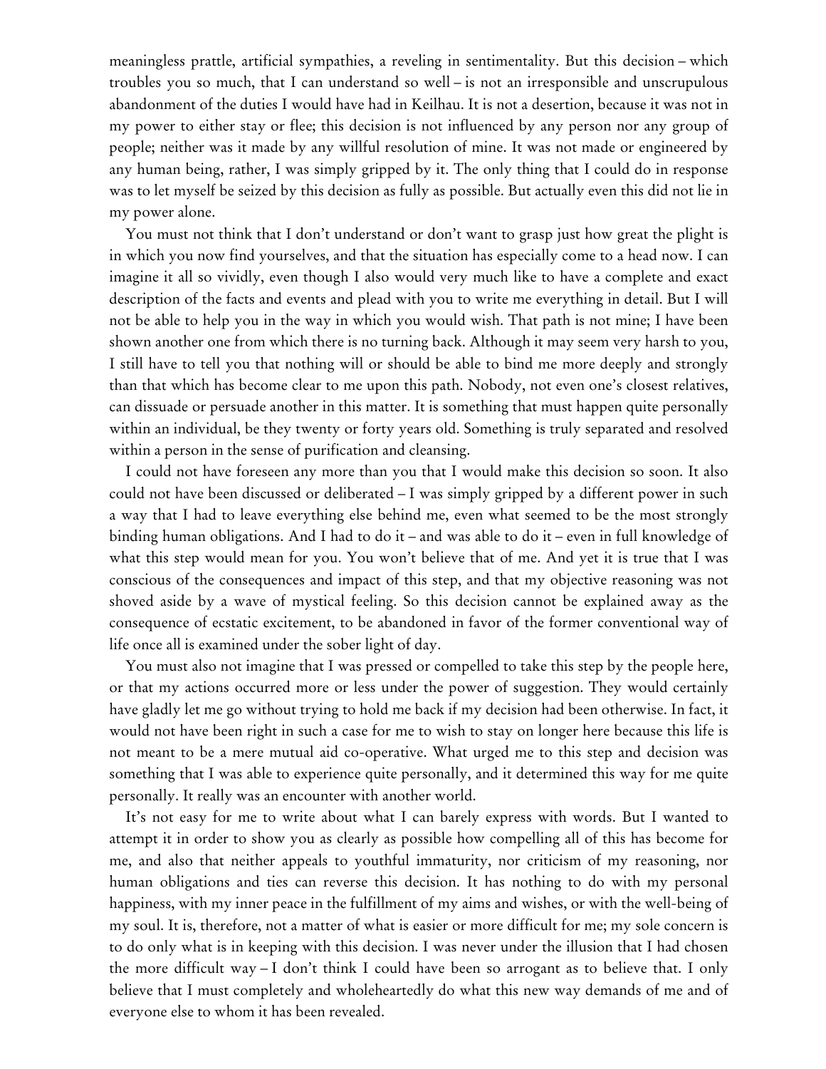meaningless prattle, artificial sympathies, a reveling in sentimentality. But this decision – which troubles you so much, that I can understand so well – is not an irresponsible and unscrupulous abandonment of the duties I would have had in Keilhau. It is not a desertion, because it was not in my power to either stay or flee; this decision is not influenced by any person nor any group of people; neither was it made by any willful resolution of mine. It was not made or engineered by any human being, rather, I was simply gripped by it. The only thing that I could do in response was to let myself be seized by this decision as fully as possible. But actually even this did not lie in my power alone.

You must not think that I don't understand or don't want to grasp just how great the plight is in which you now find yourselves, and that the situation has especially come to a head now. I can imagine it all so vividly, even though I also would very much like to have a complete and exact description of the facts and events and plead with you to write me everything in detail. But I will not be able to help you in the way in which you would wish. That path is not mine; I have been shown another one from which there is no turning back. Although it may seem very harsh to you, I still have to tell you that nothing will or should be able to bind me more deeply and strongly than that which has become clear to me upon this path. Nobody, not even one's closest relatives, can dissuade or persuade another in this matter. It is something that must happen quite personally within an individual, be they twenty or forty years old. Something is truly separated and resolved within a person in the sense of purification and cleansing.

I could not have foreseen any more than you that I would make this decision so soon. It also could not have been discussed or deliberated – I was simply gripped by a different power in such a way that I had to leave everything else behind me, even what seemed to be the most strongly binding human obligations. And I had to do it – and was able to do it – even in full knowledge of what this step would mean for you. You won't believe that of me. And yet it is true that I was conscious of the consequences and impact of this step, and that my objective reasoning was not shoved aside by a wave of mystical feeling. So this decision cannot be explained away as the consequence of ecstatic excitement, to be abandoned in favor of the former conventional way of life once all is examined under the sober light of day.

You must also not imagine that I was pressed or compelled to take this step by the people here, or that my actions occurred more or less under the power of suggestion. They would certainly have gladly let me go without trying to hold me back if my decision had been otherwise. In fact, it would not have been right in such a case for me to wish to stay on longer here because this life is not meant to be a mere mutual aid co-operative. What urged me to this step and decision was something that I was able to experience quite personally, and it determined this way for me quite personally. It really was an encounter with another world.

It's not easy for me to write about what I can barely express with words. But I wanted to attempt it in order to show you as clearly as possible how compelling all of this has become for me, and also that neither appeals to youthful immaturity, nor criticism of my reasoning, nor human obligations and ties can reverse this decision. It has nothing to do with my personal happiness, with my inner peace in the fulfillment of my aims and wishes, or with the well-being of my soul. It is, therefore, not a matter of what is easier or more difficult for me; my sole concern is to do only what is in keeping with this decision. I was never under the illusion that I had chosen the more difficult way – I don't think I could have been so arrogant as to believe that. I only believe that I must completely and wholeheartedly do what this new way demands of me and of everyone else to whom it has been revealed.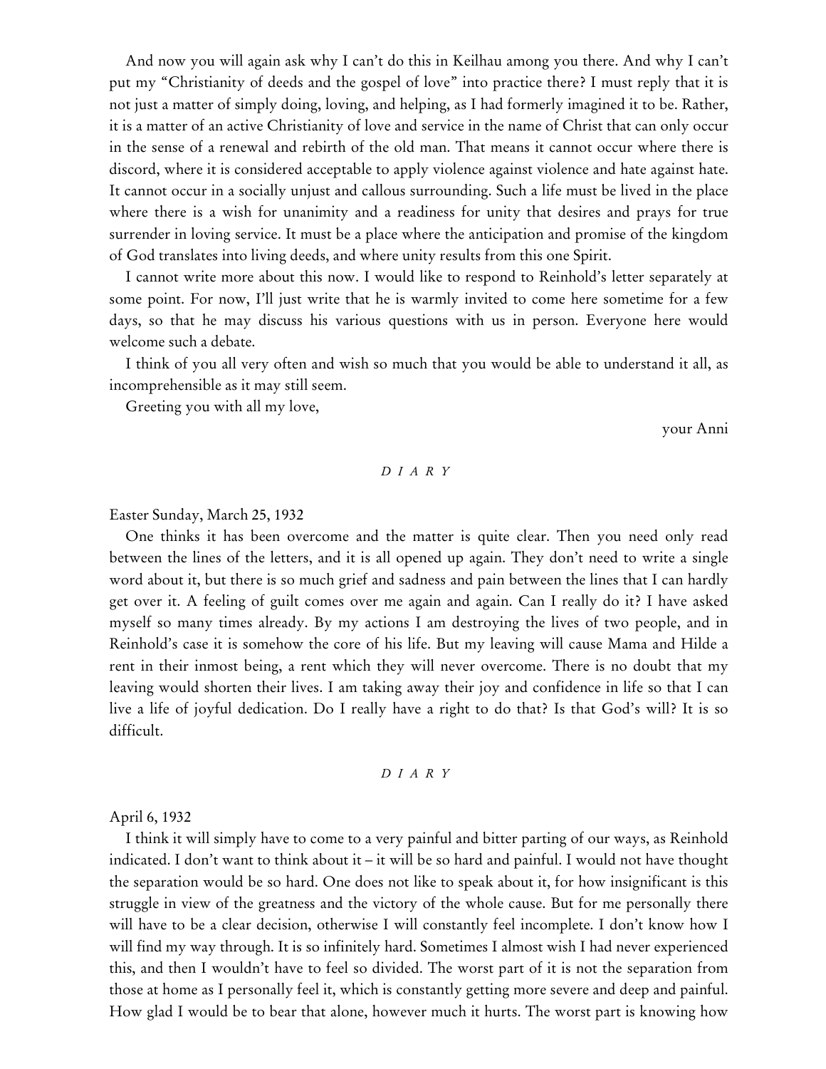And now you will again ask why I can't do this in Keilhau among you there. And why I can't put my "Christianity of deeds and the gospel of love" into practice there? I must reply that it is not just a matter of simply doing, loving, and helping, as I had formerly imagined it to be. Rather, it is a matter of an active Christianity of love and service in the name of Christ that can only occur in the sense of a renewal and rebirth of the old man. That means it cannot occur where there is discord, where it is considered acceptable to apply violence against violence and hate against hate. It cannot occur in a socially unjust and callous surrounding. Such a life must be lived in the place where there is a wish for unanimity and a readiness for unity that desires and prays for true surrender in loving service. It must be a place where the anticipation and promise of the kingdom of God translates into living deeds, and where unity results from this one Spirit.

I cannot write more about this now. I would like to respond to Reinhold's letter separately at some point. For now, I'll just write that he is warmly invited to come here sometime for a few days, so that he may discuss his various questions with us in person. Everyone here would welcome such a debate.

I think of you all very often and wish so much that you would be able to understand it all, as incomprehensible as it may still seem.

Greeting you with all my love,

your Anni

$$
D I A R Y
$$

Easter Sunday, March 25, 1932

One thinks it has been overcome and the matter is quite clear. Then you need only read between the lines of the letters, and it is all opened up again. They don't need to write a single word about it, but there is so much grief and sadness and pain between the lines that I can hardly get over it. A feeling of guilt comes over me again and again. Can I really do it? I have asked myself so many times already. By my actions I am destroying the lives of two people, and in Reinhold's case it is somehow the core of his life. But my leaving will cause Mama and Hilde a rent in their inmost being, a rent which they will never overcome. There is no doubt that my leaving would shorten their lives. I am taking away their joy and confidence in life so that I can live a life of joyful dedication. Do I really have a right to do that? Is that God's will? It is so difficult.

$$
D\ I\ A\ R\ Y
$$

April 6, 1932

I think it will simply have to come to a very painful and bitter parting of our ways, as Reinhold indicated. I don't want to think about it – it will be so hard and painful. I would not have thought the separation would be so hard. One does not like to speak about it, for how insignificant is this struggle in view of the greatness and the victory of the whole cause. But for me personally there will have to be a clear decision, otherwise I will constantly feel incomplete. I don't know how I will find my way through. It is so infinitely hard. Sometimes I almost wish I had never experienced this, and then I wouldn't have to feel so divided. The worst part of it is not the separation from those at home as I personally feel it, which is constantly getting more severe and deep and painful. How glad I would be to bear that alone, however much it hurts. The worst part is knowing how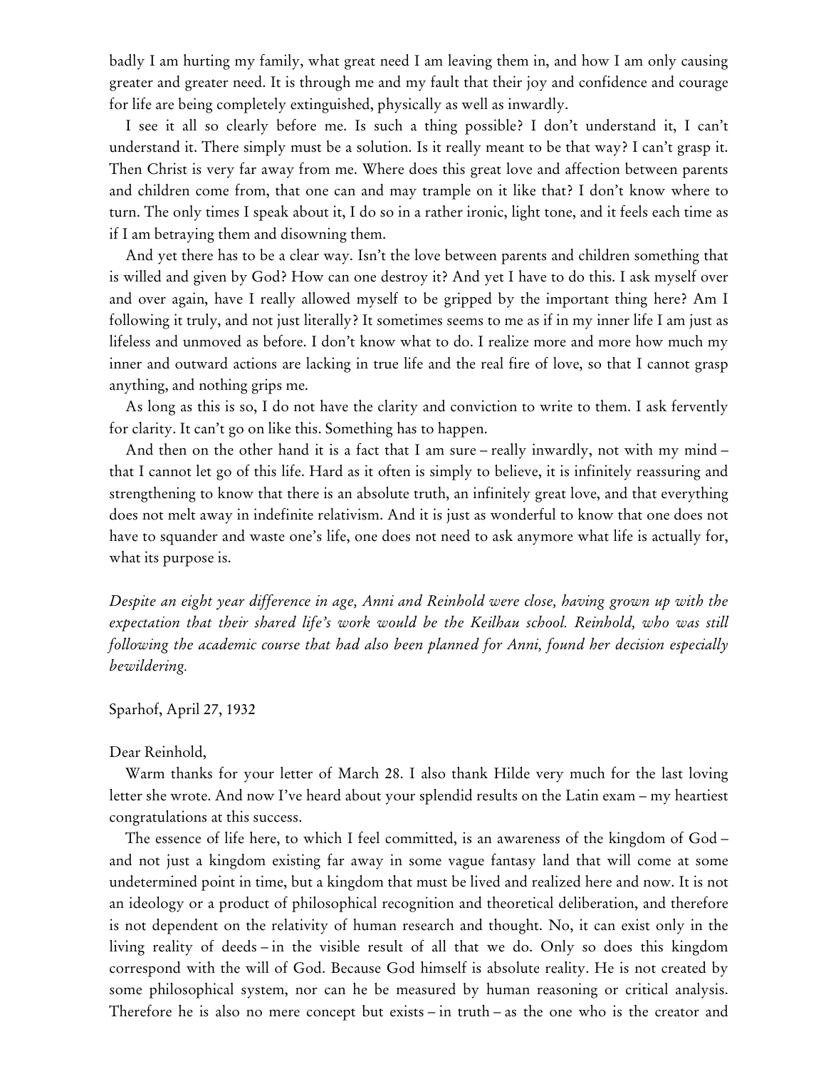badly I am hurting my family, what great need I am leaving them in, and how I am only causing greater and greater need. It is through me and my fault that their joy and confidence and courage for life are being completely extinguished, physically as well as inwardly.

I see it all so clearly before me. Is such a thing possible? I don't understand it, I can't understand it. There simply must be a solution. Is it really meant to be that way? I can't grasp it. Then Christ is very far away from me. Where does this great love and affection between parents and children come from, that one can and may trample on it like that? I don't know where to turn. The only times I speak about it, I do so in a rather ironic, light tone, and it feels each time as if I am betraying them and disowning them.

And yet there has to be a clear way. Isn't the love between parents and children something that is willed and given by God? How can one destroy it? And yet I have to do this. I ask myself over and over again, have I really allowed myself to be gripped by the important thing here? Am I following it truly, and not just literally? It sometimes seems to me as if in my inner life I am just as lifeless and unmoved as before. I don't know what to do. I realize more and more how much my inner and outward actions are lacking in true life and the real fire of love, so that I cannot grasp anything, and nothing grips me.

As long as this is so, I do not have the clarity and conviction to write to them. I ask fervently for clarity. It can't go on like this. Something has to happen.

And then on the other hand it is a fact that I am sure – really inwardly, not with my mind – that I cannot let go of this life. Hard as it often is simply to believe, it is infinitely reassuring and strengthening to know that there is an absolute truth, an infinitely great love, and that everything does not melt away in indefinite relativism. And it is just as wonderful to know that one does not have to squander and waste one's life, one does not need to ask anymore what life is actually for, what its purpose is.

*Despite an eight year difference in age, Anni and Reinhold were close, having grown up with the expectation that their shared life's work would be the Keilhau school. Reinhold, who was still following the academic course that had also been planned for Anni, found her decision especially bewildering.*

Sparhof, April 27, 1932

## Dear Reinhold,

Warm thanks for your letter of March 28. I also thank Hilde very much for the last loving letter she wrote. And now I've heard about your splendid results on the Latin exam – my heartiest congratulations at this success.

The essence of life here, to which I feel committed, is an awareness of the kingdom of God – and not just a kingdom existing far away in some vague fantasy land that will come at some undetermined point in time, but a kingdom that must be lived and realized here and now. It is not an ideology or a product of philosophical recognition and theoretical deliberation, and therefore is not dependent on the relativity of human research and thought. No, it can exist only in the living reality of deeds – in the visible result of all that we do. Only so does this kingdom correspond with the will of God. Because God himself is absolute reality. He is not created by some philosophical system, nor can he be measured by human reasoning or critical analysis. Therefore he is also no mere concept but exists – in truth – as the one who is the creator and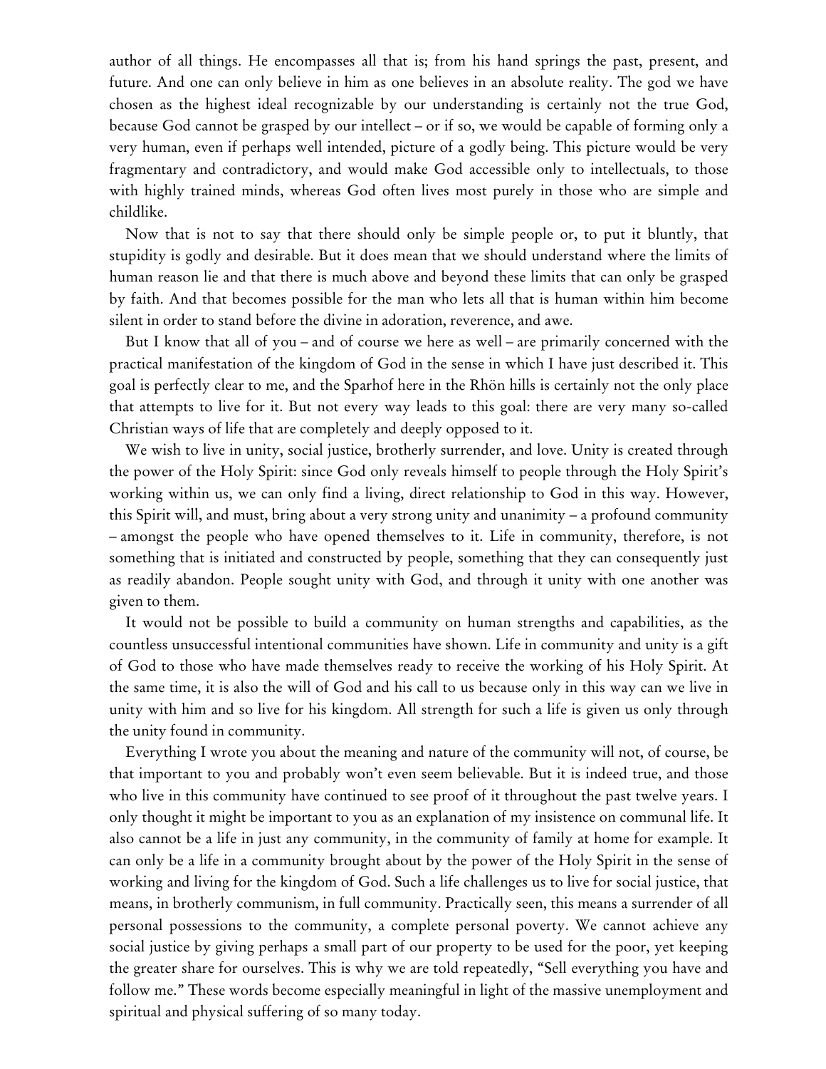author of all things. He encompasses all that is; from his hand springs the past, present, and future. And one can only believe in him as one believes in an absolute reality. The god we have chosen as the highest ideal recognizable by our understanding is certainly not the true God, because God cannot be grasped by our intellect – or if so, we would be capable of forming only a very human, even if perhaps well intended, picture of a godly being. This picture would be very fragmentary and contradictory, and would make God accessible only to intellectuals, to those with highly trained minds, whereas God often lives most purely in those who are simple and childlike.

Now that is not to say that there should only be simple people or, to put it bluntly, that stupidity is godly and desirable. But it does mean that we should understand where the limits of human reason lie and that there is much above and beyond these limits that can only be grasped by faith. And that becomes possible for the man who lets all that is human within him become silent in order to stand before the divine in adoration, reverence, and awe.

But I know that all of you – and of course we here as well – are primarily concerned with the practical manifestation of the kingdom of God in the sense in which I have just described it. This goal is perfectly clear to me, and the Sparhof here in the Rhön hills is certainly not the only place that attempts to live for it. But not every way leads to this goal: there are very many so-called Christian ways of life that are completely and deeply opposed to it.

We wish to live in unity, social justice, brotherly surrender, and love. Unity is created through the power of the Holy Spirit: since God only reveals himself to people through the Holy Spirit's working within us, we can only find a living, direct relationship to God in this way. However, this Spirit will, and must, bring about a very strong unity and unanimity – a profound community – amongst the people who have opened themselves to it. Life in community, therefore, is not something that is initiated and constructed by people, something that they can consequently just as readily abandon. People sought unity with God, and through it unity with one another was given to them.

It would not be possible to build a community on human strengths and capabilities, as the countless unsuccessful intentional communities have shown. Life in community and unity is a gift of God to those who have made themselves ready to receive the working of his Holy Spirit. At the same time, it is also the will of God and his call to us because only in this way can we live in unity with him and so live for his kingdom. All strength for such a life is given us only through the unity found in community.

Everything I wrote you about the meaning and nature of the community will not, of course, be that important to you and probably won't even seem believable. But it is indeed true, and those who live in this community have continued to see proof of it throughout the past twelve years. I only thought it might be important to you as an explanation of my insistence on communal life. It also cannot be a life in just any community, in the community of family at home for example. It can only be a life in a community brought about by the power of the Holy Spirit in the sense of working and living for the kingdom of God. Such a life challenges us to live for social justice, that means, in brotherly communism, in full community. Practically seen, this means a surrender of all personal possessions to the community, a complete personal poverty. We cannot achieve any social justice by giving perhaps a small part of our property to be used for the poor, yet keeping the greater share for ourselves. This is why we are told repeatedly, "Sell everything you have and follow me." These words become especially meaningful in light of the massive unemployment and spiritual and physical suffering of so many today.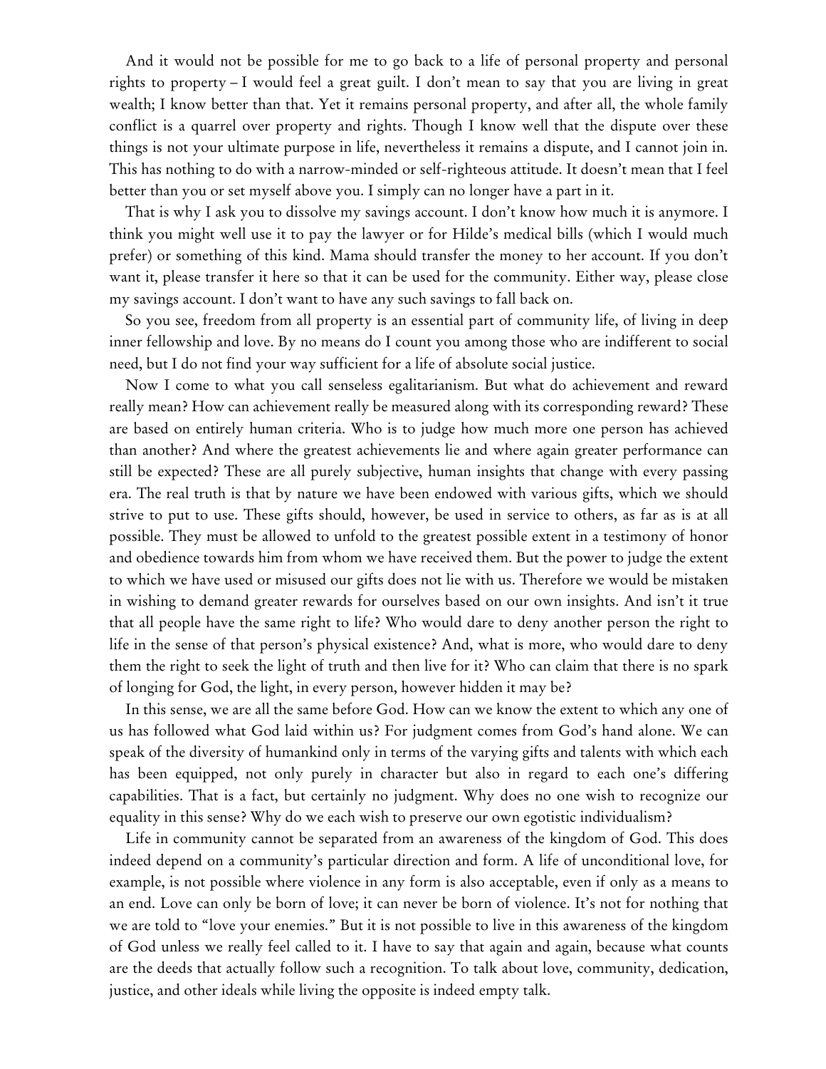And it would not be possible for me to go back to a life of personal property and personal rights to property – I would feel a great guilt. I don't mean to say that you are living in great wealth; I know better than that. Yet it remains personal property, and after all, the whole family conflict is a quarrel over property and rights. Though I know well that the dispute over these things is not your ultimate purpose in life, nevertheless it remains a dispute, and I cannot join in. This has nothing to do with a narrow-minded or self-righteous attitude. It doesn't mean that I feel better than you or set myself above you. I simply can no longer have a part in it.

That is why I ask you to dissolve my savings account. I don't know how much it is anymore. I think you might well use it to pay the lawyer or for Hilde's medical bills (which I would much prefer) or something of this kind. Mama should transfer the money to her account. If you don't want it, please transfer it here so that it can be used for the community. Either way, please close my savings account. I don't want to have any such savings to fall back on.

So you see, freedom from all property is an essential part of community life, of living in deep inner fellowship and love. By no means do I count you among those who are indifferent to social need, but I do not find your way sufficient for a life of absolute social justice.

Now I come to what you call senseless egalitarianism. But what do achievement and reward really mean? How can achievement really be measured along with its corresponding reward? These are based on entirely human criteria. Who is to judge how much more one person has achieved than another? And where the greatest achievements lie and where again greater performance can still be expected? These are all purely subjective, human insights that change with every passing era. The real truth is that by nature we have been endowed with various gifts, which we should strive to put to use. These gifts should, however, be used in service to others, as far as is at all possible. They must be allowed to unfold to the greatest possible extent in a testimony of honor and obedience towards him from whom we have received them. But the power to judge the extent to which we have used or misused our gifts does not lie with us. Therefore we would be mistaken in wishing to demand greater rewards for ourselves based on our own insights. And isn't it true that all people have the same right to life? Who would dare to deny another person the right to life in the sense of that person's physical existence? And, what is more, who would dare to deny them the right to seek the light of truth and then live for it? Who can claim that there is no spark of longing for God, the light, in every person, however hidden it may be?

In this sense, we are all the same before God. How can we know the extent to which any one of us has followed what God laid within us? For judgment comes from God's hand alone. We can speak of the diversity of humankind only in terms of the varying gifts and talents with which each has been equipped, not only purely in character but also in regard to each one's differing capabilities. That is a fact, but certainly no judgment. Why does no one wish to recognize our equality in this sense? Why do we each wish to preserve our own egotistic individualism?

Life in community cannot be separated from an awareness of the kingdom of God. This does indeed depend on a community's particular direction and form. A life of unconditional love, for example, is not possible where violence in any form is also acceptable, even if only as a means to an end. Love can only be born of love; it can never be born of violence. It's not for nothing that we are told to "love your enemies." But it is not possible to live in this awareness of the kingdom of God unless we really feel called to it. I have to say that again and again, because what counts are the deeds that actually follow such a recognition. To talk about love, community, dedication, justice, and other ideals while living the opposite is indeed empty talk.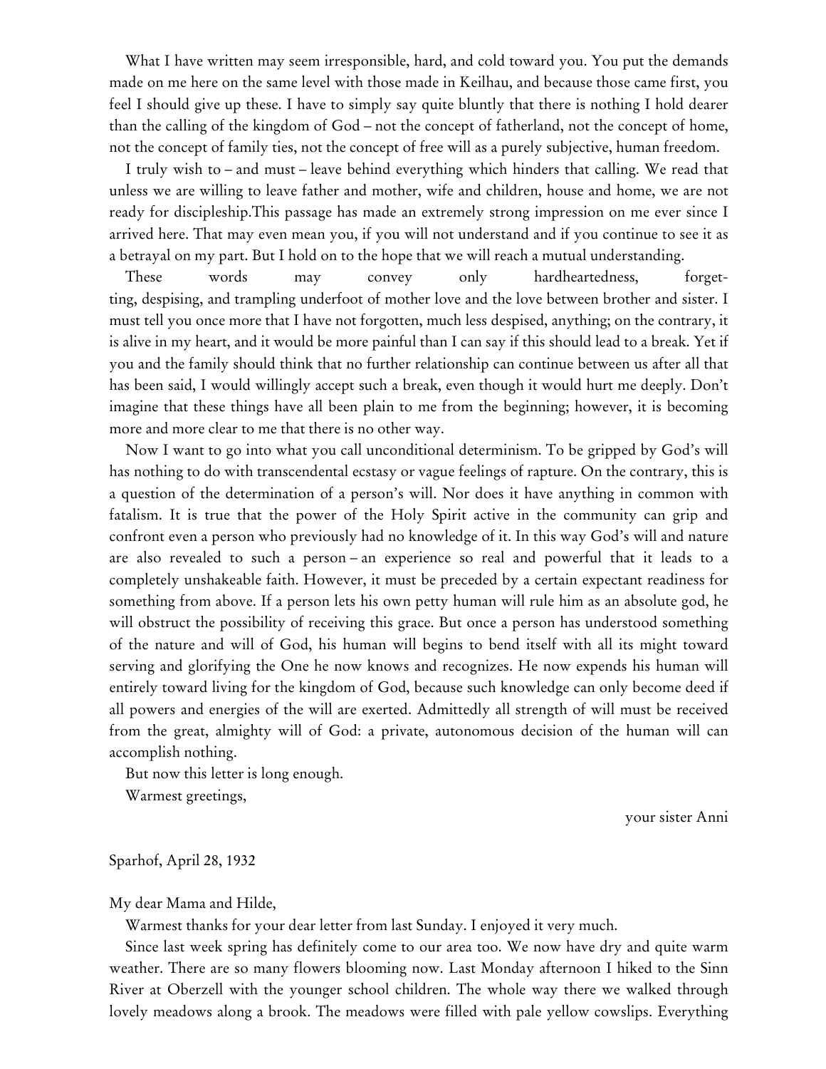What I have written may seem irresponsible, hard, and cold toward you. You put the demands made on me here on the same level with those made in Keilhau, and because those came first, you feel I should give up these. I have to simply say quite bluntly that there is nothing I hold dearer than the calling of the kingdom of God – not the concept of fatherland, not the concept of home, not the concept of family ties, not the concept of free will as a purely subjective, human freedom.

I truly wish to – and must – leave behind everything which hinders that calling. We read that unless we are willing to leave father and mother, wife and children, house and home, we are not ready for discipleship.This passage has made an extremely strong impression on me ever since I arrived here. That may even mean you, if you will not understand and if you continue to see it as a betrayal on my part. But I hold on to the hope that we will reach a mutual understanding.

These words may convey only hardheartedness, forgetting, despising, and trampling underfoot of mother love and the love between brother and sister. I must tell you once more that I have not forgotten, much less despised, anything; on the contrary, it is alive in my heart, and it would be more painful than I can say if this should lead to a break. Yet if you and the family should think that no further relationship can continue between us after all that has been said, I would willingly accept such a break, even though it would hurt me deeply. Don't imagine that these things have all been plain to me from the beginning; however, it is becoming more and more clear to me that there is no other way.

Now I want to go into what you call unconditional determinism. To be gripped by God's will has nothing to do with transcendental ecstasy or vague feelings of rapture. On the contrary, this is a question of the determination of a person's will. Nor does it have anything in common with fatalism. It is true that the power of the Holy Spirit active in the community can grip and confront even a person who previously had no knowledge of it. In this way God's will and nature are also revealed to such a person – an experience so real and powerful that it leads to a completely unshakeable faith. However, it must be preceded by a certain expectant readiness for something from above. If a person lets his own petty human will rule him as an absolute god, he will obstruct the possibility of receiving this grace. But once a person has understood something of the nature and will of God, his human will begins to bend itself with all its might toward serving and glorifying the One he now knows and recognizes. He now expends his human will entirely toward living for the kingdom of God, because such knowledge can only become deed if all powers and energies of the will are exerted. Admittedly all strength of will must be received from the great, almighty will of God: a private, autonomous decision of the human will can accomplish nothing.

But now this letter is long enough.

Warmest greetings,

your sister Anni

Sparhof, April 28, 1932

My dear Mama and Hilde,

Warmest thanks for your dear letter from last Sunday. I enjoyed it very much.

Since last week spring has definitely come to our area too. We now have dry and quite warm weather. There are so many flowers blooming now. Last Monday afternoon I hiked to the Sinn River at Oberzell with the younger school children. The whole way there we walked through lovely meadows along a brook. The meadows were filled with pale yellow cowslips. Everything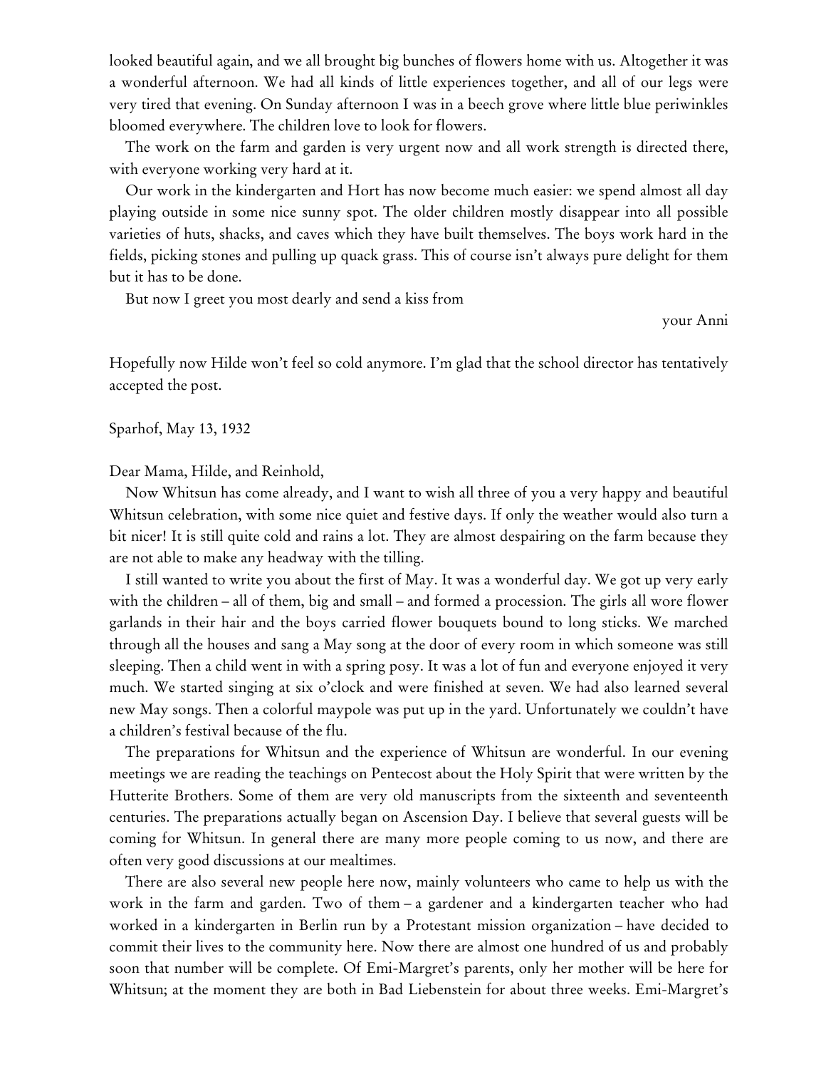looked beautiful again, and we all brought big bunches of flowers home with us. Altogether it was a wonderful afternoon. We had all kinds of little experiences together, and all of our legs were very tired that evening. On Sunday afternoon I was in a beech grove where little blue periwinkles bloomed everywhere. The children love to look for flowers.

The work on the farm and garden is very urgent now and all work strength is directed there, with everyone working very hard at it.

Our work in the kindergarten and Hort has now become much easier: we spend almost all day playing outside in some nice sunny spot. The older children mostly disappear into all possible varieties of huts, shacks, and caves which they have built themselves. The boys work hard in the fields, picking stones and pulling up quack grass. This of course isn't always pure delight for them but it has to be done.

But now I greet you most dearly and send a kiss from

your Anni

Hopefully now Hilde won't feel so cold anymore. I'm glad that the school director has tentatively accepted the post.

Sparhof, May 13, 1932

Dear Mama, Hilde, and Reinhold,

Now Whitsun has come already, and I want to wish all three of you a very happy and beautiful Whitsun celebration, with some nice quiet and festive days. If only the weather would also turn a bit nicer! It is still quite cold and rains a lot. They are almost despairing on the farm because they are not able to make any headway with the tilling.

I still wanted to write you about the first of May. It was a wonderful day. We got up very early with the children – all of them, big and small – and formed a procession. The girls all wore flower garlands in their hair and the boys carried flower bouquets bound to long sticks. We marched through all the houses and sang a May song at the door of every room in which someone was still sleeping. Then a child went in with a spring posy. It was a lot of fun and everyone enjoyed it very much. We started singing at six o'clock and were finished at seven. We had also learned several new May songs. Then a colorful maypole was put up in the yard. Unfortunately we couldn't have a children's festival because of the flu.

The preparations for Whitsun and the experience of Whitsun are wonderful. In our evening meetings we are reading the teachings on Pentecost about the Holy Spirit that were written by the Hutterite Brothers. Some of them are very old manuscripts from the sixteenth and seventeenth centuries. The preparations actually began on Ascension Day. I believe that several guests will be coming for Whitsun. In general there are many more people coming to us now, and there are often very good discussions at our mealtimes.

There are also several new people here now, mainly volunteers who came to help us with the work in the farm and garden. Two of them – a gardener and a kindergarten teacher who had worked in a kindergarten in Berlin run by a Protestant mission organization – have decided to commit their lives to the community here. Now there are almost one hundred of us and probably soon that number will be complete. Of Emi-Margret's parents, only her mother will be here for Whitsun; at the moment they are both in Bad Liebenstein for about three weeks. Emi-Margret's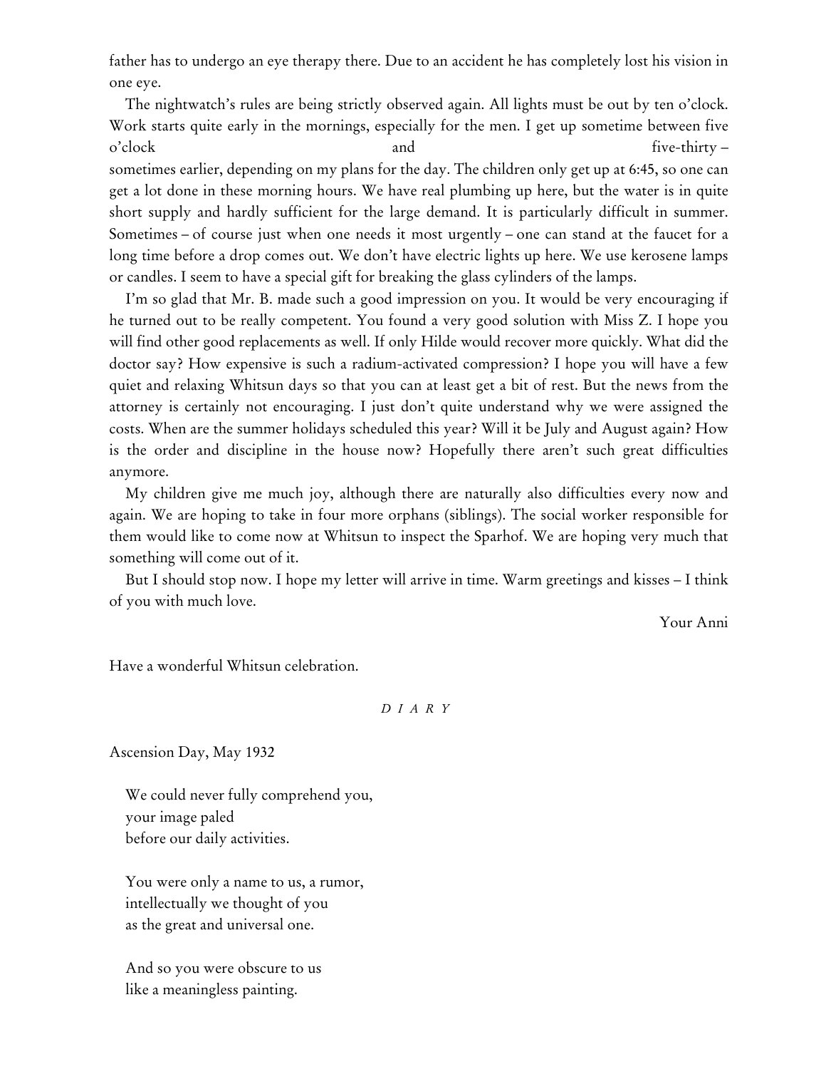father has to undergo an eye therapy there. Due to an accident he has completely lost his vision in one eye.

The nightwatch's rules are being strictly observed again. All lights must be out by ten o'clock. Work starts quite early in the mornings, especially for the men. I get up sometime between five o'clock and five-thirty – sometimes earlier, depending on my plans for the day. The children only get up at 6:45, so one can get a lot done in these morning hours. We have real plumbing up here, but the water is in quite short supply and hardly sufficient for the large demand. It is particularly difficult in summer. Sometimes – of course just when one needs it most urgently – one can stand at the faucet for a long time before a drop comes out. We don't have electric lights up here. We use kerosene lamps or candles. I seem to have a special gift for breaking the glass cylinders of the lamps.

I'm so glad that Mr. B. made such a good impression on you. It would be very encouraging if he turned out to be really competent. You found a very good solution with Miss Z. I hope you will find other good replacements as well. If only Hilde would recover more quickly. What did the doctor say? How expensive is such a radium-activated compression? I hope you will have a few quiet and relaxing Whitsun days so that you can at least get a bit of rest. But the news from the attorney is certainly not encouraging. I just don't quite understand why we were assigned the costs. When are the summer holidays scheduled this year? Will it be July and August again? How is the order and discipline in the house now? Hopefully there aren't such great difficulties anymore.

My children give me much joy, although there are naturally also difficulties every now and again. We are hoping to take in four more orphans (siblings). The social worker responsible for them would like to come now at Whitsun to inspect the Sparhof. We are hoping very much that something will come out of it.

But I should stop now. I hope my letter will arrive in time. Warm greetings and kisses – I think of you with much love.

Your Anni

Have a wonderful Whitsun celebration.

*DIARY*

Ascension Day, May 1932

We could never fully comprehend you, your image paled before our daily activities.

You were only a name to us, a rumor, intellectually we thought of you as the great and universal one.

And so you were obscure to us like a meaningless painting.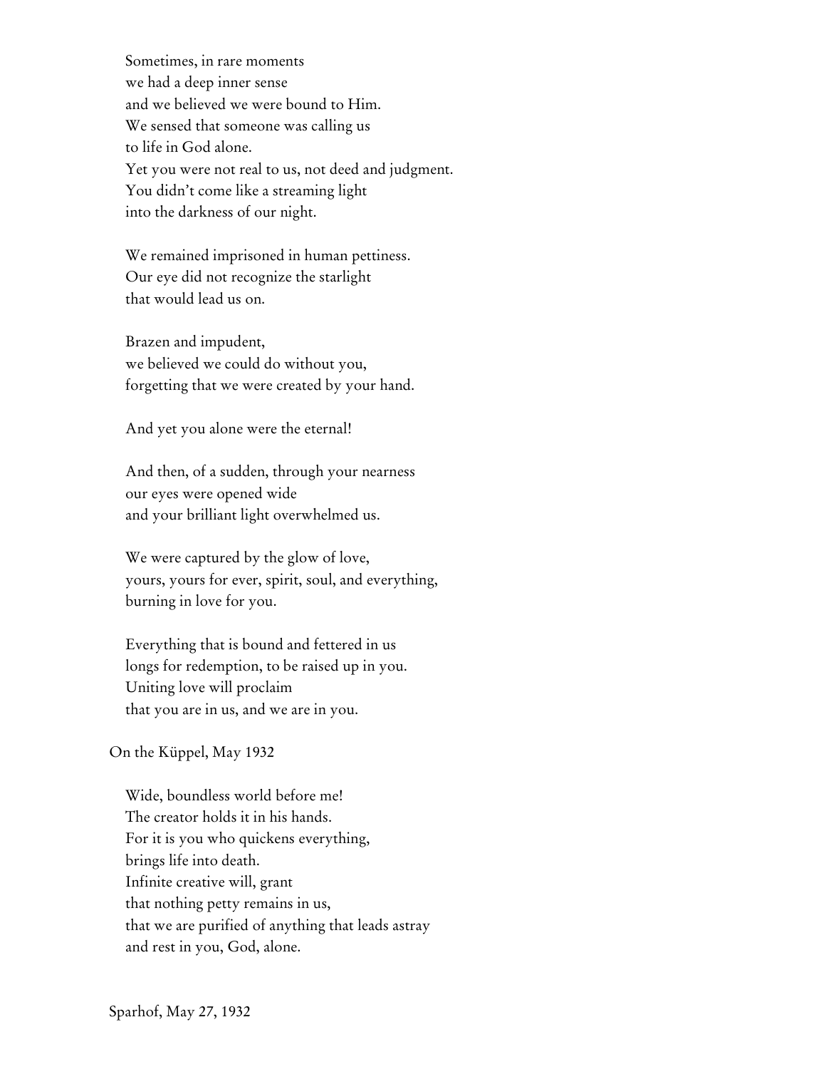Sometimes, in rare moments we had a deep inner sense and we believed we were bound to Him. We sensed that someone was calling us to life in God alone. Yet you were not real to us, not deed and judgment. You didn't come like a streaming light into the darkness of our night.

We remained imprisoned in human pettiness. Our eye did not recognize the starlight that would lead us on.

Brazen and impudent, we believed we could do without you, forgetting that we were created by your hand.

And yet you alone were the eternal!

And then, of a sudden, through your nearness our eyes were opened wide and your brilliant light overwhelmed us.

We were captured by the glow of love, yours, yours for ever, spirit, soul, and everything, burning in love for you.

Everything that is bound and fettered in us longs for redemption, to be raised up in you. Uniting love will proclaim that you are in us, and we are in you.

On the Küppel, May 1932

Wide, boundless world before me! The creator holds it in his hands. For it is you who quickens everything, brings life into death. Infinite creative will, grant that nothing petty remains in us, that we are purified of anything that leads astray and rest in you, God, alone.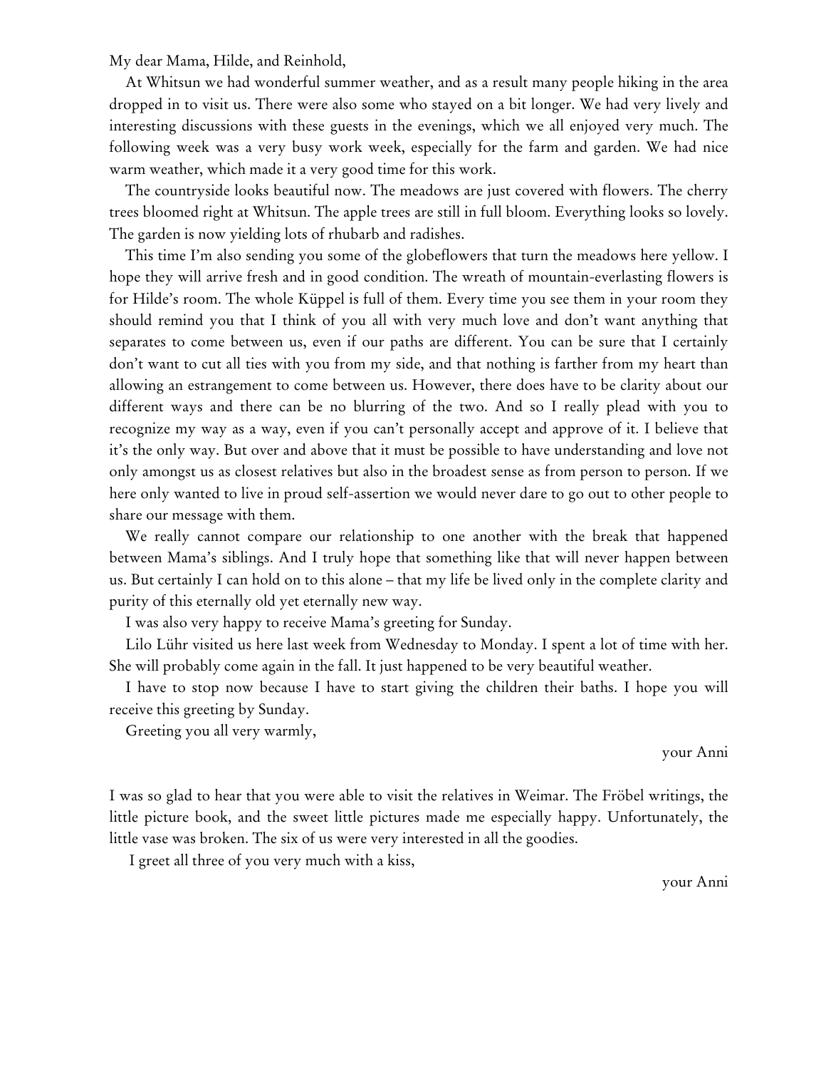My dear Mama, Hilde, and Reinhold,

At Whitsun we had wonderful summer weather, and as a result many people hiking in the area dropped in to visit us. There were also some who stayed on a bit longer. We had very lively and interesting discussions with these guests in the evenings, which we all enjoyed very much. The following week was a very busy work week, especially for the farm and garden. We had nice warm weather, which made it a very good time for this work.

The countryside looks beautiful now. The meadows are just covered with flowers. The cherry trees bloomed right at Whitsun. The apple trees are still in full bloom. Everything looks so lovely. The garden is now yielding lots of rhubarb and radishes.

This time I'm also sending you some of the globeflowers that turn the meadows here yellow. I hope they will arrive fresh and in good condition. The wreath of mountain-everlasting flowers is for Hilde's room. The whole Küppel is full of them. Every time you see them in your room they should remind you that I think of you all with very much love and don't want anything that separates to come between us, even if our paths are different. You can be sure that I certainly don't want to cut all ties with you from my side, and that nothing is farther from my heart than allowing an estrangement to come between us. However, there does have to be clarity about our different ways and there can be no blurring of the two. And so I really plead with you to recognize my way as a way, even if you can't personally accept and approve of it. I believe that it's the only way. But over and above that it must be possible to have understanding and love not only amongst us as closest relatives but also in the broadest sense as from person to person. If we here only wanted to live in proud self-assertion we would never dare to go out to other people to share our message with them.

We really cannot compare our relationship to one another with the break that happened between Mama's siblings. And I truly hope that something like that will never happen between us. But certainly I can hold on to this alone – that my life be lived only in the complete clarity and purity of this eternally old yet eternally new way.

I was also very happy to receive Mama's greeting for Sunday.

Lilo Lühr visited us here last week from Wednesday to Monday. I spent a lot of time with her. She will probably come again in the fall. It just happened to be very beautiful weather.

I have to stop now because I have to start giving the children their baths. I hope you will receive this greeting by Sunday.

Greeting you all very warmly,

your Anni

I was so glad to hear that you were able to visit the relatives in Weimar. The Fröbel writings, the little picture book, and the sweet little pictures made me especially happy. Unfortunately, the little vase was broken. The six of us were very interested in all the goodies.

I greet all three of you very much with a kiss,

your Anni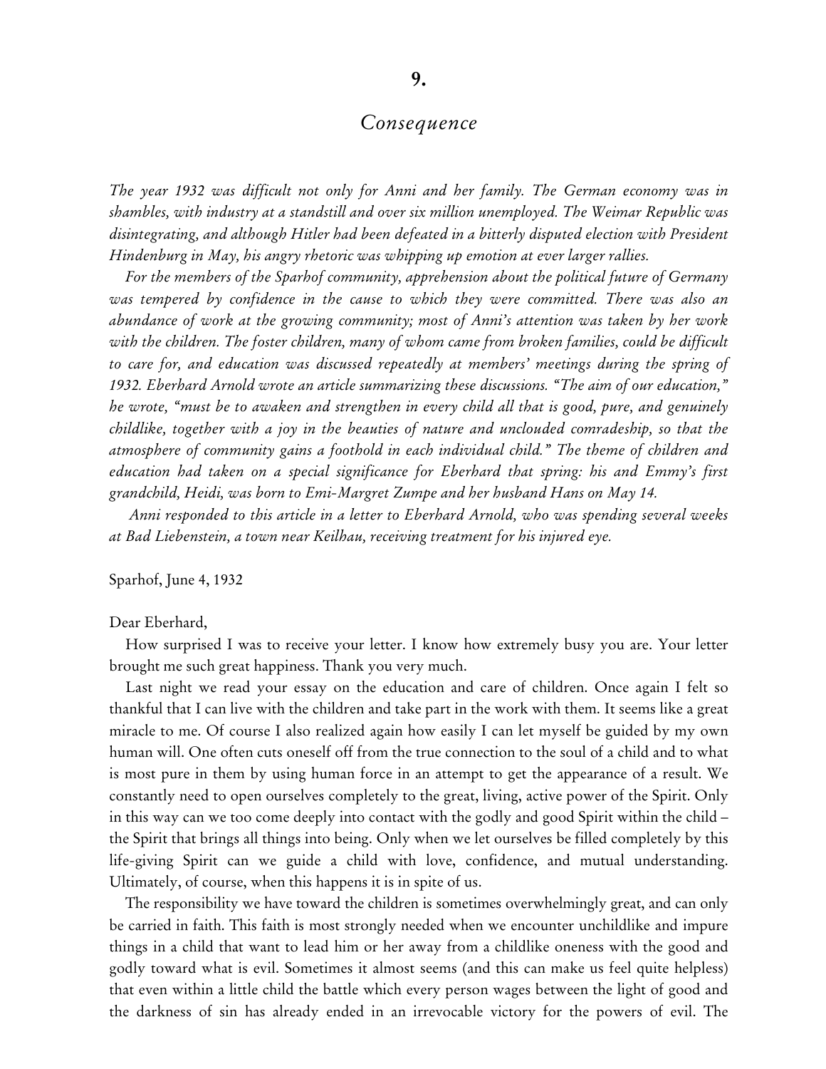# *Consequence*

*The year 1932 was difficult not only for Anni and her family. The German economy was in shambles, with industry at a standstill and over six million unemployed. The Weimar Republic was disintegrating, and although Hitler had been defeated in a bitterly disputed election with President Hindenburg in May, his angry rhetoric was whipping up emotion at ever larger rallies.*

*For the members of the Sparhof community, apprehension about the political future of Germany was tempered by confidence in the cause to which they were committed. There was also an abundance of work at the growing community; most of Anni's attention was taken by her work*  with the children. The foster children, many of whom came from broken families, could be difficult *to care for, and education was discussed repeatedly at members' meetings during the spring of 1932. Eberhard Arnold wrote an article summarizing these discussions. "The aim of our education," he wrote, "must be to awaken and strengthen in every child all that is good, pure, and genuinely childlike, together with a joy in the beauties of nature and unclouded comradeship, so that the atmosphere of community gains a foothold in each individual child." The theme of children and education had taken on a special significance for Eberhard that spring: his and Emmy's first grandchild, Heidi, was born to Emi-Margret Zumpe and her husband Hans on May 14.*

*Anni responded to this article in a letter to Eberhard Arnold, who was spending several weeks at Bad Liebenstein, a town near Keilhau, receiving treatment for his injured eye.*

Sparhof, June 4, 1932

## Dear Eberhard,

How surprised I was to receive your letter. I know how extremely busy you are. Your letter brought me such great happiness. Thank you very much.

Last night we read your essay on the education and care of children. Once again I felt so thankful that I can live with the children and take part in the work with them. It seems like a great miracle to me. Of course I also realized again how easily I can let myself be guided by my own human will. One often cuts oneself off from the true connection to the soul of a child and to what is most pure in them by using human force in an attempt to get the appearance of a result. We constantly need to open ourselves completely to the great, living, active power of the Spirit. Only in this way can we too come deeply into contact with the godly and good Spirit within the child – the Spirit that brings all things into being. Only when we let ourselves be filled completely by this life-giving Spirit can we guide a child with love, confidence, and mutual understanding. Ultimately, of course, when this happens it is in spite of us.

The responsibility we have toward the children is sometimes overwhelmingly great, and can only be carried in faith. This faith is most strongly needed when we encounter unchildlike and impure things in a child that want to lead him or her away from a childlike oneness with the good and godly toward what is evil. Sometimes it almost seems (and this can make us feel quite helpless) that even within a little child the battle which every person wages between the light of good and the darkness of sin has already ended in an irrevocable victory for the powers of evil. The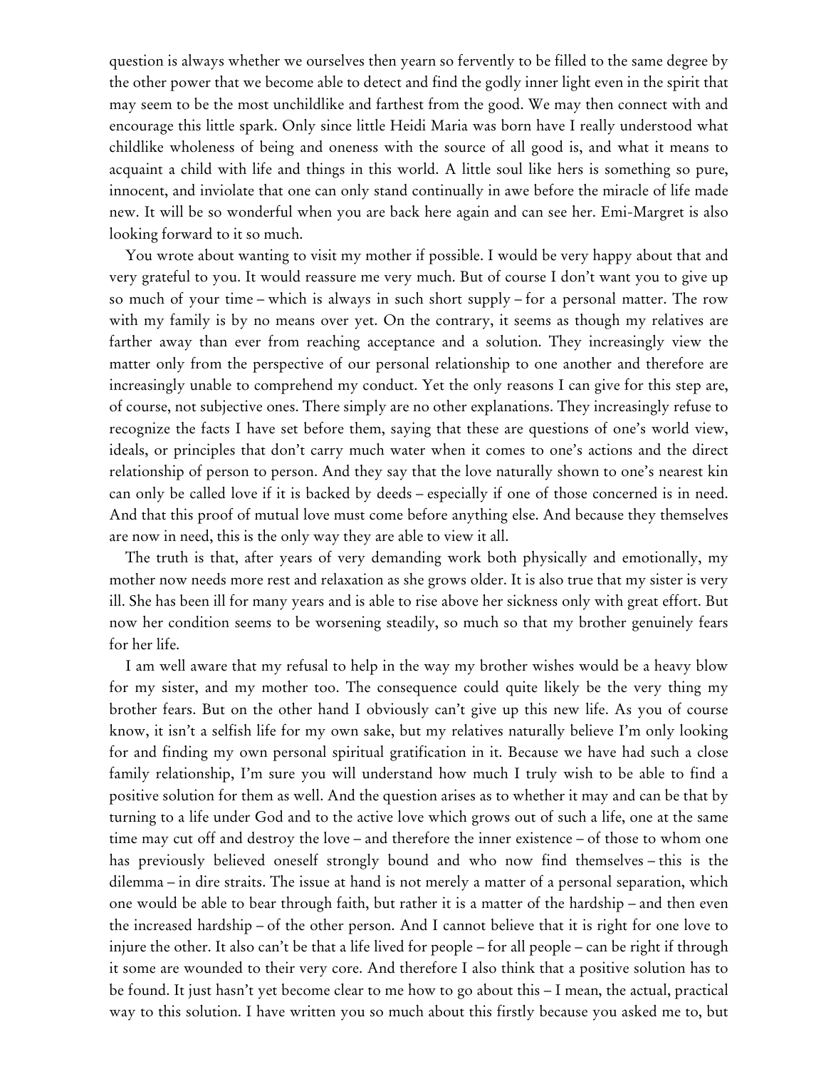question is always whether we ourselves then yearn so fervently to be filled to the same degree by the other power that we become able to detect and find the godly inner light even in the spirit that may seem to be the most unchildlike and farthest from the good. We may then connect with and encourage this little spark. Only since little Heidi Maria was born have I really understood what childlike wholeness of being and oneness with the source of all good is, and what it means to acquaint a child with life and things in this world. A little soul like hers is something so pure, innocent, and inviolate that one can only stand continually in awe before the miracle of life made new. It will be so wonderful when you are back here again and can see her. Emi-Margret is also looking forward to it so much.

You wrote about wanting to visit my mother if possible. I would be very happy about that and very grateful to you. It would reassure me very much. But of course I don't want you to give up so much of your time – which is always in such short supply – for a personal matter. The row with my family is by no means over yet. On the contrary, it seems as though my relatives are farther away than ever from reaching acceptance and a solution. They increasingly view the matter only from the perspective of our personal relationship to one another and therefore are increasingly unable to comprehend my conduct. Yet the only reasons I can give for this step are, of course, not subjective ones. There simply are no other explanations. They increasingly refuse to recognize the facts I have set before them, saying that these are questions of one's world view, ideals, or principles that don't carry much water when it comes to one's actions and the direct relationship of person to person. And they say that the love naturally shown to one's nearest kin can only be called love if it is backed by deeds – especially if one of those concerned is in need. And that this proof of mutual love must come before anything else. And because they themselves are now in need, this is the only way they are able to view it all.

The truth is that, after years of very demanding work both physically and emotionally, my mother now needs more rest and relaxation as she grows older. It is also true that my sister is very ill. She has been ill for many years and is able to rise above her sickness only with great effort. But now her condition seems to be worsening steadily, so much so that my brother genuinely fears for her life.

I am well aware that my refusal to help in the way my brother wishes would be a heavy blow for my sister, and my mother too. The consequence could quite likely be the very thing my brother fears. But on the other hand I obviously can't give up this new life. As you of course know, it isn't a selfish life for my own sake, but my relatives naturally believe I'm only looking for and finding my own personal spiritual gratification in it. Because we have had such a close family relationship, I'm sure you will understand how much I truly wish to be able to find a positive solution for them as well. And the question arises as to whether it may and can be that by turning to a life under God and to the active love which grows out of such a life, one at the same time may cut off and destroy the love – and therefore the inner existence – of those to whom one has previously believed oneself strongly bound and who now find themselves – this is the dilemma – in dire straits. The issue at hand is not merely a matter of a personal separation, which one would be able to bear through faith, but rather it is a matter of the hardship – and then even the increased hardship – of the other person. And I cannot believe that it is right for one love to injure the other. It also can't be that a life lived for people – for all people – can be right if through it some are wounded to their very core. And therefore I also think that a positive solution has to be found. It just hasn't yet become clear to me how to go about this – I mean, the actual, practical way to this solution. I have written you so much about this firstly because you asked me to, but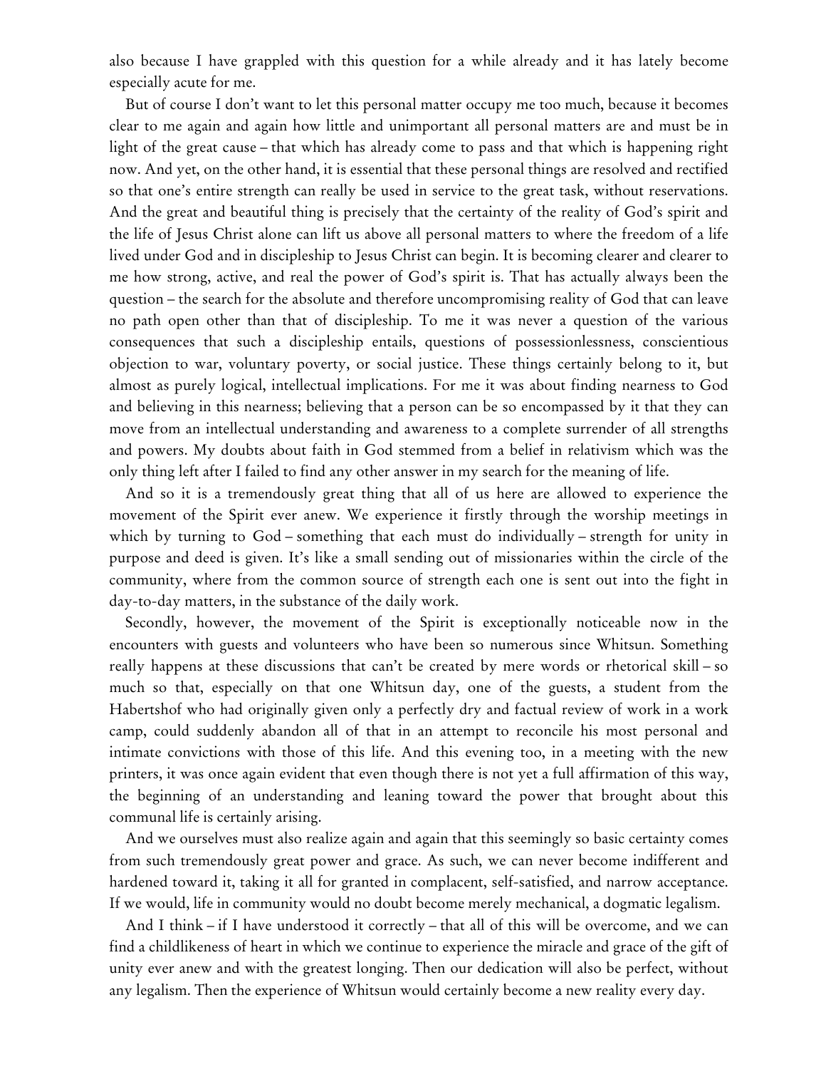also because I have grappled with this question for a while already and it has lately become especially acute for me.

But of course I don't want to let this personal matter occupy me too much, because it becomes clear to me again and again how little and unimportant all personal matters are and must be in light of the great cause – that which has already come to pass and that which is happening right now. And yet, on the other hand, it is essential that these personal things are resolved and rectified so that one's entire strength can really be used in service to the great task, without reservations. And the great and beautiful thing is precisely that the certainty of the reality of God's spirit and the life of Jesus Christ alone can lift us above all personal matters to where the freedom of a life lived under God and in discipleship to Jesus Christ can begin. It is becoming clearer and clearer to me how strong, active, and real the power of God's spirit is. That has actually always been the question – the search for the absolute and therefore uncompromising reality of God that can leave no path open other than that of discipleship. To me it was never a question of the various consequences that such a discipleship entails, questions of possessionlessness, conscientious objection to war, voluntary poverty, or social justice. These things certainly belong to it, but almost as purely logical, intellectual implications. For me it was about finding nearness to God and believing in this nearness; believing that a person can be so encompassed by it that they can move from an intellectual understanding and awareness to a complete surrender of all strengths and powers. My doubts about faith in God stemmed from a belief in relativism which was the only thing left after I failed to find any other answer in my search for the meaning of life.

And so it is a tremendously great thing that all of us here are allowed to experience the movement of the Spirit ever anew. We experience it firstly through the worship meetings in which by turning to God – something that each must do individually – strength for unity in purpose and deed is given. It's like a small sending out of missionaries within the circle of the community, where from the common source of strength each one is sent out into the fight in day-to-day matters, in the substance of the daily work.

Secondly, however, the movement of the Spirit is exceptionally noticeable now in the encounters with guests and volunteers who have been so numerous since Whitsun. Something really happens at these discussions that can't be created by mere words or rhetorical skill – so much so that, especially on that one Whitsun day, one of the guests, a student from the Habertshof who had originally given only a perfectly dry and factual review of work in a work camp, could suddenly abandon all of that in an attempt to reconcile his most personal and intimate convictions with those of this life. And this evening too, in a meeting with the new printers, it was once again evident that even though there is not yet a full affirmation of this way, the beginning of an understanding and leaning toward the power that brought about this communal life is certainly arising.

And we ourselves must also realize again and again that this seemingly so basic certainty comes from such tremendously great power and grace. As such, we can never become indifferent and hardened toward it, taking it all for granted in complacent, self-satisfied, and narrow acceptance. If we would, life in community would no doubt become merely mechanical, a dogmatic legalism.

And I think – if I have understood it correctly – that all of this will be overcome, and we can find a childlikeness of heart in which we continue to experience the miracle and grace of the gift of unity ever anew and with the greatest longing. Then our dedication will also be perfect, without any legalism. Then the experience of Whitsun would certainly become a new reality every day.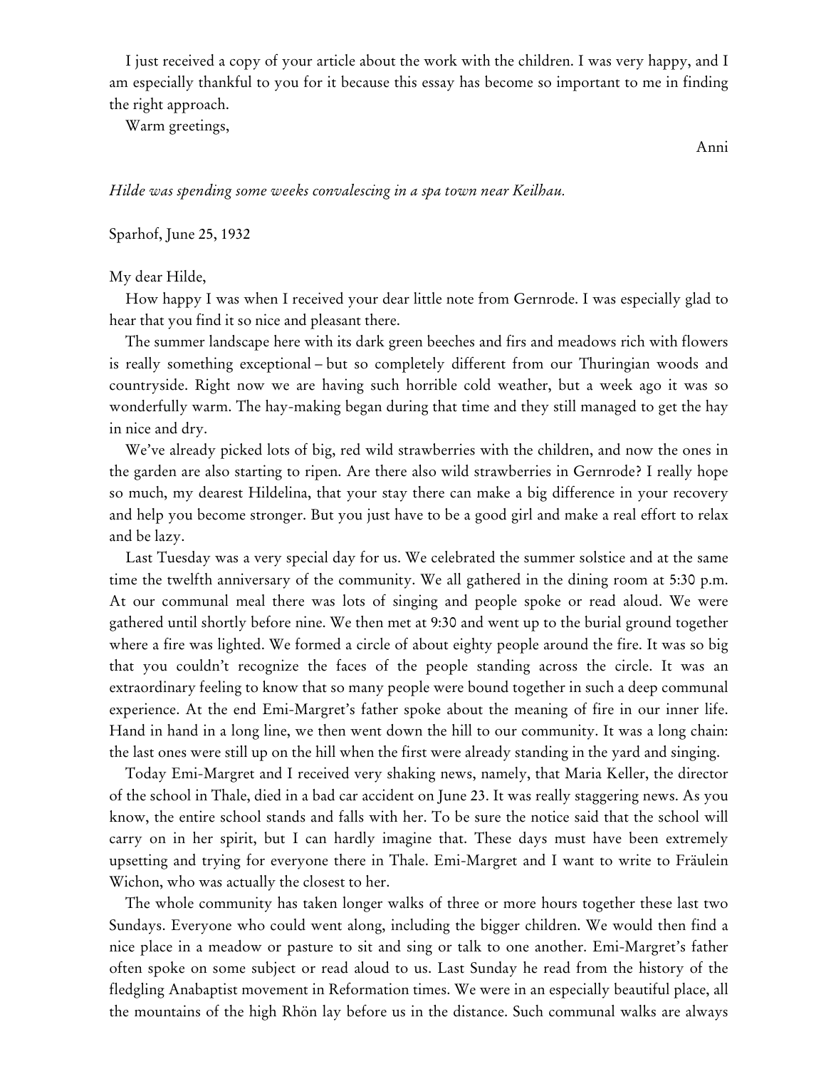I just received a copy of your article about the work with the children. I was very happy, and I am especially thankful to you for it because this essay has become so important to me in finding the right approach.

Warm greetings,

Anni

*Hilde was spending some weeks convalescing in a spa town near Keilhau.*

Sparhof, June 25, 1932

#### My dear Hilde,

How happy I was when I received your dear little note from Gernrode. I was especially glad to hear that you find it so nice and pleasant there.

The summer landscape here with its dark green beeches and firs and meadows rich with flowers is really something exceptional – but so completely different from our Thuringian woods and countryside. Right now we are having such horrible cold weather, but a week ago it was so wonderfully warm. The hay-making began during that time and they still managed to get the hay in nice and dry.

We've already picked lots of big, red wild strawberries with the children, and now the ones in the garden are also starting to ripen. Are there also wild strawberries in Gernrode? I really hope so much, my dearest Hildelina, that your stay there can make a big difference in your recovery and help you become stronger. But you just have to be a good girl and make a real effort to relax and be lazy.

Last Tuesday was a very special day for us. We celebrated the summer solstice and at the same time the twelfth anniversary of the community. We all gathered in the dining room at 5:30 p.m. At our communal meal there was lots of singing and people spoke or read aloud. We were gathered until shortly before nine. We then met at 9:30 and went up to the burial ground together where a fire was lighted. We formed a circle of about eighty people around the fire. It was so big that you couldn't recognize the faces of the people standing across the circle. It was an extraordinary feeling to know that so many people were bound together in such a deep communal experience. At the end Emi-Margret's father spoke about the meaning of fire in our inner life. Hand in hand in a long line, we then went down the hill to our community. It was a long chain: the last ones were still up on the hill when the first were already standing in the yard and singing.

Today Emi-Margret and I received very shaking news, namely, that Maria Keller, the director of the school in Thale, died in a bad car accident on June 23. It was really staggering news. As you know, the entire school stands and falls with her. To be sure the notice said that the school will carry on in her spirit, but I can hardly imagine that. These days must have been extremely upsetting and trying for everyone there in Thale. Emi-Margret and I want to write to Fräulein Wichon, who was actually the closest to her.

The whole community has taken longer walks of three or more hours together these last two Sundays. Everyone who could went along, including the bigger children. We would then find a nice place in a meadow or pasture to sit and sing or talk to one another. Emi-Margret's father often spoke on some subject or read aloud to us. Last Sunday he read from the history of the fledgling Anabaptist movement in Reformation times. We were in an especially beautiful place, all the mountains of the high Rhön lay before us in the distance. Such communal walks are always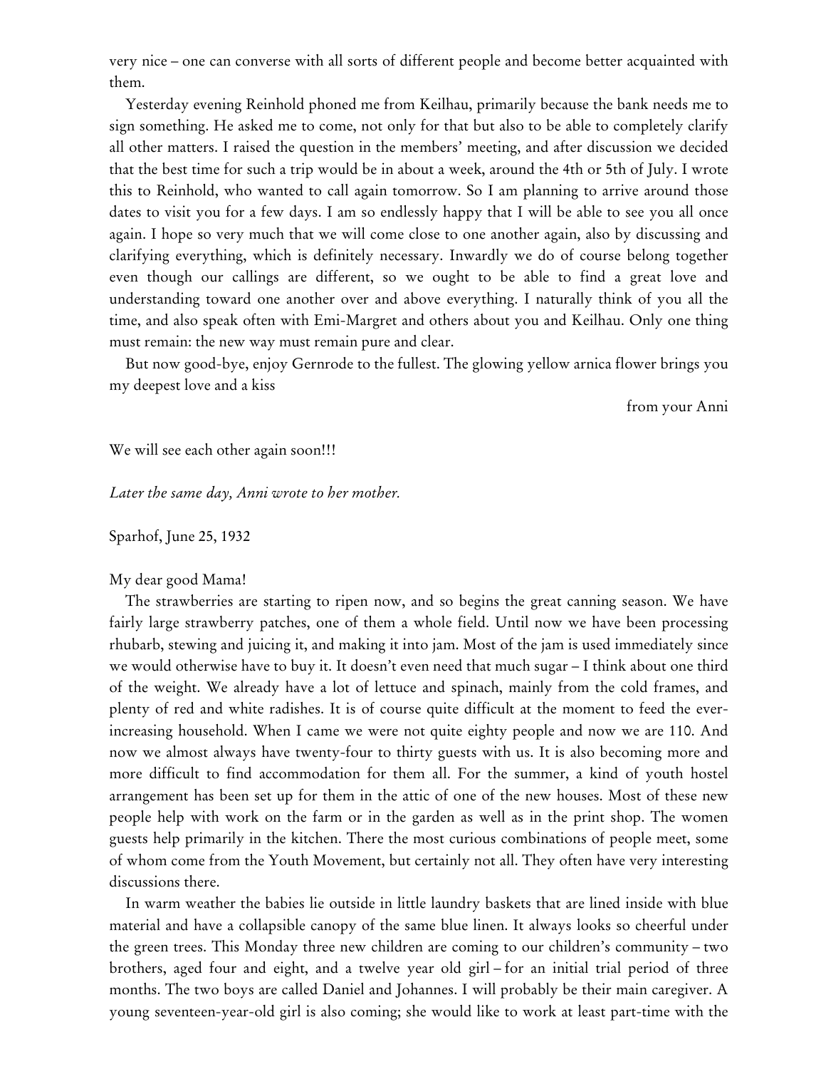very nice – one can converse with all sorts of different people and become better acquainted with them.

Yesterday evening Reinhold phoned me from Keilhau, primarily because the bank needs me to sign something. He asked me to come, not only for that but also to be able to completely clarify all other matters. I raised the question in the members' meeting, and after discussion we decided that the best time for such a trip would be in about a week, around the 4th or 5th of July. I wrote this to Reinhold, who wanted to call again tomorrow. So I am planning to arrive around those dates to visit you for a few days. I am so endlessly happy that I will be able to see you all once again. I hope so very much that we will come close to one another again, also by discussing and clarifying everything, which is definitely necessary. Inwardly we do of course belong together even though our callings are different, so we ought to be able to find a great love and understanding toward one another over and above everything. I naturally think of you all the time, and also speak often with Emi-Margret and others about you and Keilhau. Only one thing must remain: the new way must remain pure and clear.

But now good-bye, enjoy Gernrode to the fullest. The glowing yellow arnica flower brings you my deepest love and a kiss

from your Anni

#### We will see each other again soon!!!

*Later the same day, Anni wrote to her mother.*

Sparhof, June 25, 1932

My dear good Mama!

The strawberries are starting to ripen now, and so begins the great canning season. We have fairly large strawberry patches, one of them a whole field. Until now we have been processing rhubarb, stewing and juicing it, and making it into jam. Most of the jam is used immediately since we would otherwise have to buy it. It doesn't even need that much sugar – I think about one third of the weight. We already have a lot of lettuce and spinach, mainly from the cold frames, and plenty of red and white radishes. It is of course quite difficult at the moment to feed the everincreasing household. When I came we were not quite eighty people and now we are 110. And now we almost always have twenty-four to thirty guests with us. It is also becoming more and more difficult to find accommodation for them all. For the summer, a kind of youth hostel arrangement has been set up for them in the attic of one of the new houses. Most of these new people help with work on the farm or in the garden as well as in the print shop. The women guests help primarily in the kitchen. There the most curious combinations of people meet, some of whom come from the Youth Movement, but certainly not all. They often have very interesting discussions there.

In warm weather the babies lie outside in little laundry baskets that are lined inside with blue material and have a collapsible canopy of the same blue linen. It always looks so cheerful under the green trees. This Monday three new children are coming to our children's community – two brothers, aged four and eight, and a twelve year old girl – for an initial trial period of three months. The two boys are called Daniel and Johannes. I will probably be their main caregiver. A young seventeen-year-old girl is also coming; she would like to work at least part-time with the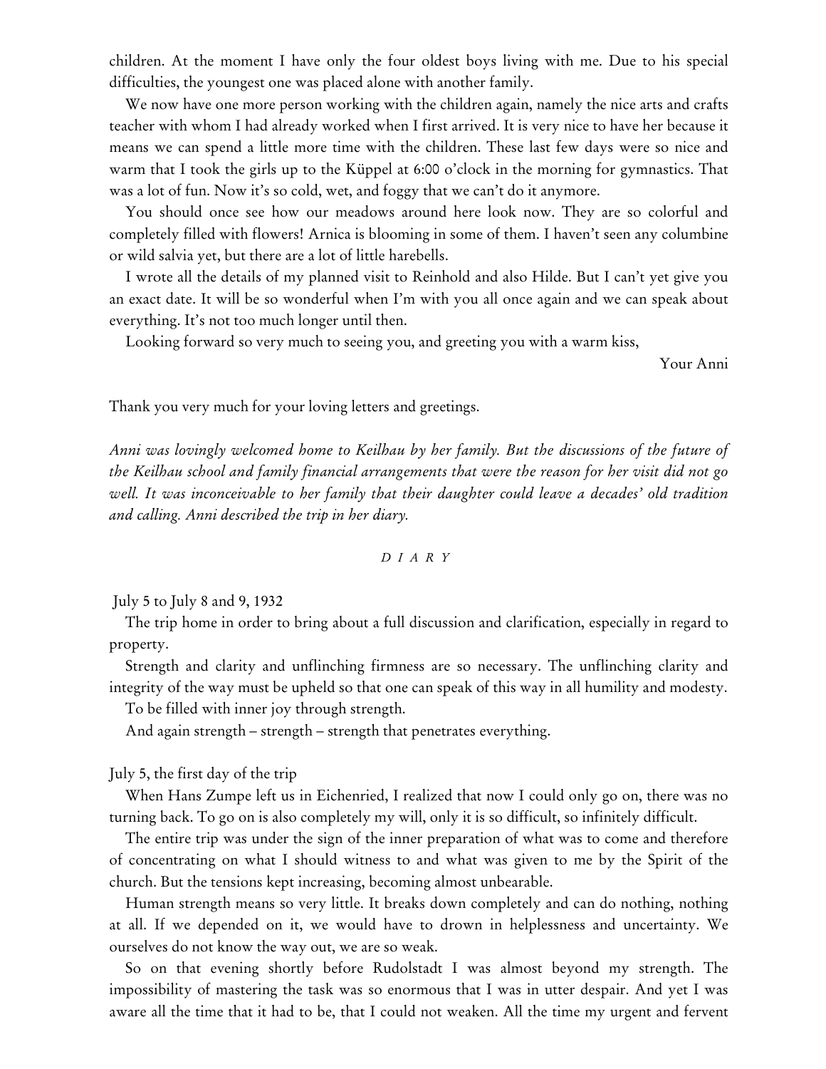children. At the moment I have only the four oldest boys living with me. Due to his special difficulties, the youngest one was placed alone with another family.

We now have one more person working with the children again, namely the nice arts and crafts teacher with whom I had already worked when I first arrived. It is very nice to have her because it means we can spend a little more time with the children. These last few days were so nice and warm that I took the girls up to the Küppel at 6:00 o'clock in the morning for gymnastics. That was a lot of fun. Now it's so cold, wet, and foggy that we can't do it anymore.

You should once see how our meadows around here look now. They are so colorful and completely filled with flowers! Arnica is blooming in some of them. I haven't seen any columbine or wild salvia yet, but there are a lot of little harebells.

I wrote all the details of my planned visit to Reinhold and also Hilde. But I can't yet give you an exact date. It will be so wonderful when I'm with you all once again and we can speak about everything. It's not too much longer until then.

Looking forward so very much to seeing you, and greeting you with a warm kiss,

Your Anni

Thank you very much for your loving letters and greetings.

*Anni was lovingly welcomed home to Keilhau by her family. But the discussions of the future of the Keilhau school and family financial arrangements that were the reason for her visit did not go well. It was inconceivable to her family that their daughter could leave a decades' old tradition and calling. Anni described the trip in her diary.*

# *DIARY*

July 5 to July 8 and 9, 1932

The trip home in order to bring about a full discussion and clarification, especially in regard to property.

Strength and clarity and unflinching firmness are so necessary. The unflinching clarity and integrity of the way must be upheld so that one can speak of this way in all humility and modesty.

To be filled with inner joy through strength.

And again strength – strength – strength that penetrates everything.

July 5, the first day of the trip

When Hans Zumpe left us in Eichenried, I realized that now I could only go on, there was no turning back. To go on is also completely my will, only it is so difficult, so infinitely difficult.

The entire trip was under the sign of the inner preparation of what was to come and therefore of concentrating on what I should witness to and what was given to me by the Spirit of the church. But the tensions kept increasing, becoming almost unbearable.

Human strength means so very little. It breaks down completely and can do nothing, nothing at all. If we depended on it, we would have to drown in helplessness and uncertainty. We ourselves do not know the way out, we are so weak.

So on that evening shortly before Rudolstadt I was almost beyond my strength. The impossibility of mastering the task was so enormous that I was in utter despair. And yet I was aware all the time that it had to be, that I could not weaken. All the time my urgent and fervent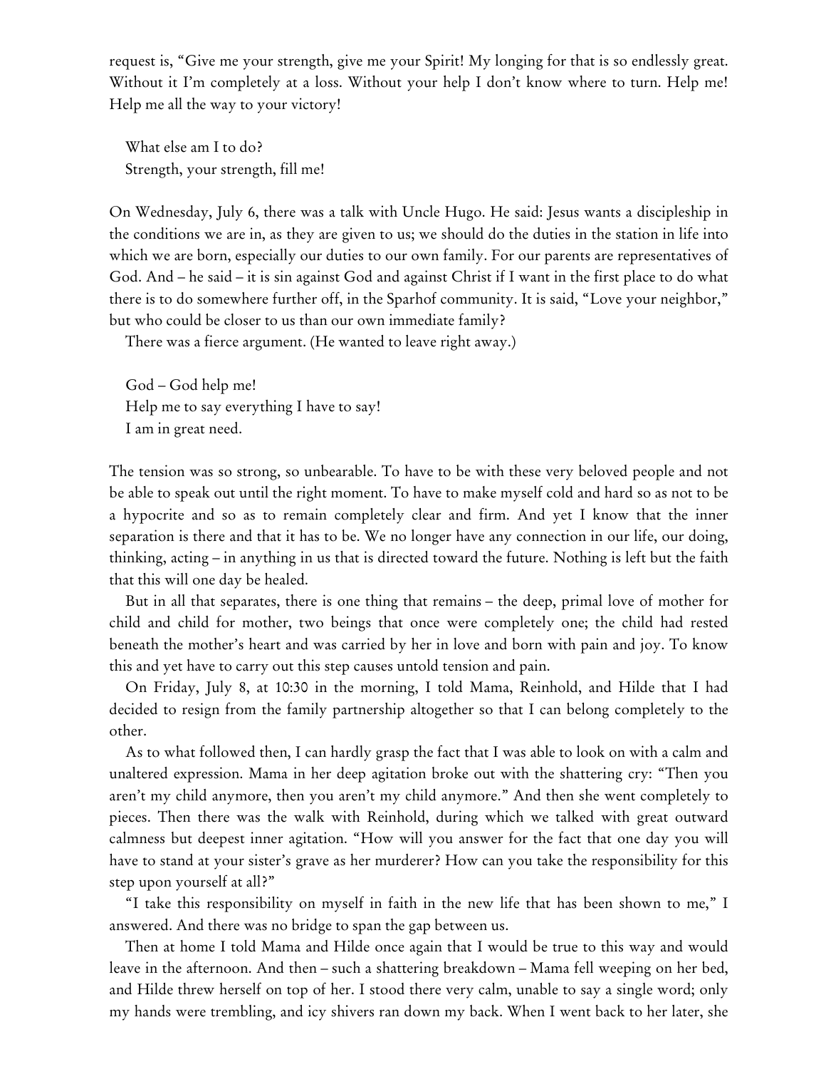request is, "Give me your strength, give me your Spirit! My longing for that is so endlessly great. Without it I'm completely at a loss. Without your help I don't know where to turn. Help me! Help me all the way to your victory!

What else am I to do? Strength, your strength, fill me!

On Wednesday, July 6, there was a talk with Uncle Hugo. He said: Jesus wants a discipleship in the conditions we are in, as they are given to us; we should do the duties in the station in life into which we are born, especially our duties to our own family. For our parents are representatives of God. And – he said – it is sin against God and against Christ if I want in the first place to do what there is to do somewhere further off, in the Sparhof community. It is said, "Love your neighbor," but who could be closer to us than our own immediate family?

There was a fierce argument. (He wanted to leave right away.)

God – God help me! Help me to say everything I have to say! I am in great need.

The tension was so strong, so unbearable. To have to be with these very beloved people and not be able to speak out until the right moment. To have to make myself cold and hard so as not to be a hypocrite and so as to remain completely clear and firm. And yet I know that the inner separation is there and that it has to be. We no longer have any connection in our life, our doing, thinking, acting – in anything in us that is directed toward the future. Nothing is left but the faith that this will one day be healed.

But in all that separates, there is one thing that remains – the deep, primal love of mother for child and child for mother, two beings that once were completely one; the child had rested beneath the mother's heart and was carried by her in love and born with pain and joy. To know this and yet have to carry out this step causes untold tension and pain.

On Friday, July 8, at 10:30 in the morning, I told Mama, Reinhold, and Hilde that I had decided to resign from the family partnership altogether so that I can belong completely to the other.

As to what followed then, I can hardly grasp the fact that I was able to look on with a calm and unaltered expression. Mama in her deep agitation broke out with the shattering cry: "Then you aren't my child anymore, then you aren't my child anymore." And then she went completely to pieces. Then there was the walk with Reinhold, during which we talked with great outward calmness but deepest inner agitation. "How will you answer for the fact that one day you will have to stand at your sister's grave as her murderer? How can you take the responsibility for this step upon yourself at all?"

"I take this responsibility on myself in faith in the new life that has been shown to me," I answered. And there was no bridge to span the gap between us.

Then at home I told Mama and Hilde once again that I would be true to this way and would leave in the afternoon. And then – such a shattering breakdown – Mama fell weeping on her bed, and Hilde threw herself on top of her. I stood there very calm, unable to say a single word; only my hands were trembling, and icy shivers ran down my back. When I went back to her later, she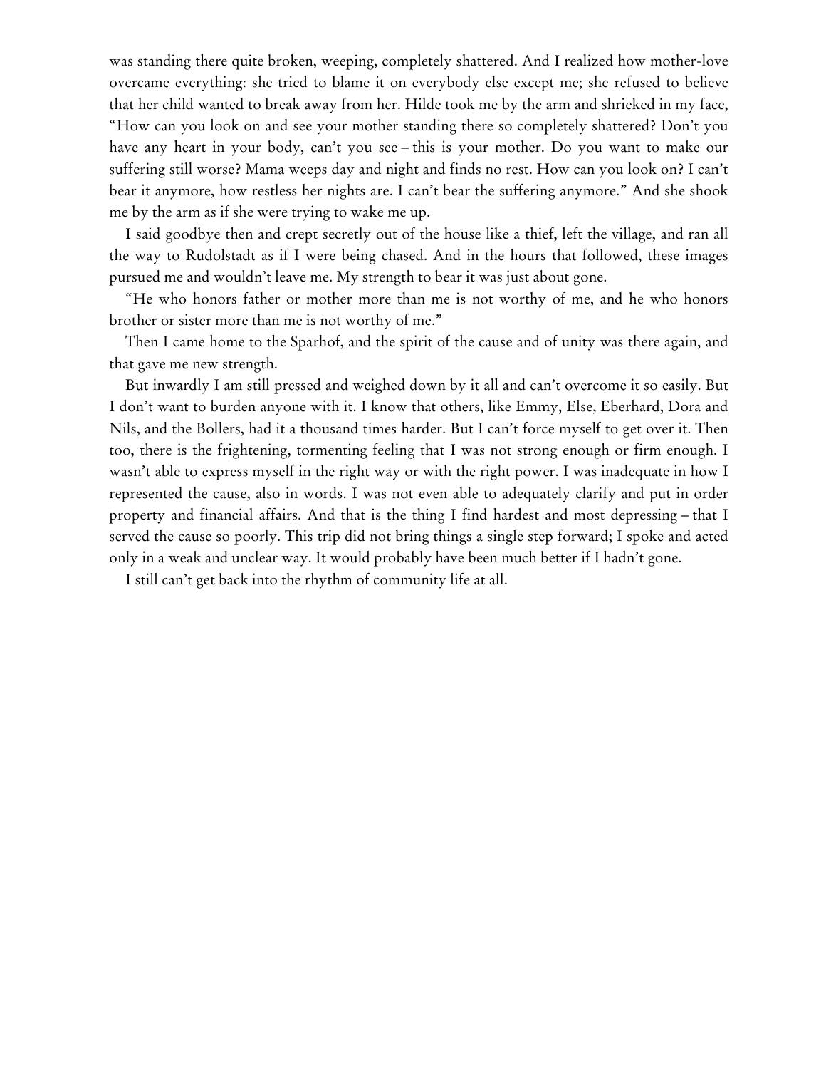was standing there quite broken, weeping, completely shattered. And I realized how mother-love overcame everything: she tried to blame it on everybody else except me; she refused to believe that her child wanted to break away from her. Hilde took me by the arm and shrieked in my face, "How can you look on and see your mother standing there so completely shattered? Don't you have any heart in your body, can't you see – this is your mother. Do you want to make our suffering still worse? Mama weeps day and night and finds no rest. How can you look on? I can't bear it anymore, how restless her nights are. I can't bear the suffering anymore." And she shook me by the arm as if she were trying to wake me up.

I said goodbye then and crept secretly out of the house like a thief, left the village, and ran all the way to Rudolstadt as if I were being chased. And in the hours that followed, these images pursued me and wouldn't leave me. My strength to bear it was just about gone.

"He who honors father or mother more than me is not worthy of me, and he who honors brother or sister more than me is not worthy of me."

Then I came home to the Sparhof, and the spirit of the cause and of unity was there again, and that gave me new strength.

But inwardly I am still pressed and weighed down by it all and can't overcome it so easily. But I don't want to burden anyone with it. I know that others, like Emmy, Else, Eberhard, Dora and Nils, and the Bollers, had it a thousand times harder. But I can't force myself to get over it. Then too, there is the frightening, tormenting feeling that I was not strong enough or firm enough. I wasn't able to express myself in the right way or with the right power. I was inadequate in how I represented the cause, also in words. I was not even able to adequately clarify and put in order property and financial affairs. And that is the thing I find hardest and most depressing – that I served the cause so poorly. This trip did not bring things a single step forward; I spoke and acted only in a weak and unclear way. It would probably have been much better if I hadn't gone.

I still can't get back into the rhythm of community life at all.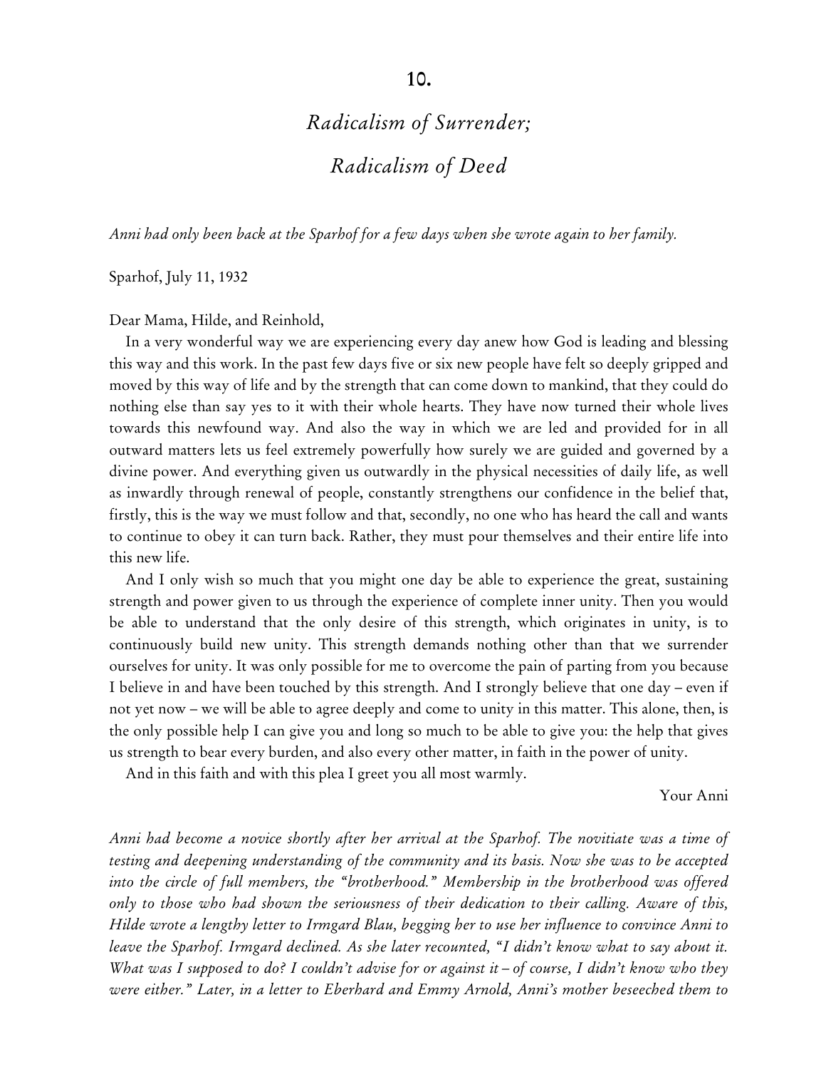# *Radicalism of Surrender; Radicalism of Deed*

*Anni had only been back at the Sparhof for a few days when she wrote again to her family.*

Sparhof, July 11, 1932

#### Dear Mama, Hilde, and Reinhold,

In a very wonderful way we are experiencing every day anew how God is leading and blessing this way and this work. In the past few days five or six new people have felt so deeply gripped and moved by this way of life and by the strength that can come down to mankind, that they could do nothing else than say yes to it with their whole hearts. They have now turned their whole lives towards this newfound way. And also the way in which we are led and provided for in all outward matters lets us feel extremely powerfully how surely we are guided and governed by a divine power. And everything given us outwardly in the physical necessities of daily life, as well as inwardly through renewal of people, constantly strengthens our confidence in the belief that, firstly, this is the way we must follow and that, secondly, no one who has heard the call and wants to continue to obey it can turn back. Rather, they must pour themselves and their entire life into this new life.

And I only wish so much that you might one day be able to experience the great, sustaining strength and power given to us through the experience of complete inner unity. Then you would be able to understand that the only desire of this strength, which originates in unity, is to continuously build new unity. This strength demands nothing other than that we surrender ourselves for unity. It was only possible for me to overcome the pain of parting from you because I believe in and have been touched by this strength. And I strongly believe that one day – even if not yet now – we will be able to agree deeply and come to unity in this matter. This alone, then, is the only possible help I can give you and long so much to be able to give you: the help that gives us strength to bear every burden, and also every other matter, in faith in the power of unity.

And in this faith and with this plea I greet you all most warmly.

Your Anni

*Anni had become a novice shortly after her arrival at the Sparhof. The novitiate was a time of testing and deepening understanding of the community and its basis. Now she was to be accepted into the circle of full members, the "brotherhood." Membership in the brotherhood was offered only to those who had shown the seriousness of their dedication to their calling. Aware of this, Hilde wrote a lengthy letter to Irmgard Blau, begging her to use her influence to convince Anni to leave the Sparhof. Irmgard declined. As she later recounted, "I didn't know what to say about it. What was I supposed to do? I couldn't advise for or against it – of course, I didn't know who they were either." Later, in a letter to Eberhard and Emmy Arnold, Anni's mother beseeched them to*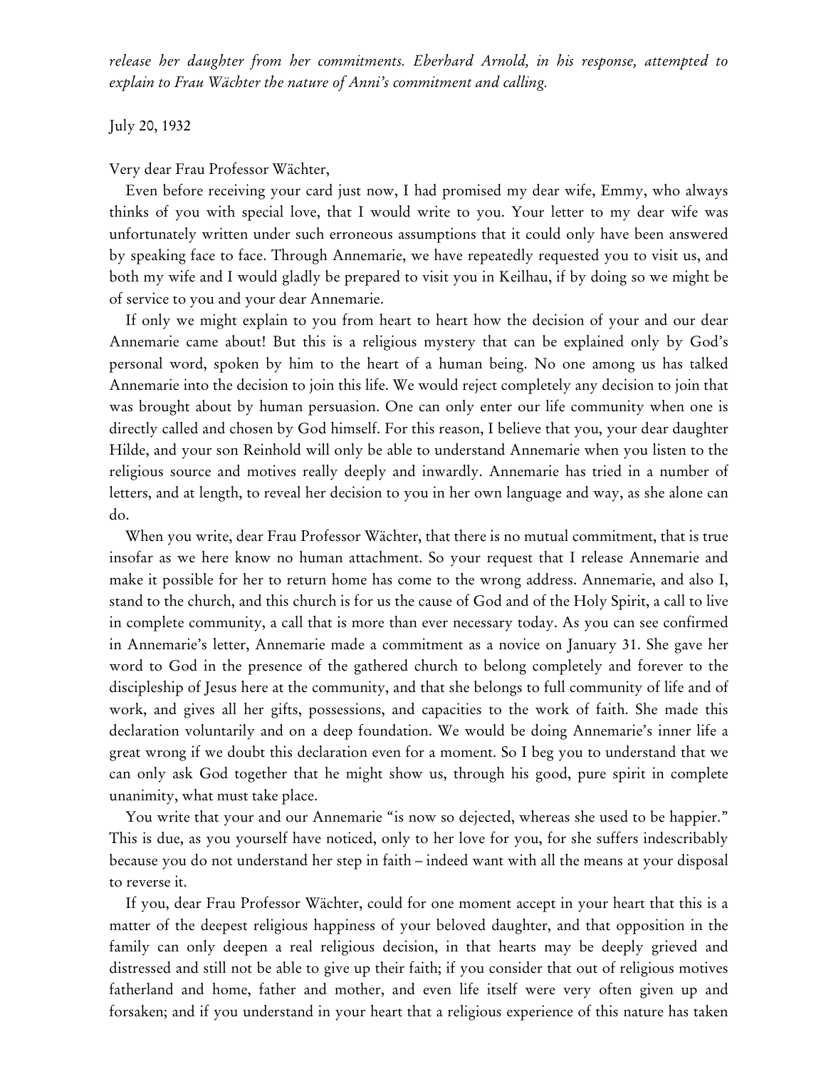*release her daughter from her commitments. Eberhard Arnold, in his response, attempted to explain to Frau Wächter the nature of Anni's commitment and calling.*

July 20, 1932

Very dear Frau Professor Wächter,

Even before receiving your card just now, I had promised my dear wife, Emmy, who always thinks of you with special love, that I would write to you. Your letter to my dear wife was unfortunately written under such erroneous assumptions that it could only have been answered by speaking face to face. Through Annemarie, we have repeatedly requested you to visit us, and both my wife and I would gladly be prepared to visit you in Keilhau, if by doing so we might be of service to you and your dear Annemarie.

If only we might explain to you from heart to heart how the decision of your and our dear Annemarie came about! But this is a religious mystery that can be explained only by God's personal word, spoken by him to the heart of a human being. No one among us has talked Annemarie into the decision to join this life. We would reject completely any decision to join that was brought about by human persuasion. One can only enter our life community when one is directly called and chosen by God himself. For this reason, I believe that you, your dear daughter Hilde, and your son Reinhold will only be able to understand Annemarie when you listen to the religious source and motives really deeply and inwardly. Annemarie has tried in a number of letters, and at length, to reveal her decision to you in her own language and way, as she alone can do.

When you write, dear Frau Professor Wächter, that there is no mutual commitment, that is true insofar as we here know no human attachment. So your request that I release Annemarie and make it possible for her to return home has come to the wrong address. Annemarie, and also I, stand to the church, and this church is for us the cause of God and of the Holy Spirit, a call to live in complete community, a call that is more than ever necessary today. As you can see confirmed in Annemarie's letter, Annemarie made a commitment as a novice on January 31. She gave her word to God in the presence of the gathered church to belong completely and forever to the discipleship of Jesus here at the community, and that she belongs to full community of life and of work, and gives all her gifts, possessions, and capacities to the work of faith. She made this declaration voluntarily and on a deep foundation. We would be doing Annemarie's inner life a great wrong if we doubt this declaration even for a moment. So I beg you to understand that we can only ask God together that he might show us, through his good, pure spirit in complete unanimity, what must take place.

You write that your and our Annemarie "is now so dejected, whereas she used to be happier." This is due, as you yourself have noticed, only to her love for you, for she suffers indescribably because you do not understand her step in faith – indeed want with all the means at your disposal to reverse it.

If you, dear Frau Professor Wächter, could for one moment accept in your heart that this is a matter of the deepest religious happiness of your beloved daughter, and that opposition in the family can only deepen a real religious decision, in that hearts may be deeply grieved and distressed and still not be able to give up their faith; if you consider that out of religious motives fatherland and home, father and mother, and even life itself were very often given up and forsaken; and if you understand in your heart that a religious experience of this nature has taken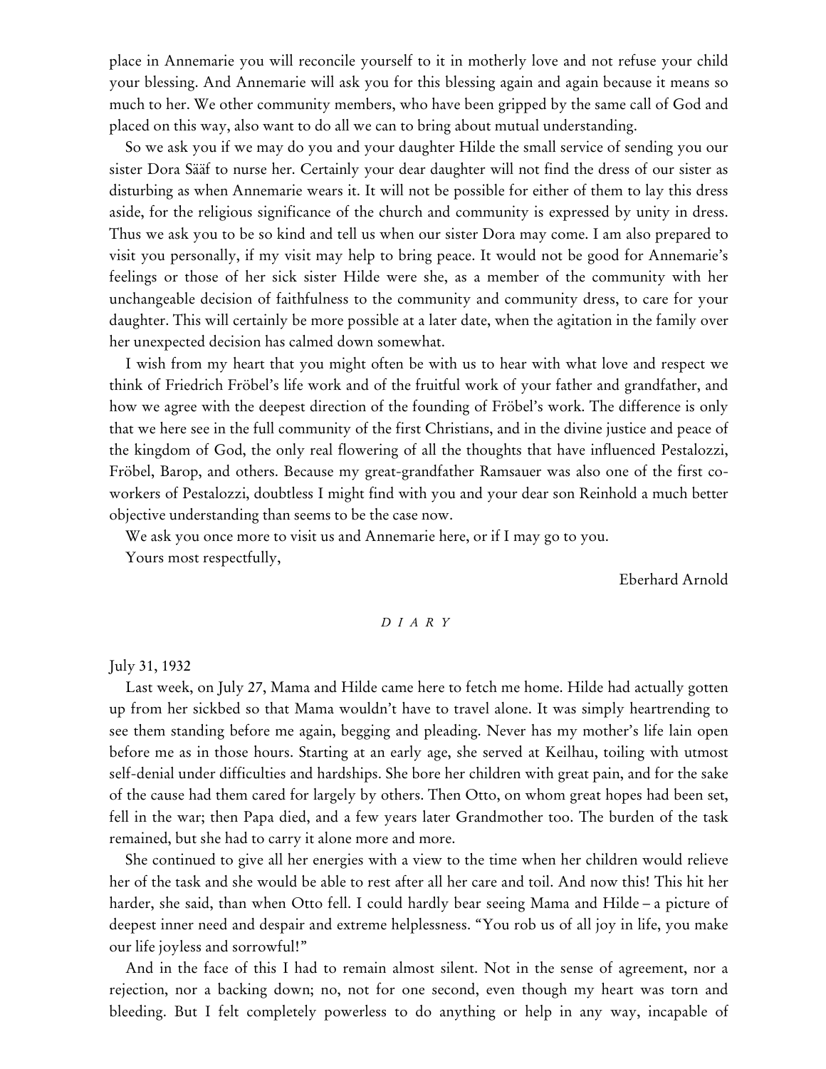place in Annemarie you will reconcile yourself to it in motherly love and not refuse your child your blessing. And Annemarie will ask you for this blessing again and again because it means so much to her. We other community members, who have been gripped by the same call of God and placed on this way, also want to do all we can to bring about mutual understanding.

So we ask you if we may do you and your daughter Hilde the small service of sending you our sister Dora Sääf to nurse her. Certainly your dear daughter will not find the dress of our sister as disturbing as when Annemarie wears it. It will not be possible for either of them to lay this dress aside, for the religious significance of the church and community is expressed by unity in dress. Thus we ask you to be so kind and tell us when our sister Dora may come. I am also prepared to visit you personally, if my visit may help to bring peace. It would not be good for Annemarie's feelings or those of her sick sister Hilde were she, as a member of the community with her unchangeable decision of faithfulness to the community and community dress, to care for your daughter. This will certainly be more possible at a later date, when the agitation in the family over her unexpected decision has calmed down somewhat.

I wish from my heart that you might often be with us to hear with what love and respect we think of Friedrich Fröbel's life work and of the fruitful work of your father and grandfather, and how we agree with the deepest direction of the founding of Fröbel's work. The difference is only that we here see in the full community of the first Christians, and in the divine justice and peace of the kingdom of God, the only real flowering of all the thoughts that have influenced Pestalozzi, Fröbel, Barop, and others. Because my great-grandfather Ramsauer was also one of the first coworkers of Pestalozzi, doubtless I might find with you and your dear son Reinhold a much better objective understanding than seems to be the case now.

We ask you once more to visit us and Annemarie here, or if I may go to you. Yours most respectfully,

Eberhard Arnold

# *DIARY*

July 31, 1932

Last week, on July 27, Mama and Hilde came here to fetch me home. Hilde had actually gotten up from her sickbed so that Mama wouldn't have to travel alone. It was simply heartrending to see them standing before me again, begging and pleading. Never has my mother's life lain open before me as in those hours. Starting at an early age, she served at Keilhau, toiling with utmost self-denial under difficulties and hardships. She bore her children with great pain, and for the sake of the cause had them cared for largely by others. Then Otto, on whom great hopes had been set, fell in the war; then Papa died, and a few years later Grandmother too. The burden of the task remained, but she had to carry it alone more and more.

She continued to give all her energies with a view to the time when her children would relieve her of the task and she would be able to rest after all her care and toil. And now this! This hit her harder, she said, than when Otto fell. I could hardly bear seeing Mama and Hilde – a picture of deepest inner need and despair and extreme helplessness. "You rob us of all joy in life, you make our life joyless and sorrowful!"

And in the face of this I had to remain almost silent. Not in the sense of agreement, nor a rejection, nor a backing down; no, not for one second, even though my heart was torn and bleeding. But I felt completely powerless to do anything or help in any way, incapable of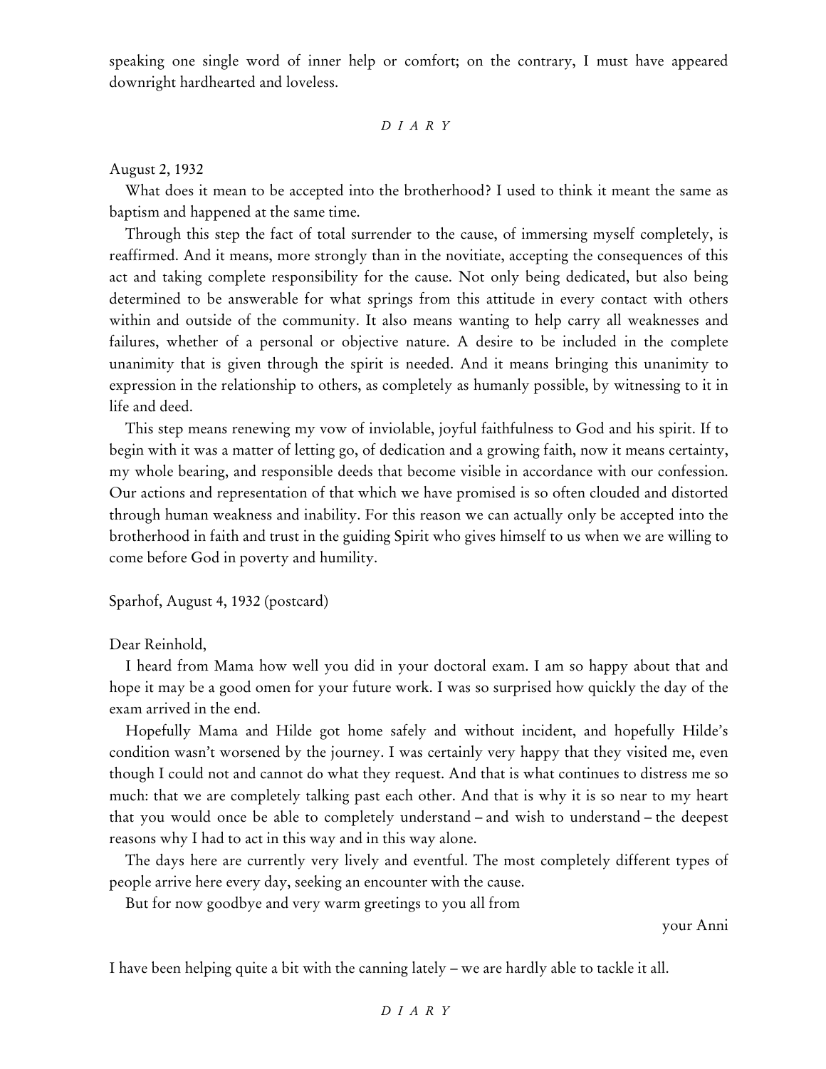speaking one single word of inner help or comfort; on the contrary, I must have appeared downright hardhearted and loveless.

*DIARY*

August 2, 1932

What does it mean to be accepted into the brotherhood? I used to think it meant the same as baptism and happened at the same time.

Through this step the fact of total surrender to the cause, of immersing myself completely, is reaffirmed. And it means, more strongly than in the novitiate, accepting the consequences of this act and taking complete responsibility for the cause. Not only being dedicated, but also being determined to be answerable for what springs from this attitude in every contact with others within and outside of the community. It also means wanting to help carry all weaknesses and failures, whether of a personal or objective nature. A desire to be included in the complete unanimity that is given through the spirit is needed. And it means bringing this unanimity to expression in the relationship to others, as completely as humanly possible, by witnessing to it in life and deed.

This step means renewing my vow of inviolable, joyful faithfulness to God and his spirit. If to begin with it was a matter of letting go, of dedication and a growing faith, now it means certainty, my whole bearing, and responsible deeds that become visible in accordance with our confession. Our actions and representation of that which we have promised is so often clouded and distorted through human weakness and inability. For this reason we can actually only be accepted into the brotherhood in faith and trust in the guiding Spirit who gives himself to us when we are willing to come before God in poverty and humility.

Sparhof, August 4, 1932 (postcard)

Dear Reinhold,

I heard from Mama how well you did in your doctoral exam. I am so happy about that and hope it may be a good omen for your future work. I was so surprised how quickly the day of the exam arrived in the end.

Hopefully Mama and Hilde got home safely and without incident, and hopefully Hilde's condition wasn't worsened by the journey. I was certainly very happy that they visited me, even though I could not and cannot do what they request. And that is what continues to distress me so much: that we are completely talking past each other. And that is why it is so near to my heart that you would once be able to completely understand – and wish to understand – the deepest reasons why I had to act in this way and in this way alone.

The days here are currently very lively and eventful. The most completely different types of people arrive here every day, seeking an encounter with the cause.

But for now goodbye and very warm greetings to you all from

your Anni

I have been helping quite a bit with the canning lately – we are hardly able to tackle it all.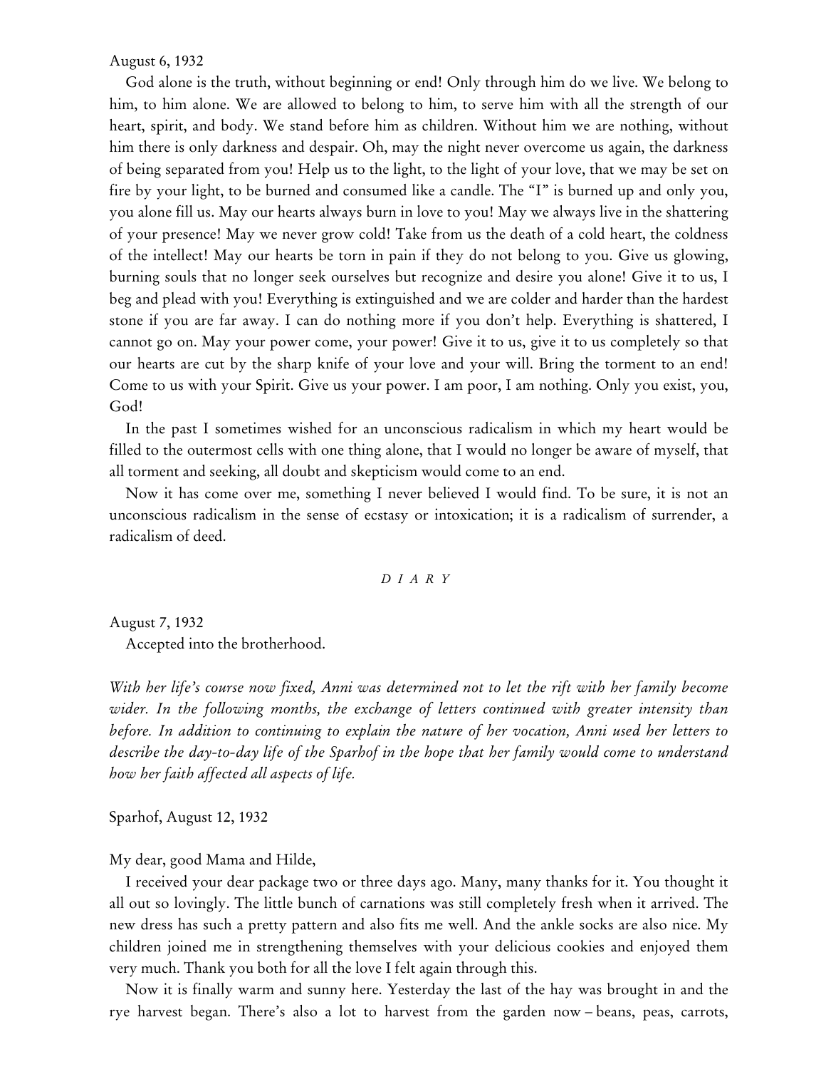August 6, 1932

God alone is the truth, without beginning or end! Only through him do we live. We belong to him, to him alone. We are allowed to belong to him, to serve him with all the strength of our heart, spirit, and body. We stand before him as children. Without him we are nothing, without him there is only darkness and despair. Oh, may the night never overcome us again, the darkness of being separated from you! Help us to the light, to the light of your love, that we may be set on fire by your light, to be burned and consumed like a candle. The "I" is burned up and only you, you alone fill us. May our hearts always burn in love to you! May we always live in the shattering of your presence! May we never grow cold! Take from us the death of a cold heart, the coldness of the intellect! May our hearts be torn in pain if they do not belong to you. Give us glowing, burning souls that no longer seek ourselves but recognize and desire you alone! Give it to us, I beg and plead with you! Everything is extinguished and we are colder and harder than the hardest stone if you are far away. I can do nothing more if you don't help. Everything is shattered, I cannot go on. May your power come, your power! Give it to us, give it to us completely so that our hearts are cut by the sharp knife of your love and your will. Bring the torment to an end! Come to us with your Spirit. Give us your power. I am poor, I am nothing. Only you exist, you, God!

In the past I sometimes wished for an unconscious radicalism in which my heart would be filled to the outermost cells with one thing alone, that I would no longer be aware of myself, that all torment and seeking, all doubt and skepticism would come to an end.

Now it has come over me, something I never believed I would find. To be sure, it is not an unconscious radicalism in the sense of ecstasy or intoxication; it is a radicalism of surrender, a radicalism of deed.

# *DIARY*

August 7, 1932

Accepted into the brotherhood.

*With her life's course now fixed, Anni was determined not to let the rift with her family become*  wider. In the following months, the exchange of letters continued with greater intensity than *before. In addition to continuing to explain the nature of her vocation, Anni used her letters to describe the day-to-day life of the Sparhof in the hope that her family would come to understand how her faith affected all aspects of life.*

Sparhof, August 12, 1932

My dear, good Mama and Hilde,

I received your dear package two or three days ago. Many, many thanks for it. You thought it all out so lovingly. The little bunch of carnations was still completely fresh when it arrived. The new dress has such a pretty pattern and also fits me well. And the ankle socks are also nice. My children joined me in strengthening themselves with your delicious cookies and enjoyed them very much. Thank you both for all the love I felt again through this.

Now it is finally warm and sunny here. Yesterday the last of the hay was brought in and the rye harvest began. There's also a lot to harvest from the garden now – beans, peas, carrots,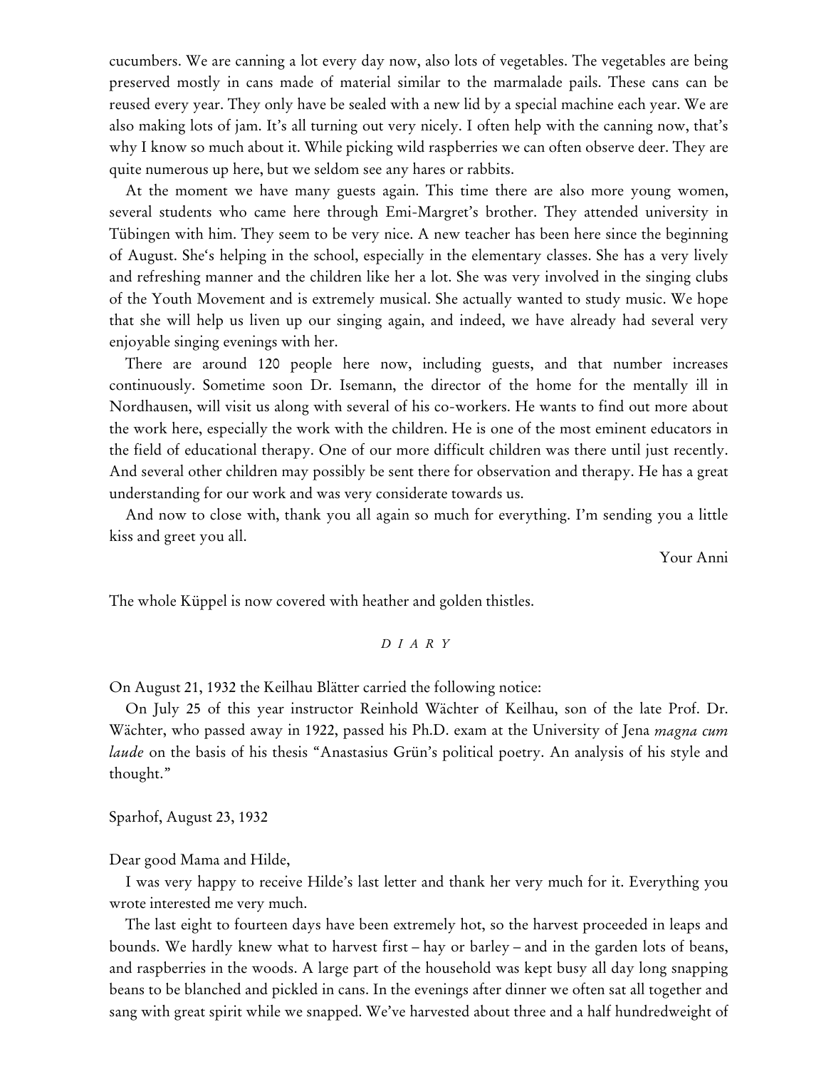cucumbers. We are canning a lot every day now, also lots of vegetables. The vegetables are being preserved mostly in cans made of material similar to the marmalade pails. These cans can be reused every year. They only have be sealed with a new lid by a special machine each year. We are also making lots of jam. It's all turning out very nicely. I often help with the canning now, that's why I know so much about it. While picking wild raspberries we can often observe deer. They are quite numerous up here, but we seldom see any hares or rabbits.

At the moment we have many guests again. This time there are also more young women, several students who came here through Emi-Margret's brother. They attended university in Tübingen with him. They seem to be very nice. A new teacher has been here since the beginning of August. She's helping in the school, especially in the elementary classes. She has a very lively and refreshing manner and the children like her a lot. She was very involved in the singing clubs of the Youth Movement and is extremely musical. She actually wanted to study music. We hope that she will help us liven up our singing again, and indeed, we have already had several very enjoyable singing evenings with her.

There are around 120 people here now, including guests, and that number increases continuously. Sometime soon Dr. Isemann, the director of the home for the mentally ill in Nordhausen, will visit us along with several of his co-workers. He wants to find out more about the work here, especially the work with the children. He is one of the most eminent educators in the field of educational therapy. One of our more difficult children was there until just recently. And several other children may possibly be sent there for observation and therapy. He has a great understanding for our work and was very considerate towards us.

And now to close with, thank you all again so much for everything. I'm sending you a little kiss and greet you all.

Your Anni

The whole Küppel is now covered with heather and golden thistles.

## *DIARY*

On August 21, 1932 the Keilhau Blätter carried the following notice:

On July 25 of this year instructor Reinhold Wächter of Keilhau, son of the late Prof. Dr. Wächter, who passed away in 1922, passed his Ph.D. exam at the University of Jena *magna cum laude* on the basis of his thesis "Anastasius Grün's political poetry. An analysis of his style and thought."

Sparhof, August 23, 1932

Dear good Mama and Hilde,

I was very happy to receive Hilde's last letter and thank her very much for it. Everything you wrote interested me very much.

The last eight to fourteen days have been extremely hot, so the harvest proceeded in leaps and bounds. We hardly knew what to harvest first – hay or barley – and in the garden lots of beans, and raspberries in the woods. A large part of the household was kept busy all day long snapping beans to be blanched and pickled in cans. In the evenings after dinner we often sat all together and sang with great spirit while we snapped. We've harvested about three and a half hundredweight of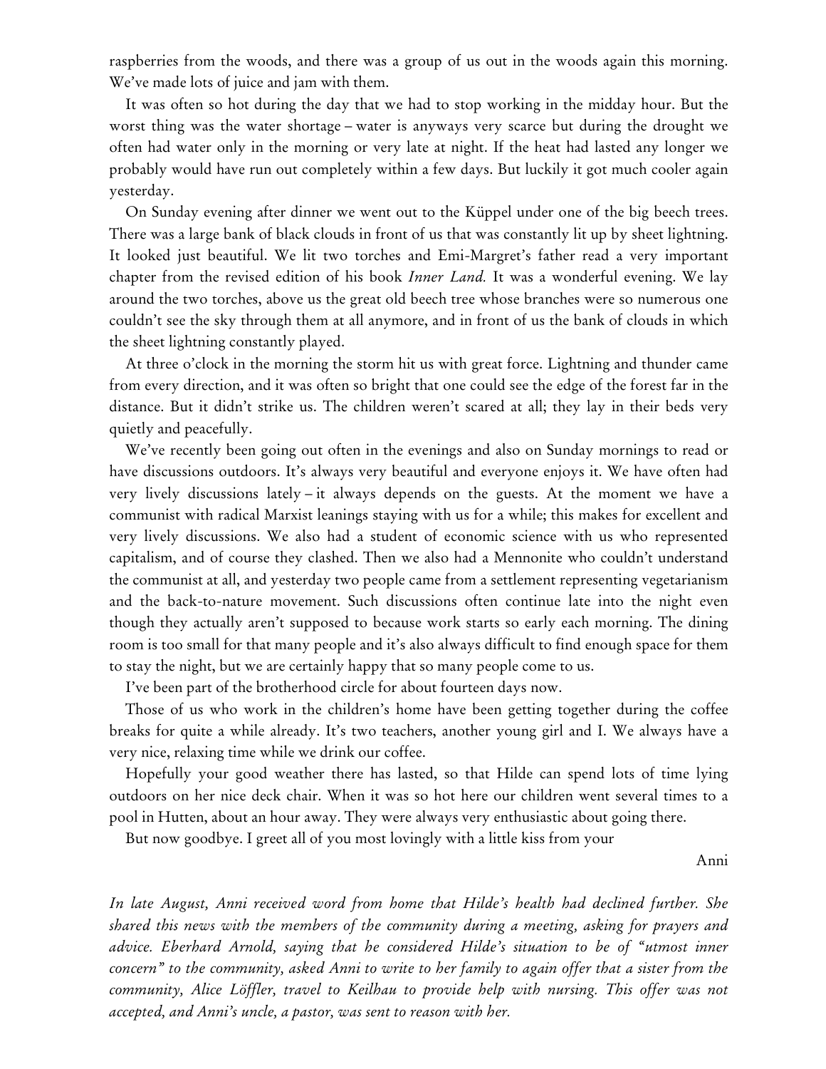raspberries from the woods, and there was a group of us out in the woods again this morning. We've made lots of juice and jam with them.

It was often so hot during the day that we had to stop working in the midday hour. But the worst thing was the water shortage – water is anyways very scarce but during the drought we often had water only in the morning or very late at night. If the heat had lasted any longer we probably would have run out completely within a few days. But luckily it got much cooler again yesterday.

On Sunday evening after dinner we went out to the Küppel under one of the big beech trees. There was a large bank of black clouds in front of us that was constantly lit up by sheet lightning. It looked just beautiful. We lit two torches and Emi-Margret's father read a very important chapter from the revised edition of his book *Inner Land.* It was a wonderful evening. We lay around the two torches, above us the great old beech tree whose branches were so numerous one couldn't see the sky through them at all anymore, and in front of us the bank of clouds in which the sheet lightning constantly played.

At three o'clock in the morning the storm hit us with great force. Lightning and thunder came from every direction, and it was often so bright that one could see the edge of the forest far in the distance. But it didn't strike us. The children weren't scared at all; they lay in their beds very quietly and peacefully.

We've recently been going out often in the evenings and also on Sunday mornings to read or have discussions outdoors. It's always very beautiful and everyone enjoys it. We have often had very lively discussions lately – it always depends on the guests. At the moment we have a communist with radical Marxist leanings staying with us for a while; this makes for excellent and very lively discussions. We also had a student of economic science with us who represented capitalism, and of course they clashed. Then we also had a Mennonite who couldn't understand the communist at all, and yesterday two people came from a settlement representing vegetarianism and the back-to-nature movement. Such discussions often continue late into the night even though they actually aren't supposed to because work starts so early each morning. The dining room is too small for that many people and it's also always difficult to find enough space for them to stay the night, but we are certainly happy that so many people come to us.

I've been part of the brotherhood circle for about fourteen days now.

Those of us who work in the children's home have been getting together during the coffee breaks for quite a while already. It's two teachers, another young girl and I. We always have a very nice, relaxing time while we drink our coffee.

Hopefully your good weather there has lasted, so that Hilde can spend lots of time lying outdoors on her nice deck chair. When it was so hot here our children went several times to a pool in Hutten, about an hour away. They were always very enthusiastic about going there.

But now goodbye. I greet all of you most lovingly with a little kiss from your

Anni

*In late August, Anni received word from home that Hilde's health had declined further. She shared this news with the members of the community during a meeting, asking for prayers and advice. Eberhard Arnold, saying that he considered Hilde's situation to be of "utmost inner concern" to the community, asked Anni to write to her family to again offer that a sister from the community, Alice Löffler, travel to Keilhau to provide help with nursing. This offer was not accepted, and Anni's uncle, a pastor, was sent to reason with her.*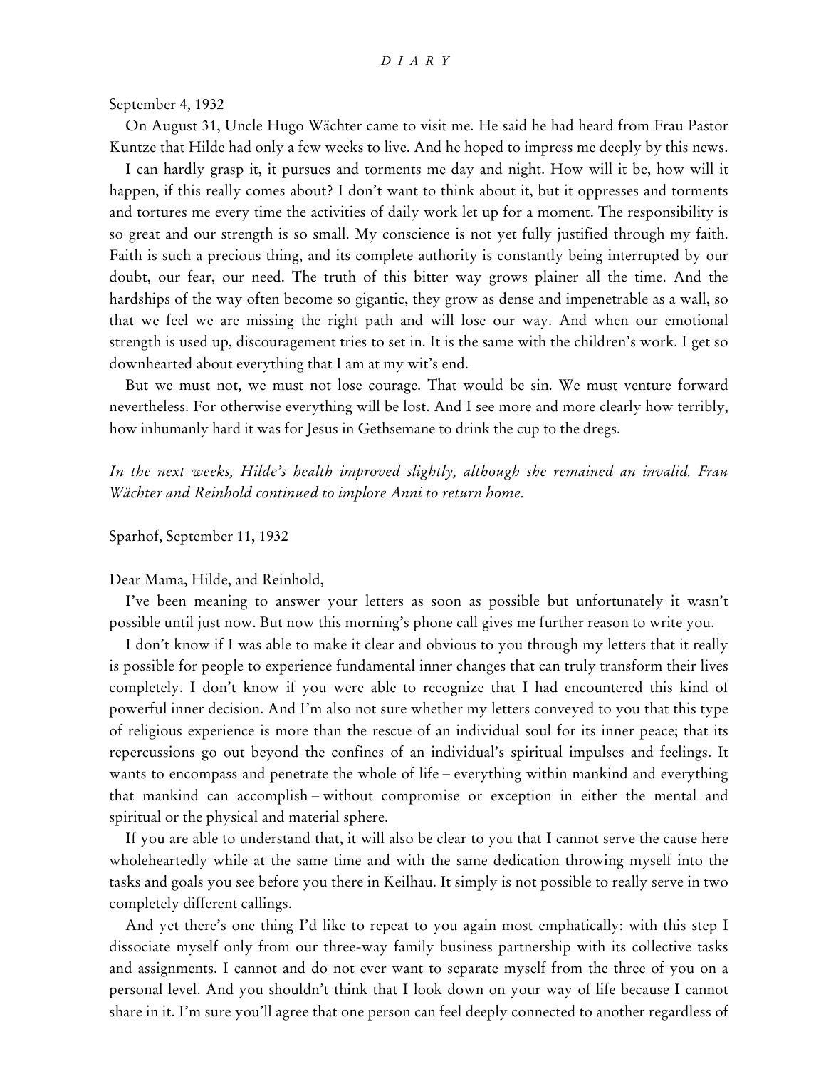September 4, 1932

On August 31, Uncle Hugo Wächter came to visit me. He said he had heard from Frau Pastor Kuntze that Hilde had only a few weeks to live. And he hoped to impress me deeply by this news.

I can hardly grasp it, it pursues and torments me day and night. How will it be, how will it happen, if this really comes about? I don't want to think about it, but it oppresses and torments and tortures me every time the activities of daily work let up for a moment. The responsibility is so great and our strength is so small. My conscience is not yet fully justified through my faith. Faith is such a precious thing, and its complete authority is constantly being interrupted by our doubt, our fear, our need. The truth of this bitter way grows plainer all the time. And the hardships of the way often become so gigantic, they grow as dense and impenetrable as a wall, so that we feel we are missing the right path and will lose our way. And when our emotional strength is used up, discouragement tries to set in. It is the same with the children's work. I get so downhearted about everything that I am at my wit's end.

But we must not, we must not lose courage. That would be sin. We must venture forward nevertheless. For otherwise everything will be lost. And I see more and more clearly how terribly, how inhumanly hard it was for Jesus in Gethsemane to drink the cup to the dregs.

*In the next weeks, Hilde's health improved slightly, although she remained an invalid. Frau Wächter and Reinhold continued to implore Anni to return home.*

Sparhof, September 11, 1932

Dear Mama, Hilde, and Reinhold,

I've been meaning to answer your letters as soon as possible but unfortunately it wasn't possible until just now. But now this morning's phone call gives me further reason to write you.

I don't know if I was able to make it clear and obvious to you through my letters that it really is possible for people to experience fundamental inner changes that can truly transform their lives completely. I don't know if you were able to recognize that I had encountered this kind of powerful inner decision. And I'm also not sure whether my letters conveyed to you that this type of religious experience is more than the rescue of an individual soul for its inner peace; that its repercussions go out beyond the confines of an individual's spiritual impulses and feelings. It wants to encompass and penetrate the whole of life – everything within mankind and everything that mankind can accomplish – without compromise or exception in either the mental and spiritual or the physical and material sphere.

If you are able to understand that, it will also be clear to you that I cannot serve the cause here wholeheartedly while at the same time and with the same dedication throwing myself into the tasks and goals you see before you there in Keilhau. It simply is not possible to really serve in two completely different callings.

And yet there's one thing I'd like to repeat to you again most emphatically: with this step I dissociate myself only from our three-way family business partnership with its collective tasks and assignments. I cannot and do not ever want to separate myself from the three of you on a personal level. And you shouldn't think that I look down on your way of life because I cannot share in it. I'm sure you'll agree that one person can feel deeply connected to another regardless of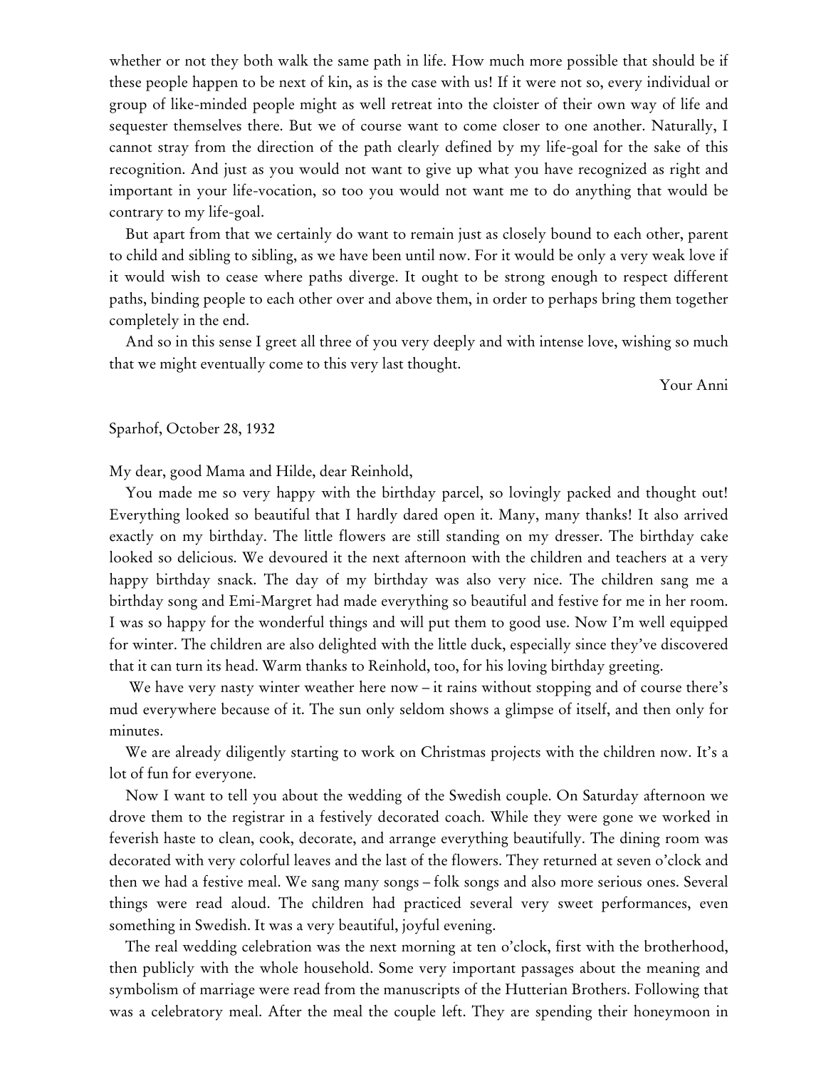whether or not they both walk the same path in life. How much more possible that should be if these people happen to be next of kin, as is the case with us! If it were not so, every individual or group of like-minded people might as well retreat into the cloister of their own way of life and sequester themselves there. But we of course want to come closer to one another. Naturally, I cannot stray from the direction of the path clearly defined by my life-goal for the sake of this recognition. And just as you would not want to give up what you have recognized as right and important in your life-vocation, so too you would not want me to do anything that would be contrary to my life-goal.

But apart from that we certainly do want to remain just as closely bound to each other, parent to child and sibling to sibling, as we have been until now. For it would be only a very weak love if it would wish to cease where paths diverge. It ought to be strong enough to respect different paths, binding people to each other over and above them, in order to perhaps bring them together completely in the end.

And so in this sense I greet all three of you very deeply and with intense love, wishing so much that we might eventually come to this very last thought.

Your Anni

Sparhof, October 28, 1932

My dear, good Mama and Hilde, dear Reinhold,

You made me so very happy with the birthday parcel, so lovingly packed and thought out! Everything looked so beautiful that I hardly dared open it. Many, many thanks! It also arrived exactly on my birthday. The little flowers are still standing on my dresser. The birthday cake looked so delicious. We devoured it the next afternoon with the children and teachers at a very happy birthday snack. The day of my birthday was also very nice. The children sang me a birthday song and Emi-Margret had made everything so beautiful and festive for me in her room. I was so happy for the wonderful things and will put them to good use. Now I'm well equipped for winter. The children are also delighted with the little duck, especially since they've discovered that it can turn its head. Warm thanks to Reinhold, too, for his loving birthday greeting.

We have very nasty winter weather here now – it rains without stopping and of course there's mud everywhere because of it. The sun only seldom shows a glimpse of itself, and then only for minutes.

We are already diligently starting to work on Christmas projects with the children now. It's a lot of fun for everyone.

Now I want to tell you about the wedding of the Swedish couple. On Saturday afternoon we drove them to the registrar in a festively decorated coach. While they were gone we worked in feverish haste to clean, cook, decorate, and arrange everything beautifully. The dining room was decorated with very colorful leaves and the last of the flowers. They returned at seven o'clock and then we had a festive meal. We sang many songs – folk songs and also more serious ones. Several things were read aloud. The children had practiced several very sweet performances, even something in Swedish. It was a very beautiful, joyful evening.

The real wedding celebration was the next morning at ten o'clock, first with the brotherhood, then publicly with the whole household. Some very important passages about the meaning and symbolism of marriage were read from the manuscripts of the Hutterian Brothers. Following that was a celebratory meal. After the meal the couple left. They are spending their honeymoon in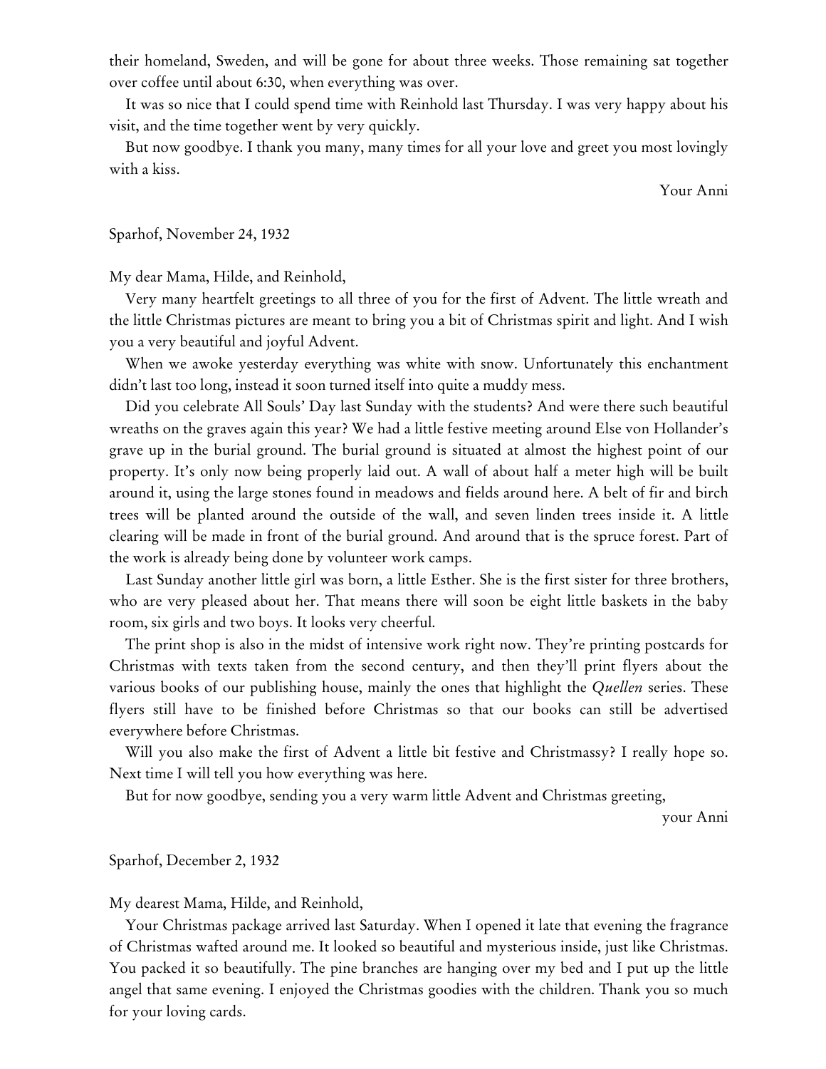their homeland, Sweden, and will be gone for about three weeks. Those remaining sat together over coffee until about 6:30, when everything was over.

It was so nice that I could spend time with Reinhold last Thursday. I was very happy about his visit, and the time together went by very quickly.

But now goodbye. I thank you many, many times for all your love and greet you most lovingly with a kiss.

Your Anni

#### Sparhof, November 24, 1932

My dear Mama, Hilde, and Reinhold,

Very many heartfelt greetings to all three of you for the first of Advent. The little wreath and the little Christmas pictures are meant to bring you a bit of Christmas spirit and light. And I wish you a very beautiful and joyful Advent.

When we awoke yesterday everything was white with snow. Unfortunately this enchantment didn't last too long, instead it soon turned itself into quite a muddy mess.

Did you celebrate All Souls' Day last Sunday with the students? And were there such beautiful wreaths on the graves again this year? We had a little festive meeting around Else von Hollander's grave up in the burial ground. The burial ground is situated at almost the highest point of our property. It's only now being properly laid out. A wall of about half a meter high will be built around it, using the large stones found in meadows and fields around here. A belt of fir and birch trees will be planted around the outside of the wall, and seven linden trees inside it. A little clearing will be made in front of the burial ground. And around that is the spruce forest. Part of the work is already being done by volunteer work camps.

Last Sunday another little girl was born, a little Esther. She is the first sister for three brothers, who are very pleased about her. That means there will soon be eight little baskets in the baby room, six girls and two boys. It looks very cheerful.

The print shop is also in the midst of intensive work right now. They're printing postcards for Christmas with texts taken from the second century, and then they'll print flyers about the various books of our publishing house, mainly the ones that highlight the *Quellen* series. These flyers still have to be finished before Christmas so that our books can still be advertised everywhere before Christmas.

Will you also make the first of Advent a little bit festive and Christmassy? I really hope so. Next time I will tell you how everything was here.

But for now goodbye, sending you a very warm little Advent and Christmas greeting,

your Anni

Sparhof, December 2, 1932

My dearest Mama, Hilde, and Reinhold,

Your Christmas package arrived last Saturday. When I opened it late that evening the fragrance of Christmas wafted around me. It looked so beautiful and mysterious inside, just like Christmas. You packed it so beautifully. The pine branches are hanging over my bed and I put up the little angel that same evening. I enjoyed the Christmas goodies with the children. Thank you so much for your loving cards.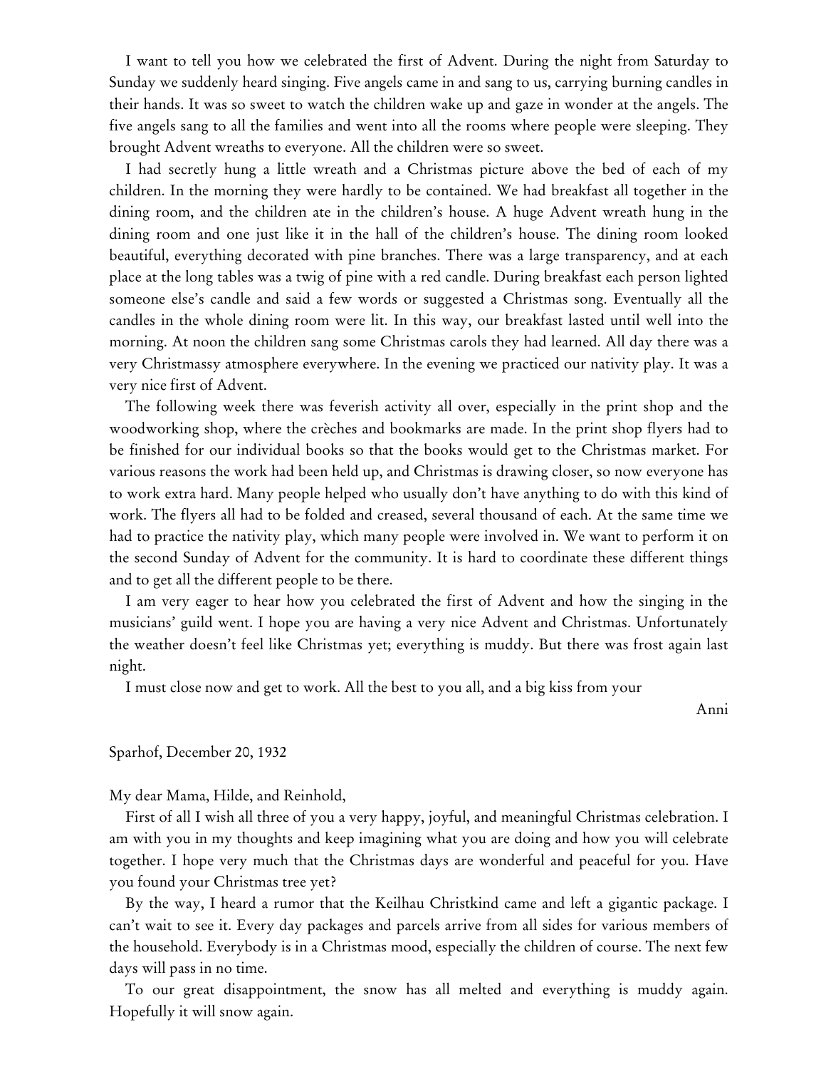I want to tell you how we celebrated the first of Advent. During the night from Saturday to Sunday we suddenly heard singing. Five angels came in and sang to us, carrying burning candles in their hands. It was so sweet to watch the children wake up and gaze in wonder at the angels. The five angels sang to all the families and went into all the rooms where people were sleeping. They brought Advent wreaths to everyone. All the children were so sweet.

I had secretly hung a little wreath and a Christmas picture above the bed of each of my children. In the morning they were hardly to be contained. We had breakfast all together in the dining room, and the children ate in the children's house. A huge Advent wreath hung in the dining room and one just like it in the hall of the children's house. The dining room looked beautiful, everything decorated with pine branches. There was a large transparency, and at each place at the long tables was a twig of pine with a red candle. During breakfast each person lighted someone else's candle and said a few words or suggested a Christmas song. Eventually all the candles in the whole dining room were lit. In this way, our breakfast lasted until well into the morning. At noon the children sang some Christmas carols they had learned. All day there was a very Christmassy atmosphere everywhere. In the evening we practiced our nativity play. It was a very nice first of Advent.

The following week there was feverish activity all over, especially in the print shop and the woodworking shop, where the crèches and bookmarks are made. In the print shop flyers had to be finished for our individual books so that the books would get to the Christmas market. For various reasons the work had been held up, and Christmas is drawing closer, so now everyone has to work extra hard. Many people helped who usually don't have anything to do with this kind of work. The flyers all had to be folded and creased, several thousand of each. At the same time we had to practice the nativity play, which many people were involved in. We want to perform it on the second Sunday of Advent for the community. It is hard to coordinate these different things and to get all the different people to be there.

I am very eager to hear how you celebrated the first of Advent and how the singing in the musicians' guild went. I hope you are having a very nice Advent and Christmas. Unfortunately the weather doesn't feel like Christmas yet; everything is muddy. But there was frost again last night.

I must close now and get to work. All the best to you all, and a big kiss from your

Anni

# Sparhof, December 20, 1932

My dear Mama, Hilde, and Reinhold,

First of all I wish all three of you a very happy, joyful, and meaningful Christmas celebration. I am with you in my thoughts and keep imagining what you are doing and how you will celebrate together. I hope very much that the Christmas days are wonderful and peaceful for you. Have you found your Christmas tree yet?

By the way, I heard a rumor that the Keilhau Christkind came and left a gigantic package. I can't wait to see it. Every day packages and parcels arrive from all sides for various members of the household. Everybody is in a Christmas mood, especially the children of course. The next few days will pass in no time.

To our great disappointment, the snow has all melted and everything is muddy again. Hopefully it will snow again.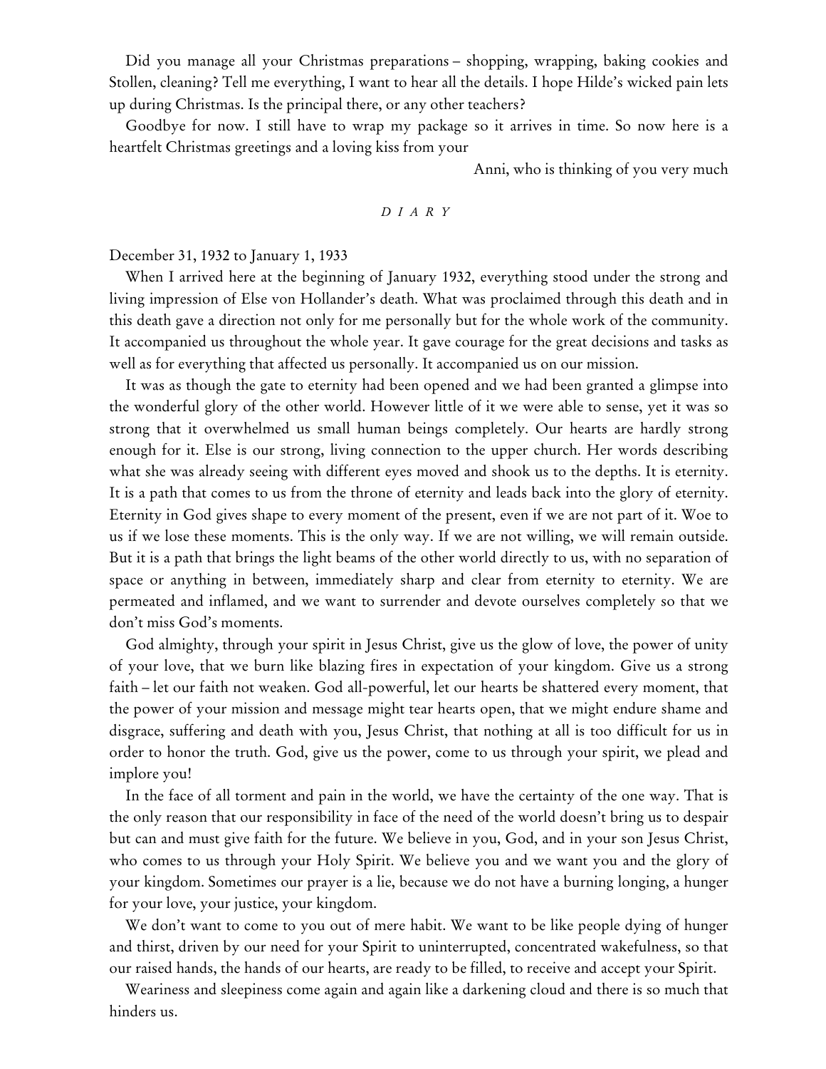Did you manage all your Christmas preparations – shopping, wrapping, baking cookies and Stollen, cleaning? Tell me everything, I want to hear all the details. I hope Hilde's wicked pain lets up during Christmas. Is the principal there, or any other teachers?

Goodbye for now. I still have to wrap my package so it arrives in time. So now here is a heartfelt Christmas greetings and a loving kiss from your

Anni, who is thinking of you very much

#### *DIARY*

December 31, 1932 to January 1, 1933

When I arrived here at the beginning of January 1932, everything stood under the strong and living impression of Else von Hollander's death. What was proclaimed through this death and in this death gave a direction not only for me personally but for the whole work of the community. It accompanied us throughout the whole year. It gave courage for the great decisions and tasks as well as for everything that affected us personally. It accompanied us on our mission.

It was as though the gate to eternity had been opened and we had been granted a glimpse into the wonderful glory of the other world. However little of it we were able to sense, yet it was so strong that it overwhelmed us small human beings completely. Our hearts are hardly strong enough for it. Else is our strong, living connection to the upper church. Her words describing what she was already seeing with different eyes moved and shook us to the depths. It is eternity. It is a path that comes to us from the throne of eternity and leads back into the glory of eternity. Eternity in God gives shape to every moment of the present, even if we are not part of it. Woe to us if we lose these moments. This is the only way. If we are not willing, we will remain outside. But it is a path that brings the light beams of the other world directly to us, with no separation of space or anything in between, immediately sharp and clear from eternity to eternity. We are permeated and inflamed, and we want to surrender and devote ourselves completely so that we don't miss God's moments.

God almighty, through your spirit in Jesus Christ, give us the glow of love, the power of unity of your love, that we burn like blazing fires in expectation of your kingdom. Give us a strong faith – let our faith not weaken. God all-powerful, let our hearts be shattered every moment, that the power of your mission and message might tear hearts open, that we might endure shame and disgrace, suffering and death with you, Jesus Christ, that nothing at all is too difficult for us in order to honor the truth. God, give us the power, come to us through your spirit, we plead and implore you!

In the face of all torment and pain in the world, we have the certainty of the one way. That is the only reason that our responsibility in face of the need of the world doesn't bring us to despair but can and must give faith for the future. We believe in you, God, and in your son Jesus Christ, who comes to us through your Holy Spirit. We believe you and we want you and the glory of your kingdom. Sometimes our prayer is a lie, because we do not have a burning longing, a hunger for your love, your justice, your kingdom.

We don't want to come to you out of mere habit. We want to be like people dying of hunger and thirst, driven by our need for your Spirit to uninterrupted, concentrated wakefulness, so that our raised hands, the hands of our hearts, are ready to be filled, to receive and accept your Spirit.

Weariness and sleepiness come again and again like a darkening cloud and there is so much that hinders us.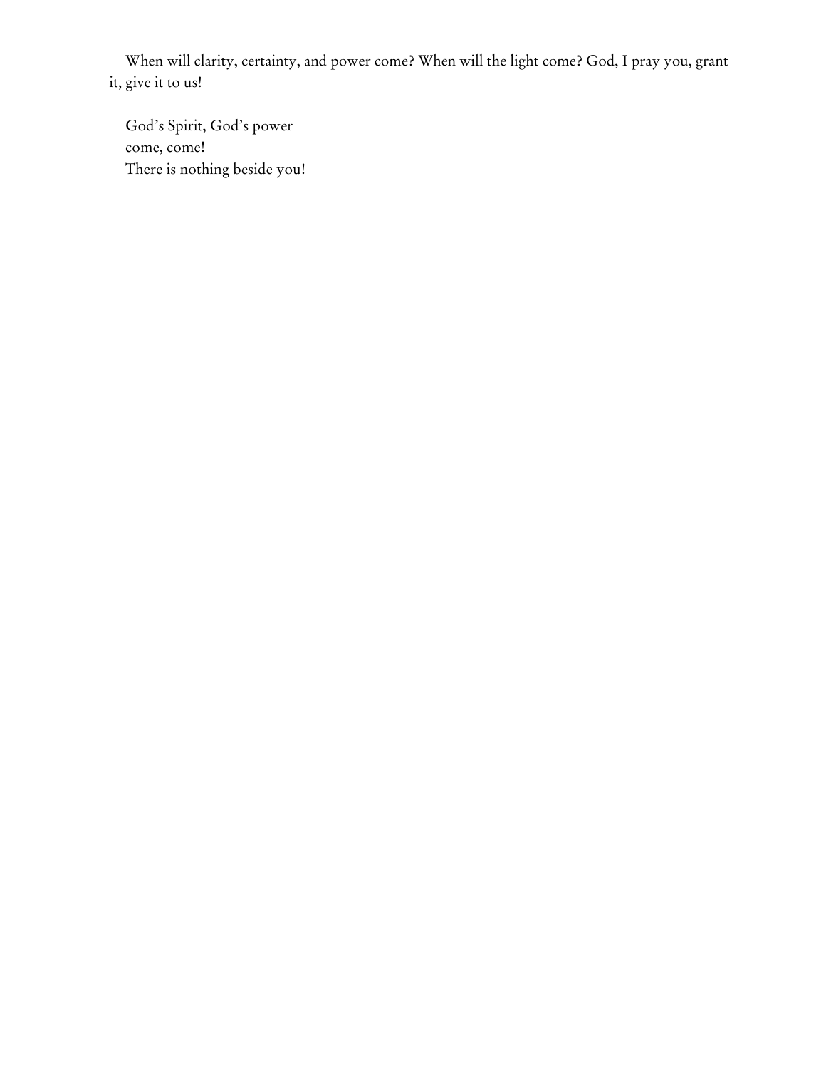When will clarity, certainty, and power come? When will the light come? God, I pray you, grant it, give it to us!

God's Spirit, God's power come, come! There is nothing beside you!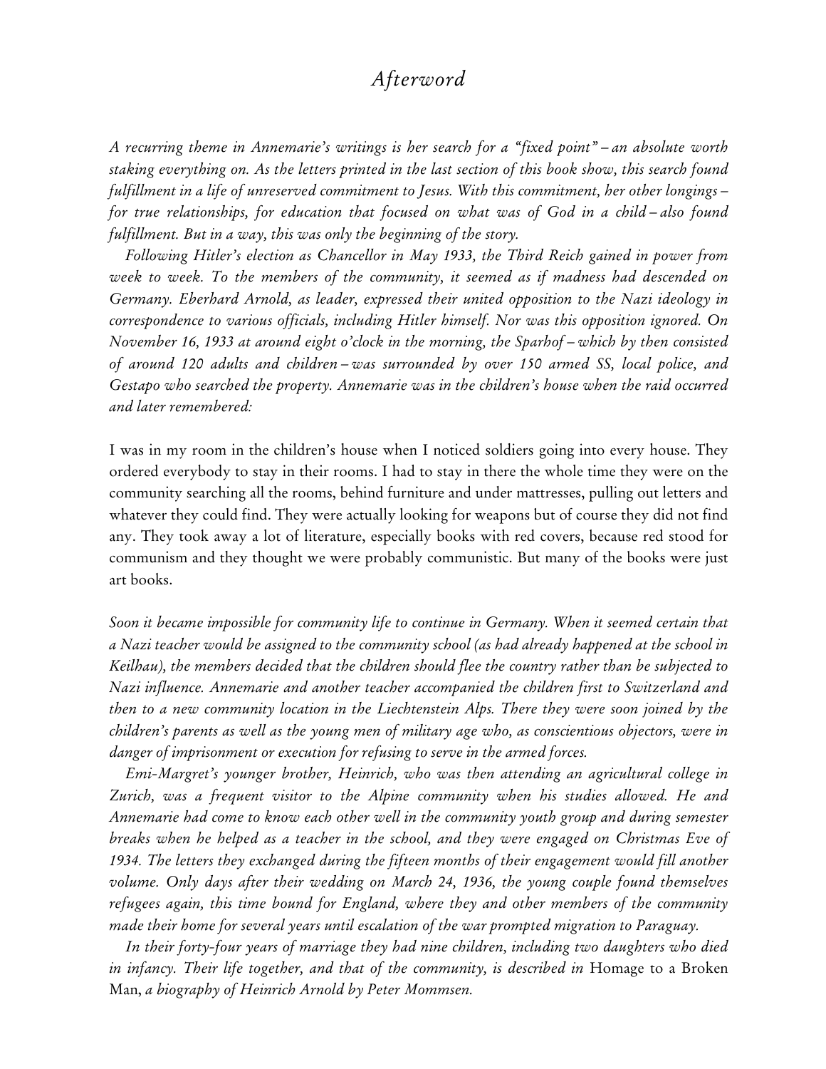# *Afterword*

*A recurring theme in Annemarie's writings is her search for a "fixed point" – an absolute worth staking everything on. As the letters printed in the last section of this book show, this search found fulfillment in a life of unreserved commitment to Jesus. With this commitment, her other longings – for true relationships, for education that focused on what was of God in a child – also found fulfillment. But in a way, this was only the beginning of the story.*

*Following Hitler's election as Chancellor in May 1933, the Third Reich gained in power from week to week. To the members of the community, it seemed as if madness had descended on Germany. Eberhard Arnold, as leader, expressed their united opposition to the Nazi ideology in correspondence to various officials, including Hitler himself. Nor was this opposition ignored. On November 16, 1933 at around eight o'clock in the morning, the Sparhof – which by then consisted of around 120 adults and children – was surrounded by over 150 armed SS, local police, and Gestapo who searched the property. Annemarie was in the children's house when the raid occurred and later remembered:* 

I was in my room in the children's house when I noticed soldiers going into every house. They ordered everybody to stay in their rooms. I had to stay in there the whole time they were on the community searching all the rooms, behind furniture and under mattresses, pulling out letters and whatever they could find. They were actually looking for weapons but of course they did not find any. They took away a lot of literature, especially books with red covers, because red stood for communism and they thought we were probably communistic. But many of the books were just art books.

*Soon it became impossible for community life to continue in Germany. When it seemed certain that a Nazi teacher would be assigned to the community school (as had already happened at the school in Keilhau), the members decided that the children should flee the country rather than be subjected to Nazi influence. Annemarie and another teacher accompanied the children first to Switzerland and then to a new community location in the Liechtenstein Alps. There they were soon joined by the children's parents as well as the young men of military age who, as conscientious objectors, were in danger of imprisonment or execution for refusing to serve in the armed forces.*

*Emi-Margret's younger brother, Heinrich, who was then attending an agricultural college in Zurich, was a frequent visitor to the Alpine community when his studies allowed. He and Annemarie had come to know each other well in the community youth group and during semester breaks when he helped as a teacher in the school, and they were engaged on Christmas Eve of 1934. The letters they exchanged during the fifteen months of their engagement would fill another volume. Only days after their wedding on March 24, 1936, the young couple found themselves refugees again, this time bound for England, where they and other members of the community made their home for several years until escalation of the war prompted migration to Paraguay.*

*In their forty-four years of marriage they had nine children, including two daughters who died*  in infancy. Their life together, and that of the community, is described in Homage to a Broken Man, *a biography of Heinrich Arnold by Peter Mommsen.*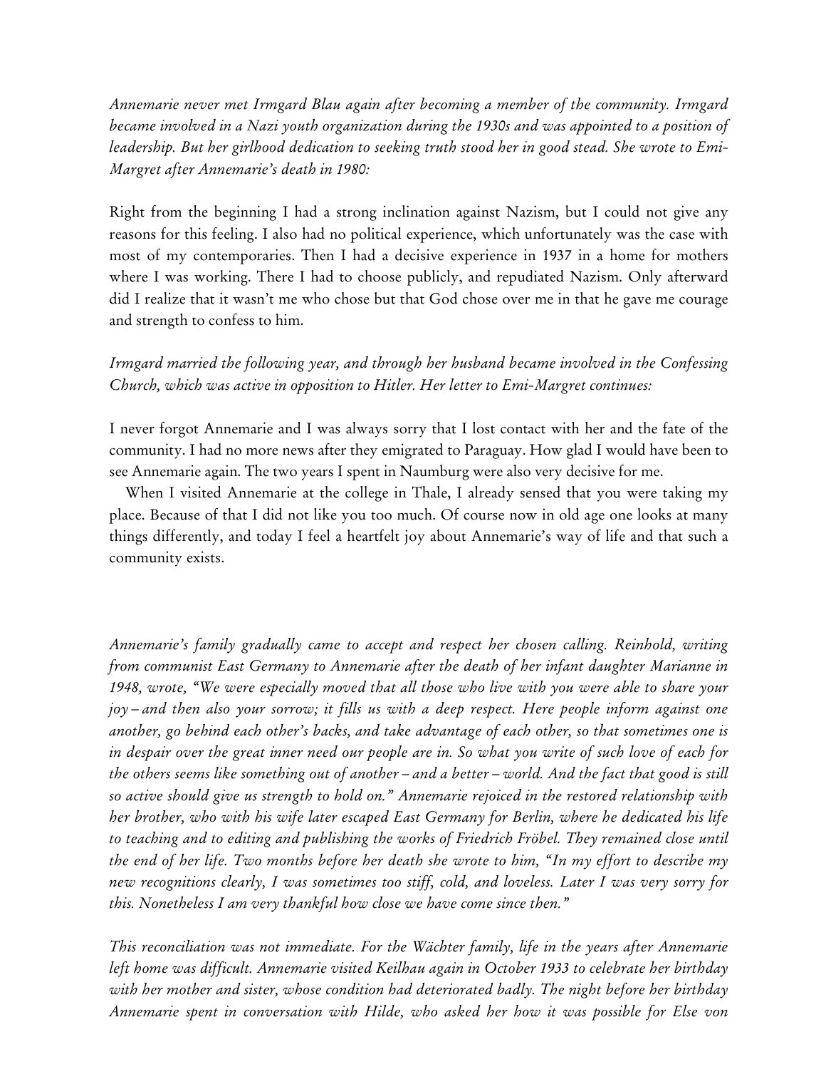*Annemarie never met Irmgard Blau again after becoming a member of the community. Irmgard became involved in a Nazi youth organization during the 1930s and was appointed to a position of leadership. But her girlhood dedication to seeking truth stood her in good stead. She wrote to Emi-Margret after Annemarie's death in 1980:*

Right from the beginning I had a strong inclination against Nazism, but I could not give any reasons for this feeling. I also had no political experience, which unfortunately was the case with most of my contemporaries. Then I had a decisive experience in 1937 in a home for mothers where I was working. There I had to choose publicly, and repudiated Nazism. Only afterward did I realize that it wasn't me who chose but that God chose over me in that he gave me courage and strength to confess to him.

# *Irmgard married the following year, and through her husband became involved in the Confessing Church, which was active in opposition to Hitler. Her letter to Emi-Margret continues:*

I never forgot Annemarie and I was always sorry that I lost contact with her and the fate of the community. I had no more news after they emigrated to Paraguay. How glad I would have been to see Annemarie again. The two years I spent in Naumburg were also very decisive for me.

When I visited Annemarie at the college in Thale, I already sensed that you were taking my place. Because of that I did not like you too much. Of course now in old age one looks at many things differently, and today I feel a heartfelt joy about Annemarie's way of life and that such a community exists.

*Annemarie's family gradually came to accept and respect her chosen calling. Reinhold, writing from communist East Germany to Annemarie after the death of her infant daughter Marianne in 1948, wrote, "We were especially moved that all those who live with you were able to share your joy – and then also your sorrow; it fills us with a deep respect. Here people inform against one another, go behind each other's backs, and take advantage of each other, so that sometimes one is in despair over the great inner need our people are in. So what you write of such love of each for the others seems like something out of another – and a better – world. And the fact that good is still so active should give us strength to hold on." Annemarie rejoiced in the restored relationship with her brother, who with his wife later escaped East Germany for Berlin, where he dedicated his life to teaching and to editing and publishing the works of Friedrich Fröbel. They remained close until the end of her life. Two months before her death she wrote to him, "In my effort to describe my new recognitions clearly, I was sometimes too stiff, cold, and loveless. Later I was very sorry for this. Nonetheless I am very thankful how close we have come since then."*

*This reconciliation was not immediate. For the Wächter family, life in the years after Annemarie left home was difficult. Annemarie visited Keilhau again in October 1933 to celebrate her birthday with her mother and sister, whose condition had deteriorated badly. The night before her birthday Annemarie spent in conversation with Hilde, who asked her how it was possible for Else von*